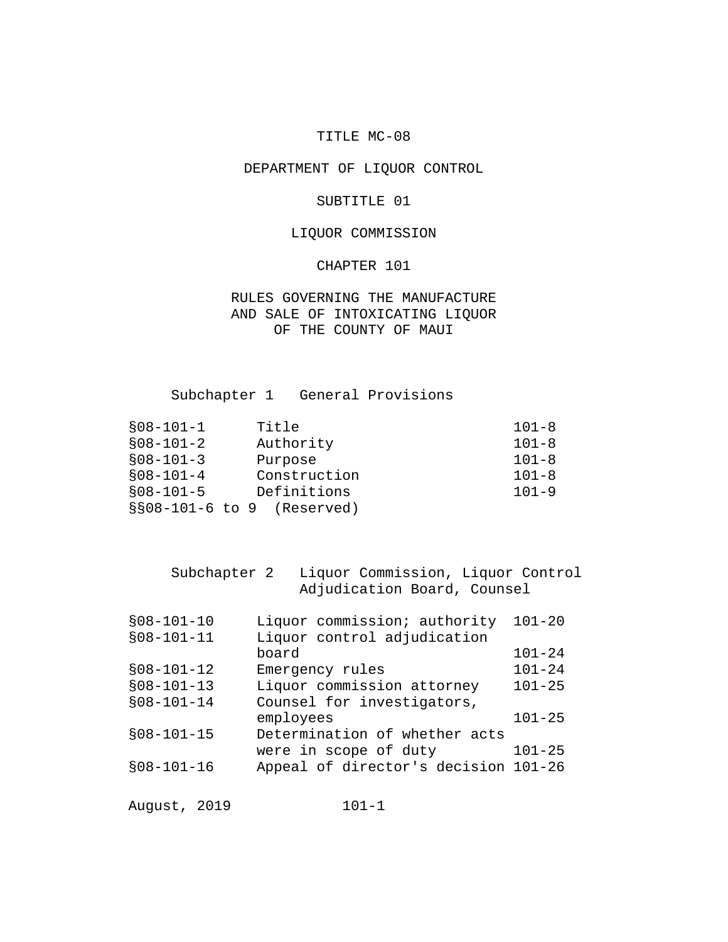## TITLE MC-08

# DEPARTMENT OF LIQUOR CONTROL

#### SUBTITLE 01

## LIQUOR COMMISSION

#### CHAPTER 101

RULES GOVERNING THE MANUFACTURE AND SALE OF INTOXICATING LIQUOR OF THE COUNTY OF MAUI

Subchapter 1 General Provisions

| $$08-101-2$<br>Authority<br>$$08-101-3$<br>Purpose<br>Construction<br>$$08-101-4$<br>Definitions<br>$$08-101-5$<br>$\S 808-101-6$ to 9 (Reserved) | $$08-101-1$ | Title | $101 - 8$ |
|---------------------------------------------------------------------------------------------------------------------------------------------------|-------------|-------|-----------|
|                                                                                                                                                   |             |       | $101 - 8$ |
|                                                                                                                                                   |             |       | $101 - 8$ |
|                                                                                                                                                   |             |       | $101 - 8$ |
|                                                                                                                                                   |             |       | $101 - 9$ |
|                                                                                                                                                   |             |       |           |

| Subchapter 2 | Liquor Commission, Liquor Control |
|--------------|-----------------------------------|
|              | Adjudication Board, Counsel       |

| $$08-101-10$ | Liquor commission; authority         | $101 - 20$ |
|--------------|--------------------------------------|------------|
| $$08-101-11$ | Liquor control adjudication          |            |
|              | board                                | $101 - 24$ |
| $$08-101-12$ | Emergency rules                      | $101 - 24$ |
| $$08-101-13$ | Liquor commission attorney           | $101 - 25$ |
| $$08-101-14$ | Counsel for investigators,           |            |
|              | employees                            | $101 - 25$ |
| $$08-101-15$ | Determination of whether acts        |            |
|              | were in scope of duty                | $101 - 25$ |
| $$08-101-16$ | Appeal of director's decision 101-26 |            |
|              |                                      |            |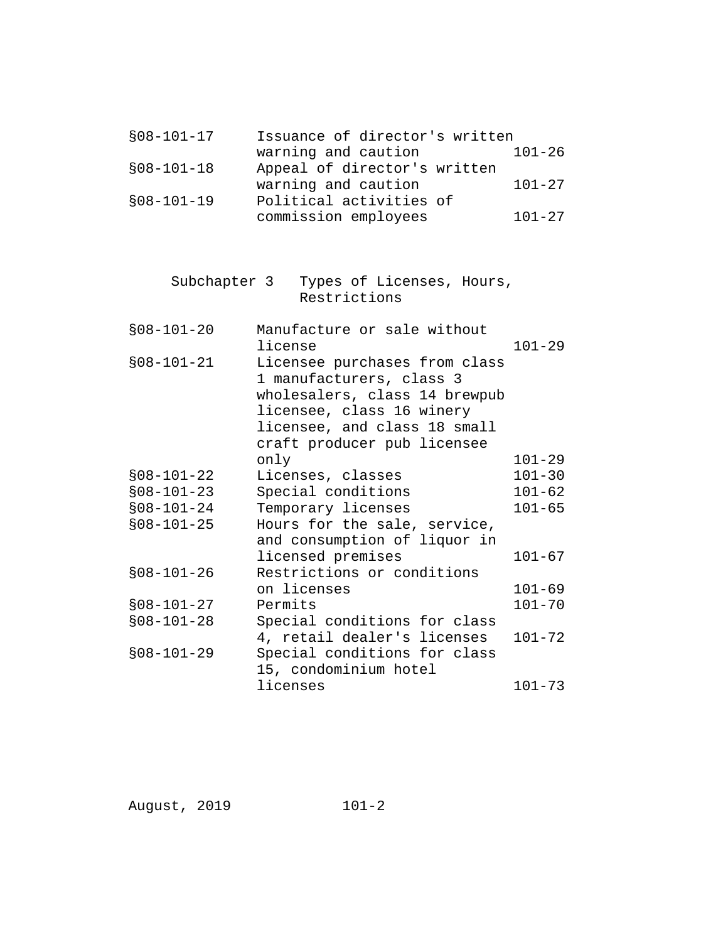| $$08-101-17$ | Issuance of director's written |            |
|--------------|--------------------------------|------------|
|              | warning and caution            | $101 - 26$ |
| $$08-101-18$ | Appeal of director's written   |            |
|              | warning and caution            | $101 - 27$ |
| $$08-101-19$ | Political activities of        |            |
|              | commission employees           | $101 - 27$ |
|              |                                |            |
|              |                                |            |
| Subchapter 3 | Types of Licenses, Hours,      |            |
|              | Restrictions                   |            |
|              |                                |            |
| $$08-101-20$ | Manufacture or sale without    |            |
|              | license                        | $101 - 29$ |
| $$08-101-21$ | Licensee purchases from class  |            |
|              | 1 manufacturers, class 3       |            |
|              | wholesalers, class 14 brewpub  |            |
|              | licensee, class 16 winery      |            |
|              | licensee, and class 18 small   |            |
|              | craft producer pub licensee    |            |
|              | only                           | $101 - 29$ |
| $$08-101-22$ | Licenses, classes              | $101 - 30$ |
| $$08-101-23$ | Special conditions             | $101 - 62$ |
| $$08-101-24$ | Temporary licenses             | $101 - 65$ |
| $$08-101-25$ | Hours for the sale, service,   |            |
|              | and consumption of liquor in   |            |
|              | licensed premises              | $101 - 67$ |
| $$08-101-26$ | Restrictions or conditions     |            |
|              | on licenses                    | $101 - 69$ |
| $$08-101-27$ | Permits                        | $101 - 70$ |
| $$08-101-28$ | Special conditions for class   |            |
|              | 4, retail dealer's licenses    | $101 - 72$ |
| $$08-101-29$ | Special conditions for class   |            |
|              | 15, condominium hotel          |            |
|              | licenses                       | $101 - 73$ |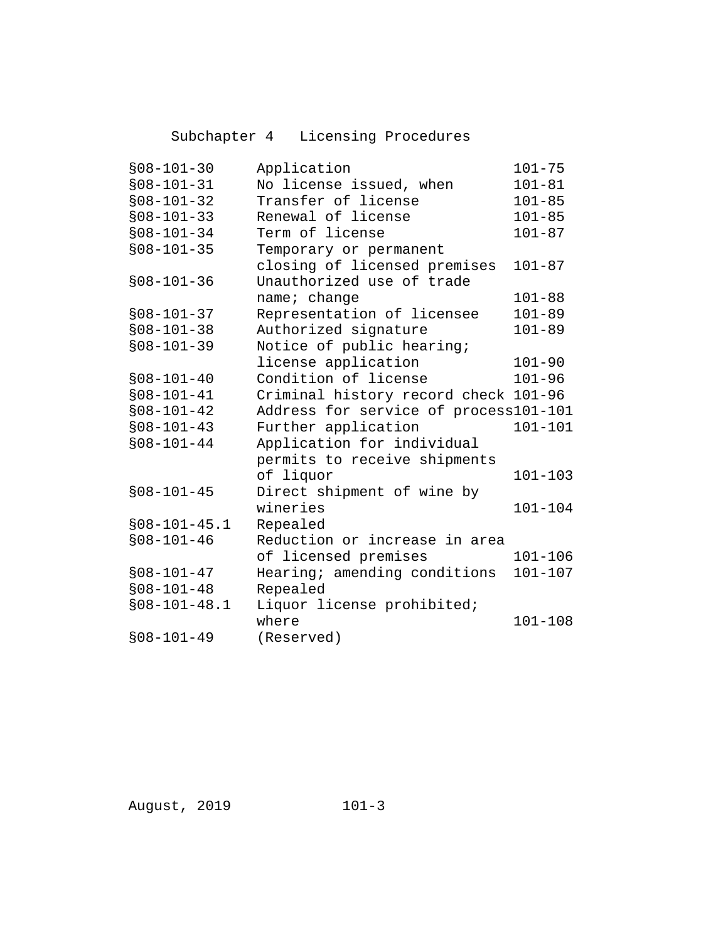Subchapter 4 Licensing Procedures

| $$08-101-30$     | Application                           | $101 - 75$  |
|------------------|---------------------------------------|-------------|
| $$08 - 101 - 31$ | No license issued, when               | $101 - 81$  |
| $$08-101-32$     | Transfer of license                   | $101 - 85$  |
| $$08-101-33$     | Renewal of license                    | $101 - 85$  |
| $$08 - 101 - 34$ | Term of license                       | $101 - 87$  |
| $$08 - 101 - 35$ | Temporary or permanent                |             |
|                  | closing of licensed premises          | $101 - 87$  |
| $$08-101-36$     | Unauthorized use of trade             |             |
|                  | name; change                          | $101 - 88$  |
| $$08 - 101 - 37$ | Representation of licensee            | $101 - 89$  |
| $$08 - 101 - 38$ | Authorized signature                  | $101 - 89$  |
| $$08-101-39$     | Notice of public hearing;             |             |
|                  | license application                   | $101 - 90$  |
| $$08-101-40$     | Condition of license                  | $101 - 96$  |
| $$08-101-41$     | Criminal history record check 101-96  |             |
| $$08-101-42$     | Address for service of process101-101 |             |
| $$08-101-43$     | Further application                   | $101 - 101$ |
| $$08 - 101 - 44$ | Application for individual            |             |
|                  | permits to receive shipments          |             |
|                  | of liquor                             | $101 - 103$ |
| $$08-101-45$     | Direct shipment of wine by            |             |
|                  | wineries                              | $101 - 104$ |
| $$08-101-45.1$   | Repealed                              |             |
| $$08-101-46$     | Reduction or increase in area         |             |
|                  | of licensed premises                  | $101 - 106$ |
| $$08-101-47$     | Hearing; amending conditions          | $101 - 107$ |
| $$08-101-48$     | Repealed                              |             |
| $$08-101-48.1$   | Liquor license prohibited;            |             |
|                  | where                                 | $101 - 108$ |
| $$08-101-49$     | (Reserved)                            |             |
|                  |                                       |             |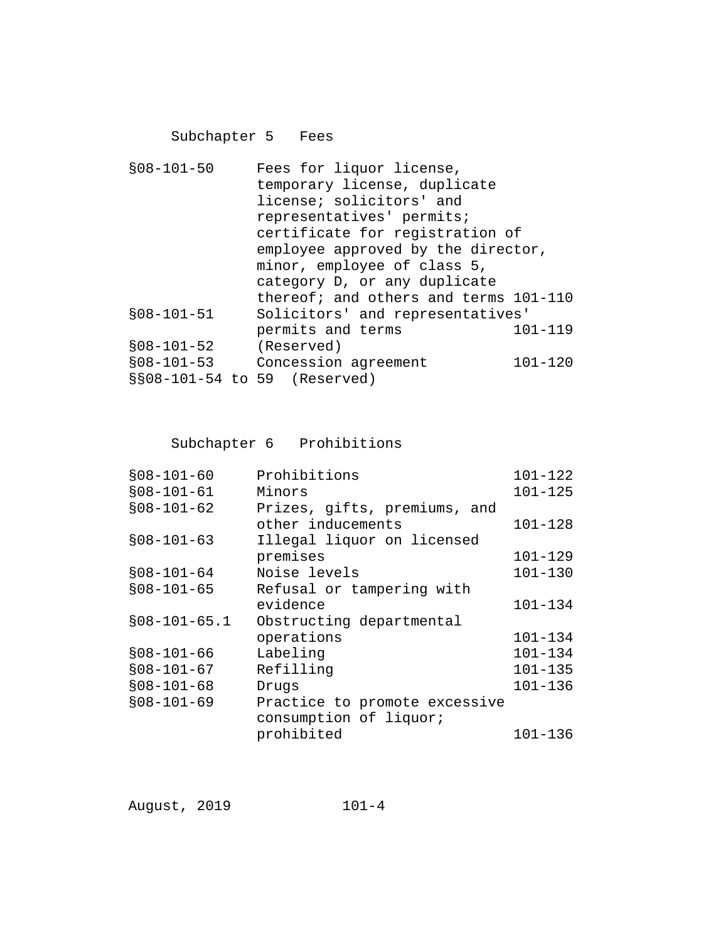# Subchapter 5 Fees

| $$08-101-50$ | Fees for liquor license,              |             |
|--------------|---------------------------------------|-------------|
|              | temporary license, duplicate          |             |
|              | license; solicitors' and              |             |
|              | representatives' permits;             |             |
|              | certificate for registration of       |             |
|              | employee approved by the director,    |             |
|              | minor, employee of class 5,           |             |
|              | category D, or any duplicate          |             |
|              | thereof; and others and terms 101-110 |             |
| $$08-101-51$ | Solicitors' and representatives'      |             |
|              | permits and terms                     | 101-119     |
| $$08-101-52$ | (Reserved)                            |             |
| $$08-101-53$ | Concession agreement                  | $101 - 120$ |
|              | §§08-101-54 to 59 (Reserved)          |             |
|              |                                       |             |

Subchapter 6 Prohibitions

| $$08-101-60$   | Prohibitions                  | $101 - 122$ |
|----------------|-------------------------------|-------------|
| $$08-101-61$   | Minors                        | $101 - 125$ |
| $$08-101-62$   | Prizes, gifts, premiums, and  |             |
|                | other inducements             | $101 - 128$ |
| $$08-101-63$   | Illegal liquor on licensed    |             |
|                | premises                      | $101 - 129$ |
| $$08-101-64$   | Noise levels                  | $101 - 130$ |
| $$08-101-65$   | Refusal or tampering with     |             |
|                | evidence                      | $101 - 134$ |
| $$08-101-65.1$ | Obstructing departmental      |             |
|                | operations                    | 101-134     |
| $$08-101-66$   | Labeling                      | $101 - 134$ |
| $$08-101-67$   | Refilling                     | $101 - 135$ |
| $$08-101-68$   | Drugs                         | $101 - 136$ |
| $$08-101-69$   | Practice to promote excessive |             |
|                | consumption of liquor;        |             |
|                | prohibited                    | $101 - 136$ |
|                |                               |             |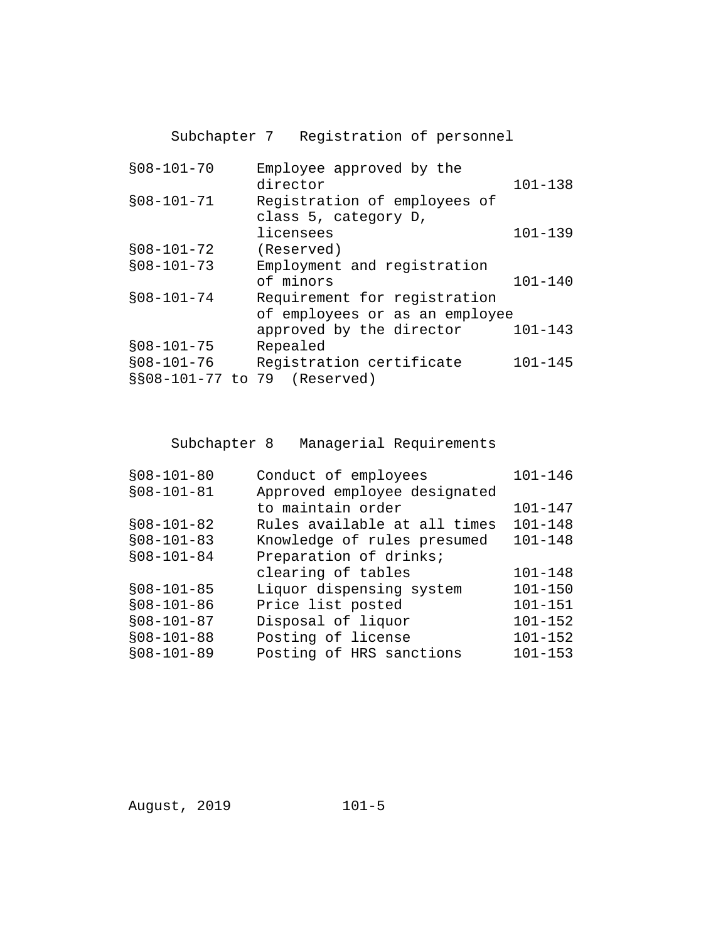Subchapter 7 Registration of personnel

| $$08 - 101 - 70$  | Employee approved by the<br>director | $101 - 138$ |
|-------------------|--------------------------------------|-------------|
| $$08 - 101 - 71$  | Registration of employees of         |             |
|                   | class 5, category D,                 |             |
|                   | licensees                            | $101 - 139$ |
| $$08-101-72$      | (Reserved)                           |             |
| $$08-101-73$      | Employment and registration          |             |
|                   | of minors                            | $101 - 140$ |
| $$08 - 101 - 74$  | Requirement for registration         |             |
|                   | of employees or as an employee       |             |
|                   | approved by the director             | $101 - 143$ |
| $$08-101-75$      | Repealed                             |             |
| $$08-101-76$      | Registration certificate             | $101 - 145$ |
| §§08-101-77 to 79 | (Reserved)                           |             |

Subchapter 8 Managerial Requirements

| $$08-101-80$ | Conduct of employees         | $101 - 146$ |
|--------------|------------------------------|-------------|
| $$08-101-81$ | Approved employee designated |             |
|              | to maintain order            | $101 - 147$ |
| $$08-101-82$ | Rules available at all times | $101 - 148$ |
| $$08-101-83$ | Knowledge of rules presumed  | $101 - 148$ |
| $$08-101-84$ | Preparation of drinks;       |             |
|              | clearing of tables           | $101 - 148$ |
| $$08-101-85$ | Liquor dispensing system     | $101 - 150$ |
| $$08-101-86$ | Price list posted            | $101 - 151$ |
| $$08-101-87$ | Disposal of liquor           | $101 - 152$ |
| $$08-101-88$ | Posting of license           | $101 - 152$ |
| $$08-101-89$ | Posting of HRS sanctions     | $101 - 153$ |
|              |                              |             |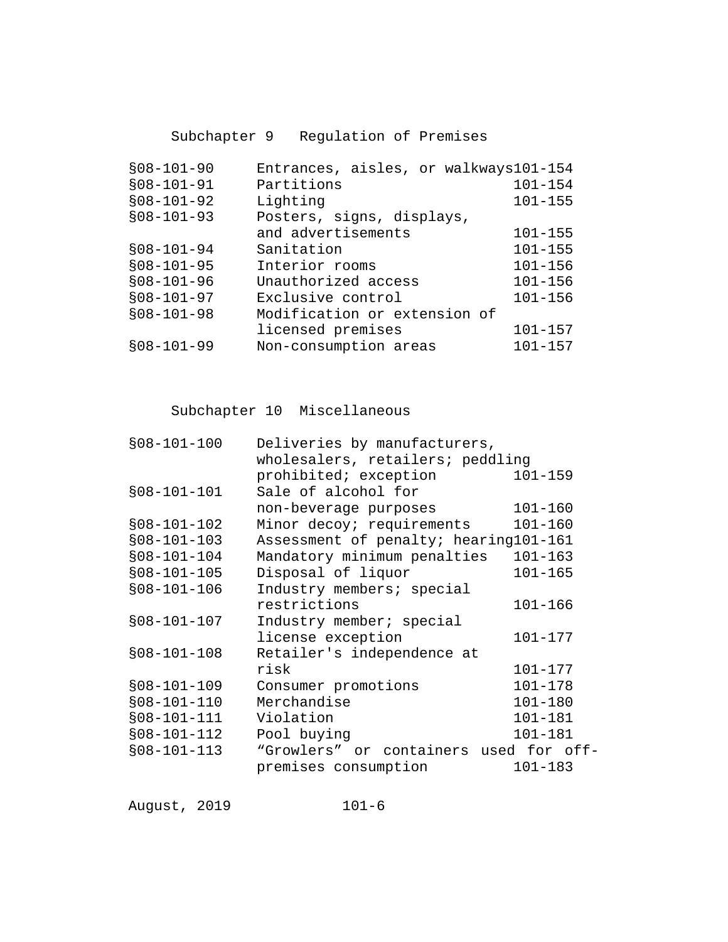Subchapter 9 Regulation of Premises

| $$08-101-90$ | Entrances, aisles, or walkways101-154 |             |
|--------------|---------------------------------------|-------------|
| $$08-101-91$ | Partitions                            | $101 - 154$ |
| $$08-101-92$ | Lighting                              | $101 - 155$ |
| $$08-101-93$ | Posters, signs, displays,             |             |
|              | and advertisements                    | $101 - 155$ |
| $$08-101-94$ | Sanitation                            | $101 - 155$ |
| $$08-101-95$ | Interior rooms                        | $101 - 156$ |
| $$08-101-96$ | Unauthorized access                   | $101 - 156$ |
| $$08-101-97$ | Exclusive control                     | $101 - 156$ |
| $$08-101-98$ | Modification or extension of          |             |
|              | licensed premises                     | $101 - 157$ |
| $$08-101-99$ | Non-consumption areas                 | $101 - 157$ |
|              |                                       |             |

Subchapter 10 Miscellaneous

| $$08-101-100$ | Deliveries by manufacturers,           |             |
|---------------|----------------------------------------|-------------|
|               | wholesalers, retailers; peddling       |             |
|               | prohibited; exception                  | $101 - 159$ |
| $$08-101-101$ | Sale of alcohol for                    |             |
|               | non-beverage purposes                  | $101 - 160$ |
| $$08-101-102$ | Minor decoy; requirements              | $101 - 160$ |
| $$08-101-103$ | Assessment of penalty; hearing101-161  |             |
| $$08-101-104$ | Mandatory minimum penalties            | $101 - 163$ |
| $$08-101-105$ | Disposal of liquor                     | $101 - 165$ |
| $$08-101-106$ | Industry members; special              |             |
|               | restrictions                           | 101-166     |
| $$08-101-107$ | Industry member; special               |             |
|               | license exception                      | $101 - 177$ |
| $$08-101-108$ | Retailer's independence at             |             |
|               | risk                                   | $101 - 177$ |
| $$08-101-109$ | Consumer promotions                    | $101 - 178$ |
| $$08-101-110$ | Merchandise                            | $101 - 180$ |
| $$08-101-111$ | Violation                              | $101 - 181$ |
| $$08-101-112$ | Pool buying                            | 101-181     |
| $$08-101-113$ | "Growlers" or containers used for off- |             |
|               | premises consumption                   | $101 - 183$ |
|               |                                        |             |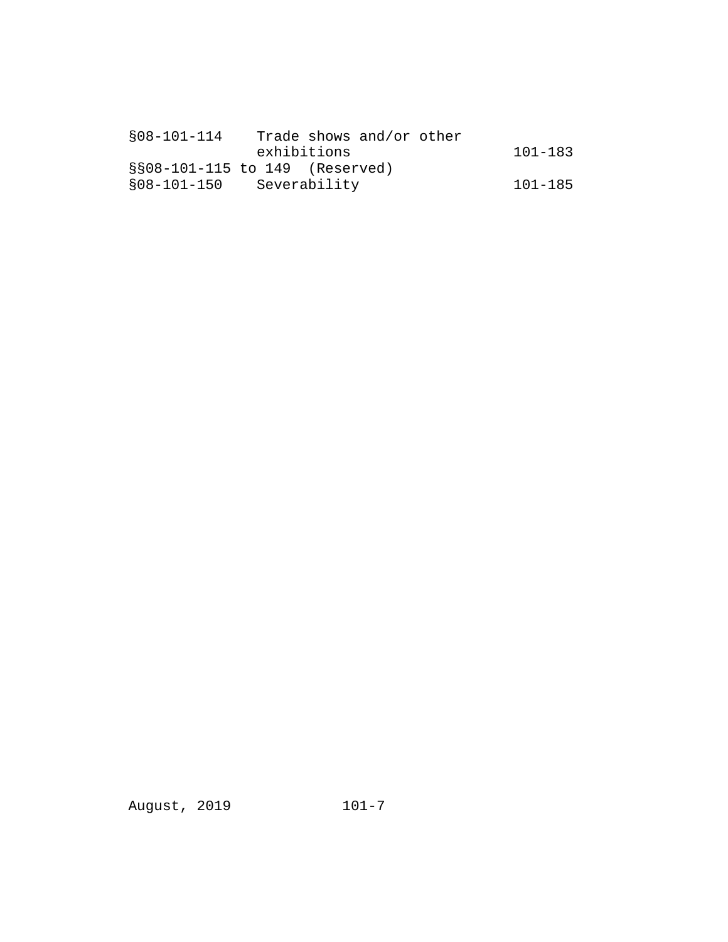| $$08-101-114$ | Trade shows and/or other       |         |
|---------------|--------------------------------|---------|
|               | exhibitions                    | 101-183 |
|               | §§08-101-115 to 149 (Reserved) |         |
| \$08-101-150  | Severability                   | 101-185 |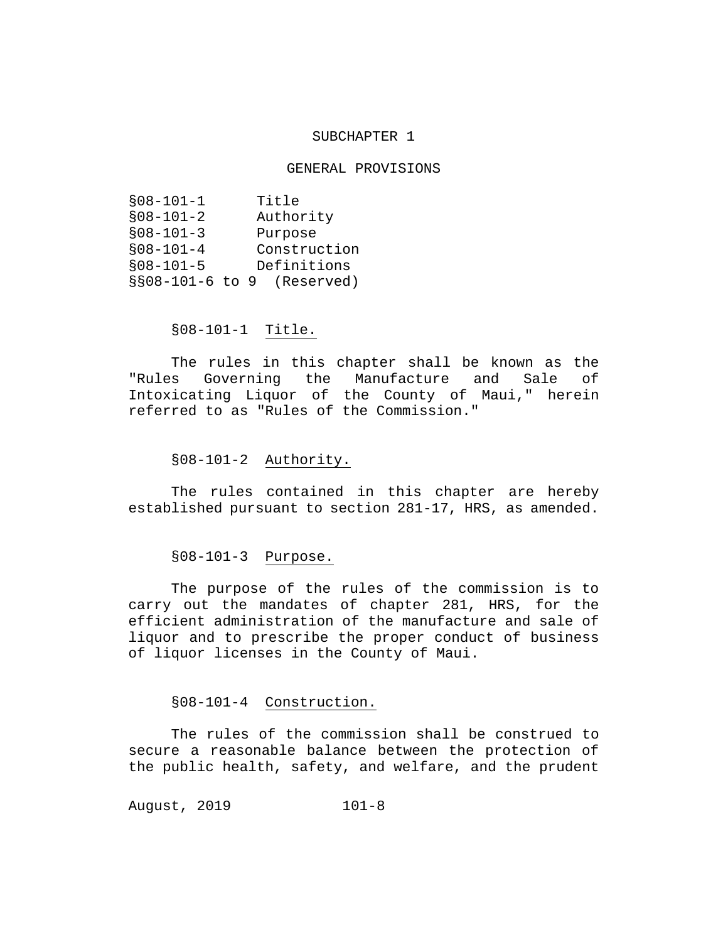#### SUBCHAPTER 1

#### GENERAL PROVISIONS

| $$08-101-1$     |  | Title        |
|-----------------|--|--------------|
| $$08-101-2$     |  | Authority    |
| $$08 - 101 - 3$ |  | Purpose      |
| $$08-101-4$     |  | Construction |
| $$08 - 101 - 5$ |  | Definitions  |
| §§08-101-6 to 9 |  | (Reserved)   |

#### §08-101-1 Title.

The rules in this chapter shall be known as the "Rules Governing the Manufacture and Sale of Intoxicating Liquor of the County of Maui," herein referred to as "Rules of the Commission."

#### §08-101-2 Authority.

The rules contained in this chapter are hereby established pursuant to section 281-17, HRS, as amended.

## §08-101-3 Purpose.

The purpose of the rules of the commission is to carry out the mandates of chapter 281, HRS, for the efficient administration of the manufacture and sale of liquor and to prescribe the proper conduct of business of liquor licenses in the County of Maui.

## §08-101-4 Construction.

The rules of the commission shall be construed to secure a reasonable balance between the protection of the public health, safety, and welfare, and the prudent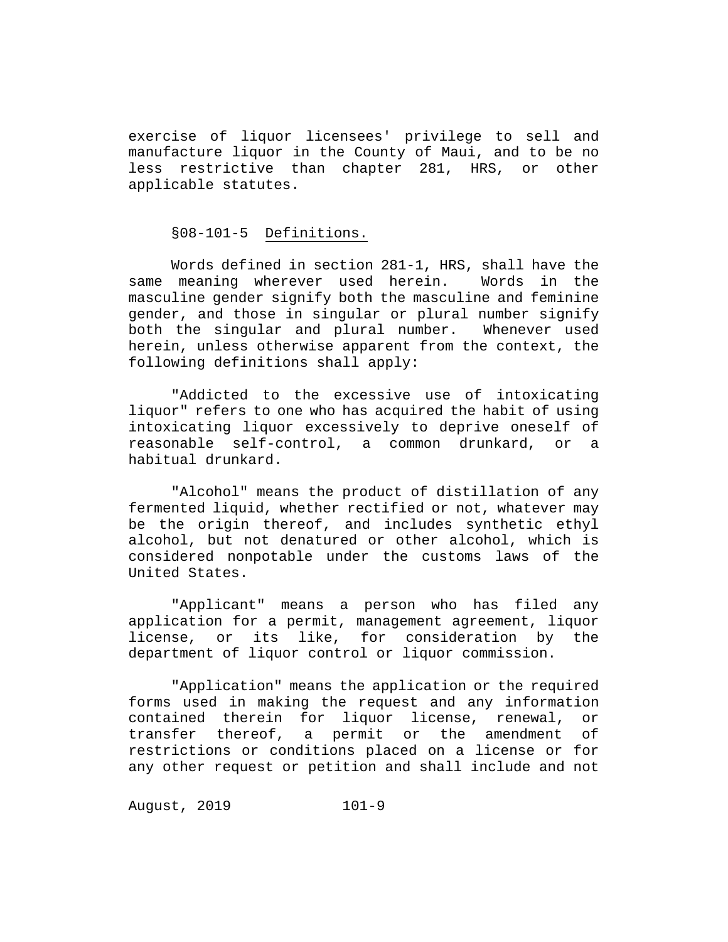exercise of liquor licensees' privilege to sell and manufacture liquor in the County of Maui, and to be no less restrictive than chapter 281, HRS, or other applicable statutes.

#### §08-101-5 Definitions.

Words defined in section 281-1, HRS, shall have the<br>meaning wherever used herein. Words in the same meaning wherever used herein. masculine gender signify both the masculine and feminine gender, and those in singular or plural number signify both the singular and plural number. Whenever used herein, unless otherwise apparent from the context, the following definitions shall apply:

"Addicted to the excessive use of intoxicating liquor" refers to one who has acquired the habit of using intoxicating liquor excessively to deprive oneself of reasonable self-control, a common drunkard, or a habitual drunkard.

"Alcohol" means the product of distillation of any fermented liquid, whether rectified or not, whatever may be the origin thereof, and includes synthetic ethyl alcohol, but not denatured or other alcohol, which is considered nonpotable under the customs laws of the United States.

"Applicant" means a person who has filed any application for a permit, management agreement, liquor license, or its like, for consideration by the department of liquor control or liquor commission.

"Application" means the application or the required forms used in making the request and any information contained therein for liquor license, renewal, or transfer thereof, a permit or the amendment of restrictions or conditions placed on a license or for any other request or petition and shall include and not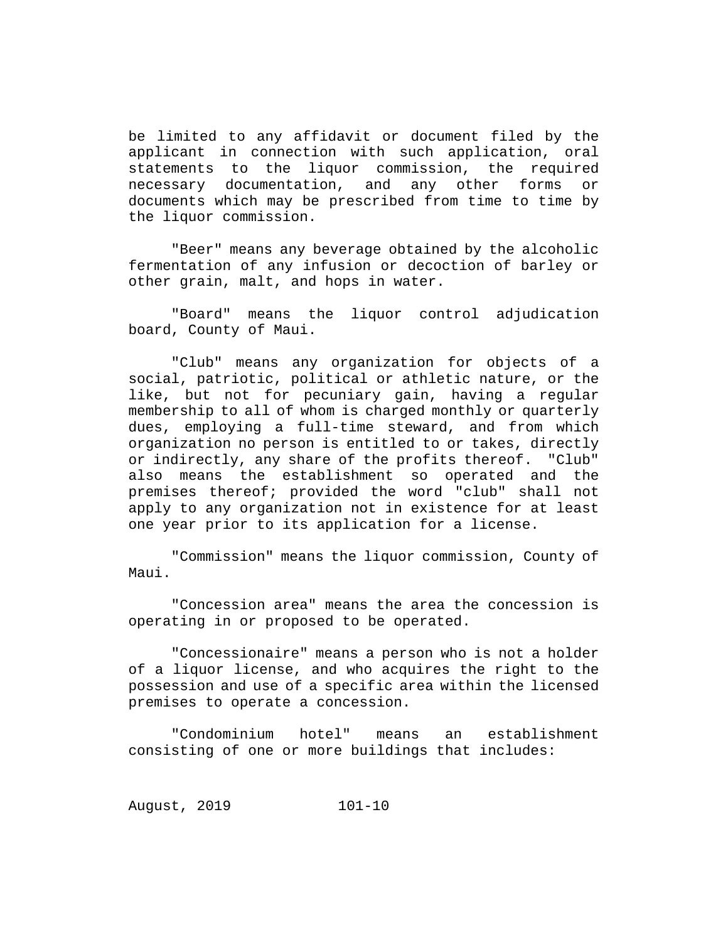be limited to any affidavit or document filed by the applicant in connection with such application, oral statements to the liquor commission, the required necessary documentation, and any other forms or documents which may be prescribed from time to time by the liquor commission.

"Beer" means any beverage obtained by the alcoholic fermentation of any infusion or decoction of barley or other grain, malt, and hops in water.

"Board" means the liquor control adjudication board, County of Maui.

"Club" means any organization for objects of a social, patriotic, political or athletic nature, or the like, but not for pecuniary gain, having a regular membership to all of whom is charged monthly or quarterly dues, employing a full-time steward, and from which organization no person is entitled to or takes, directly or indirectly, any share of the profits thereof. "Club" also means the establishment so operated and the premises thereof; provided the word "club" shall not apply to any organization not in existence for at least one year prior to its application for a license.

"Commission" means the liquor commission, County of Maui.

"Concession area" means the area the concession is operating in or proposed to be operated.

"Concessionaire" means a person who is not a holder of a liquor license, and who acquires the right to the possession and use of a specific area within the licensed premises to operate a concession.

"Condominium hotel" means an establishment consisting of one or more buildings that includes: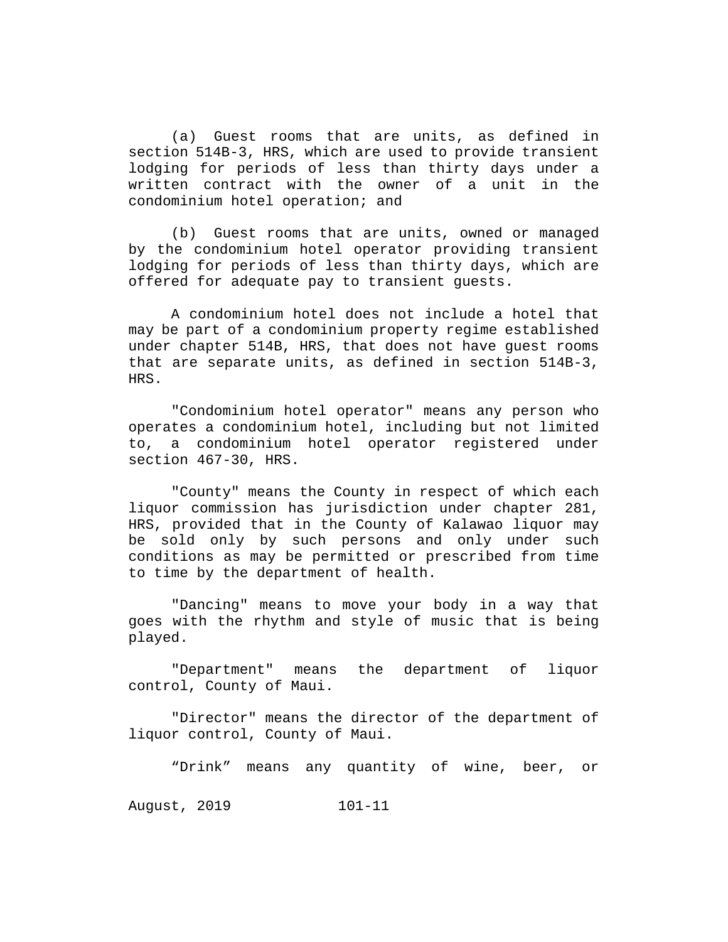(a) Guest rooms that are units, as defined in section 514B-3, HRS, which are used to provide transient lodging for periods of less than thirty days under a written contract with the owner of a unit in the condominium hotel operation; and

(b) Guest rooms that are units, owned or managed by the condominium hotel operator providing transient lodging for periods of less than thirty days, which are offered for adequate pay to transient guests.

A condominium hotel does not include a hotel that may be part of a condominium property regime established under chapter 514B, HRS, that does not have guest rooms that are separate units, as defined in section 514B-3, HRS.

"Condominium hotel operator" means any person who operates a condominium hotel, including but not limited to, a condominium hotel operator registered under section 467-30, HRS.

"County" means the County in respect of which each liquor commission has jurisdiction under chapter 281, HRS, provided that in the County of Kalawao liquor may be sold only by such persons and only under such conditions as may be permitted or prescribed from time to time by the department of health.

"Dancing" means to move your body in a way that goes with the rhythm and style of music that is being played.

"Department" means the department of liquor control, County of Maui.

"Director" means the director of the department of liquor control, County of Maui.

"Drink" means any quantity of wine, beer, or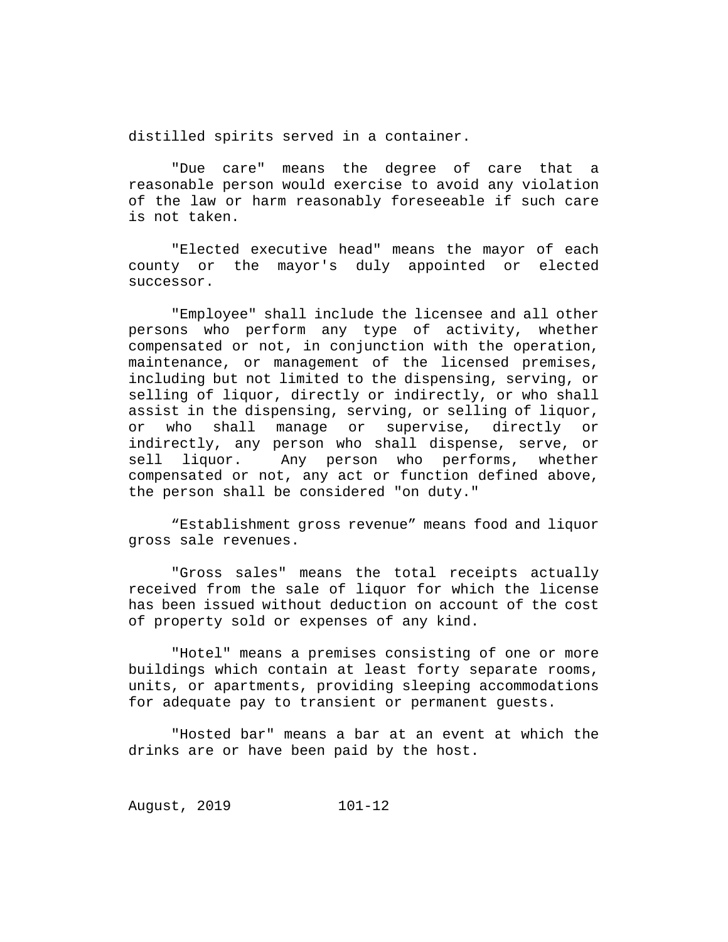distilled spirits served in a container.

"Due care" means the degree of care that a reasonable person would exercise to avoid any violation of the law or harm reasonably foreseeable if such care is not taken.

"Elected executive head" means the mayor of each county or the mayor's duly appointed or elected successor.

"Employee" shall include the licensee and all other persons who perform any type of activity, whether compensated or not, in conjunction with the operation, maintenance, or management of the licensed premises, including but not limited to the dispensing, serving, or selling of liquor, directly or indirectly, or who shall assist in the dispensing, serving, or selling of liquor,<br>or who shall manage or supervise, directly or who shall manage or supervise, indirectly, any person who shall dispense, serve, or<br>sell liquor. Any person who performs, whether Any person who performs, whether compensated or not, any act or function defined above, the person shall be considered "on duty."

"Establishment gross revenue" means food and liquor gross sale revenues.

"Gross sales" means the total receipts actually received from the sale of liquor for which the license has been issued without deduction on account of the cost of property sold or expenses of any kind.

"Hotel" means a premises consisting of one or more buildings which contain at least forty separate rooms, units, or apartments, providing sleeping accommodations for adequate pay to transient or permanent guests.

"Hosted bar" means a bar at an event at which the drinks are or have been paid by the host.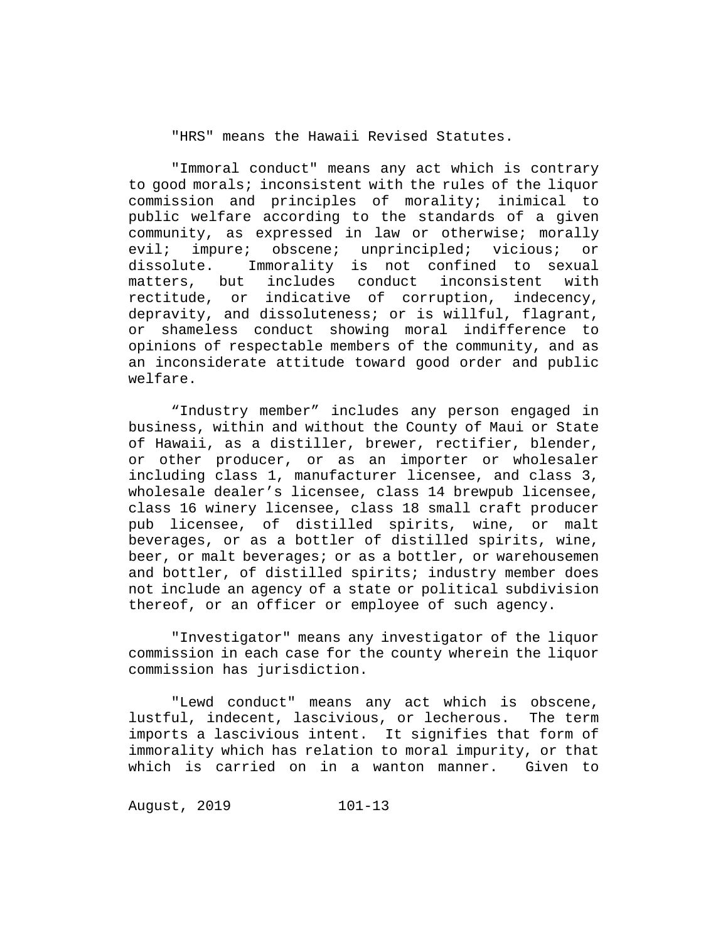"HRS" means the Hawaii Revised Statutes.

"Immoral conduct" means any act which is contrary to good morals; inconsistent with the rules of the liquor commission and principles of morality; inimical to public welfare according to the standards of a given community, as expressed in law or otherwise; morally evil; impure; obscene; unprincipled; vicious; or<br>dissolute. Immorality is not confined to sexual dissolute. Immorality is not confined to sexual<br>matters, but includes conduct inconsistent with includes conduct rectitude, or indicative of corruption, indecency, depravity, and dissoluteness; or is willful, flagrant, or shameless conduct showing moral indifference to opinions of respectable members of the community, and as an inconsiderate attitude toward good order and public welfare.

"Industry member" includes any person engaged in business, within and without the County of Maui or State of Hawaii, as a distiller, brewer, rectifier, blender, or other producer, or as an importer or wholesaler including class 1, manufacturer licensee, and class 3, wholesale dealer's licensee, class 14 brewpub licensee, class 16 winery licensee, class 18 small craft producer pub licensee, of distilled spirits, wine, or malt beverages, or as a bottler of distilled spirits, wine, beer, or malt beverages; or as a bottler, or warehousemen and bottler, of distilled spirits; industry member does not include an agency of a state or political subdivision thereof, or an officer or employee of such agency.

"Investigator" means any investigator of the liquor commission in each case for the county wherein the liquor commission has jurisdiction.

"Lewd conduct" means any act which is obscene,<br>ul, indecent, lascivious, or lecherous. The term lustful, indecent, lascivious, or lecherous. imports a lascivious intent. It signifies that form of immorality which has relation to moral impurity, or that which is carried on in a wanton manner. Given to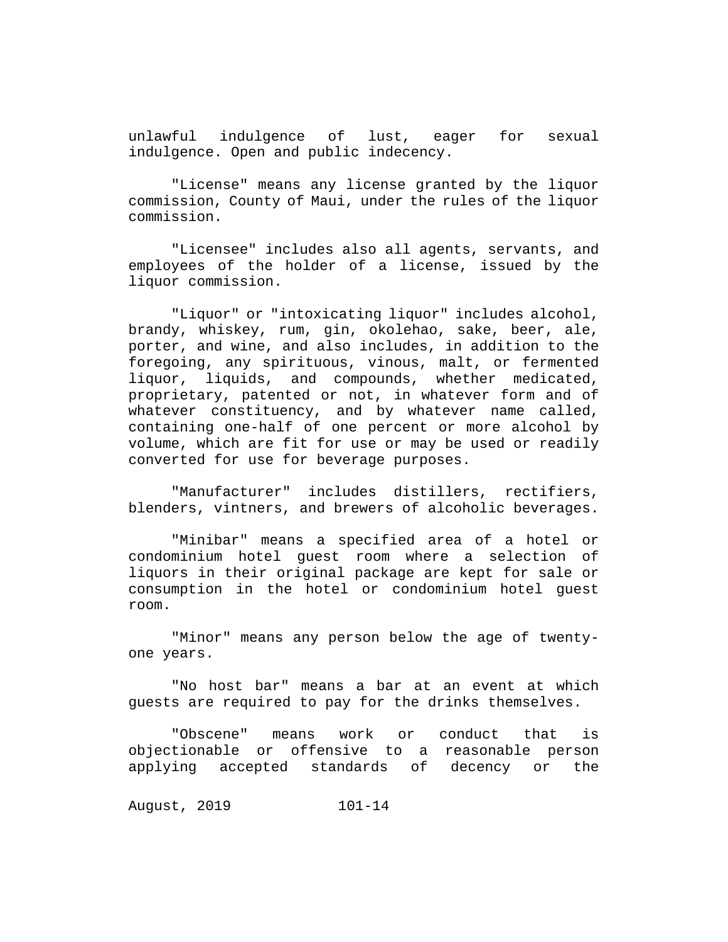unlawful indulgence of lust, eager for sexual indulgence. Open and public indecency.

"License" means any license granted by the liquor commission, County of Maui, under the rules of the liquor commission.

"Licensee" includes also all agents, servants, and employees of the holder of a license, issued by the liquor commission.

"Liquor" or "intoxicating liquor" includes alcohol, brandy, whiskey, rum, gin, okolehao, sake, beer, ale, porter, and wine, and also includes, in addition to the foregoing, any spirituous, vinous, malt, or fermented liquor, liquids, and compounds, whether medicated, proprietary, patented or not, in whatever form and of whatever constituency, and by whatever name called, containing one-half of one percent or more alcohol by volume, which are fit for use or may be used or readily converted for use for beverage purposes.

"Manufacturer" includes distillers, rectifiers, blenders, vintners, and brewers of alcoholic beverages.

"Minibar" means a specified area of a hotel or condominium hotel guest room where a selection of liquors in their original package are kept for sale or consumption in the hotel or condominium hotel guest room.

"Minor" means any person below the age of twentyone years.

"No host bar" means a bar at an event at which guests are required to pay for the drinks themselves.

"Obscene" means work or conduct that is objectionable or offensive to a reasonable person applying accepted standards of decency or the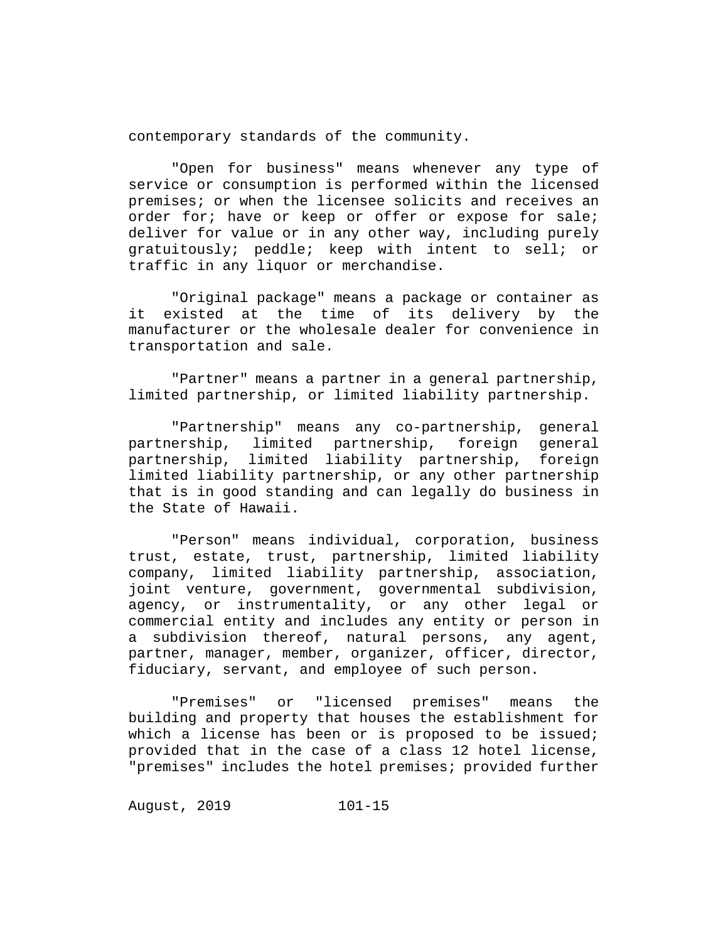contemporary standards of the community.

"Open for business" means whenever any type of service or consumption is performed within the licensed premises; or when the licensee solicits and receives an order for; have or keep or offer or expose for sale; deliver for value or in any other way, including purely gratuitously; peddle; keep with intent to sell; or traffic in any liquor or merchandise.

"Original package" means a package or container as<br>xisted at the time of its delivery by the it existed at the time of manufacturer or the wholesale dealer for convenience in transportation and sale.

"Partner" means a partner in a general partnership, limited partnership, or limited liability partnership.

"Partnership" means any co-partnership, general limited partnership, foreign general partnership, limited liability partnership, foreign limited liability partnership, or any other partnership that is in good standing and can legally do business in the State of Hawaii.

"Person" means individual, corporation, business trust, estate, trust, partnership, limited liability company, limited liability partnership, association, joint venture, government, governmental subdivision, agency, or instrumentality, or any other legal or commercial entity and includes any entity or person in a subdivision thereof, natural persons, any agent, partner, manager, member, organizer, officer, director, fiduciary, servant, and employee of such person.

"Premises" or "licensed premises" means the building and property that houses the establishment for which a license has been or is proposed to be issued; provided that in the case of a class 12 hotel license, "premises" includes the hotel premises; provided further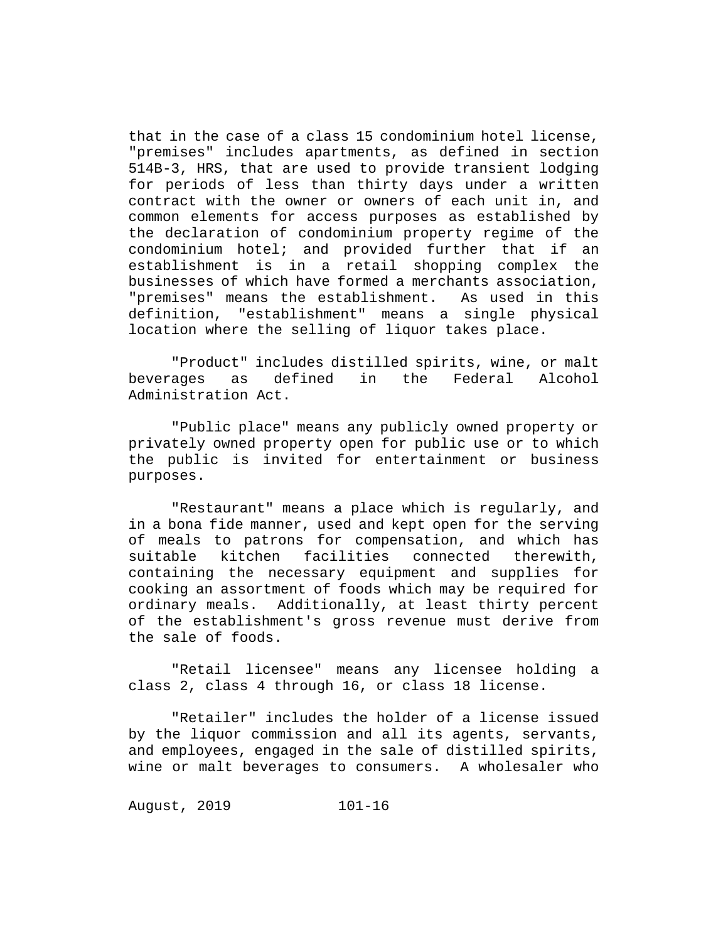that in the case of a class 15 condominium hotel license, "premises" includes apartments, as defined in section 514B-3, HRS, that are used to provide transient lodging for periods of less than thirty days under a written contract with the owner or owners of each unit in, and common elements for access purposes as established by the declaration of condominium property regime of the condominium hotel; and provided further that if an establishment is in a retail shopping complex the businesses of which have formed a merchants association, "premises" means the establishment. As used in this<br>definition, "establishment" means a single physical "establishment" means a single physical location where the selling of liquor takes place.

"Product" includes distilled spirits, wine, or malt beverages as defined in the Federal Alcohol Administration Act.

"Public place" means any publicly owned property or privately owned property open for public use or to which the public is invited for entertainment or business purposes.

"Restaurant" means a place which is regularly, and in a bona fide manner, used and kept open for the serving of meals to patrons for compensation, and which has<br>suitable kitchen facilities connected therewith, suitable kitchen facilities containing the necessary equipment and supplies for cooking an assortment of foods which may be required for ordinary meals. Additionally, at least thirty percent of the establishment's gross revenue must derive from the sale of foods.

"Retail licensee" means any licensee holding a class 2, class 4 through 16, or class 18 license.

"Retailer" includes the holder of a license issued by the liquor commission and all its agents, servants, and employees, engaged in the sale of distilled spirits, wine or malt beverages to consumers. A wholesaler who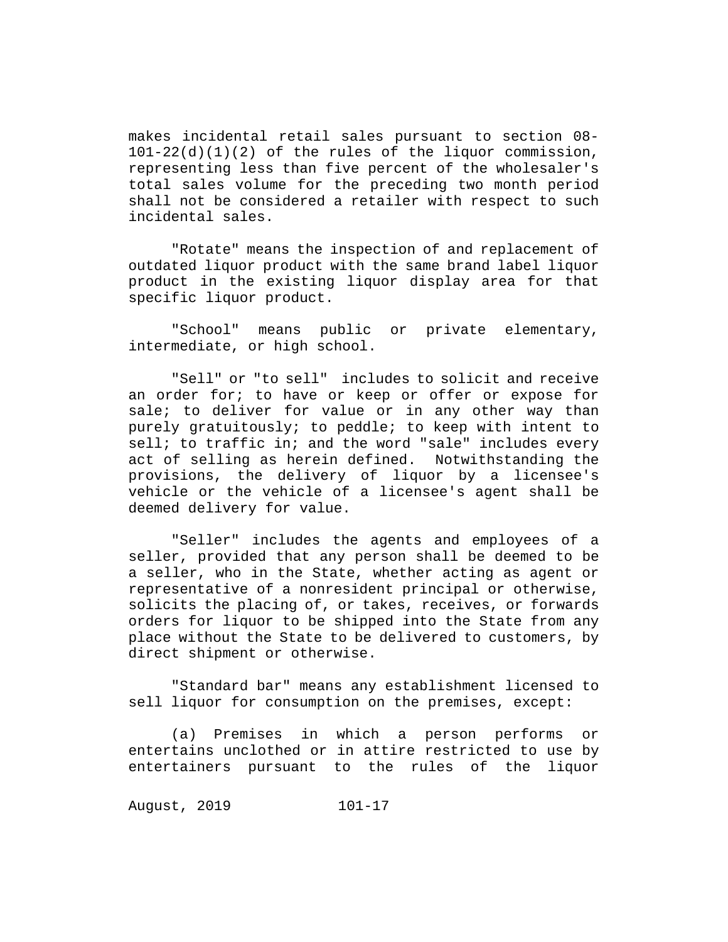makes incidental retail sales pursuant to section 08- 101-22(d)(1)(2) of the rules of the liquor commission, representing less than five percent of the wholesaler's total sales volume for the preceding two month period shall not be considered a retailer with respect to such incidental sales.

"Rotate" means the inspection of and replacement of outdated liquor product with the same brand label liquor product in the existing liquor display area for that specific liquor product.

"School" means public or private elementary, intermediate, or high school.

"Sell" or "to sell" includes to solicit and receive an order for; to have or keep or offer or expose for sale; to deliver for value or in any other way than purely gratuitously; to peddle; to keep with intent to sell; to traffic in; and the word "sale" includes every act of selling as herein defined. Notwithstanding the provisions, the delivery of liquor by a licensee's vehicle or the vehicle of a licensee's agent shall be deemed delivery for value.

"Seller" includes the agents and employees of a seller, provided that any person shall be deemed to be a seller, who in the State, whether acting as agent or representative of a nonresident principal or otherwise, solicits the placing of, or takes, receives, or forwards orders for liquor to be shipped into the State from any place without the State to be delivered to customers, by direct shipment or otherwise.

"Standard bar" means any establishment licensed to sell liquor for consumption on the premises, except:

(a) Premises in which a person performs or entertains unclothed or in attire restricted to use by entertainers pursuant to the rules of the liquor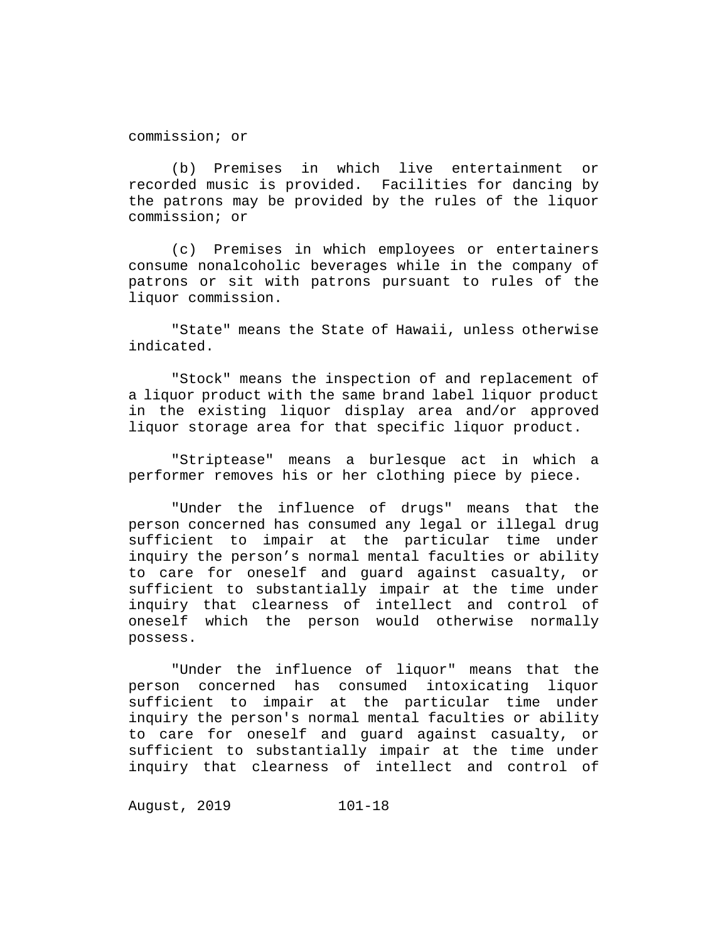commission; or

(b) Premises in which live entertainment or recorded music is provided. Facilities for dancing by the patrons may be provided by the rules of the liquor commission; or

(c) Premises in which employees or entertainers consume nonalcoholic beverages while in the company of patrons or sit with patrons pursuant to rules of the liquor commission.

"State" means the State of Hawaii, unless otherwise indicated.

"Stock" means the inspection of and replacement of a liquor product with the same brand label liquor product in the existing liquor display area and/or approved liquor storage area for that specific liquor product.

"Striptease" means a burlesque act in which a performer removes his or her clothing piece by piece.

"Under the influence of drugs" means that the person concerned has consumed any legal or illegal drug sufficient to impair at the particular time under inquiry the person's normal mental faculties or ability to care for oneself and guard against casualty, or sufficient to substantially impair at the time under inquiry that clearness of intellect and control of oneself which the person would otherwise normally possess.

"Under the influence of liquor" means that the person concerned has consumed intoxicating liquor sufficient to impair at the particular time under inquiry the person's normal mental faculties or ability to care for oneself and guard against casualty, or sufficient to substantially impair at the time under inquiry that clearness of intellect and control of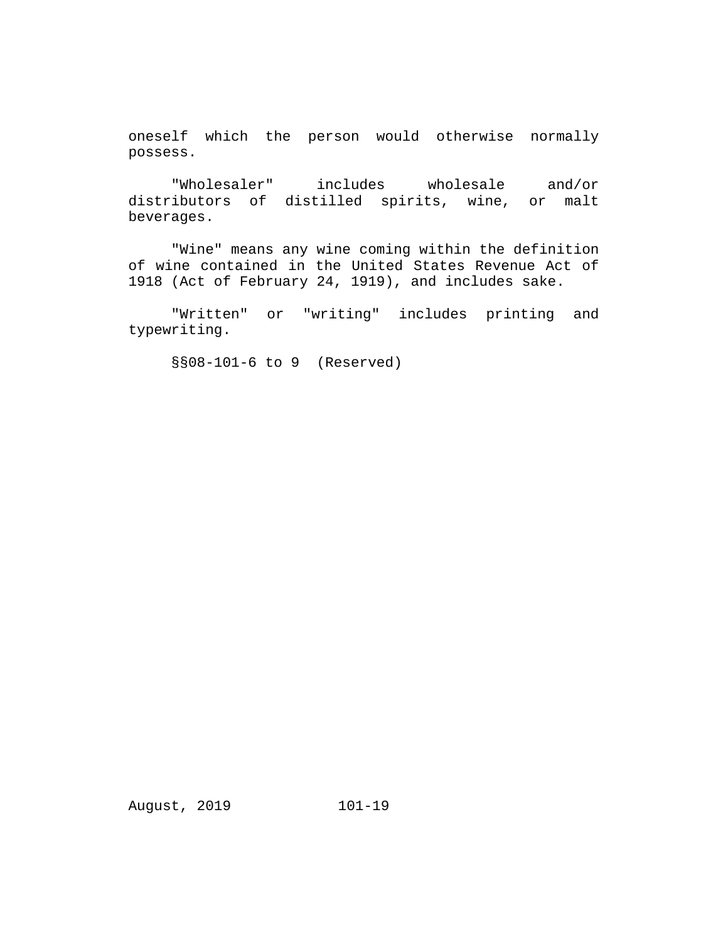oneself which the person would otherwise normally possess.

"Wholesaler" includes wholesale and/or distributors of distilled spirits, wine, or malt beverages.

"Wine" means any wine coming within the definition of wine contained in the United States Revenue Act of 1918 (Act of February 24, 1919), and includes sake.

"Written" or "writing" includes printing and typewriting.

§§08-101-6 to 9 (Reserved)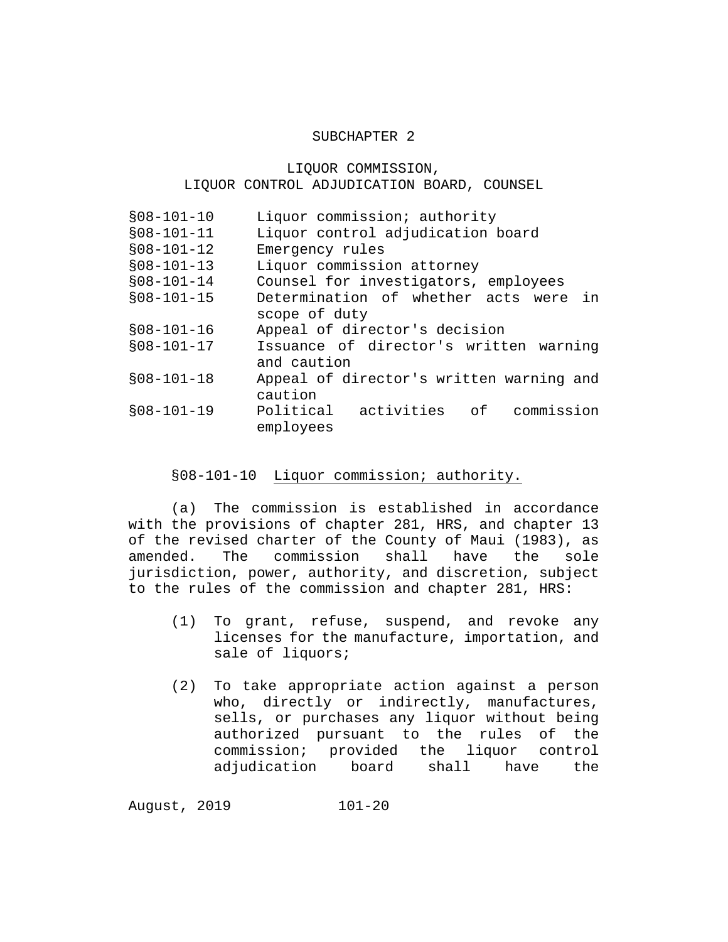#### SUBCHAPTER 2

# LIQUOR COMMISSION, LIQUOR CONTROL ADJUDICATION BOARD, COUNSEL

| $$08-101-10$ | Liquor commission; authority             |
|--------------|------------------------------------------|
| $$08-101-11$ | Liquor control adjudication board        |
| $$08-101-12$ | Emergency rules                          |
| $$08-101-13$ | Liquor commission attorney               |
| $$08-101-14$ | Counsel for investigators, employees     |
| $$08-101-15$ | Determination of whether acts were in    |
|              | scope of duty                            |
| $$08-101-16$ | Appeal of director's decision            |
| $$08-101-17$ | Issuance of director's written warning   |
|              | and caution                              |
| $$08-101-18$ | Appeal of director's written warning and |
|              | caution                                  |
| $$08-101-19$ | Political activities of<br>commission    |
|              | employees                                |

#### §08-101-10 Liquor commission; authority.

(a) The commission is established in accordance with the provisions of chapter 281, HRS, and chapter 13 of the revised charter of the County of Maui (1983), as<br>amended. The commission shall have the sole The commission shall jurisdiction, power, authority, and discretion, subject to the rules of the commission and chapter 281, HRS:

- (1) To grant, refuse, suspend, and revoke any licenses for the manufacture, importation, and sale of liquors;
- (2) To take appropriate action against a person who, directly or indirectly, manufactures, sells, or purchases any liquor without being authorized pursuant to the rules of the commission; provided the liquor control adjudication board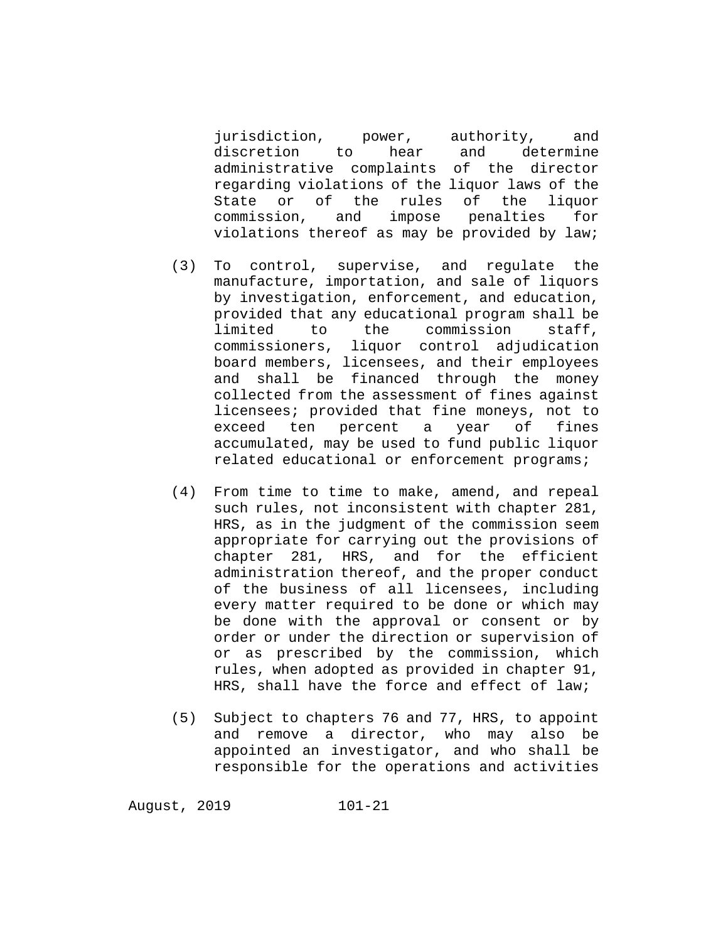jurisdiction, power, authority, and<br>discretion to hear and determine discretion to hear administrative complaints of the director regarding violations of the liquor laws of the State or of the rules of the liquor<br>commission, and impose penalties for commission, and impose penalties for violations thereof as may be provided by law;

- (3) To control, supervise, and regulate the manufacture, importation, and sale of liquors by investigation, enforcement, and education, provided that any educational program shall be<br>limited to the commission staff, to the commission staff, commissioners, liquor control adjudication board members, licensees, and their employees and shall be financed through the money collected from the assessment of fines against licensees; provided that fine moneys, not to<br>exceed ten percent a year of fines exceed ten percent a year accumulated, may be used to fund public liquor related educational or enforcement programs;
- (4) From time to time to make, amend, and repeal such rules, not inconsistent with chapter 281, HRS, as in the judgment of the commission seem appropriate for carrying out the provisions of chapter 281, HRS, and for the efficient administration thereof, and the proper conduct of the business of all licensees, including every matter required to be done or which may be done with the approval or consent or by order or under the direction or supervision of or as prescribed by the commission, which rules, when adopted as provided in chapter 91, HRS, shall have the force and effect of law;
- (5) Subject to chapters 76 and 77, HRS, to appoint and remove a director, who may also be appointed an investigator, and who shall be responsible for the operations and activities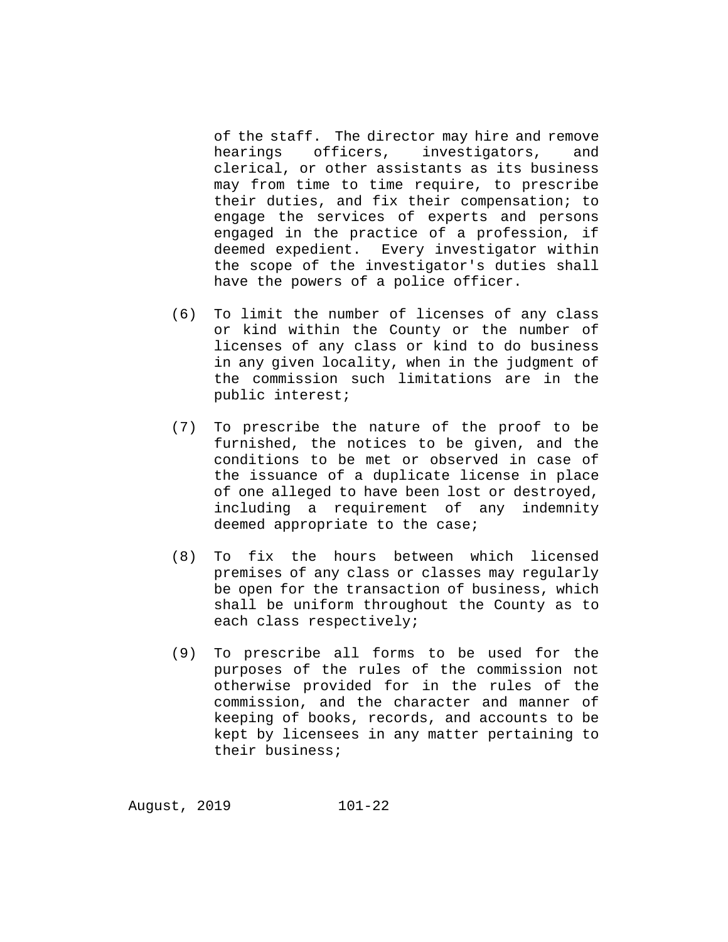of the staff. The director may hire and remove<br>hearings officers, investigators, and investigators, and clerical, or other assistants as its business may from time to time require, to prescribe their duties, and fix their compensation; to engage the services of experts and persons engaged in the practice of a profession, if deemed expedient. Every investigator within the scope of the investigator's duties shall have the powers of a police officer.

- (6) To limit the number of licenses of any class or kind within the County or the number of licenses of any class or kind to do business in any given locality, when in the judgment of the commission such limitations are in the public interest;
- (7) To prescribe the nature of the proof to be furnished, the notices to be given, and the conditions to be met or observed in case of the issuance of a duplicate license in place of one alleged to have been lost or destroyed, including a requirement of any indemnity deemed appropriate to the case;
- (8) To fix the hours between which licensed premises of any class or classes may regularly be open for the transaction of business, which shall be uniform throughout the County as to each class respectively;
- (9) To prescribe all forms to be used for the purposes of the rules of the commission not otherwise provided for in the rules of the commission, and the character and manner of keeping of books, records, and accounts to be kept by licensees in any matter pertaining to their business;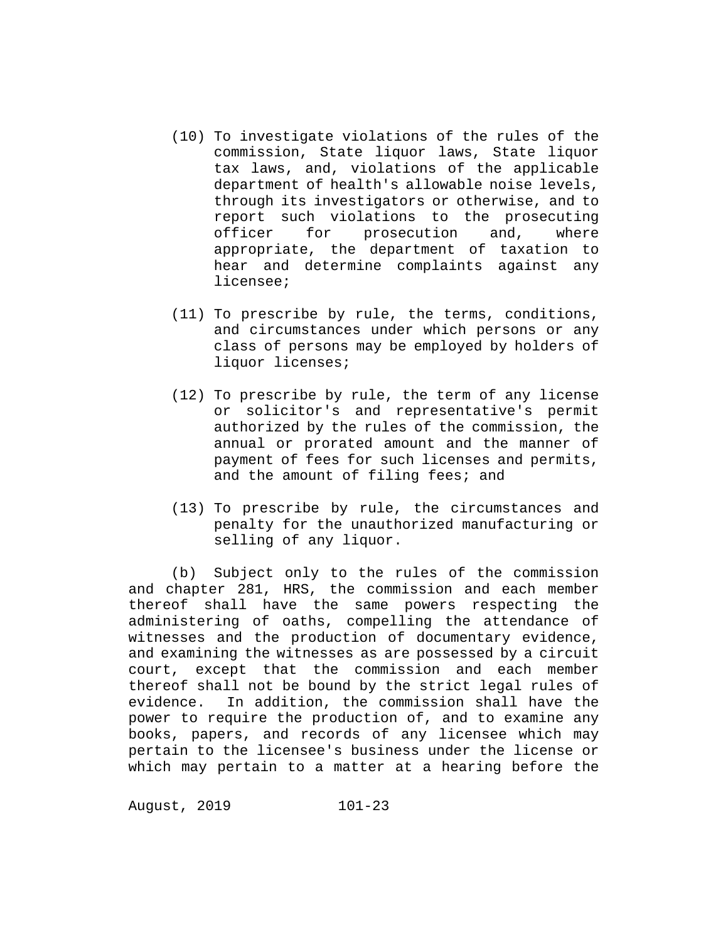- (10) To investigate violations of the rules of the commission, State liquor laws, State liquor tax laws, and, violations of the applicable department of health's allowable noise levels, through its investigators or otherwise, and to report such violations to the prosecuting officer for prosecution and, where appropriate, the department of taxation to hear and determine complaints against any licensee;
- (11) To prescribe by rule, the terms, conditions, and circumstances under which persons or any class of persons may be employed by holders of liquor licenses;
- (12) To prescribe by rule, the term of any license or solicitor's and representative's permit authorized by the rules of the commission, the annual or prorated amount and the manner of payment of fees for such licenses and permits, and the amount of filing fees; and
- (13) To prescribe by rule, the circumstances and penalty for the unauthorized manufacturing or selling of any liquor.

(b) Subject only to the rules of the commission and chapter 281, HRS, the commission and each member thereof shall have the same powers respecting the administering of oaths, compelling the attendance of witnesses and the production of documentary evidence, and examining the witnesses as are possessed by a circuit court, except that the commission and each member thereof shall not be bound by the strict legal rules of evidence. In addition, the commission shall have the power to require the production of, and to examine any books, papers, and records of any licensee which may pertain to the licensee's business under the license or which may pertain to a matter at a hearing before the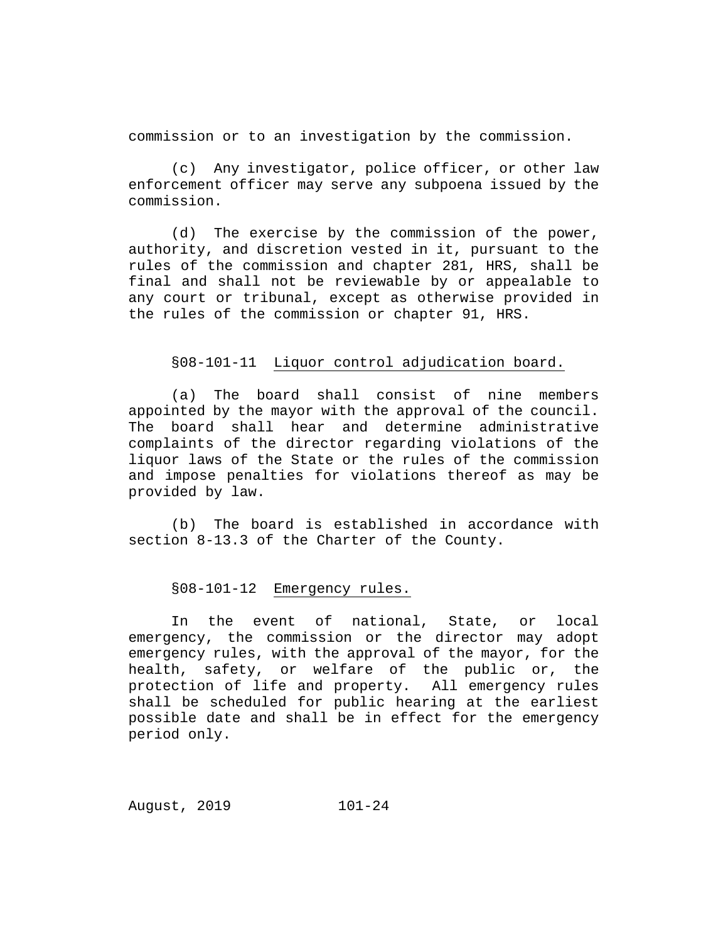commission or to an investigation by the commission.

(c) Any investigator, police officer, or other law enforcement officer may serve any subpoena issued by the commission.

(d) The exercise by the commission of the power, authority, and discretion vested in it, pursuant to the rules of the commission and chapter 281, HRS, shall be final and shall not be reviewable by or appealable to any court or tribunal, except as otherwise provided in the rules of the commission or chapter 91, HRS.

#### §08-101-11 Liquor control adjudication board.

(a) The board shall consist of nine members appointed by the mayor with the approval of the council. The board shall hear and determine administrative complaints of the director regarding violations of the liquor laws of the State or the rules of the commission and impose penalties for violations thereof as may be provided by law.

(b) The board is established in accordance with section 8-13.3 of the Charter of the County.

#### §08-101-12 Emergency rules.

In the event of national, State, or local emergency, the commission or the director may adopt emergency rules, with the approval of the mayor, for the health, safety, or welfare of the public or, the protection of life and property. All emergency rules shall be scheduled for public hearing at the earliest possible date and shall be in effect for the emergency period only.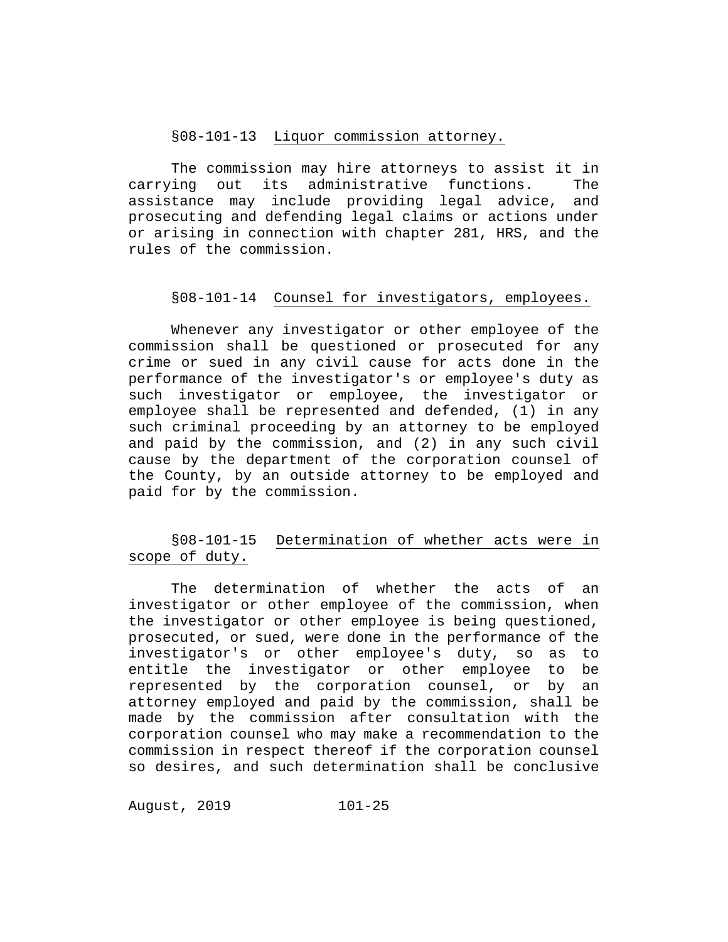# §08-101-13 Liquor commission attorney.

The commission may hire attorneys to assist it in<br>ing out its administrative functions. The carrying out its administrative functions. assistance may include providing legal advice, and prosecuting and defending legal claims or actions under or arising in connection with chapter 281, HRS, and the rules of the commission.

#### §08-101-14 Counsel for investigators, employees.

Whenever any investigator or other employee of the commission shall be questioned or prosecuted for any crime or sued in any civil cause for acts done in the performance of the investigator's or employee's duty as such investigator or employee, the investigator or employee shall be represented and defended, (1) in any such criminal proceeding by an attorney to be employed and paid by the commission, and (2) in any such civil cause by the department of the corporation counsel of the County, by an outside attorney to be employed and paid for by the commission.

# §08-101-15 Determination of whether acts were in scope of duty.

The determination of whether the acts of an investigator or other employee of the commission, when the investigator or other employee is being questioned, prosecuted, or sued, were done in the performance of the<br>investigator's or other employee's duty, so as to investigator's or other employee's duty, so as to entitle the investigator or other employee to be<br>represented by the corporation counsel, or by an represented by the corporation counsel, or attorney employed and paid by the commission, shall be made by the commission after consultation with the corporation counsel who may make a recommendation to the commission in respect thereof if the corporation counsel so desires, and such determination shall be conclusive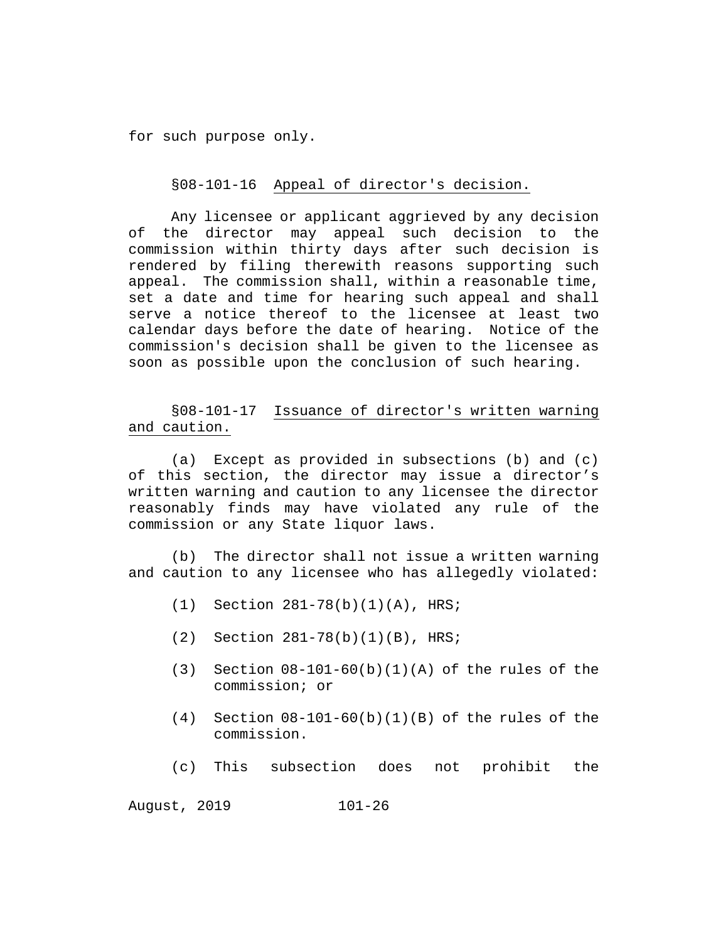for such purpose only.

§08-101-16 Appeal of director's decision.

Any licensee or applicant aggrieved by any decision of the director may appeal such decision to the commission within thirty days after such decision is rendered by filing therewith reasons supporting such appeal. The commission shall, within a reasonable time, set a date and time for hearing such appeal and shall serve a notice thereof to the licensee at least two calendar days before the date of hearing. Notice of the commission's decision shall be given to the licensee as soon as possible upon the conclusion of such hearing.

§08-101-17 Issuance of director's written warning and caution.

(a) Except as provided in subsections (b) and (c) of this section, the director may issue a director's written warning and caution to any licensee the director reasonably finds may have violated any rule of the commission or any State liquor laws.

(b) The director shall not issue a written warning and caution to any licensee who has allegedly violated:

- (1) Section 281-78(b)(1)(A), HRS;
- (2) Section 281-78(b)(1)(B), HRS;
- (3) Section 08-101-60(b)(1)(A) of the rules of the commission; or
- $(4)$  Section  $08-101-60(b)(1)(B)$  of the rules of the commission.
- (c) This subsection does not prohibit the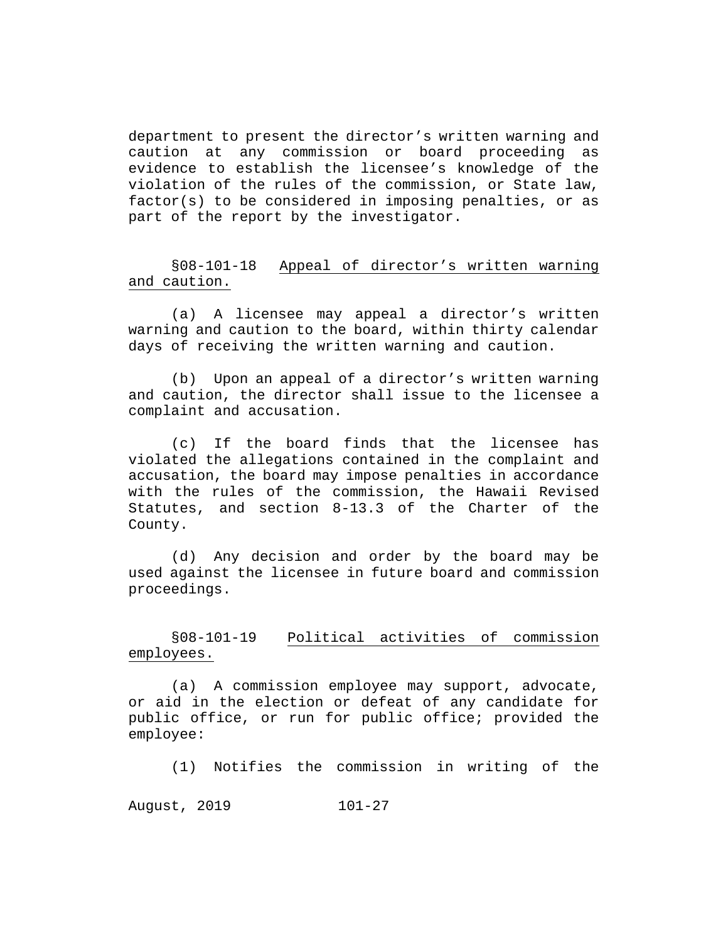department to present the director's written warning and caution at any commission or board proceeding as evidence to establish the licensee's knowledge of the violation of the rules of the commission, or State law, factor(s) to be considered in imposing penalties, or as part of the report by the investigator.

§08-101-18 Appeal of director's written warning and caution.

(a) A licensee may appeal a director's written warning and caution to the board, within thirty calendar days of receiving the written warning and caution.

(b) Upon an appeal of a director's written warning and caution, the director shall issue to the licensee a complaint and accusation.

(c) If the board finds that the licensee has violated the allegations contained in the complaint and accusation, the board may impose penalties in accordance with the rules of the commission, the Hawaii Revised Statutes, and section 8-13.3 of the Charter of the County.

(d) Any decision and order by the board may be used against the licensee in future board and commission proceedings.

§08-101-19 Political activities of commission employees.

(a) A commission employee may support, advocate, or aid in the election or defeat of any candidate for public office, or run for public office; provided the employee:

(1) Notifies the commission in writing of the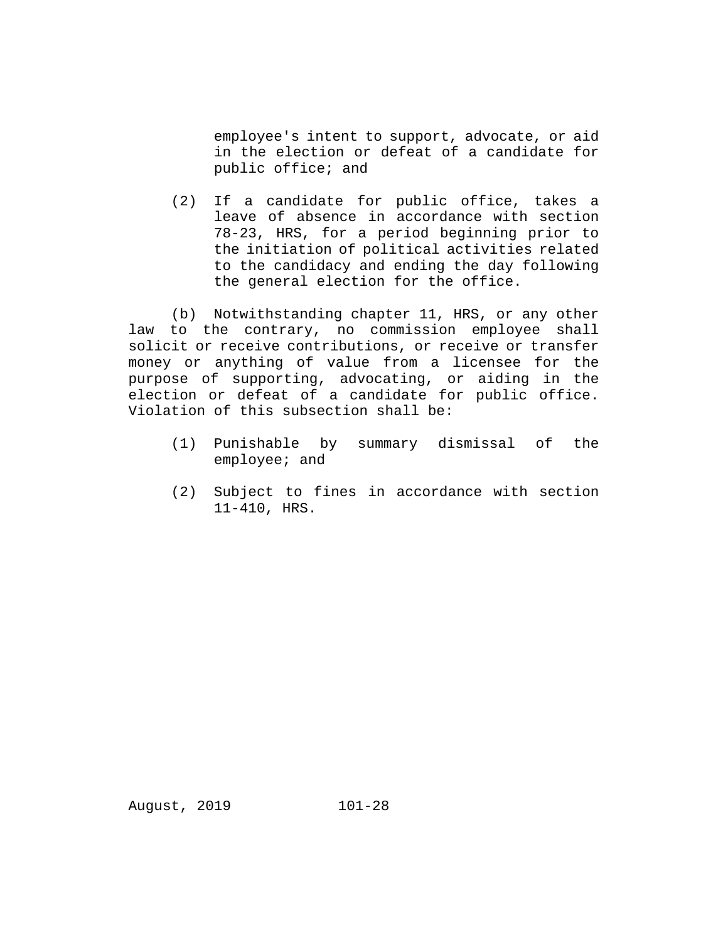employee's intent to support, advocate, or aid in the election or defeat of a candidate for public office; and

(2) If a candidate for public office, takes a leave of absence in accordance with section 78-23, HRS, for a period beginning prior to the initiation of political activities related to the candidacy and ending the day following the general election for the office.

(b) Notwithstanding chapter 11, HRS, or any other law to the contrary, no commission employee shall solicit or receive contributions, or receive or transfer money or anything of value from a licensee for the purpose of supporting, advocating, or aiding in the election or defeat of a candidate for public office. Violation of this subsection shall be:

- (1) Punishable by summary dismissal of the employee; and
- (2) Subject to fines in accordance with section 11-410, HRS.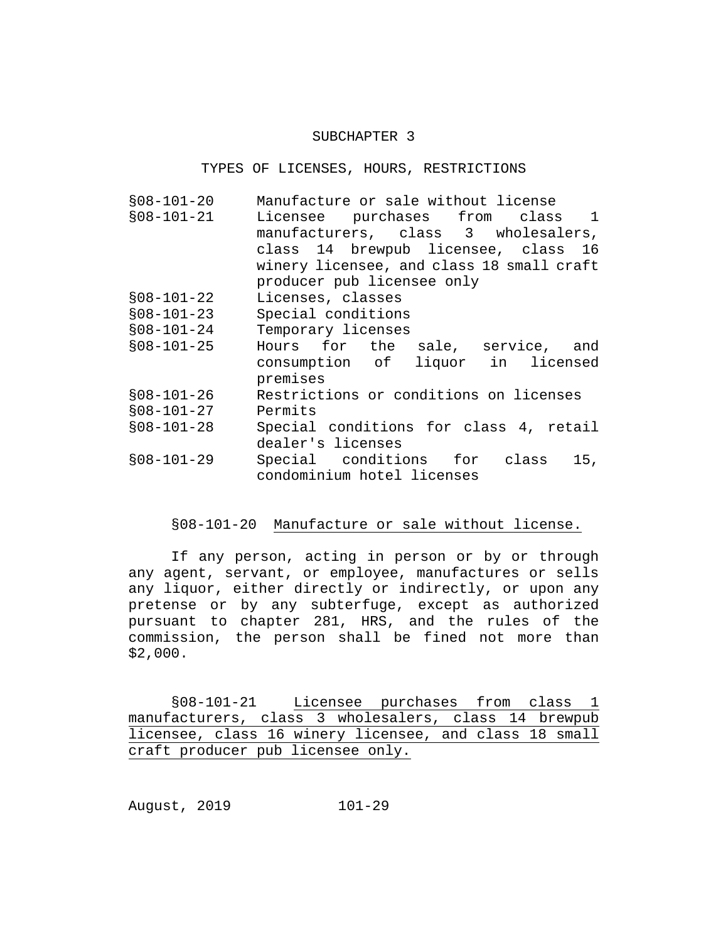#### SUBCHAPTER 3

# TYPES OF LICENSES, HOURS, RESTRICTIONS

| $$08-101-20$ | Manufacture or sale without license       |
|--------------|-------------------------------------------|
| $$08-101-21$ | Licensee purchases from class 1           |
|              | manufacturers, class 3 wholesalers,       |
|              | class 14 brewpub licensee, class 16       |
|              | winery licensee, and class 18 small craft |
|              | producer pub licensee only                |
| $$08-101-22$ | Licenses, classes                         |
| $$08-101-23$ | Special conditions                        |
| $$08-101-24$ | Temporary licenses                        |
| $$08-101-25$ | Hours for the sale, service, and          |
|              | consumption of liquor in licensed         |
|              | premises                                  |
| $$08-101-26$ | Restrictions or conditions on licenses    |
| $$08-101-27$ | Permits                                   |
|              |                                           |
| $$08-101-28$ | Special conditions for class 4, retail    |
|              | dealer's licenses                         |
| $$08-101-29$ | Special conditions for class<br>15,       |

## §08-101-20 Manufacture or sale without license.

If any person, acting in person or by or through any agent, servant, or employee, manufactures or sells any liquor, either directly or indirectly, or upon any pretense or by any subterfuge, except as authorized pursuant to chapter 281, HRS, and the rules of the commission, the person shall be fined not more than \$2,000.

§08-101-21 Licensee purchases from class 1 manufacturers, class 3 wholesalers, class 14 brewpub licensee, class 16 winery licensee, and class 18 small craft producer pub licensee only.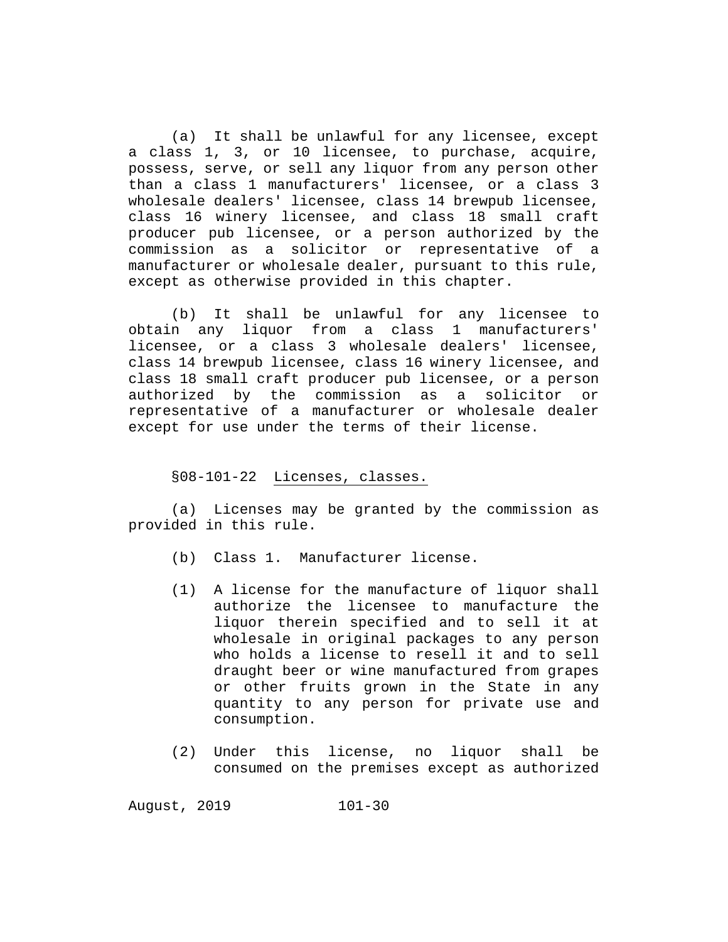(a) It shall be unlawful for any licensee, except a class 1, 3, or 10 licensee, to purchase, acquire, possess, serve, or sell any liquor from any person other than a class 1 manufacturers' licensee, or a class 3 wholesale dealers' licensee, class 14 brewpub licensee, class 16 winery licensee, and class 18 small craft producer pub licensee, or a person authorized by the commission as a solicitor or representative of a manufacturer or wholesale dealer, pursuant to this rule, except as otherwise provided in this chapter.

(b) It shall be unlawful for any licensee to obtain any liquor from a class 1 manufacturers' licensee, or a class 3 wholesale dealers' licensee, class 14 brewpub licensee, class 16 winery licensee, and class 18 small craft producer pub licensee, or a person authorized by the commission as a solicitor or representative of a manufacturer or wholesale dealer except for use under the terms of their license.

# §08-101-22 Licenses, classes.

(a) Licenses may be granted by the commission as provided in this rule.

- (b) Class 1. Manufacturer license.
- (1) A license for the manufacture of liquor shall authorize the licensee to manufacture the liquor therein specified and to sell it at wholesale in original packages to any person who holds a license to resell it and to sell draught beer or wine manufactured from grapes or other fruits grown in the State in any quantity to any person for private use and consumption.
- (2) Under this license, no liquor shall be consumed on the premises except as authorized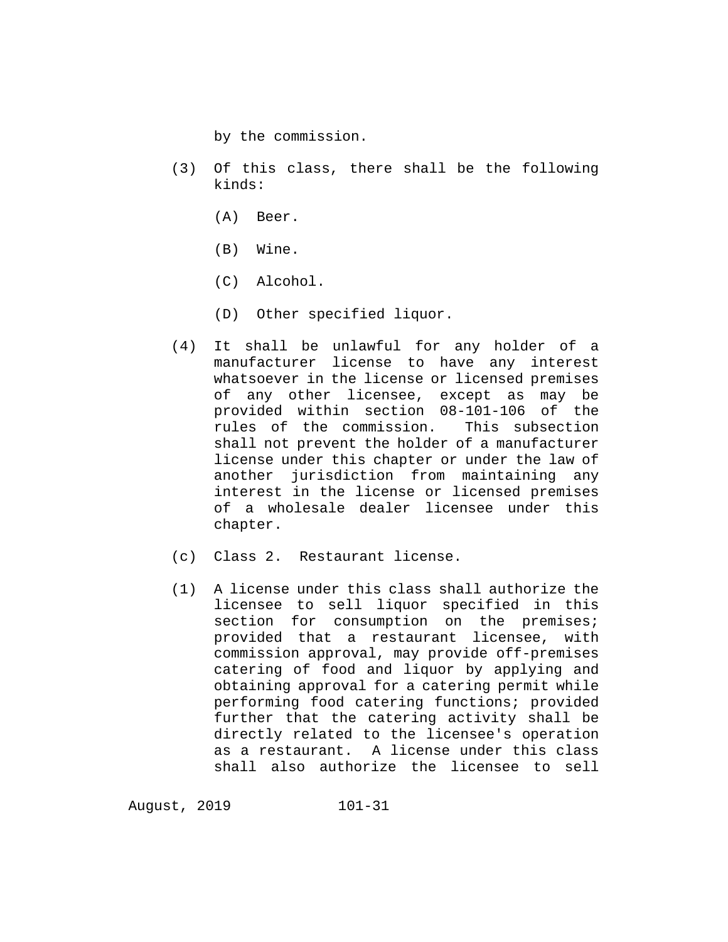by the commission.

- (3) Of this class, there shall be the following kinds:
	- (A) Beer.
	- (B) Wine.
	- (C) Alcohol.
	- (D) Other specified liquor.
- (4) It shall be unlawful for any holder of a manufacturer license to have any interest whatsoever in the license or licensed premises of any other licensee, except as may be provided within section 08-101-106 of the<br>rules of the commission. This subsection rules of the commission. shall not prevent the holder of a manufacturer license under this chapter or under the law of another jurisdiction from maintaining any interest in the license or licensed premises of a wholesale dealer licensee under this chapter.
- (c) Class 2. Restaurant license.
- (1) A license under this class shall authorize the licensee to sell liquor specified in this section for consumption on the premises; provided that a restaurant licensee, with commission approval, may provide off-premises catering of food and liquor by applying and obtaining approval for a catering permit while performing food catering functions; provided further that the catering activity shall be directly related to the licensee's operation as a restaurant. A license under this class shall also authorize the licensee to sell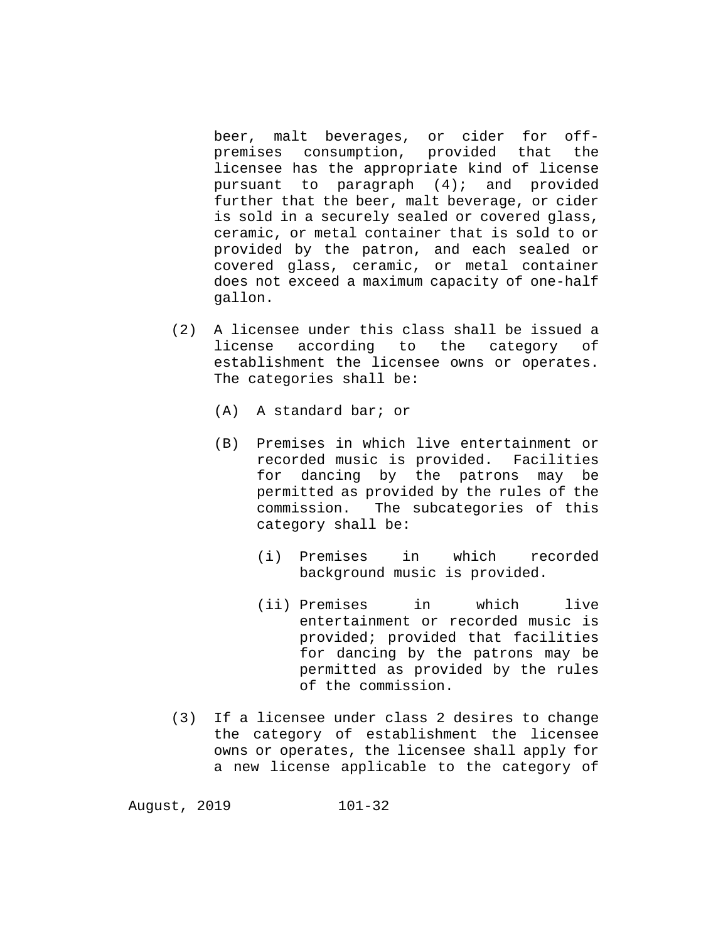beer, malt beverages, or cider for offpremises consumption, provided that the licensee has the appropriate kind of license pursuant to paragraph (4); and provided further that the beer, malt beverage, or cider is sold in a securely sealed or covered glass, ceramic, or metal container that is sold to or provided by the patron, and each sealed or covered glass, ceramic, or metal container does not exceed a maximum capacity of one-half gallon.

- (2) A licensee under this class shall be issued a license according to the category establishment the licensee owns or operates. The categories shall be:
	- (A) A standard bar; or
	- (B) Premises in which live entertainment or recorded music is provided. Facilities<br>for dancing by the patrons may be dancing by the patrons may be permitted as provided by the rules of the commission. The subcategories of this category shall be:
		- (i) Premises in which recorded background music is provided.
		- (ii) Premises in which live entertainment or recorded music is provided; provided that facilities for dancing by the patrons may be permitted as provided by the rules of the commission.
- (3) If a licensee under class 2 desires to change the category of establishment the licensee owns or operates, the licensee shall apply for a new license applicable to the category of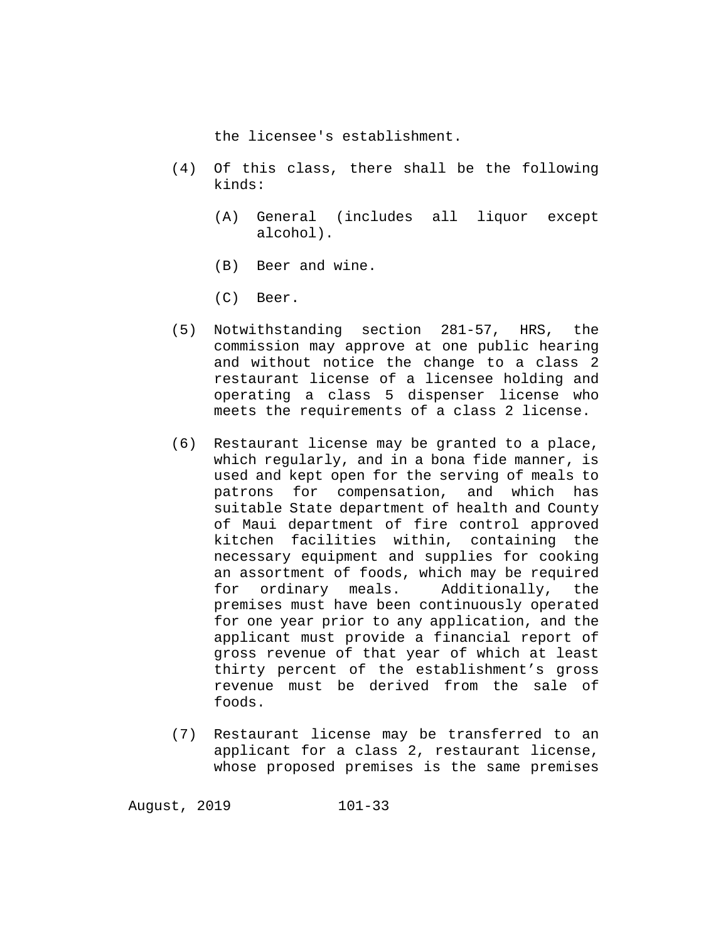the licensee's establishment.

- (4) Of this class, there shall be the following kinds:
	- (A) General (includes all liquor except alcohol).
	- (B) Beer and wine.
	- (C) Beer.
- (5) Notwithstanding section 281-57, HRS, the commission may approve at one public hearing and without notice the change to a class 2 restaurant license of a licensee holding and operating a class 5 dispenser license who meets the requirements of a class 2 license.
- (6) Restaurant license may be granted to a place, which regularly, and in a bona fide manner, is used and kept open for the serving of meals to patrons for compensation, and which has suitable State department of health and County of Maui department of fire control approved kitchen facilities within, containing the necessary equipment and supplies for cooking an assortment of foods, which may be required<br>for ordinary meals. Additionally, the ordinary meals. Additionally, the premises must have been continuously operated for one year prior to any application, and the applicant must provide a financial report of gross revenue of that year of which at least thirty percent of the establishment's gross revenue must be derived from the sale of foods.
- (7) Restaurant license may be transferred to an applicant for a class 2, restaurant license, whose proposed premises is the same premises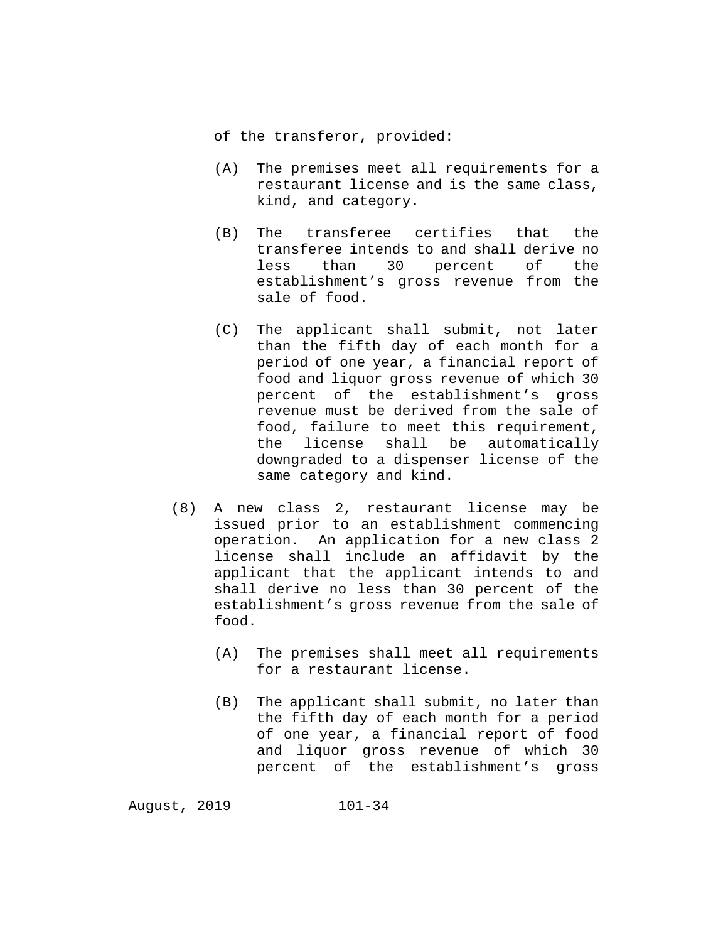of the transferor, provided:

- (A) The premises meet all requirements for a restaurant license and is the same class, kind, and category.
- (B) The transferee certifies that the transferee intends to and shall derive no less than 30 percent of the establishment's gross revenue from the sale of food.
- (C) The applicant shall submit, not later than the fifth day of each month for a period of one year, a financial report of food and liquor gross revenue of which 30 percent of the establishment's gross revenue must be derived from the sale of food, failure to meet this requirement, the license shall be automatically downgraded to a dispenser license of the same category and kind.
- (8) A new class 2, restaurant license may be issued prior to an establishment commencing operation. An application for a new class 2 license shall include an affidavit by the applicant that the applicant intends to and shall derive no less than 30 percent of the establishment's gross revenue from the sale of food.
	- (A) The premises shall meet all requirements for a restaurant license.
	- (B) The applicant shall submit, no later than the fifth day of each month for a period of one year, a financial report of food and liquor gross revenue of which 30 percent of the establishment's gross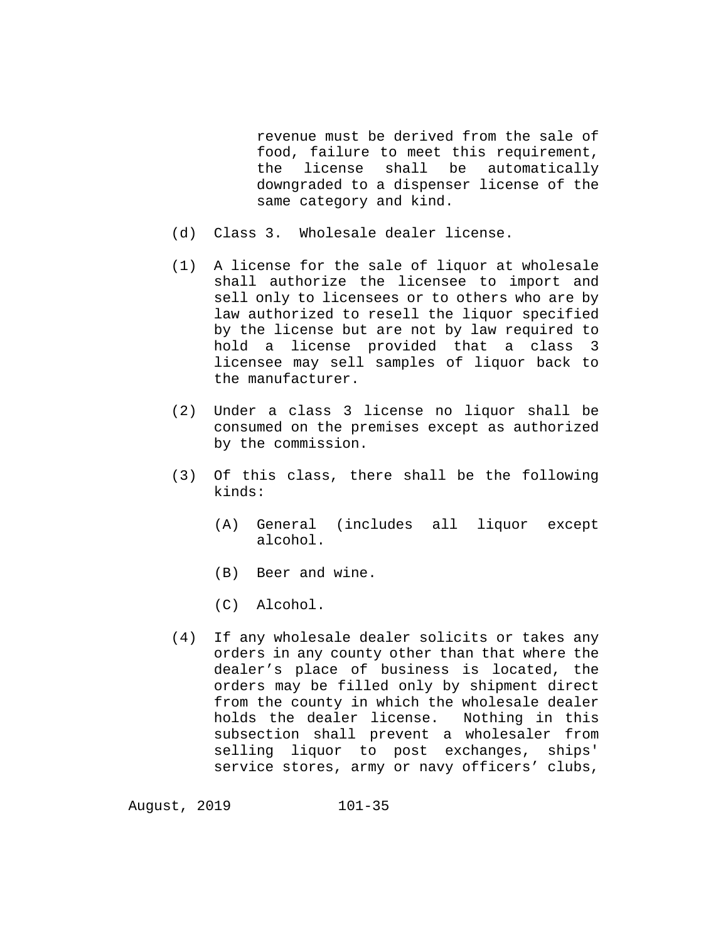revenue must be derived from the sale of food, failure to meet this requirement,<br>the license shall be automatically license shall be automatically downgraded to a dispenser license of the same category and kind.

- (d) Class 3. Wholesale dealer license.
- (1) A license for the sale of liquor at wholesale shall authorize the licensee to import and sell only to licensees or to others who are by law authorized to resell the liquor specified by the license but are not by law required to hold a license provided that a class 3 licensee may sell samples of liquor back to the manufacturer.
- (2) Under a class 3 license no liquor shall be consumed on the premises except as authorized by the commission.
- (3) Of this class, there shall be the following kinds:
	- (A) General (includes all liquor except alcohol.
	- (B) Beer and wine.
	- (C) Alcohol.
- (4) If any wholesale dealer solicits or takes any orders in any county other than that where the dealer's place of business is located, the orders may be filled only by shipment direct from the county in which the wholesale dealer<br>holds the dealer license. Nothing in this holds the dealer license. subsection shall prevent a wholesaler from selling liquor to post exchanges, ships' service stores, army or navy officers' clubs,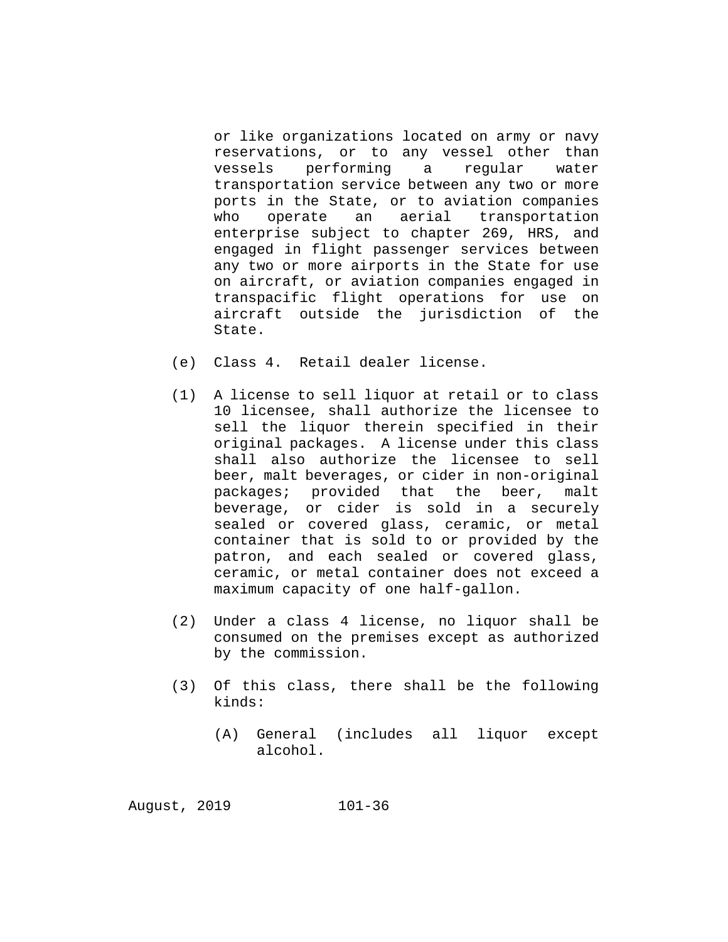or like organizations located on army or navy reservations, or to any vessel other than<br>vessels performing a reqular water performing a regular water transportation service between any two or more ports in the State, or to aviation companies who operate an aerial transportation enterprise subject to chapter 269, HRS, and engaged in flight passenger services between any two or more airports in the State for use on aircraft, or aviation companies engaged in transpacific flight operations for use on aircraft outside the jurisdiction of the State.

- (e) Class 4. Retail dealer license.
- (1) A license to sell liquor at retail or to class 10 licensee, shall authorize the licensee to sell the liquor therein specified in their original packages. A license under this class shall also authorize the licensee to sell beer, malt beverages, or cider in non-original packages; provided that the beer, malt beverage, or cider is sold in a securely sealed or covered glass, ceramic, or metal container that is sold to or provided by the patron, and each sealed or covered glass, ceramic, or metal container does not exceed a maximum capacity of one half-gallon.
- (2) Under a class 4 license, no liquor shall be consumed on the premises except as authorized by the commission.
- (3) Of this class, there shall be the following kinds:
	- (A) General (includes all liquor except alcohol.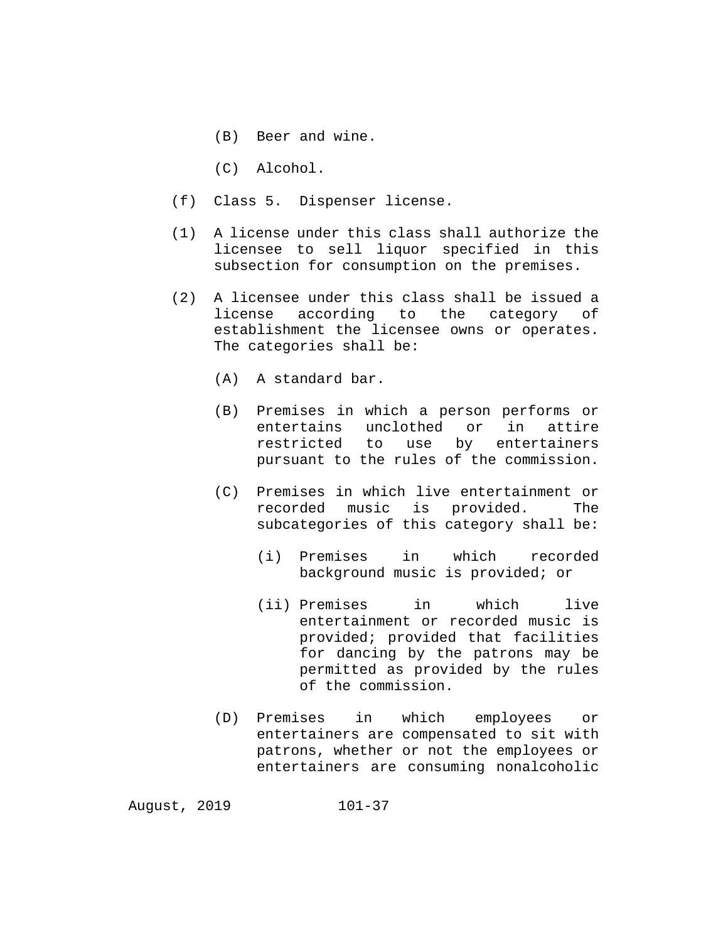- (B) Beer and wine.
- (C) Alcohol.
- (f) Class 5. Dispenser license.
- (1) A license under this class shall authorize the licensee to sell liquor specified in this subsection for consumption on the premises.
- (2) A licensee under this class shall be issued a<br>license according to the category of according to the category of establishment the licensee owns or operates. The categories shall be:
	- (A) A standard bar.
	- (B) Premises in which a person performs or<br>entertains unclothed or in attire entertains unclothed or in attire<br>restricted to use by entertainers restricted to use by pursuant to the rules of the commission.
	- (C) Premises in which live entertainment or recorded music is provided. The subcategories of this category shall be:
		- (i) Premises in which recorded background music is provided; or
		- (ii) Premises in which live entertainment or recorded music is provided; provided that facilities for dancing by the patrons may be permitted as provided by the rules of the commission.
	- (D) Premises in which employees or entertainers are compensated to sit with patrons, whether or not the employees or entertainers are consuming nonalcoholic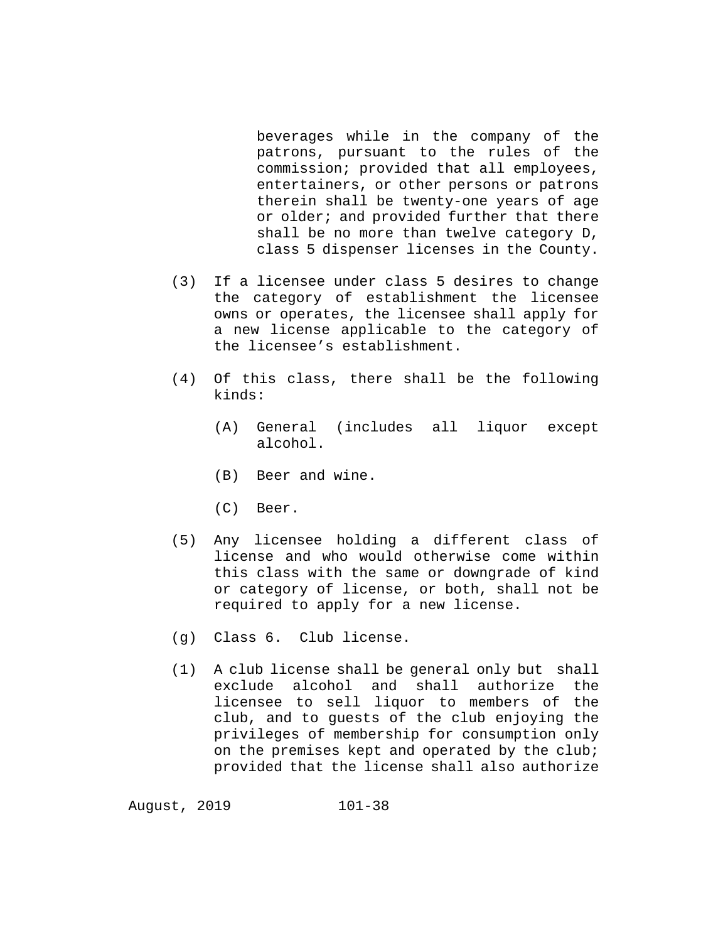beverages while in the company of the patrons, pursuant to the rules of the commission; provided that all employees, entertainers, or other persons or patrons therein shall be twenty-one years of age or older; and provided further that there shall be no more than twelve category D, class 5 dispenser licenses in the County.

- (3) If a licensee under class 5 desires to change the category of establishment the licensee owns or operates, the licensee shall apply for a new license applicable to the category of the licensee's establishment.
- (4) Of this class, there shall be the following kinds:
	- (A) General (includes all liquor except alcohol.
	- (B) Beer and wine.
	- (C) Beer.
- (5) Any licensee holding a different class of license and who would otherwise come within this class with the same or downgrade of kind or category of license, or both, shall not be required to apply for a new license.
- (g) Class 6. Club license.
- (1) A club license shall be general only but shall exclude alcohol and shall authorize the licensee to sell liquor to members of the club, and to guests of the club enjoying the privileges of membership for consumption only on the premises kept and operated by the club; provided that the license shall also authorize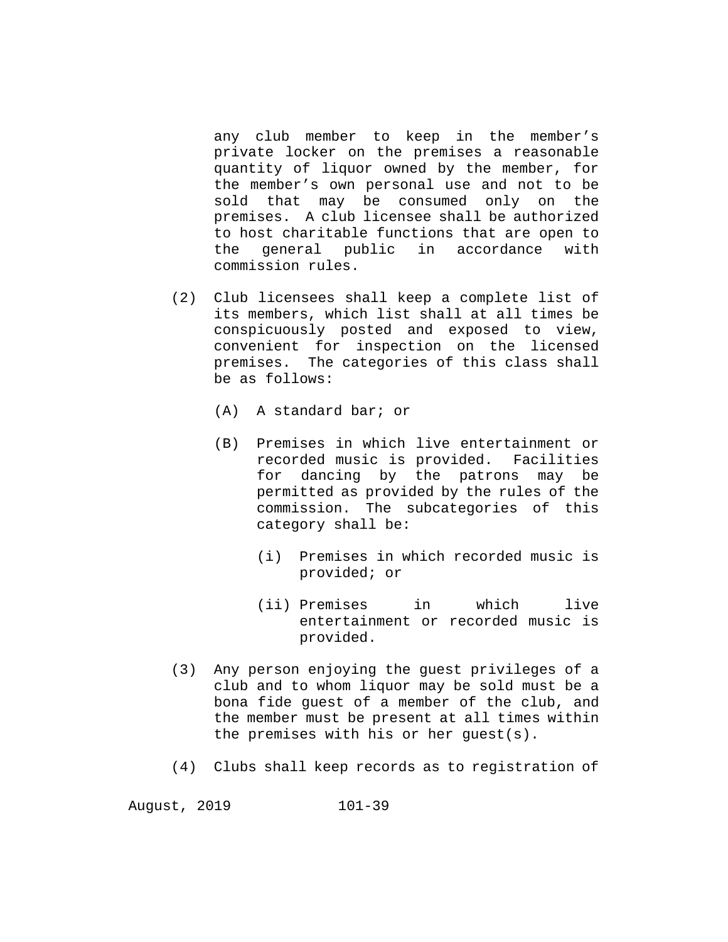any club member to keep in the member's private locker on the premises a reasonable quantity of liquor owned by the member, for the member's own personal use and not to be sold that may be consumed only on the premises. A club licensee shall be authorized to host charitable functions that are open to the general public in accordance with commission rules.

- (2) Club licensees shall keep a complete list of its members, which list shall at all times be conspicuously posted and exposed to view, convenient for inspection on the licensed premises. The categories of this class shall be as follows:
	- (A) A standard bar; or
	- (B) Premises in which live entertainment or recorded music is provided. Facilities for dancing by the patrons may be permitted as provided by the rules of the commission. The subcategories of this category shall be:
		- (i) Premises in which recorded music is provided; or
		- (ii) Premises in which live entertainment or recorded music is provided.
- (3) Any person enjoying the guest privileges of a club and to whom liquor may be sold must be a bona fide guest of a member of the club, and the member must be present at all times within the premises with his or her guest(s).
- (4) Clubs shall keep records as to registration of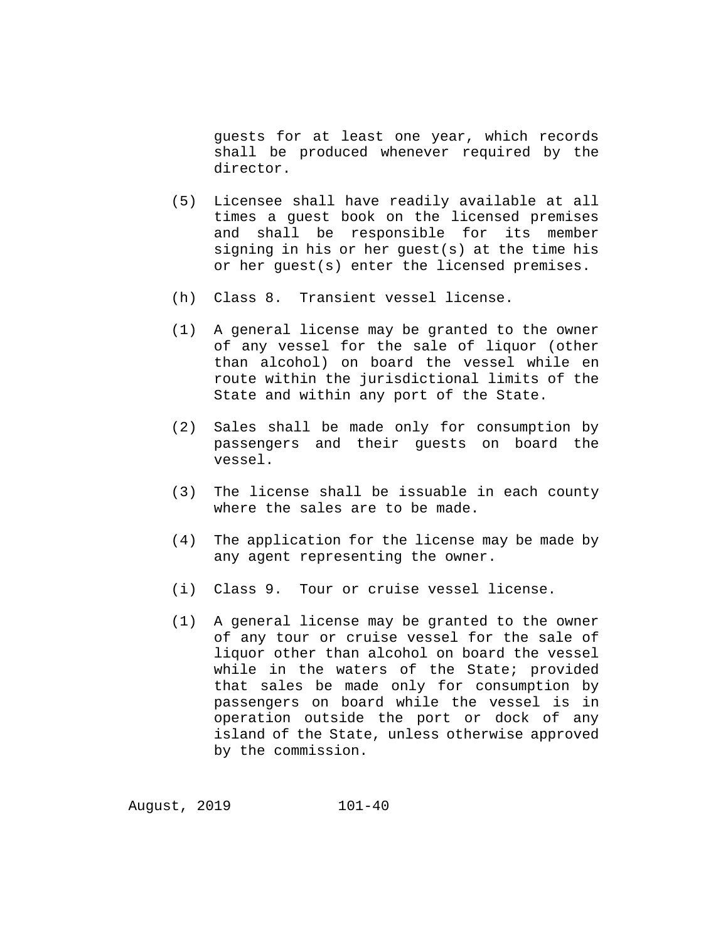guests for at least one year, which records shall be produced whenever required by the director.

- (5) Licensee shall have readily available at all times a guest book on the licensed premises and shall be responsible for its member signing in his or her guest(s) at the time his or her guest(s) enter the licensed premises.
- (h) Class 8. Transient vessel license.
- (1) A general license may be granted to the owner of any vessel for the sale of liquor (other than alcohol) on board the vessel while en route within the jurisdictional limits of the State and within any port of the State.
- (2) Sales shall be made only for consumption by passengers and their guests on board the vessel.
- (3) The license shall be issuable in each county where the sales are to be made.
- (4) The application for the license may be made by any agent representing the owner.
- (i) Class 9. Tour or cruise vessel license.
- (1) A general license may be granted to the owner of any tour or cruise vessel for the sale of liquor other than alcohol on board the vessel while in the waters of the State; provided that sales be made only for consumption by passengers on board while the vessel is in operation outside the port or dock of any island of the State, unless otherwise approved by the commission.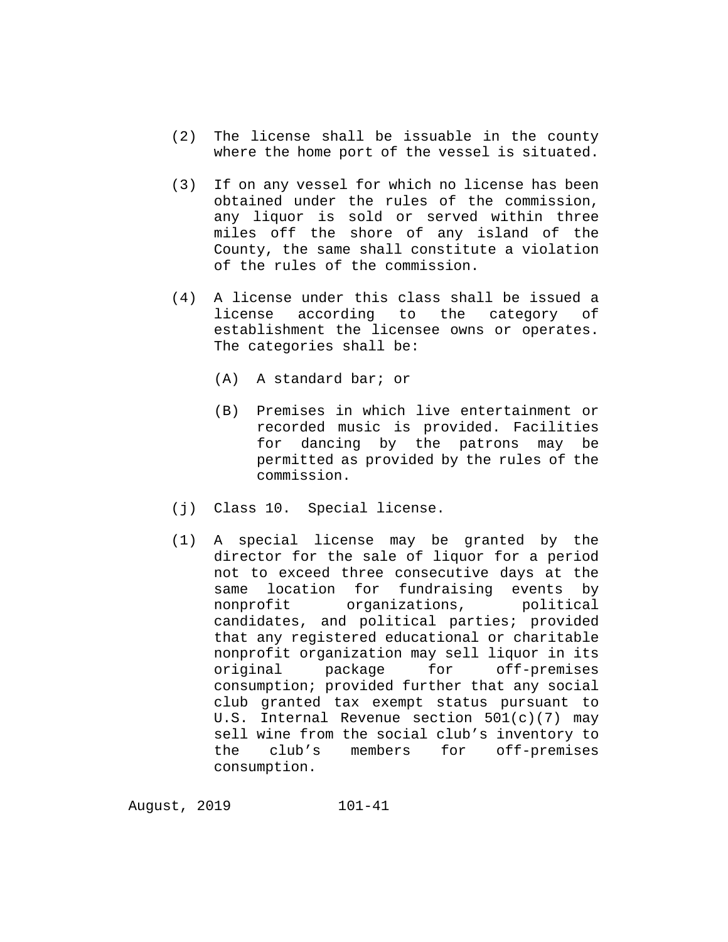- (2) The license shall be issuable in the county where the home port of the vessel is situated.
- (3) If on any vessel for which no license has been obtained under the rules of the commission, any liquor is sold or served within three miles off the shore of any island of the County, the same shall constitute a violation of the rules of the commission.
- (4) A license under this class shall be issued a according to the category of establishment the licensee owns or operates. The categories shall be:
	- (A) A standard bar; or
	- (B) Premises in which live entertainment or recorded music is provided. Facilities for dancing by the patrons may be permitted as provided by the rules of the commission.
- (j) Class 10. Special license.
- (1) A special license may be granted by the director for the sale of liquor for a period not to exceed three consecutive days at the same location for fundraising events by<br>nonprofit organizations, political organizations, political candidates, and political parties; provided that any registered educational or charitable nonprofit organization may sell liquor in its<br>original package for off-premises package for consumption; provided further that any social club granted tax exempt status pursuant to U.S. Internal Revenue section 501(c)(7) may sell wine from the social club's inventory to the club's members for off-premises consumption.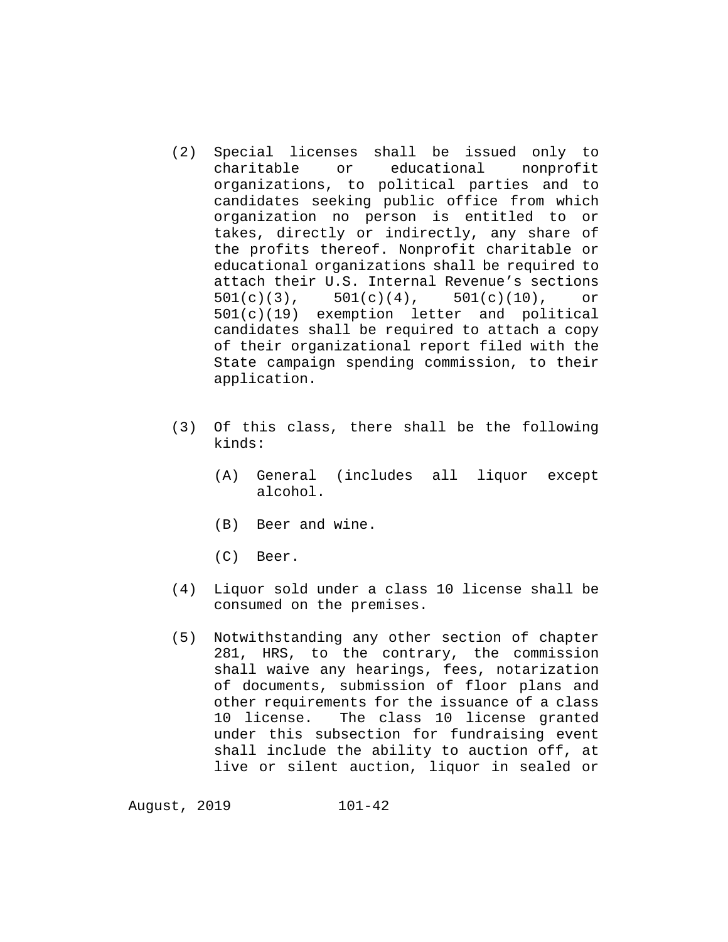- (2) Special licenses shall be issued only to educational organizations, to political parties and to candidates seeking public office from which organization no person is entitled to or takes, directly or indirectly, any share of the profits thereof. Nonprofit charitable or educational organizations shall be required to attach their U.S. Internal Revenue's sections  $501(c)(3)$ ,  $501(c)(4)$ ,  $501(c)(10)$ , or 501(c)(19) exemption letter and political candidates shall be required to attach a copy of their organizational report filed with the State campaign spending commission, to their application.
- (3) Of this class, there shall be the following kinds:
	- (A) General (includes all liquor except alcohol.
	- (B) Beer and wine.
	- (C) Beer.
- (4) Liquor sold under a class 10 license shall be consumed on the premises.
- (5) Notwithstanding any other section of chapter 281, HRS, to the contrary, the commission shall waive any hearings, fees, notarization of documents, submission of floor plans and other requirements for the issuance of a class 10 license. The class 10 license granted under this subsection for fundraising event shall include the ability to auction off, at live or silent auction, liquor in sealed or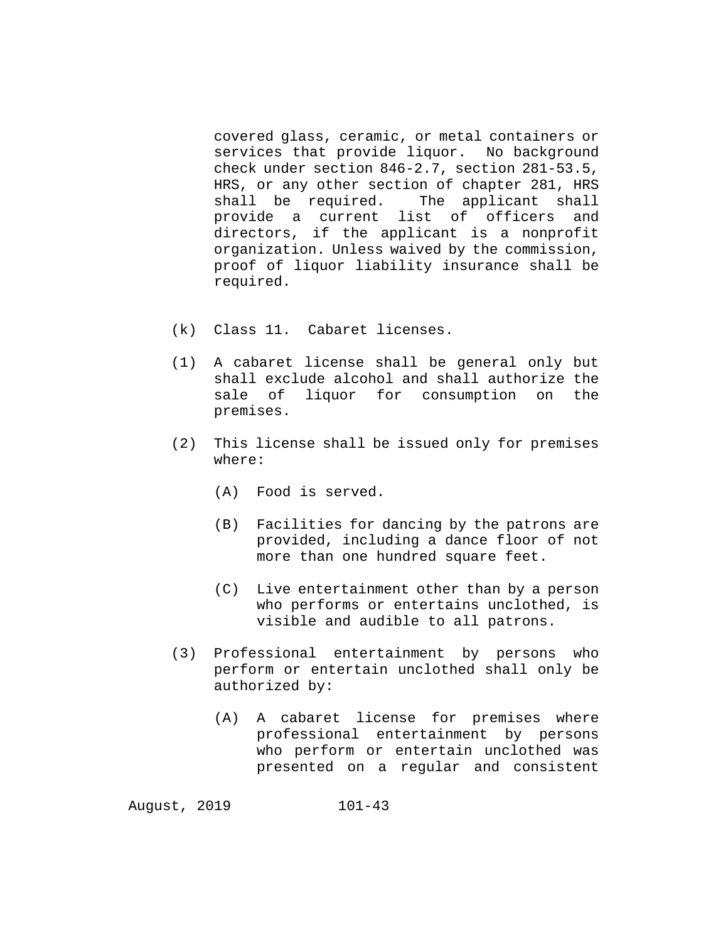covered glass, ceramic, or metal containers or<br>services that provide liquor. No background services that provide liquor. check under section 846-2.7, section 281-53.5, HRS, or any other section of chapter 281, HRS<br>shall be required. The applicant shall shall be required. provide a current list of officers and directors, if the applicant is a nonprofit organization. Unless waived by the commission, proof of liquor liability insurance shall be required.

- (k) Class 11. Cabaret licenses.
- (1) A cabaret license shall be general only but shall exclude alcohol and shall authorize the sale of liquor for consumption on the premises.
- (2) This license shall be issued only for premises where:
	- (A) Food is served.
	- (B) Facilities for dancing by the patrons are provided, including a dance floor of not more than one hundred square feet.
	- (C) Live entertainment other than by a person who performs or entertains unclothed, is visible and audible to all patrons.
- (3) Professional entertainment by persons who perform or entertain unclothed shall only be authorized by:
	- (A) A cabaret license for premises where professional entertainment by persons who perform or entertain unclothed was presented on a regular and consistent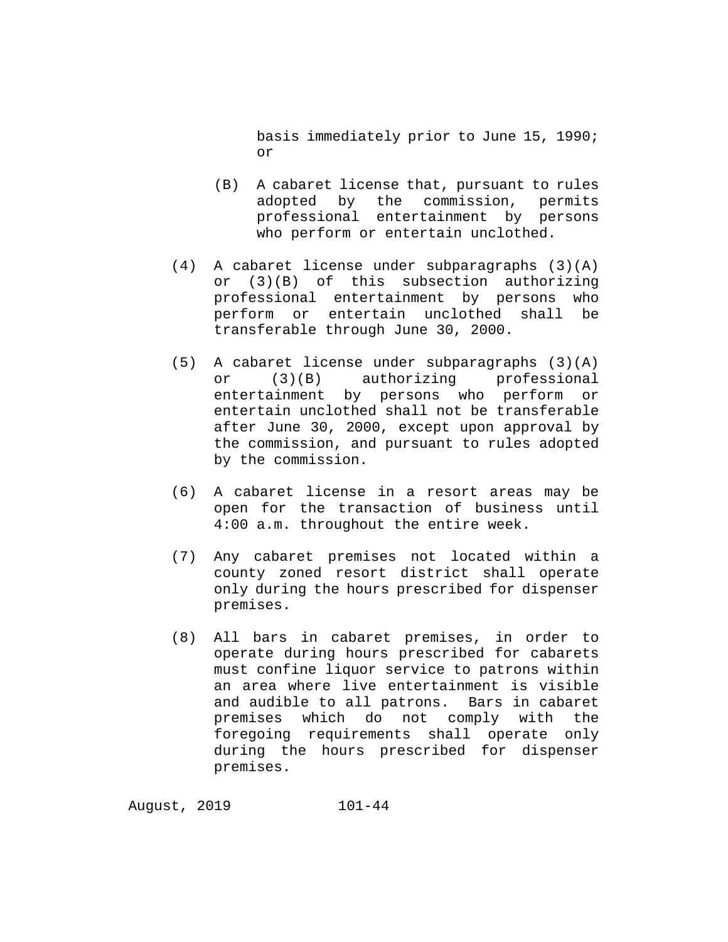basis immediately prior to June 15, 1990; or

- (B) A cabaret license that, pursuant to rules adopted by the commission, permits professional entertainment by persons who perform or entertain unclothed.
- (4) A cabaret license under subparagraphs (3)(A) or (3)(B) of this subsection authorizing professional entertainment by persons who<br>perform or entertain unclothed shall be perform or entertain unclothed transferable through June 30, 2000.
- (5) A cabaret license under subparagraphs (3)(A) or (3)(B) authorizing professional entertainment by persons who perform or entertain unclothed shall not be transferable after June 30, 2000, except upon approval by the commission, and pursuant to rules adopted by the commission.
- (6) A cabaret license in a resort areas may be open for the transaction of business until 4:00 a.m. throughout the entire week.
- (7) Any cabaret premises not located within a county zoned resort district shall operate only during the hours prescribed for dispenser premises.
- (8) All bars in cabaret premises, in order to operate during hours prescribed for cabarets must confine liquor service to patrons within an area where live entertainment is visible and audible to all patrons. Bars in cabaret premises which do not comply with the foregoing requirements shall operate only during the hours prescribed for dispenser premises.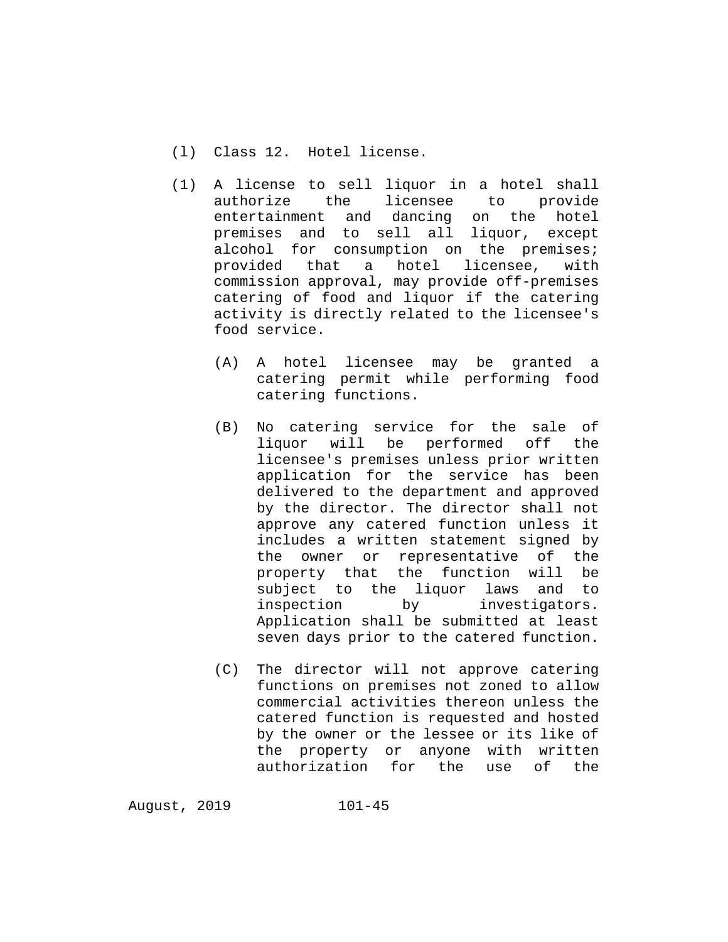- (l) Class 12. Hotel license.
- (1) A license to sell liquor in a hotel shall authorize the licensee to provide entertainment and dancing on the hotel premises and to sell all liquor, except alcohol for consumption on the premises;<br>provided that a hotel licensee, with provided that a hotel licensee, with commission approval, may provide off-premises catering of food and liquor if the catering activity is directly related to the licensee's food service.
	- (A) A hotel licensee may be granted a catering permit while performing food catering functions.
	- (B) No catering service for the sale of liquor will be performed licensee's premises unless prior written application for the service has been delivered to the department and approved by the director. The director shall not approve any catered function unless it includes a written statement signed by the owner or representative of the property that the function will be<br>subject to the liguor laws and to subject to the liquor laws and<br>inspection by investigate investigators. Application shall be submitted at least seven days prior to the catered function.
	- (C) The director will not approve catering functions on premises not zoned to allow commercial activities thereon unless the catered function is requested and hosted by the owner or the lessee or its like of the property or anyone with written authorization for the use of the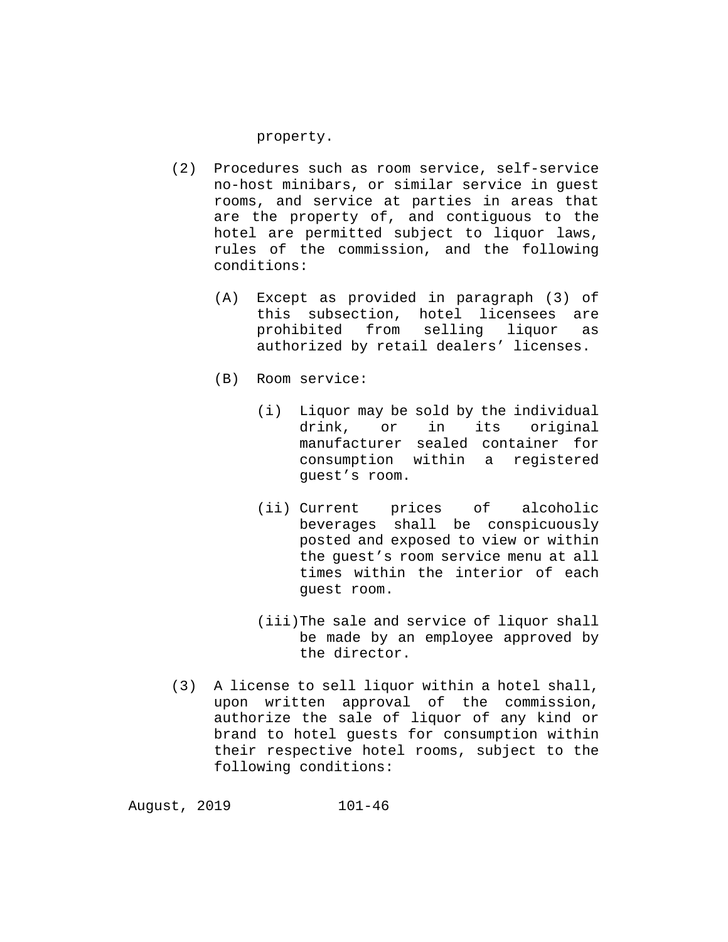## property.

- (2) Procedures such as room service, self-service no-host minibars, or similar service in guest rooms, and service at parties in areas that are the property of, and contiguous to the hotel are permitted subject to liquor laws, rules of the commission, and the following conditions:
	- (A) Except as provided in paragraph (3) of this subsection, hotel licensees are prohibited from selling liquor as authorized by retail dealers' licenses.
	- (B) Room service:
		- (i) Liquor may be sold by the individual<br>drink, or in its original original manufacturer sealed container for consumption within a registered guest's room.
		- (ii) Current prices of alcoholic beverages shall be conspicuously posted and exposed to view or within the guest's room service menu at all times within the interior of each guest room.
		- (iii)The sale and service of liquor shall be made by an employee approved by the director.
- (3) A license to sell liquor within a hotel shall, upon written approval of the commission, authorize the sale of liquor of any kind or brand to hotel guests for consumption within their respective hotel rooms, subject to the following conditions: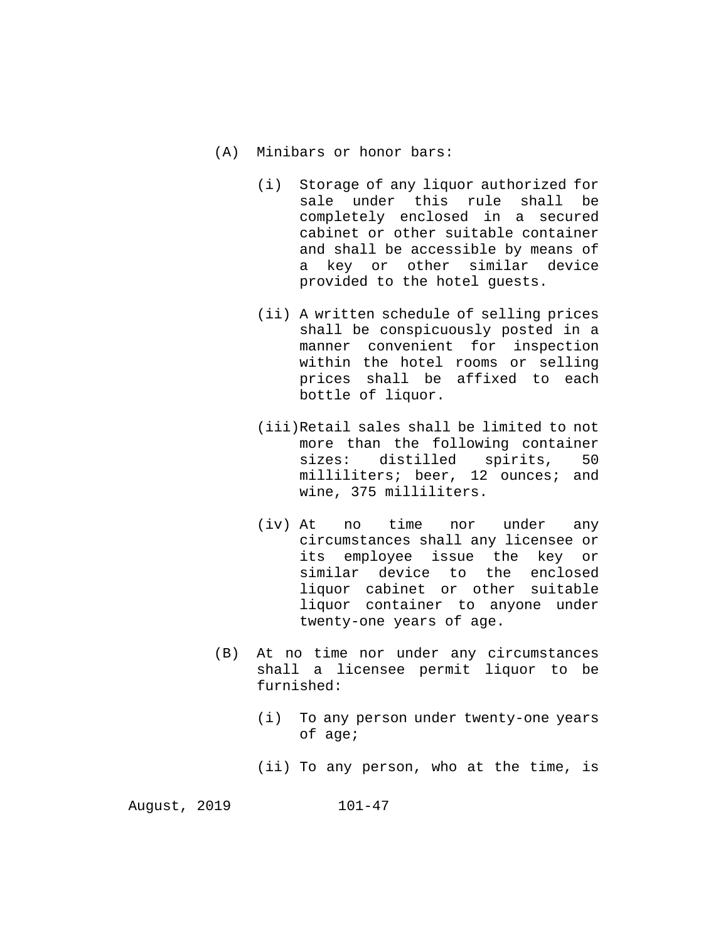- (A) Minibars or honor bars:
	- (i) Storage of any liquor authorized for sale under this rule shall be completely enclosed in a secured cabinet or other suitable container and shall be accessible by means of a key or other similar device provided to the hotel guests.
	- (ii) A written schedule of selling prices shall be conspicuously posted in a manner convenient for inspection within the hotel rooms or selling prices shall be affixed to each bottle of liquor.
	- (iii)Retail sales shall be limited to not more than the following container<br>sizes: distilled spirits. 50 sizes: distilled spirits, milliliters; beer, 12 ounces; and wine, 375 milliliters.
	- (iv) At no time nor under any circumstances shall any licensee or its employee issue the key or similar device to the enclosed liquor cabinet or other suitable liquor container to anyone under twenty-one years of age.
- (B) At no time nor under any circumstances shall a licensee permit liquor to be furnished:
	- (i) To any person under twenty-one years of age;
	- (ii) To any person, who at the time, is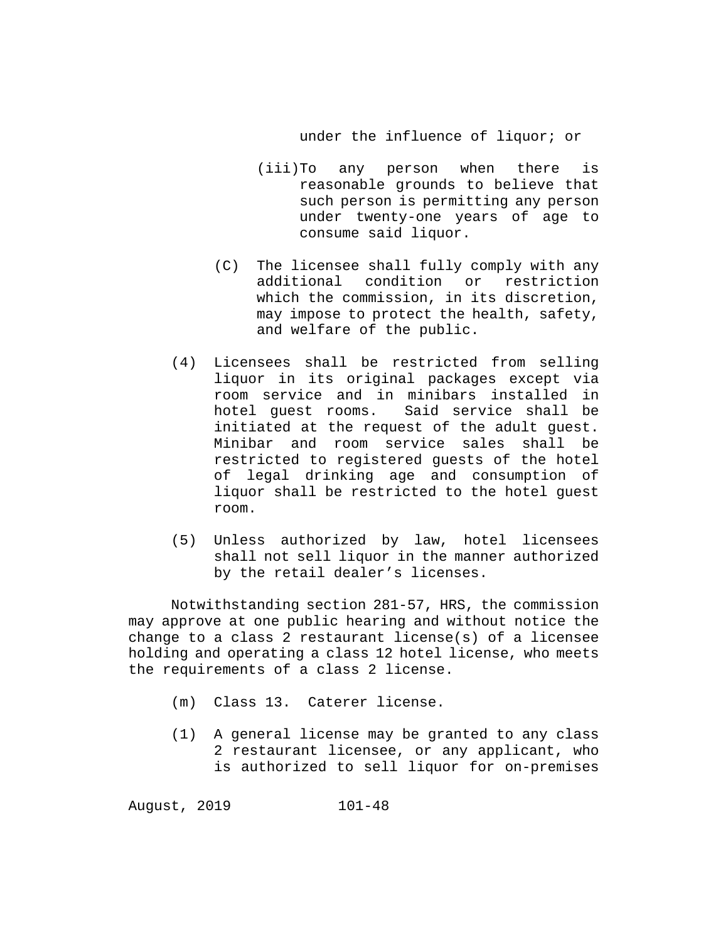## under the influence of liquor; or

- (iii)To any person when there is reasonable grounds to believe that such person is permitting any person under twenty-one years of age to consume said liquor.
- (C) The licensee shall fully comply with any additional condition or restriction which the commission, in its discretion, may impose to protect the health, safety, and welfare of the public.
- (4) Licensees shall be restricted from selling liquor in its original packages except via room service and in minibars installed in hotel guest rooms. Said service shall be initiated at the request of the adult guest.<br>Minibar and room service sales shall be Minibar and room service sales shall restricted to registered guests of the hotel of legal drinking age and consumption of liquor shall be restricted to the hotel guest room.
- (5) Unless authorized by law, hotel licensees shall not sell liquor in the manner authorized by the retail dealer's licenses.

Notwithstanding section 281-57, HRS, the commission may approve at one public hearing and without notice the change to a class 2 restaurant license(s) of a licensee holding and operating a class 12 hotel license, who meets the requirements of a class 2 license.

- (m) Class 13. Caterer license.
- (1) A general license may be granted to any class 2 restaurant licensee, or any applicant, who is authorized to sell liquor for on-premises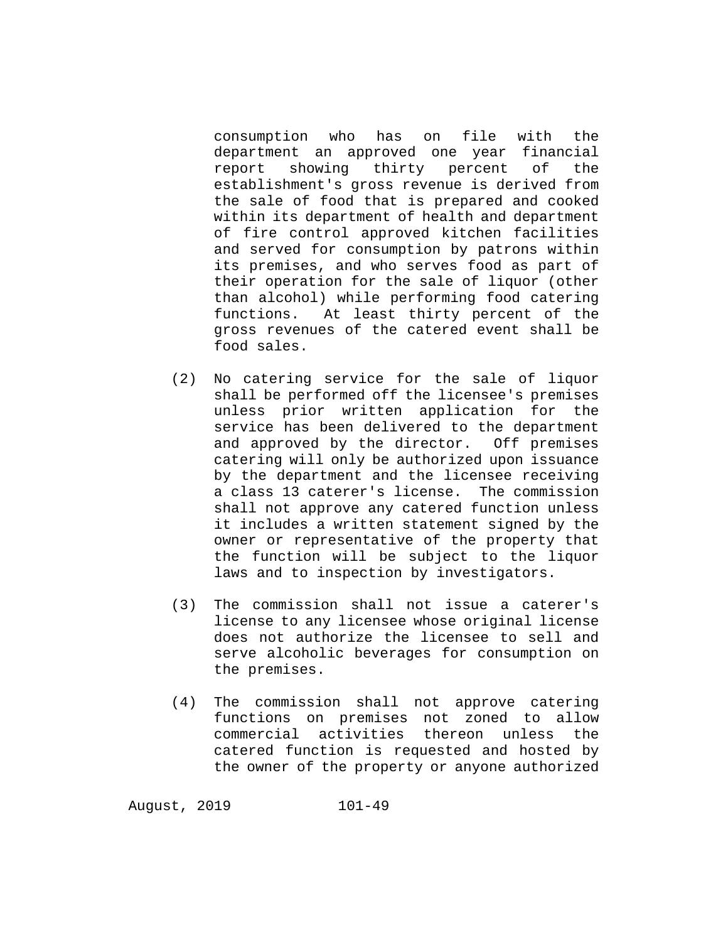consumption who has on file with the department an approved one year financial<br>report showing thirty percent of the showing thirty establishment's gross revenue is derived from the sale of food that is prepared and cooked within its department of health and department of fire control approved kitchen facilities and served for consumption by patrons within its premises, and who serves food as part of their operation for the sale of liquor (other than alcohol) while performing food catering<br>functions. At least thirty percent of the At least thirty percent of the gross revenues of the catered event shall be food sales.

- (2) No catering service for the sale of liquor shall be performed off the licensee's premises unless prior written application for the service has been delivered to the department and approved by the director. Off premises catering will only be authorized upon issuance by the department and the licensee receiving a class 13 caterer's license. The commission shall not approve any catered function unless it includes a written statement signed by the owner or representative of the property that the function will be subject to the liquor laws and to inspection by investigators.
- (3) The commission shall not issue a caterer's license to any licensee whose original license does not authorize the licensee to sell and serve alcoholic beverages for consumption on the premises.
- (4) The commission shall not approve catering functions on premises not zoned to allow commercial activities thereon unless the catered function is requested and hosted by the owner of the property or anyone authorized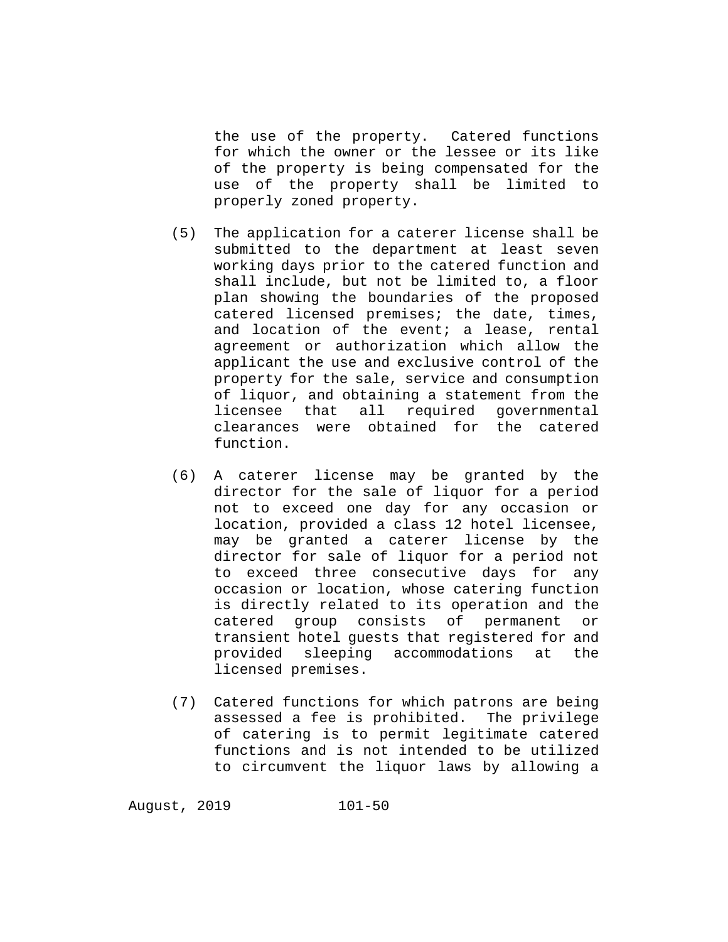the use of the property. Catered functions for which the owner or the lessee or its like of the property is being compensated for the use of the property shall be limited to properly zoned property.

- (5) The application for a caterer license shall be submitted to the department at least seven working days prior to the catered function and shall include, but not be limited to, a floor plan showing the boundaries of the proposed catered licensed premises; the date, times, and location of the event; a lease, rental agreement or authorization which allow the applicant the use and exclusive control of the property for the sale, service and consumption of liquor, and obtaining a statement from the licensee that all required governmental clearances were obtained for the catered function.
- (6) A caterer license may be granted by the director for the sale of liquor for a period not to exceed one day for any occasion or location, provided a class 12 hotel licensee, may be granted a caterer license by the director for sale of liquor for a period not to exceed three consecutive days for any occasion or location, whose catering function is directly related to its operation and the<br>catered group consists of permanent or catered group consists of permanent or transient hotel guests that registered for and<br>provided sleeping accommodations at the provided sleeping accommodations licensed premises.
- (7) Catered functions for which patrons are being assessed a fee is prohibited. The privilege of catering is to permit legitimate catered functions and is not intended to be utilized to circumvent the liquor laws by allowing a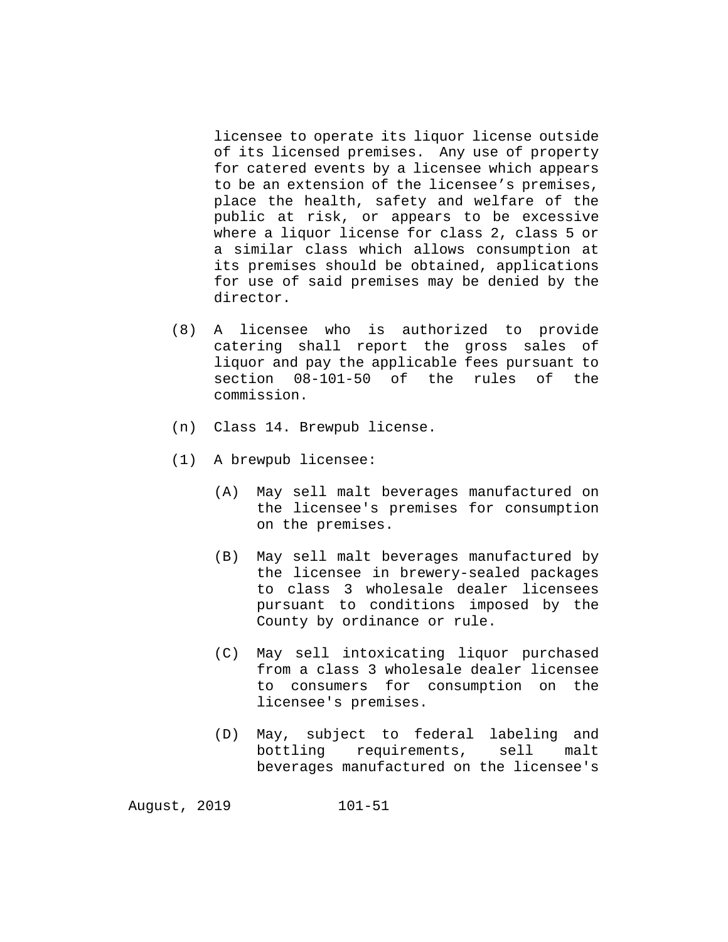licensee to operate its liquor license outside of its licensed premises. Any use of property for catered events by a licensee which appears to be an extension of the licensee's premises, place the health, safety and welfare of the public at risk, or appears to be excessive where a liquor license for class 2, class 5 or a similar class which allows consumption at its premises should be obtained, applications for use of said premises may be denied by the director.

- (8) A licensee who is authorized to provide catering shall report the gross sales of liquor and pay the applicable fees pursuant to section 08-101-50 of the rules of the commission.
- (n) Class 14. Brewpub license.
- (1) A brewpub licensee:
	- (A) May sell malt beverages manufactured on the licensee's premises for consumption on the premises.
	- (B) May sell malt beverages manufactured by the licensee in brewery-sealed packages to class 3 wholesale dealer licensees pursuant to conditions imposed by the County by ordinance or rule.
	- (C) May sell intoxicating liquor purchased from a class 3 wholesale dealer licensee to consumers for consumption on the licensee's premises.
	- (D) May, subject to federal labeling and bottling requirements, sell malt beverages manufactured on the licensee's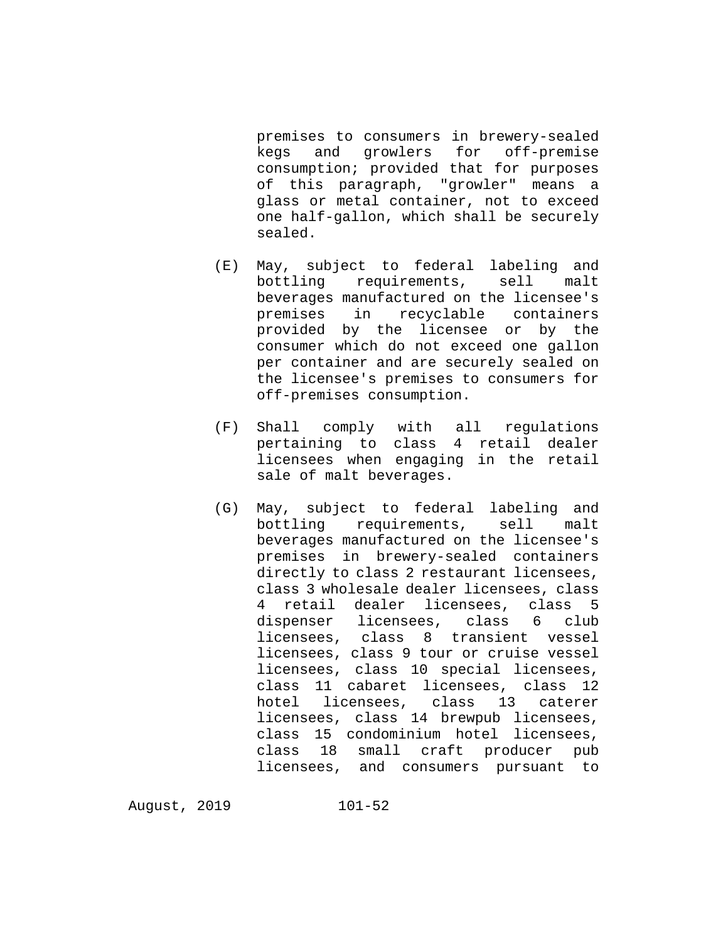premises to consumers in brewery-sealed<br>kegs and growlers for off-premise growlers for off-premise consumption; provided that for purposes of this paragraph, "growler" means a glass or metal container, not to exceed one half-gallon, which shall be securely sealed.

- (E) May, subject to federal labeling and bottling requirements, beverages manufactured on the licensee's<br>premises in recyclable containers in recyclable containers provided by the licensee or by the consumer which do not exceed one gallon per container and are securely sealed on the licensee's premises to consumers for off-premises consumption.
- (F) Shall comply with all regulations pertaining to class 4 retail dealer licensees when engaging in the retail sale of malt beverages.
- (G) May, subject to federal labeling and bottling requirements, sell malt beverages manufactured on the licensee's premises in brewery-sealed containers directly to class 2 restaurant licensees, class 3 wholesale dealer licensees, class 4 retail dealer licensees, class 5<br>dispenser licensees, class 6 club licensees, class 6 club licensees, class 8 transient vessel licensees, class 9 tour or cruise vessel licensees, class 10 special licensees, class 11 cabaret licensees, class 12 hotel licensees, class 13 caterer licensees, class 14 brewpub licensees, class 15 condominium hotel licensees, class 18 small craft producer pub licensees, and consumers pursuant to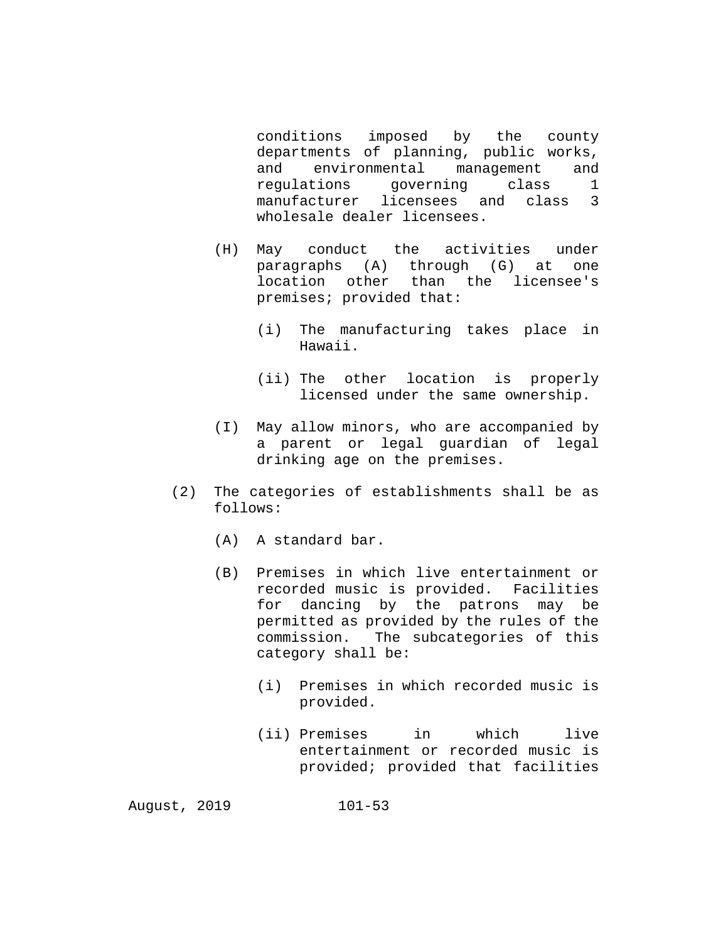conditions imposed by the county departments of planning, public works,<br>and environmental management and environmental management and<br>cions governing class 1 regulations governing class 1 manufacturer licensees and class 3 wholesale dealer licensees.

- (H) May conduct the activities under paragraphs (A) through (G) at one location other than the licensee's premises; provided that:
	- (i) The manufacturing takes place in Hawaii.
	- (ii) The other location is properly licensed under the same ownership.
- (I) May allow minors, who are accompanied by a parent or legal guardian of legal drinking age on the premises.
- (2) The categories of establishments shall be as follows:
	- (A) A standard bar.
	- (B) Premises in which live entertainment or recorded music is provided. Facilities for dancing by the patrons may be permitted as provided by the rules of the commission. The subcategories of this category shall be:
		- (i) Premises in which recorded music is provided.
		- (ii) Premises in which live entertainment or recorded music is provided; provided that facilities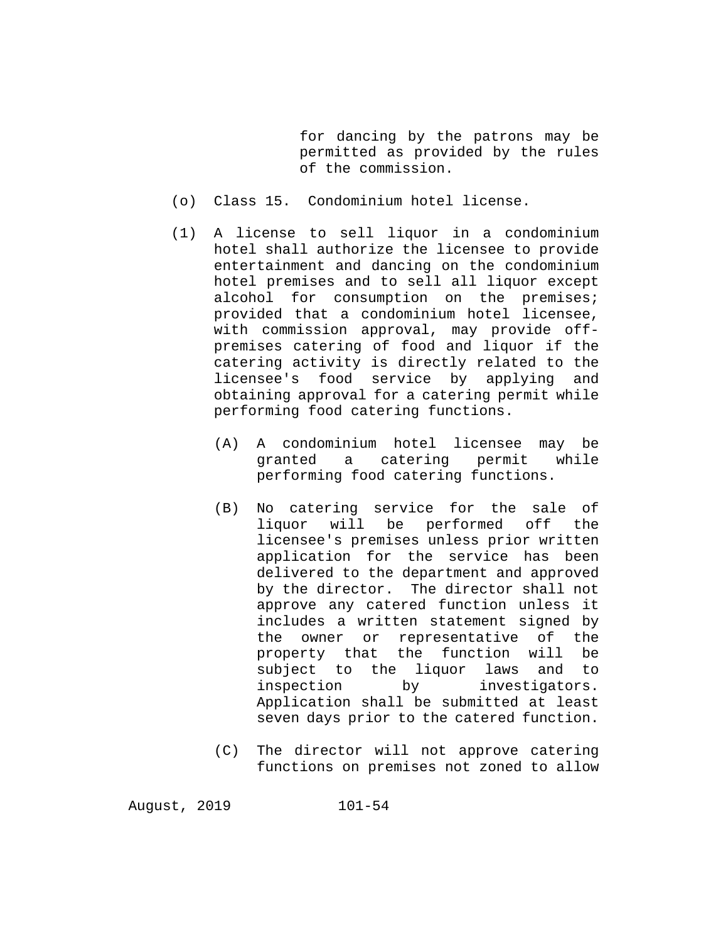for dancing by the patrons may be permitted as provided by the rules of the commission.

- (o) Class 15. Condominium hotel license.
- (1) A license to sell liquor in a condominium hotel shall authorize the licensee to provide entertainment and dancing on the condominium hotel premises and to sell all liquor except alcohol for consumption on the premises; provided that a condominium hotel licensee, with commission approval, may provide offpremises catering of food and liquor if the catering activity is directly related to the licensee's food service by applying and obtaining approval for a catering permit while performing food catering functions.
	- (A) A condominium hotel licensee may be<br>
	oranted a catering permit while granted a catering permit performing food catering functions.
	- (B) No catering service for the sale of liquor will be performed off the licensee's premises unless prior written application for the service has been delivered to the department and approved by the director. The director shall not approve any catered function unless it includes a written statement signed by the owner or representative of the<br>property that the function will be property that the subject to the liquor laws and to<br>inspection by investigators. investigators. Application shall be submitted at least seven days prior to the catered function.
	- (C) The director will not approve catering functions on premises not zoned to allow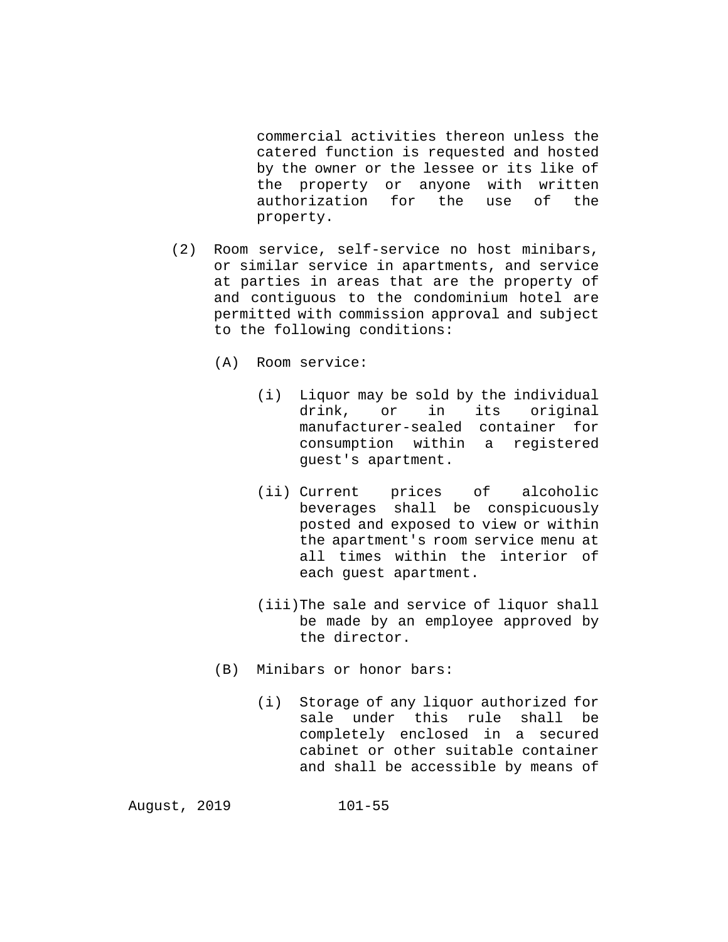commercial activities thereon unless the catered function is requested and hosted by the owner or the lessee or its like of the property or anyone with written authorization for the use of the property.

- (2) Room service, self-service no host minibars, or similar service in apartments, and service at parties in areas that are the property of and contiguous to the condominium hotel are permitted with commission approval and subject to the following conditions:
	- (A) Room service:
		- (i) Liquor may be sold by the individual drink, or in its original manufacturer-sealed container for consumption within a registered guest's apartment.
		- (ii) Current prices of alcoholic beverages shall be conspicuously posted and exposed to view or within the apartment's room service menu at all times within the interior of each guest apartment.
		- (iii)The sale and service of liquor shall be made by an employee approved by the director.
	- (B) Minibars or honor bars:
		- (i) Storage of any liquor authorized for sale under this rule shall completely enclosed in a secured cabinet or other suitable container and shall be accessible by means of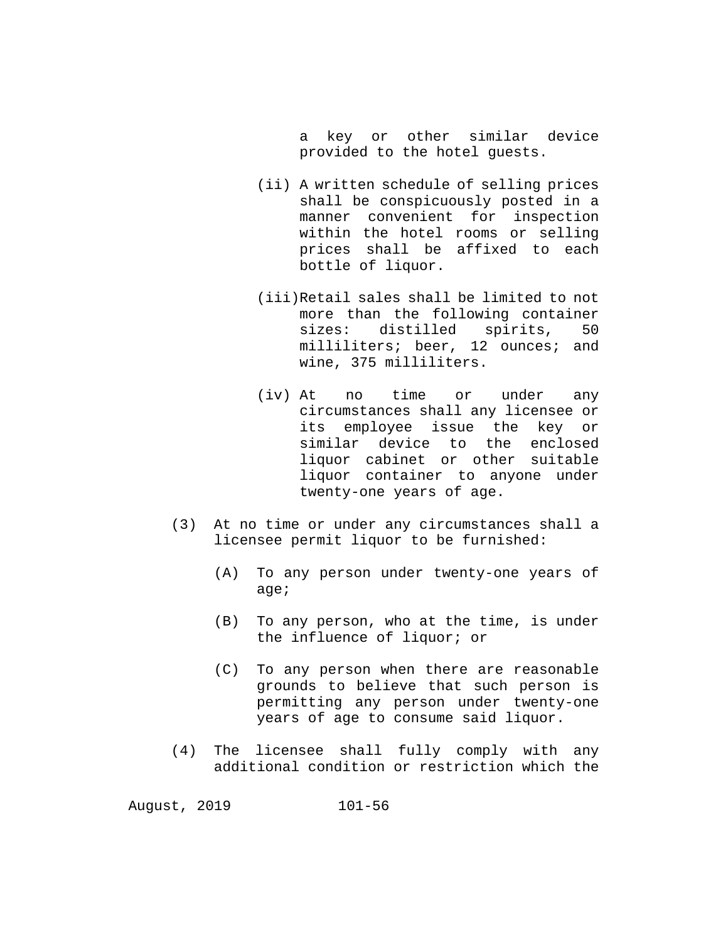a key or other similar device provided to the hotel guests.

- (ii) A written schedule of selling prices shall be conspicuously posted in a manner convenient for inspection within the hotel rooms or selling prices shall be affixed to each bottle of liquor.
- (iii)Retail sales shall be limited to not more than the following container<br>sizes: distilled spirits, 50 distilled spirits, 50 milliliters; beer, 12 ounces; and wine, 375 milliliters.
- (iv) At no time or under any circumstances shall any licensee or its employee issue the key or similar device to the enclosed liquor cabinet or other suitable liquor container to anyone under twenty-one years of age.
- (3) At no time or under any circumstances shall a licensee permit liquor to be furnished:
	- (A) To any person under twenty-one years of age;
	- (B) To any person, who at the time, is under the influence of liquor; or
	- (C) To any person when there are reasonable grounds to believe that such person is permitting any person under twenty-one years of age to consume said liquor.
- (4) The licensee shall fully comply with any additional condition or restriction which the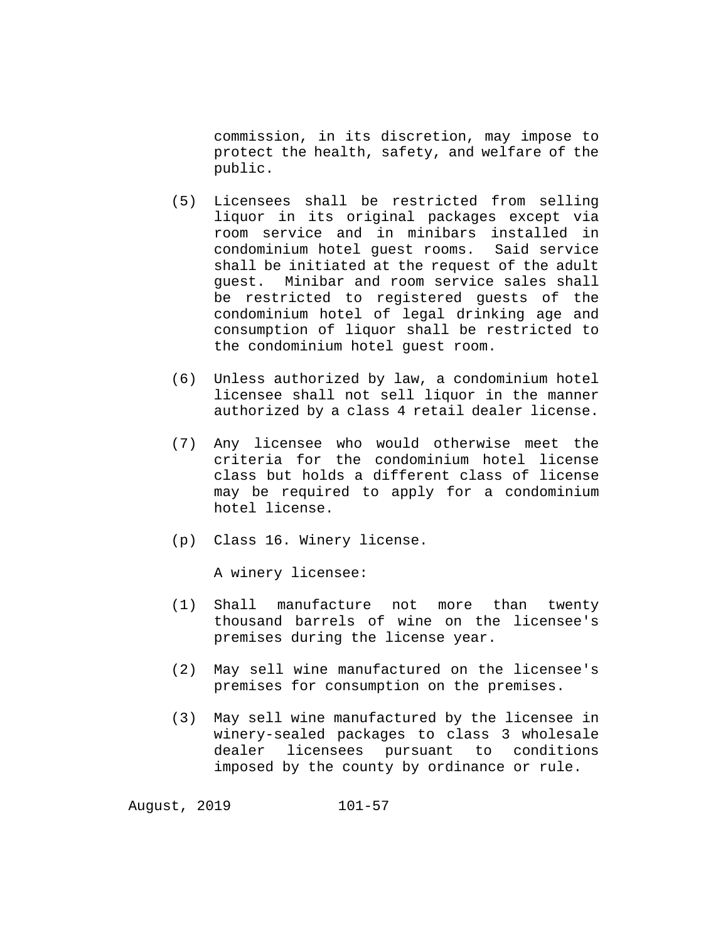commission, in its discretion, may impose to protect the health, safety, and welfare of the public.

- (5) Licensees shall be restricted from selling liquor in its original packages except via room service and in minibars installed in condominium hotel guest rooms. Said service shall be initiated at the request of the adult guest. Minibar and room service sales shall be restricted to registered guests of the condominium hotel of legal drinking age and consumption of liquor shall be restricted to the condominium hotel guest room.
- (6) Unless authorized by law, a condominium hotel licensee shall not sell liquor in the manner authorized by a class 4 retail dealer license.
- (7) Any licensee who would otherwise meet the criteria for the condominium hotel license class but holds a different class of license may be required to apply for a condominium hotel license.
- (p) Class 16. Winery license.

A winery licensee:

- (1) Shall manufacture not more than twenty thousand barrels of wine on the licensee's premises during the license year.
- (2) May sell wine manufactured on the licensee's premises for consumption on the premises.
- (3) May sell wine manufactured by the licensee in winery-sealed packages to class 3 wholesale dealer licensees pursuant to conditions imposed by the county by ordinance or rule.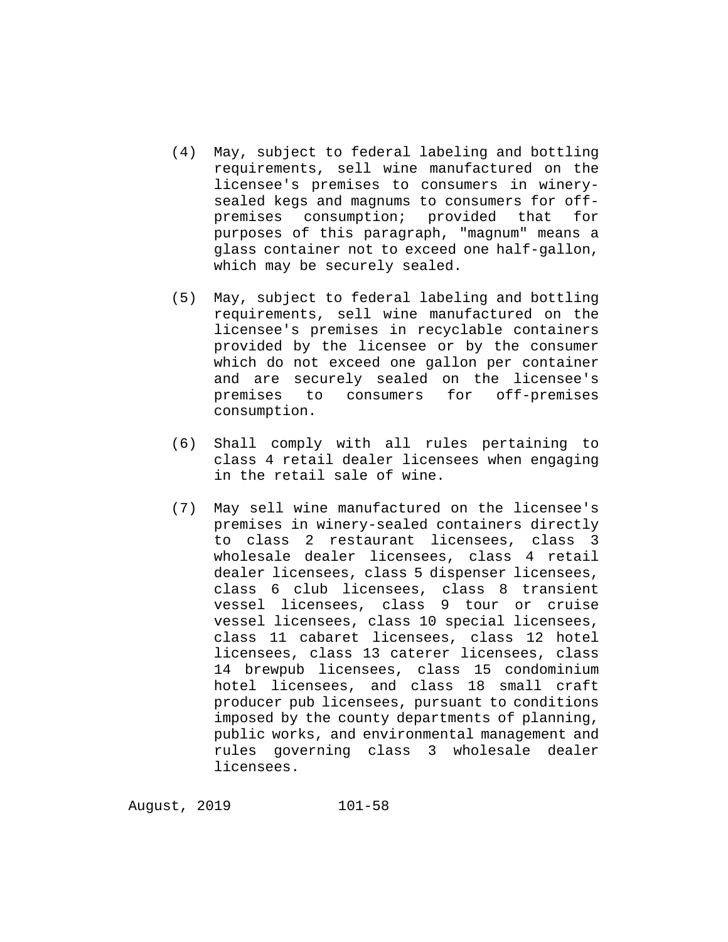- (4) May, subject to federal labeling and bottling requirements, sell wine manufactured on the licensee's premises to consumers in winerysealed kegs and magnums to consumers for offpremises consumption; provided that for purposes of this paragraph, "magnum" means a glass container not to exceed one half-gallon, which may be securely sealed.
- (5) May, subject to federal labeling and bottling requirements, sell wine manufactured on the licensee's premises in recyclable containers provided by the licensee or by the consumer which do not exceed one gallon per container and are securely sealed on the licensee's premises to consumers for off-premises consumption.
- (6) Shall comply with all rules pertaining to class 4 retail dealer licensees when engaging in the retail sale of wine.
- (7) May sell wine manufactured on the licensee's premises in winery-sealed containers directly to class 2 restaurant licensees, class 3 wholesale dealer licensees, class 4 retail dealer licensees, class 5 dispenser licensees, class 6 club licensees, class 8 transient vessel licensees, class 9 tour or cruise vessel licensees, class 10 special licensees, class 11 cabaret licensees, class 12 hotel licensees, class 13 caterer licensees, class 14 brewpub licensees, class 15 condominium hotel licensees, and class 18 small craft producer pub licensees, pursuant to conditions imposed by the county departments of planning, public works, and environmental management and rules governing class 3 wholesale dealer licensees.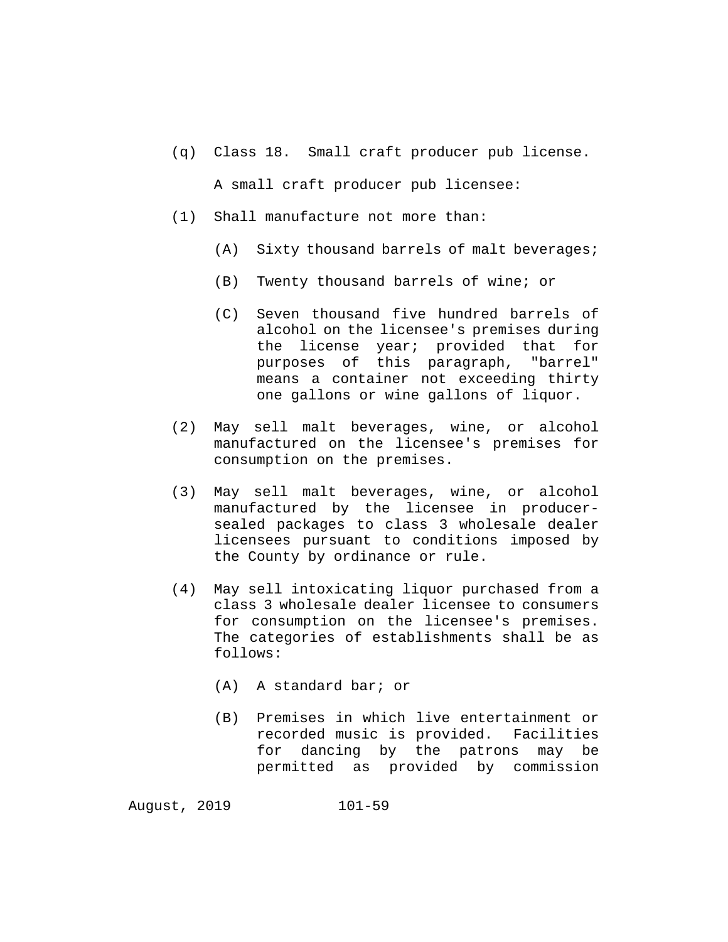(q) Class 18. Small craft producer pub license.

A small craft producer pub licensee:

- (1) Shall manufacture not more than:
	- (A) Sixty thousand barrels of malt beverages;
	- (B) Twenty thousand barrels of wine; or
	- (C) Seven thousand five hundred barrels of alcohol on the licensee's premises during the license year; provided that for purposes of this paragraph, "barrel" means a container not exceeding thirty one gallons or wine gallons of liquor.
- (2) May sell malt beverages, wine, or alcohol manufactured on the licensee's premises for consumption on the premises.
- (3) May sell malt beverages, wine, or alcohol manufactured by the licensee in producersealed packages to class 3 wholesale dealer licensees pursuant to conditions imposed by the County by ordinance or rule.
- (4) May sell intoxicating liquor purchased from a class 3 wholesale dealer licensee to consumers for consumption on the licensee's premises. The categories of establishments shall be as follows:
	- (A) A standard bar; or
	- (B) Premises in which live entertainment or recorded music is provided. Facilities for dancing by the patrons may be permitted as provided by commission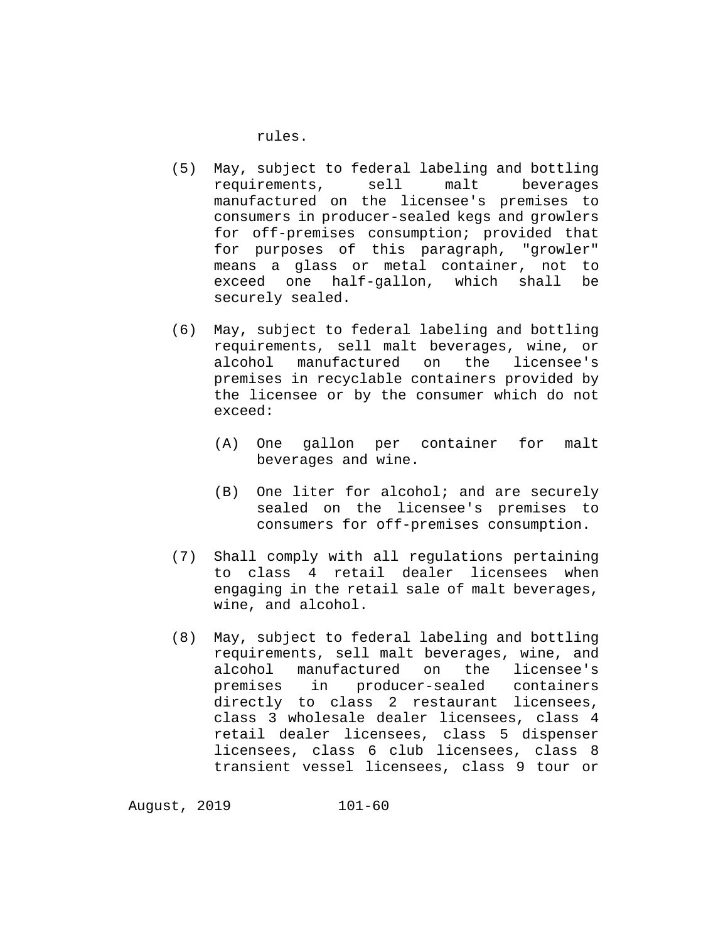rules.

- (5) May, subject to federal labeling and bottling requirements, sell malt beverages manufactured on the licensee's premises to consumers in producer-sealed kegs and growlers for off-premises consumption; provided that for purposes of this paragraph, "growler" means a glass or metal container, not to exceed one half-gallon, which shall be securely sealed.
- (6) May, subject to federal labeling and bottling requirements, sell malt beverages, wine, or alcohol manufactured on the licensee's premises in recyclable containers provided by the licensee or by the consumer which do not exceed:
	- (A) One gallon per container for malt beverages and wine.
	- (B) One liter for alcohol; and are securely sealed on the licensee's premises to consumers for off-premises consumption.
- (7) Shall comply with all regulations pertaining to class 4 retail dealer licensees when engaging in the retail sale of malt beverages, wine, and alcohol.
- (8) May, subject to federal labeling and bottling requirements, sell malt beverages, wine, and alcohol manufactured on the licensee's<br>premises in producer-sealed containers premises in producer-sealed directly to class 2 restaurant licensees, class 3 wholesale dealer licensees, class 4 retail dealer licensees, class 5 dispenser licensees, class 6 club licensees, class 8 transient vessel licensees, class 9 tour or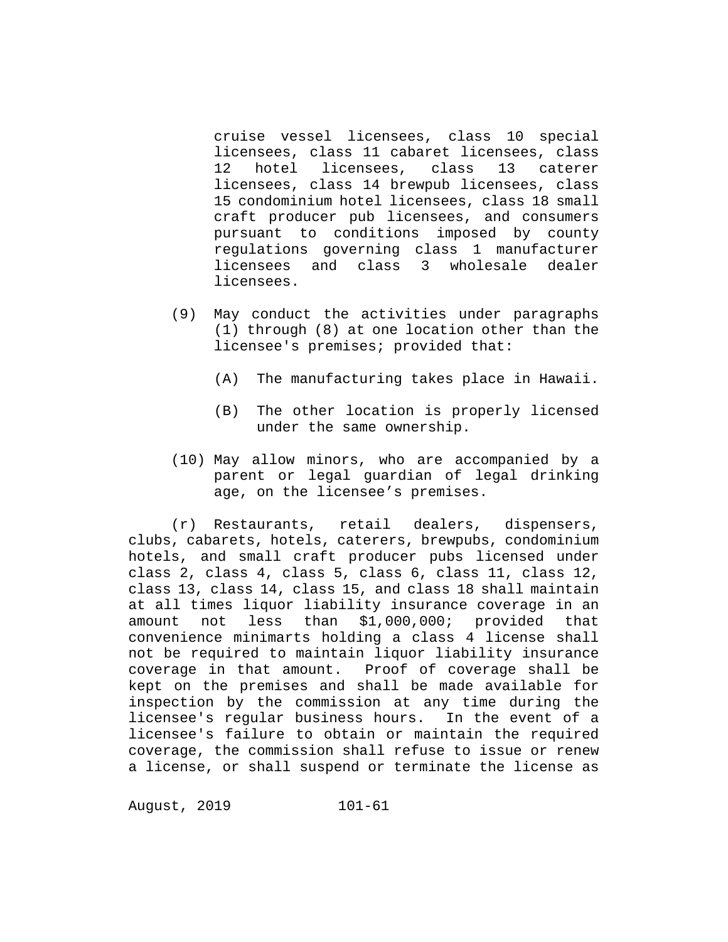cruise vessel licensees, class 10 special licensees, class 11 cabaret licensees, class<br>12 hotel licensees, class 13 caterer licensees, licensees, class 14 brewpub licensees, class 15 condominium hotel licensees, class 18 small craft producer pub licensees, and consumers pursuant to conditions imposed by county regulations governing class 1 manufacturer licensees and class 3 wholesale dealer licensees.

- (9) May conduct the activities under paragraphs (1) through (8) at one location other than the licensee's premises; provided that:
	- (A) The manufacturing takes place in Hawaii.
	- (B) The other location is properly licensed under the same ownership.
- (10) May allow minors, who are accompanied by a parent or legal guardian of legal drinking age, on the licensee's premises.

(r) Restaurants, retail dealers, dispensers, clubs, cabarets, hotels, caterers, brewpubs, condominium hotels, and small craft producer pubs licensed under class 2, class 4, class 5, class 6, class 11, class 12, class 13, class 14, class 15, and class 18 shall maintain at all times liquor liability insurance coverage in an<br>amount not less than \$1,000,000; provided that  $$1,000,000;$  provided that convenience minimarts holding a class 4 license shall not be required to maintain liquor liability insurance coverage in that amount. Proof of coverage shall be kept on the premises and shall be made available for inspection by the commission at any time during the licensee's regular business hours. In the event of a licensee's failure to obtain or maintain the required coverage, the commission shall refuse to issue or renew a license, or shall suspend or terminate the license as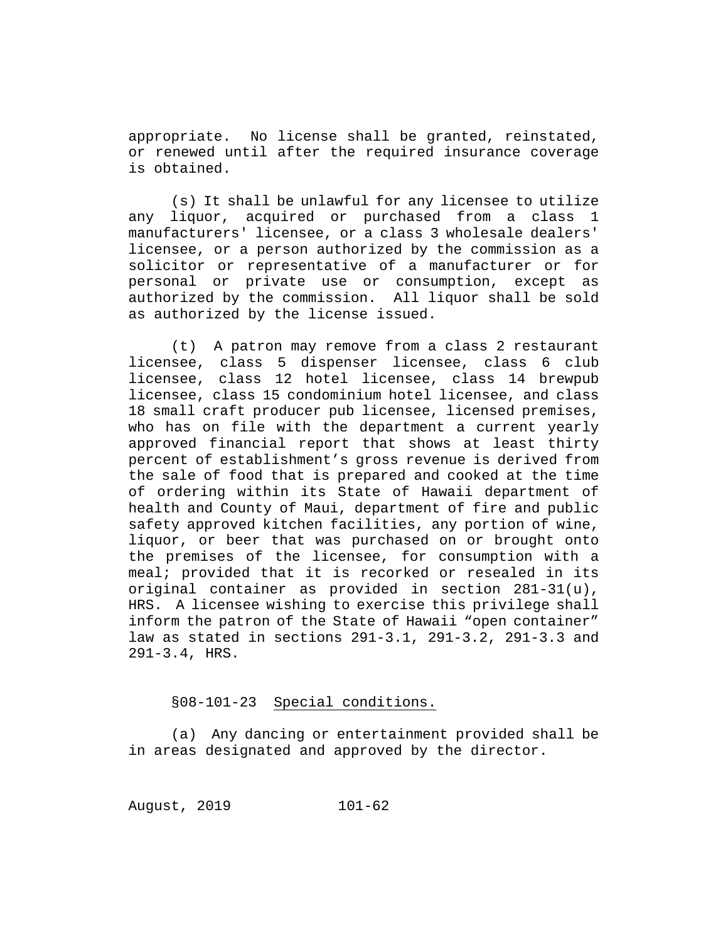appropriate. No license shall be granted, reinstated, or renewed until after the required insurance coverage is obtained.

(s) It shall be unlawful for any licensee to utilize any liquor, acquired or purchased from a class 1 manufacturers' licensee, or a class 3 wholesale dealers' licensee, or a person authorized by the commission as a solicitor or representative of a manufacturer or for personal or private use or consumption, except as authorized by the commission. All liquor shall be sold as authorized by the license issued.

(t) A patron may remove from a class 2 restaurant licensee, class 5 dispenser licensee, class 6 club licensee, class 12 hotel licensee, class 14 brewpub licensee, class 15 condominium hotel licensee, and class 18 small craft producer pub licensee, licensed premises, who has on file with the department a current yearly approved financial report that shows at least thirty percent of establishment's gross revenue is derived from the sale of food that is prepared and cooked at the time of ordering within its State of Hawaii department of health and County of Maui, department of fire and public safety approved kitchen facilities, any portion of wine, liquor, or beer that was purchased on or brought onto the premises of the licensee, for consumption with a meal; provided that it is recorked or resealed in its original container as provided in section 281-31(u), HRS. A licensee wishing to exercise this privilege shall inform the patron of the State of Hawaii "open container" law as stated in sections 291-3.1, 291-3.2, 291-3.3 and 291-3.4, HRS.

## §08-101-23 Special conditions.

(a) Any dancing or entertainment provided shall be in areas designated and approved by the director.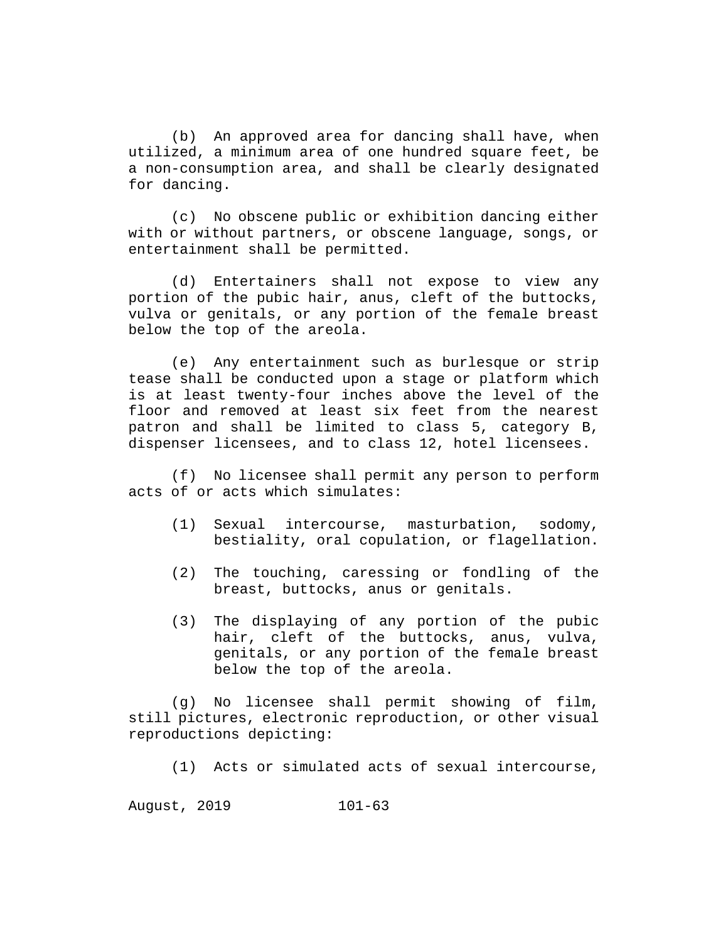(b) An approved area for dancing shall have, when utilized, a minimum area of one hundred square feet, be a non-consumption area, and shall be clearly designated for dancing.

(c) No obscene public or exhibition dancing either with or without partners, or obscene language, songs, or entertainment shall be permitted.

(d) Entertainers shall not expose to view any portion of the pubic hair, anus, cleft of the buttocks, vulva or genitals, or any portion of the female breast below the top of the areola.

(e) Any entertainment such as burlesque or strip tease shall be conducted upon a stage or platform which is at least twenty-four inches above the level of the floor and removed at least six feet from the nearest patron and shall be limited to class 5, category B, dispenser licensees, and to class 12, hotel licensees.

(f) No licensee shall permit any person to perform acts of or acts which simulates:

- (1) Sexual intercourse, masturbation, sodomy, bestiality, oral copulation, or flagellation.
- (2) The touching, caressing or fondling of the breast, buttocks, anus or genitals.
- (3) The displaying of any portion of the pubic hair, cleft of the buttocks, anus, vulva, genitals, or any portion of the female breast below the top of the areola.

(g) No licensee shall permit showing of film, still pictures, electronic reproduction, or other visual reproductions depicting:

(1) Acts or simulated acts of sexual intercourse,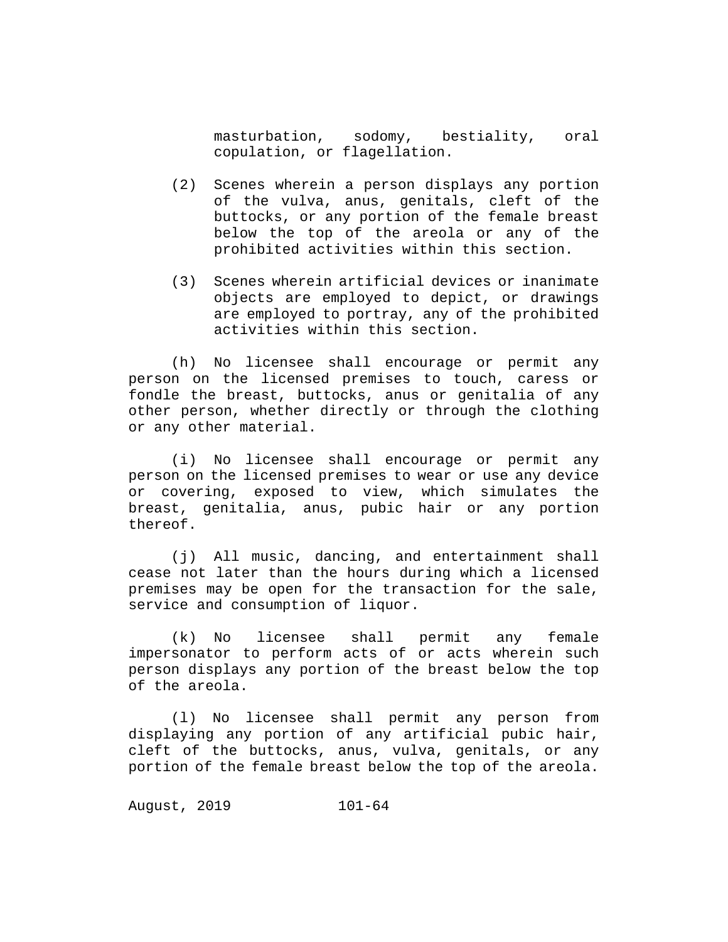masturbation, sodomy, bestiality, oral copulation, or flagellation.

- (2) Scenes wherein a person displays any portion of the vulva, anus, genitals, cleft of the buttocks, or any portion of the female breast below the top of the areola or any of the prohibited activities within this section.
- (3) Scenes wherein artificial devices or inanimate objects are employed to depict, or drawings are employed to portray, any of the prohibited activities within this section.

(h) No licensee shall encourage or permit any person on the licensed premises to touch, caress or fondle the breast, buttocks, anus or genitalia of any other person, whether directly or through the clothing or any other material.

(i) No licensee shall encourage or permit any person on the licensed premises to wear or use any device or covering, exposed to view, which simulates the breast, genitalia, anus, pubic hair or any portion thereof.

(j) All music, dancing, and entertainment shall cease not later than the hours during which a licensed premises may be open for the transaction for the sale, service and consumption of liquor.

(k) No licensee shall permit any female impersonator to perform acts of or acts wherein such person displays any portion of the breast below the top of the areola.

(l) No licensee shall permit any person from displaying any portion of any artificial pubic hair, cleft of the buttocks, anus, vulva, genitals, or any portion of the female breast below the top of the areola.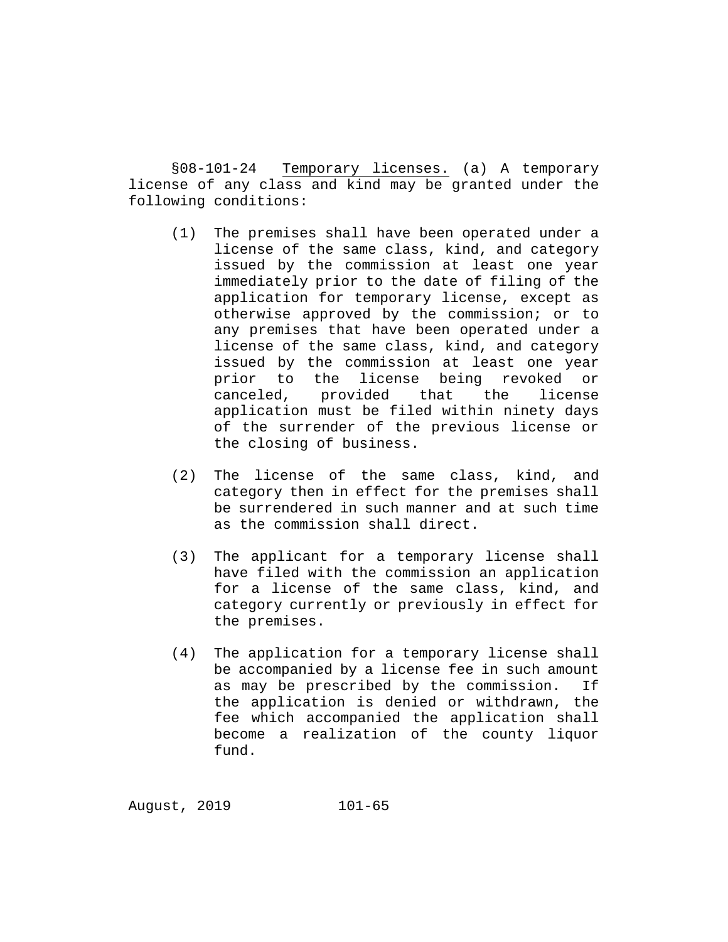§08-101-24 Temporary licenses. (a) A temporary license of any class and kind may be granted under the following conditions:

- (1) The premises shall have been operated under a license of the same class, kind, and category issued by the commission at least one year immediately prior to the date of filing of the application for temporary license, except as otherwise approved by the commission; or to any premises that have been operated under a license of the same class, kind, and category issued by the commission at least one year prior to the license being revoked or canceled, provided that the license application must be filed within ninety days of the surrender of the previous license or the closing of business.
- (2) The license of the same class, kind, and category then in effect for the premises shall be surrendered in such manner and at such time as the commission shall direct.
- (3) The applicant for a temporary license shall have filed with the commission an application for a license of the same class, kind, and category currently or previously in effect for the premises.
- (4) The application for a temporary license shall be accompanied by a license fee in such amount<br>as may be prescribed by the commission. If as may be prescribed by the commission. the application is denied or withdrawn, the fee which accompanied the application shall become a realization of the county liquor fund.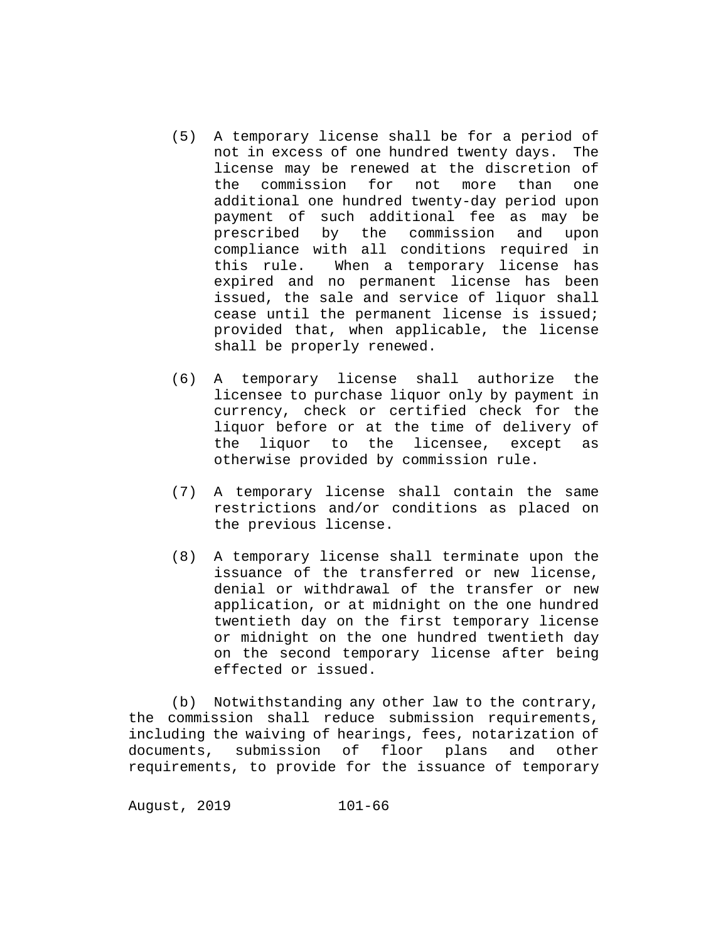- (5) A temporary license shall be for a period of not in excess of one hundred twenty days. The license may be renewed at the discretion of<br>the commission for not more than one commission for not more than one additional one hundred twenty-day period upon payment of such additional fee as may be prescribed by the commission and upon compliance with all conditions required in<br>this rule. When a temporary license has When a temporary license has expired and no permanent license has been issued, the sale and service of liquor shall cease until the permanent license is issued; provided that, when applicable, the license shall be properly renewed.
- (6) A temporary license shall authorize the licensee to purchase liquor only by payment in currency, check or certified check for the liquor before or at the time of delivery of<br>the liquor to the licensee, except as liquor to the licensee, except as otherwise provided by commission rule.
- (7) A temporary license shall contain the same restrictions and/or conditions as placed on the previous license.
- (8) A temporary license shall terminate upon the issuance of the transferred or new license, denial or withdrawal of the transfer or new application, or at midnight on the one hundred twentieth day on the first temporary license or midnight on the one hundred twentieth day on the second temporary license after being effected or issued.

(b) Notwithstanding any other law to the contrary, the commission shall reduce submission requirements, including the waiving of hearings, fees, notarization of documents, submission of floor plans and other requirements, to provide for the issuance of temporary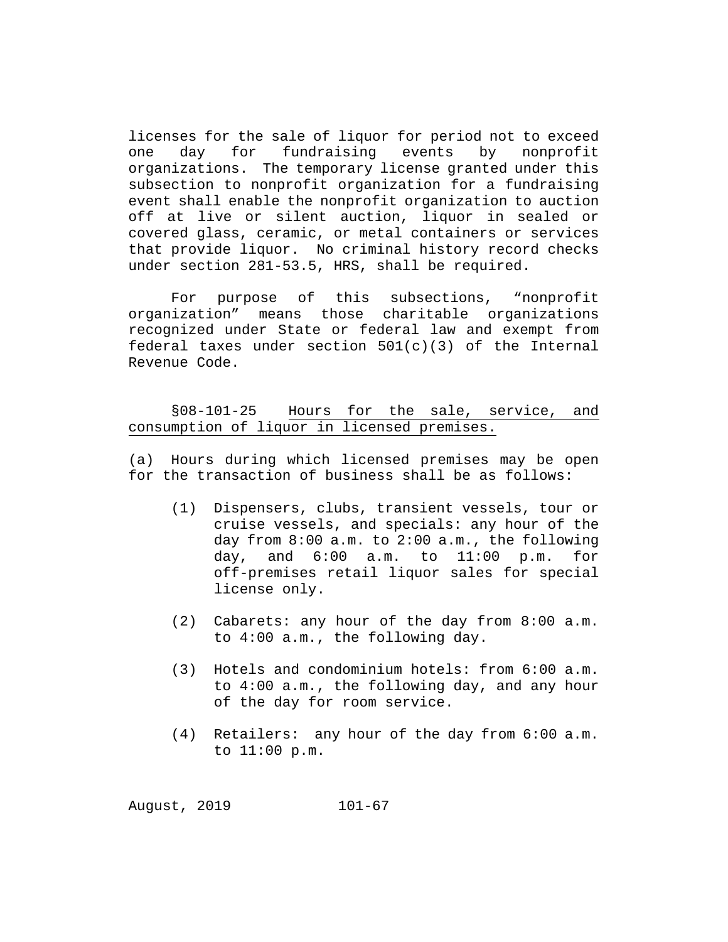licenses for the sale of liquor for period not to exceed<br>one day for fundraising events by nonprofit one day for fundraising organizations. The temporary license granted under this subsection to nonprofit organization for a fundraising event shall enable the nonprofit organization to auction off at live or silent auction, liquor in sealed or covered glass, ceramic, or metal containers or services that provide liquor. No criminal history record checks under section 281-53.5, HRS, shall be required.

For purpose of this subsections, "nonprofit<br>organization" means those charitable organizations those charitable organizations recognized under State or federal law and exempt from federal taxes under section  $501(c)(3)$  of the Internal Revenue Code.

§08-101-25 Hours for the sale, service, and consumption of liquor in licensed premises.

(a) Hours during which licensed premises may be open for the transaction of business shall be as follows:

- (1) Dispensers, clubs, transient vessels, tour or cruise vessels, and specials: any hour of the day from 8:00 a.m. to 2:00 a.m., the following day, and 6:00 a.m. to 11:00 p.m. for off-premises retail liquor sales for special license only.
- (2) Cabarets: any hour of the day from 8:00 a.m. to 4:00 a.m., the following day.
- (3) Hotels and condominium hotels: from 6:00 a.m. to 4:00 a.m., the following day, and any hour of the day for room service.
- (4) Retailers: any hour of the day from 6:00 a.m. to 11:00 p.m.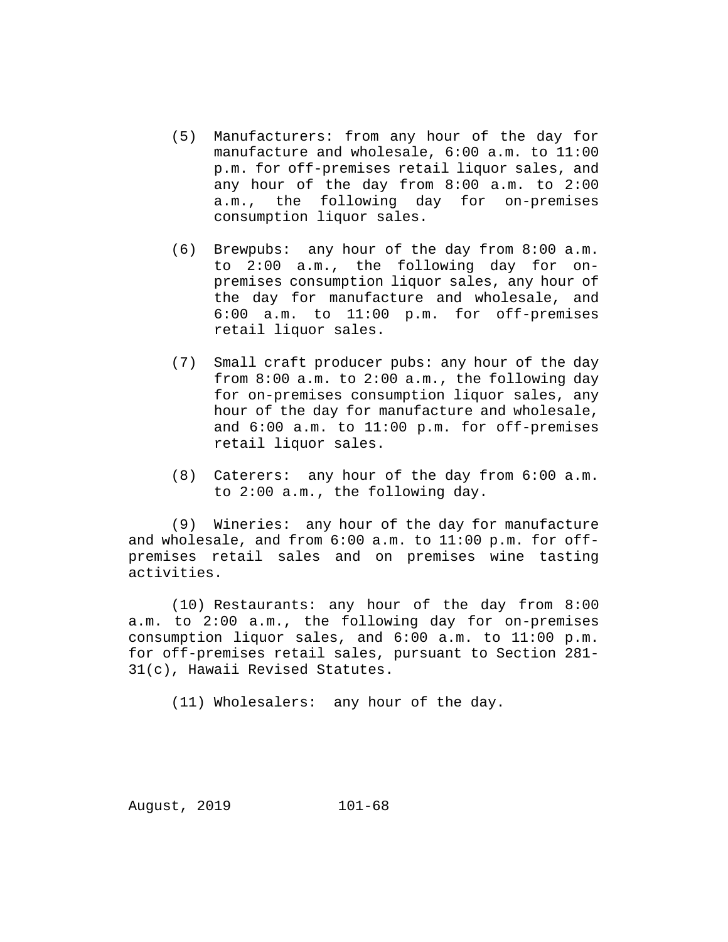- (5) Manufacturers: from any hour of the day for manufacture and wholesale, 6:00 a.m. to 11:00 p.m. for off-premises retail liquor sales, and any hour of the day from 8:00 a.m. to 2:00 a.m., the following day for on-premises consumption liquor sales.
- (6) Brewpubs: any hour of the day from 8:00 a.m. to 2:00 a.m., the following day for onpremises consumption liquor sales, any hour of the day for manufacture and wholesale, and 6:00 a.m. to 11:00 p.m. for off-premises retail liquor sales.
- (7) Small craft producer pubs: any hour of the day from 8:00 a.m. to 2:00 a.m., the following day for on-premises consumption liquor sales, any hour of the day for manufacture and wholesale, and 6:00 a.m. to 11:00 p.m. for off-premises retail liquor sales.
- (8) Caterers: any hour of the day from 6:00 a.m. to 2:00 a.m., the following day.

(9) Wineries: any hour of the day for manufacture and wholesale, and from 6:00 a.m. to 11:00 p.m. for offpremises retail sales and on premises wine tasting activities.

(10) Restaurants: any hour of the day from 8:00 a.m. to 2:00 a.m., the following day for on-premises consumption liquor sales, and 6:00 a.m. to 11:00 p.m. for off-premises retail sales, pursuant to Section 281- 31(c), Hawaii Revised Statutes.

(11) Wholesalers: any hour of the day.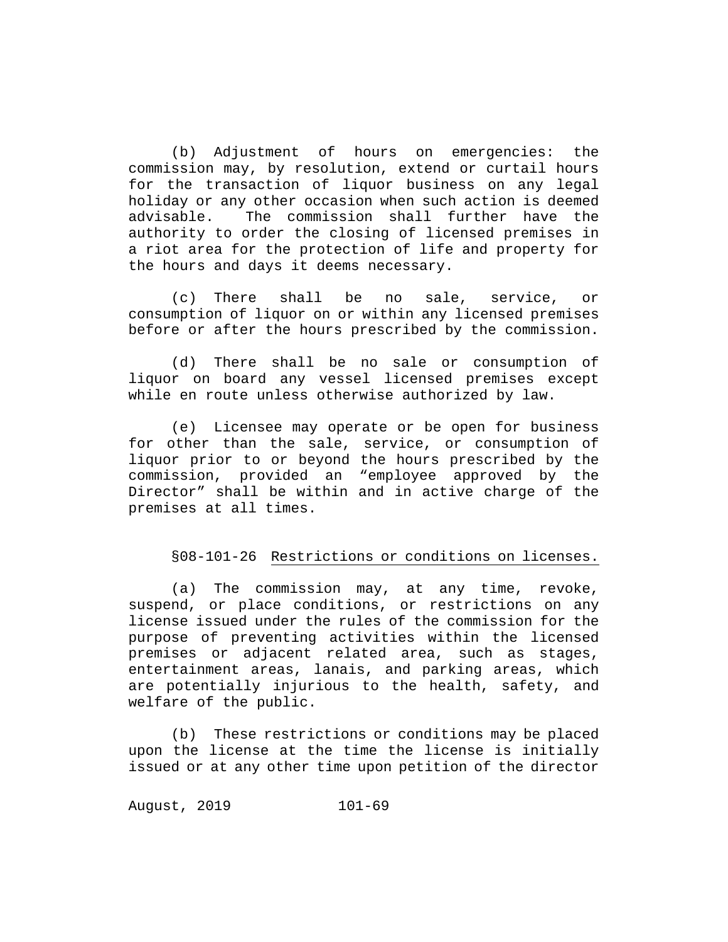(b) Adjustment of hours on emergencies: the commission may, by resolution, extend or curtail hours for the transaction of liquor business on any legal holiday or any other occasion when such action is deemed<br>advisable. The commission shall further have the The commission shall further have the authority to order the closing of licensed premises in a riot area for the protection of life and property for the hours and days it deems necessary.

(c) There shall be no sale, service, or consumption of liquor on or within any licensed premises before or after the hours prescribed by the commission.

(d) There shall be no sale or consumption of liquor on board any vessel licensed premises except while en route unless otherwise authorized by law.

(e) Licensee may operate or be open for business for other than the sale, service, or consumption of liquor prior to or beyond the hours prescribed by the commission, provided an "employee approved by the Director" shall be within and in active charge of the premises at all times.

## §08-101-26 Restrictions or conditions on licenses.

(a) The commission may, at any time, revoke, suspend, or place conditions, or restrictions on any license issued under the rules of the commission for the purpose of preventing activities within the licensed premises or adjacent related area, such as stages, entertainment areas, lanais, and parking areas, which are potentially injurious to the health, safety, and welfare of the public.

(b) These restrictions or conditions may be placed upon the license at the time the license is initially issued or at any other time upon petition of the director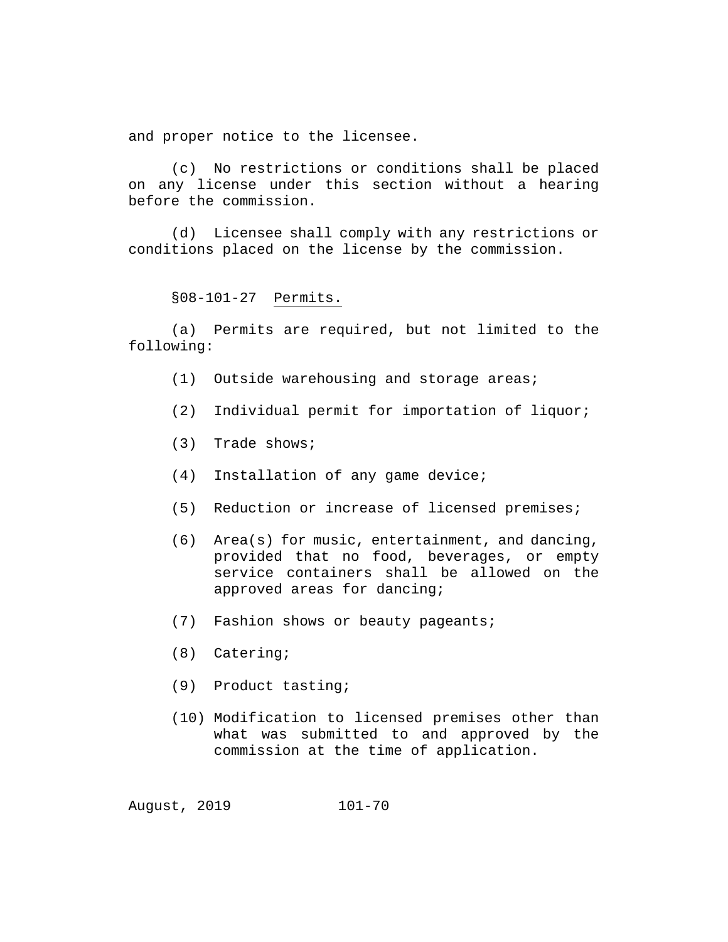and proper notice to the licensee.

(c) No restrictions or conditions shall be placed on any license under this section without a hearing before the commission.

(d) Licensee shall comply with any restrictions or conditions placed on the license by the commission.

§08-101-27 Permits.

(a) Permits are required, but not limited to the following:

- (1) Outside warehousing and storage areas;
- (2) Individual permit for importation of liquor;
- (3) Trade shows;
- (4) Installation of any game device;
- (5) Reduction or increase of licensed premises;
- (6) Area(s) for music, entertainment, and dancing, provided that no food, beverages, or empty service containers shall be allowed on the approved areas for dancing;
- (7) Fashion shows or beauty pageants;
- (8) Catering;
- (9) Product tasting;
- (10) Modification to licensed premises other than what was submitted to and approved by the commission at the time of application.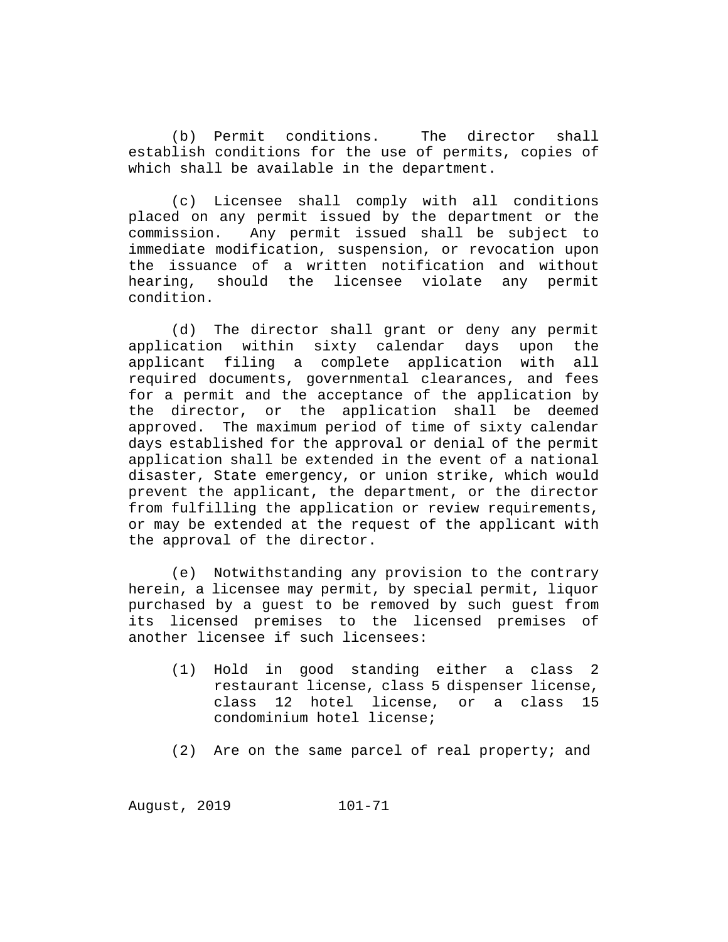(b) Permit conditions. The director shall establish conditions for the use of permits, copies of which shall be available in the department.

(c) Licensee shall comply with all conditions placed on any permit issued by the department or the commission. Any permit issued shall be subject to immediate modification, suspension, or revocation upon the issuance of a written notification and without<br>hearing, should the licensee violate any permit should the licensee violate condition.

(d) The director shall grant or deny any permit<br>cation within sixty calendar days upon the application within sixty calendar days applicant filing a complete application with all required documents, governmental clearances, and fees for a permit and the acceptance of the application by the director, or the application shall be deemed approved. The maximum period of time of sixty calendar days established for the approval or denial of the permit application shall be extended in the event of a national disaster, State emergency, or union strike, which would prevent the applicant, the department, or the director from fulfilling the application or review requirements, or may be extended at the request of the applicant with the approval of the director.

(e) Notwithstanding any provision to the contrary herein, a licensee may permit, by special permit, liquor purchased by a guest to be removed by such guest from its licensed premises to the licensed premises of another licensee if such licensees:

- (1) Hold in good standing either a class 2 restaurant license, class 5 dispenser license, class 12 hotel license, or a class 15 condominium hotel license;
- (2) Are on the same parcel of real property; and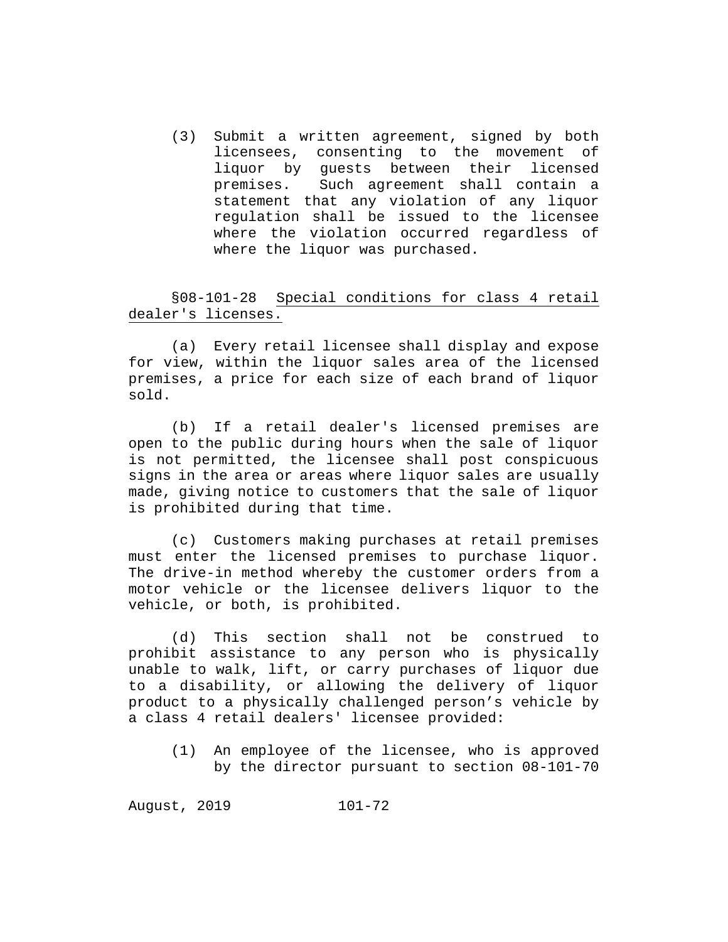(3) Submit a written agreement, signed by both licensees, consenting to the movement of liquor by guests between their licensed<br>premises. Such agreement shall contain a Such agreement shall contain a statement that any violation of any liquor regulation shall be issued to the licensee where the violation occurred regardless of where the liquor was purchased.

§08-101-28 Special conditions for class 4 retail dealer's licenses.

(a) Every retail licensee shall display and expose for view, within the liquor sales area of the licensed premises, a price for each size of each brand of liquor sold.

(b) If a retail dealer's licensed premises are open to the public during hours when the sale of liquor is not permitted, the licensee shall post conspicuous signs in the area or areas where liquor sales are usually made, giving notice to customers that the sale of liquor is prohibited during that time.

(c) Customers making purchases at retail premises must enter the licensed premises to purchase liquor. The drive-in method whereby the customer orders from a motor vehicle or the licensee delivers liquor to the vehicle, or both, is prohibited.

(d) This section shall not be construed to prohibit assistance to any person who is physically unable to walk, lift, or carry purchases of liquor due to a disability, or allowing the delivery of liquor product to a physically challenged person's vehicle by a class 4 retail dealers' licensee provided:

(1) An employee of the licensee, who is approved by the director pursuant to section 08-101-70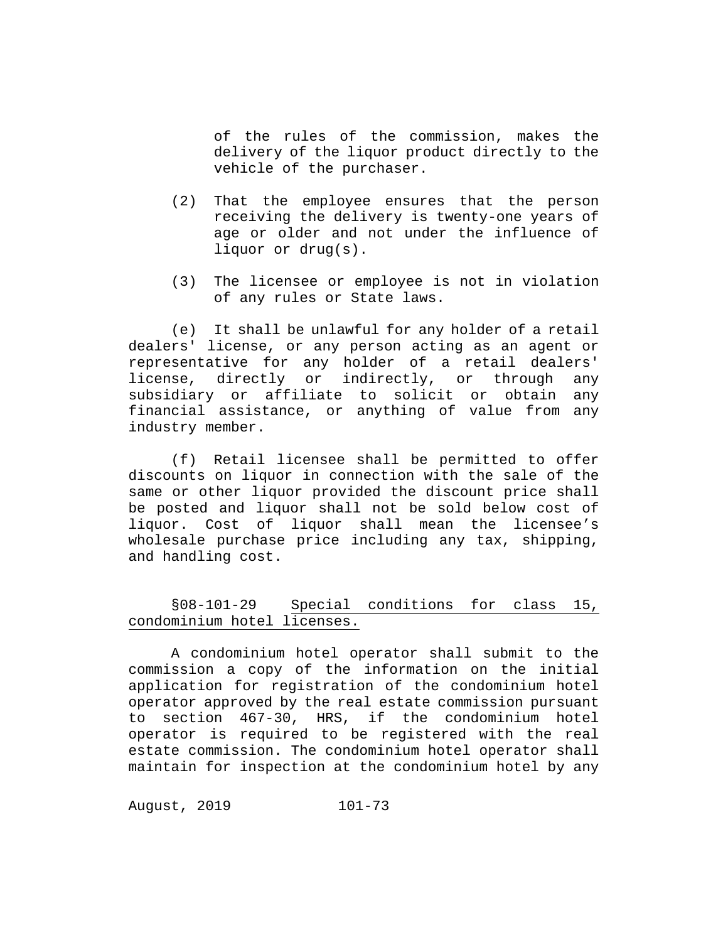of the rules of the commission, makes the delivery of the liquor product directly to the vehicle of the purchaser.

- (2) That the employee ensures that the person receiving the delivery is twenty-one years of age or older and not under the influence of liquor or drug(s).
- (3) The licensee or employee is not in violation of any rules or State laws.

(e) It shall be unlawful for any holder of a retail dealers' license, or any person acting as an agent or representative for any holder of a retail dealers' license, directly or indirectly, or through any subsidiary or affiliate to solicit or obtain any financial assistance, or anything of value from any industry member.

(f) Retail licensee shall be permitted to offer discounts on liquor in connection with the sale of the same or other liquor provided the discount price shall be posted and liquor shall not be sold below cost of liquor. Cost of liquor shall mean the licensee's wholesale purchase price including any tax, shipping, and handling cost.

§08-101-29 Special conditions for class 15, condominium hotel licenses.

A condominium hotel operator shall submit to the commission a copy of the information on the initial application for registration of the condominium hotel operator approved by the real estate commission pursuant to section 467-30, HRS, if the condominium hotel operator is required to be registered with the real estate commission. The condominium hotel operator shall maintain for inspection at the condominium hotel by any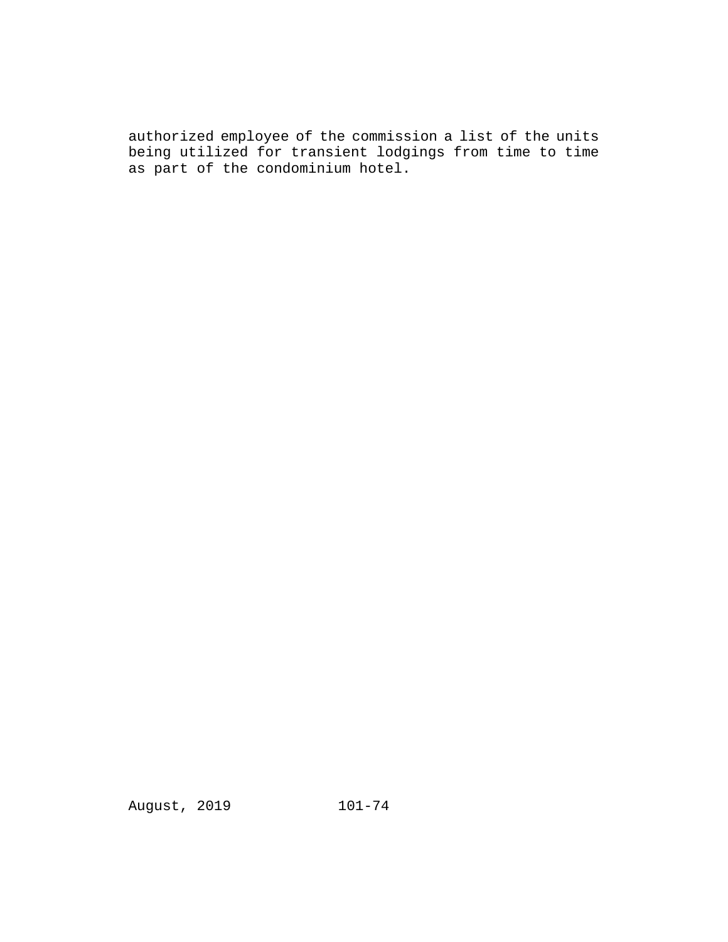authorized employee of the commission a list of the units being utilized for transient lodgings from time to time as part of the condominium hotel.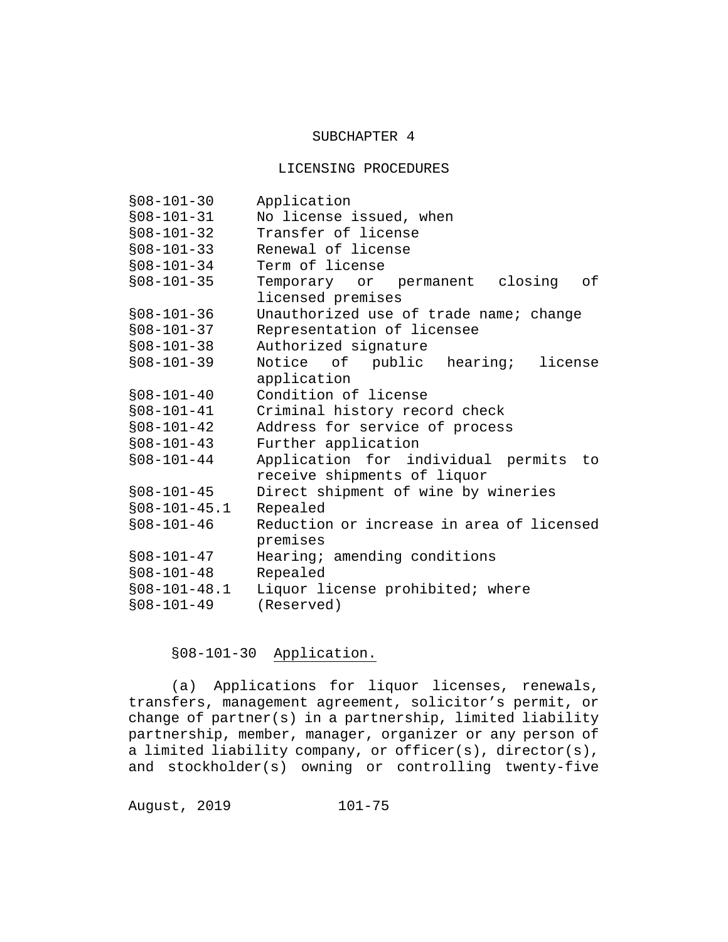#### SUBCHAPTER 4

#### LICENSING PROCEDURES

| $$08-101-30$   | Application                                 |
|----------------|---------------------------------------------|
| $$08-101-31$   | No license issued, when                     |
| $$08-101-32$   | Transfer of license                         |
| $$08-101-33$   | Renewal of license                          |
| $$08-101-34$   | Term of license                             |
| $$08-101-35$   | Temporary or permanent closing<br>of        |
|                | licensed premises                           |
| $$08-101-36$   | Unauthorized use of trade name; change      |
| $$08-101-37$   | Representation of licensee                  |
| $$08-101-38$   | Authorized signature                        |
| $$08-101-39$   | Notice of public hearing;<br>license        |
|                | application                                 |
| $$08-101-40$   | Condition of license                        |
| $$08-101-41$   | Criminal history record check               |
| $$08-101-42$   | Address for service of process              |
| $$08-101-43$   | Further application                         |
| $$08-101-44$   | Application for individual permits<br>to to |
|                | receive shipments of liquor                 |
| $$08-101-45$   | Direct shipment of wine by wineries         |
| $$08-101-45.1$ | Repealed                                    |
| $$08-101-46$   | Reduction or increase in area of licensed   |
|                | premises                                    |
| $$08-101-47$   | Hearing; amending conditions                |
| $$08-101-48$   | Repealed                                    |
| $$08-101-48.1$ | Liquor license prohibited; where            |
| $$08-101-49$   | (Reserved)                                  |

# §08-101-30 Application.

(a) Applications for liquor licenses, renewals, transfers, management agreement, solicitor's permit, or change of partner(s) in a partnership, limited liability partnership, member, manager, organizer or any person of a limited liability company, or officer(s), director(s), and stockholder(s) owning or controlling twenty-five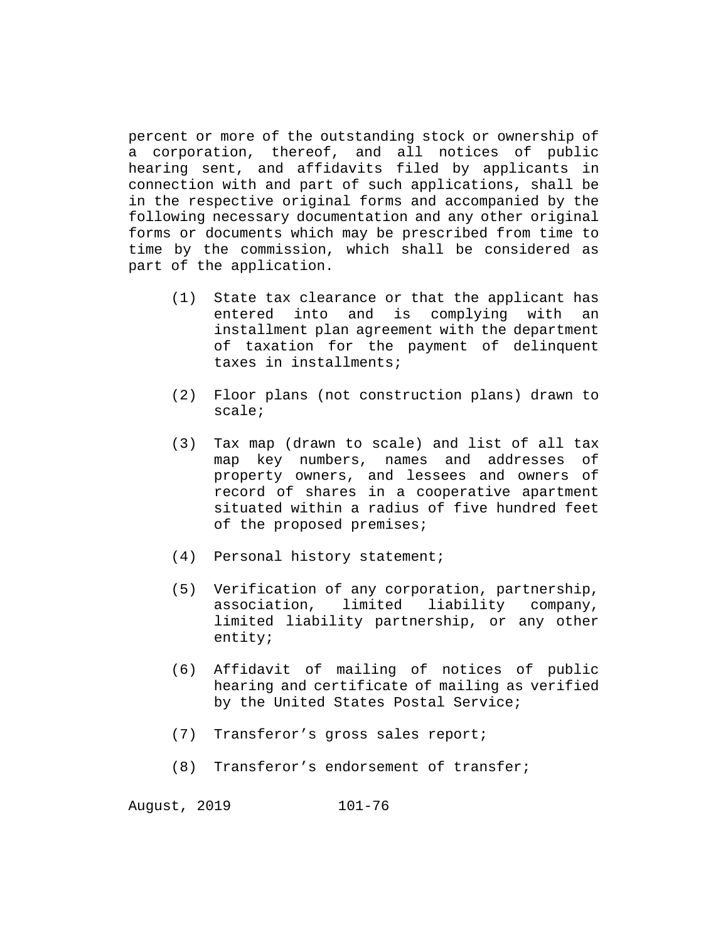percent or more of the outstanding stock or ownership of a corporation, thereof, and all notices of public hearing sent, and affidavits filed by applicants in connection with and part of such applications, shall be in the respective original forms and accompanied by the following necessary documentation and any other original forms or documents which may be prescribed from time to time by the commission, which shall be considered as part of the application.

- (1) State tax clearance or that the applicant has entered into and is complying with an installment plan agreement with the department of taxation for the payment of delinquent taxes in installments;
- (2) Floor plans (not construction plans) drawn to scale;
- (3) Tax map (drawn to scale) and list of all tax map key numbers, names and addresses of property owners, and lessees and owners of record of shares in a cooperative apartment situated within a radius of five hundred feet of the proposed premises;
- (4) Personal history statement;
- (5) Verification of any corporation, partnership, association, limited liability company, limited liability partnership, or any other entity;
- (6) Affidavit of mailing of notices of public hearing and certificate of mailing as verified by the United States Postal Service;
- (7) Transferor's gross sales report;
- (8) Transferor's endorsement of transfer;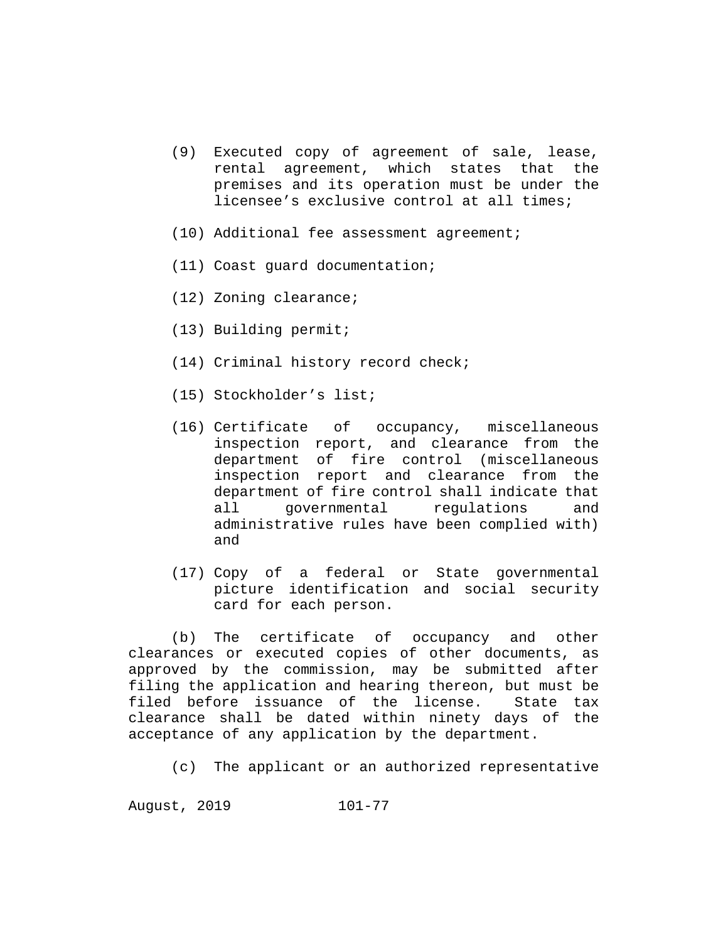- (9) Executed copy of agreement of sale, lease, rental agreement, which states that the premises and its operation must be under the licensee's exclusive control at all times;
- (10) Additional fee assessment agreement;
- (11) Coast guard documentation;
- (12) Zoning clearance;
- (13) Building permit;
- (14) Criminal history record check;
- (15) Stockholder's list;
- (16) Certificate of occupancy, miscellaneous inspection report, and clearance from the department of fire control (miscellaneous inspection report and clearance from the department of fire control shall indicate that all governmental regulations and administrative rules have been complied with) and
- (17) Copy of a federal or State governmental picture identification and social security card for each person.

(b) The certificate of occupancy and other clearances or executed copies of other documents, as approved by the commission, may be submitted after filing the application and hearing thereon, but must be<br>filed before issuance of the license. State tax filed before issuance of the license. clearance shall be dated within ninety days of the acceptance of any application by the department.

(c) The applicant or an authorized representative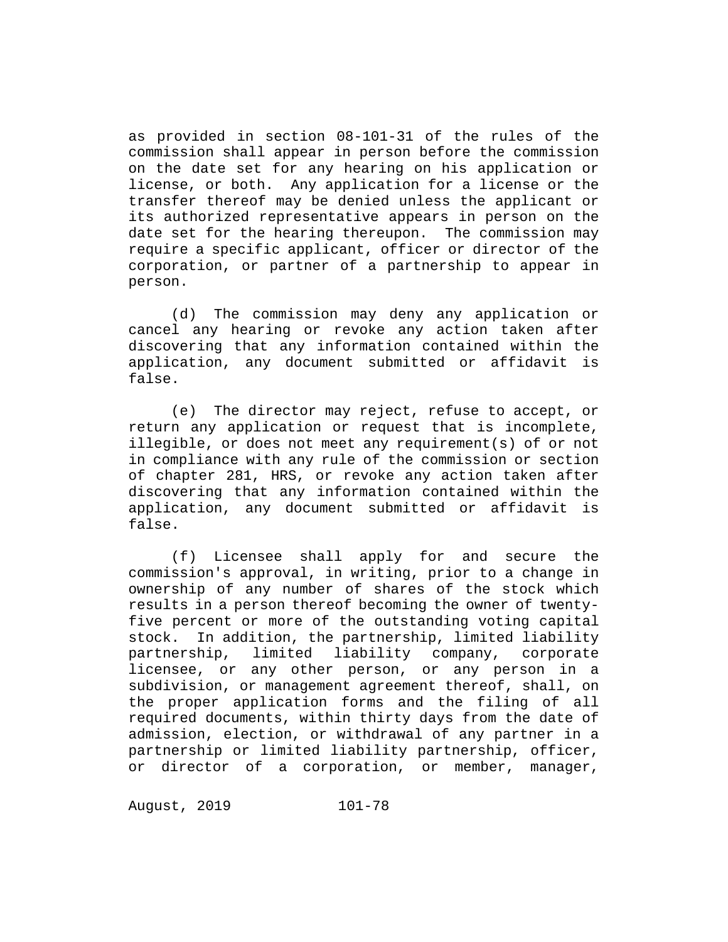as provided in section 08-101-31 of the rules of the commission shall appear in person before the commission on the date set for any hearing on his application or license, or both. Any application for a license or the transfer thereof may be denied unless the applicant or its authorized representative appears in person on the date set for the hearing thereupon. The commission may require a specific applicant, officer or director of the corporation, or partner of a partnership to appear in person.

(d) The commission may deny any application or cancel any hearing or revoke any action taken after discovering that any information contained within the application, any document submitted or affidavit is false.

(e) The director may reject, refuse to accept, or return any application or request that is incomplete, illegible, or does not meet any requirement(s) of or not in compliance with any rule of the commission or section of chapter 281, HRS, or revoke any action taken after discovering that any information contained within the application, any document submitted or affidavit is false.

(f) Licensee shall apply for and secure the commission's approval, in writing, prior to a change in ownership of any number of shares of the stock which results in a person thereof becoming the owner of twentyfive percent or more of the outstanding voting capital stock. In addition, the partnership, limited liability limited liability company, licensee, or any other person, or any person in a subdivision, or management agreement thereof, shall, on the proper application forms and the filing of all required documents, within thirty days from the date of admission, election, or withdrawal of any partner in a partnership or limited liability partnership, officer, or director of a corporation, or member, manager,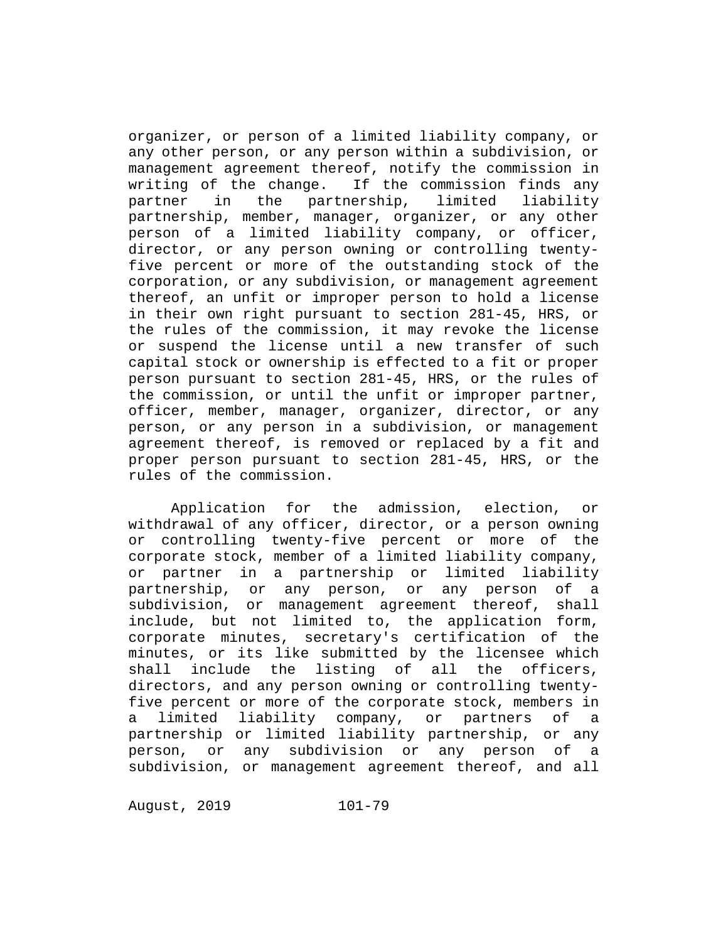organizer, or person of a limited liability company, or any other person, or any person within a subdivision, or management agreement thereof, notify the commission in writing of the change. If the commission finds any<br>partner in the partnership, limited liability partner in the partnership, limited liability partnership, member, manager, organizer, or any other person of a limited liability company, or officer, director, or any person owning or controlling twentyfive percent or more of the outstanding stock of the corporation, or any subdivision, or management agreement thereof, an unfit or improper person to hold a license in their own right pursuant to section 281-45, HRS, or the rules of the commission, it may revoke the license or suspend the license until a new transfer of such capital stock or ownership is effected to a fit or proper person pursuant to section 281-45, HRS, or the rules of the commission, or until the unfit or improper partner, officer, member, manager, organizer, director, or any person, or any person in a subdivision, or management agreement thereof, is removed or replaced by a fit and proper person pursuant to section 281-45, HRS, or the rules of the commission.

Application for the admission, election, or withdrawal of any officer, director, or a person owning or controlling twenty-five percent or more of the corporate stock, member of a limited liability company, or partner in a partnership or limited liability<br>partnership, or any person, or any person of a partnership, or any person, or any person of a subdivision, or management agreement thereof, shall include, but not limited to, the application form, corporate minutes, secretary's certification of the minutes, or its like submitted by the licensee which shall include the listing of all the officers, directors, and any person owning or controlling twentyfive percent or more of the corporate stock, members in<br>a limited liability company, or partners of a a limited liability company, or partners of a partnership or limited liability partnership, or any person, or any subdivision or any person of a subdivision, or management agreement thereof, and all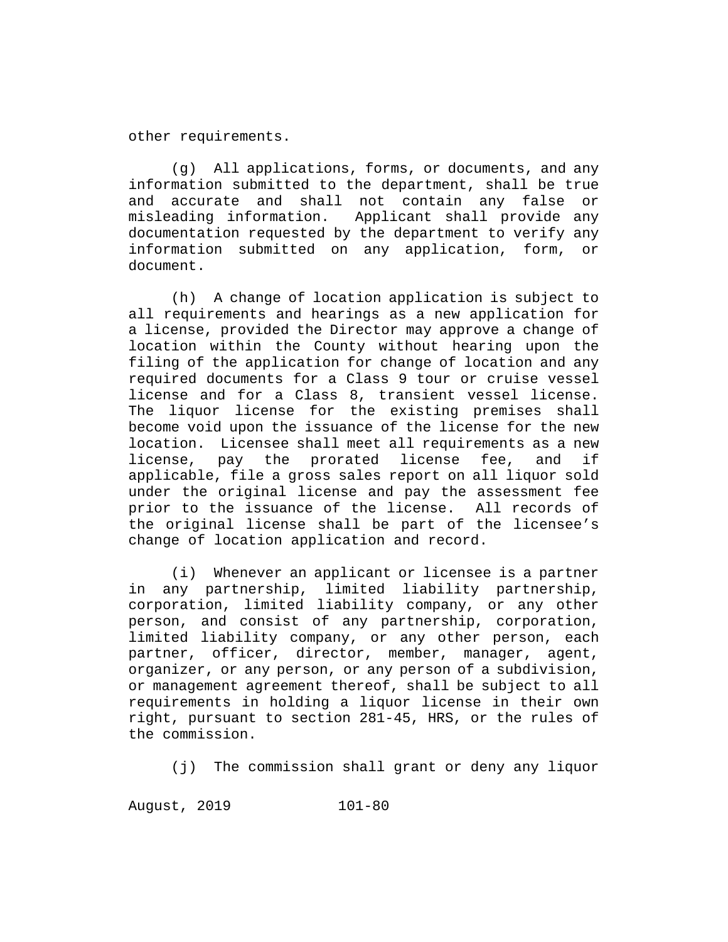other requirements.

All applications, forms, or documents, and any information submitted to the department, shall be true and accurate and shall not contain any false or<br>misleading information. Applicant shall provide any Applicant shall provide any documentation requested by the department to verify any information submitted on any application, form, or document.

(h) A change of location application is subject to all requirements and hearings as a new application for a license, provided the Director may approve a change of location within the County without hearing upon the filing of the application for change of location and any required documents for a Class 9 tour or cruise vessel license and for a Class 8, transient vessel license. The liquor license for the existing premises shall become void upon the issuance of the license for the new location. Licensee shall meet all requirements as a new<br>license, pay the prorated license fee, and if license, pay the prorated license fee, applicable, file a gross sales report on all liquor sold under the original license and pay the assessment fee prior to the issuance of the license. All records of the original license shall be part of the licensee's change of location application and record.

(i) Whenever an applicant or licensee is a partner in any partnership, limited liability partnership, corporation, limited liability company, or any other person, and consist of any partnership, corporation, limited liability company, or any other person, each partner, officer, director, member, manager, agent, organizer, or any person, or any person of a subdivision, or management agreement thereof, shall be subject to all requirements in holding a liquor license in their own right, pursuant to section 281-45, HRS, or the rules of the commission.

(j) The commission shall grant or deny any liquor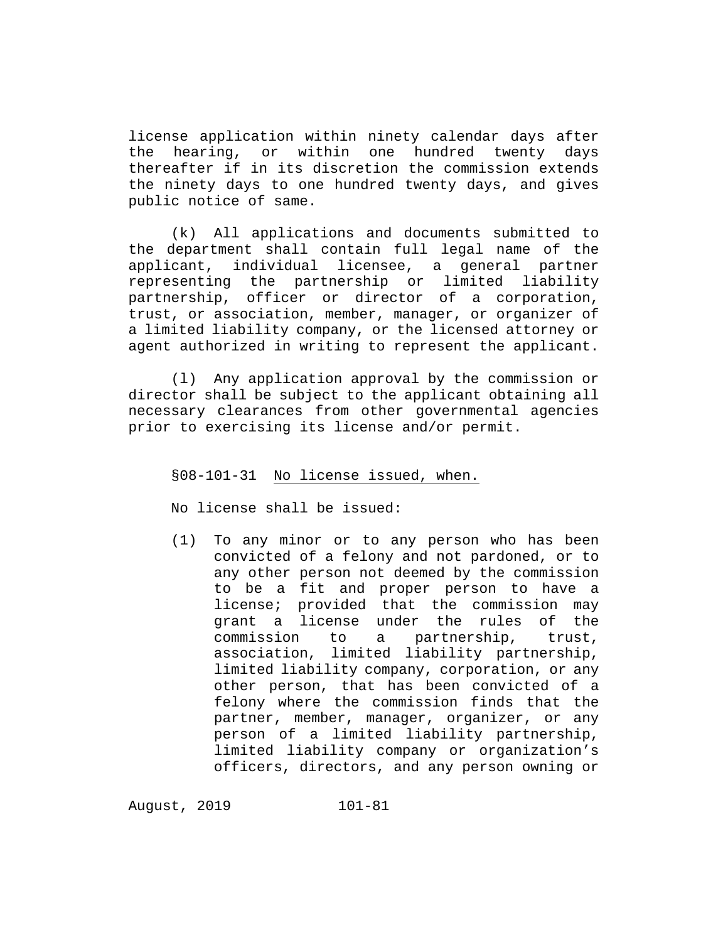license application within ninety calendar days after<br>the hearing, or within one hundred twenty days the hearing, or within one hundred twenty days thereafter if in its discretion the commission extends the ninety days to one hundred twenty days, and gives public notice of same.

(k) All applications and documents submitted to the department shall contain full legal name of the applicant, individual licensee, a general partner representing the partnership or limited liability partnership, officer or director of a corporation, trust, or association, member, manager, or organizer of a limited liability company, or the licensed attorney or agent authorized in writing to represent the applicant.

(l) Any application approval by the commission or director shall be subject to the applicant obtaining all necessary clearances from other governmental agencies prior to exercising its license and/or permit.

### §08-101-31 No license issued, when.

No license shall be issued:

(1) To any minor or to any person who has been convicted of a felony and not pardoned, or to any other person not deemed by the commission to be a fit and proper person to have a license; provided that the commission may grant a license under the rules of the commission to a partnership, trust, association, limited liability partnership, limited liability company, corporation, or any other person, that has been convicted of a felony where the commission finds that the partner, member, manager, organizer, or any person of a limited liability partnership, limited liability company or organization's officers, directors, and any person owning or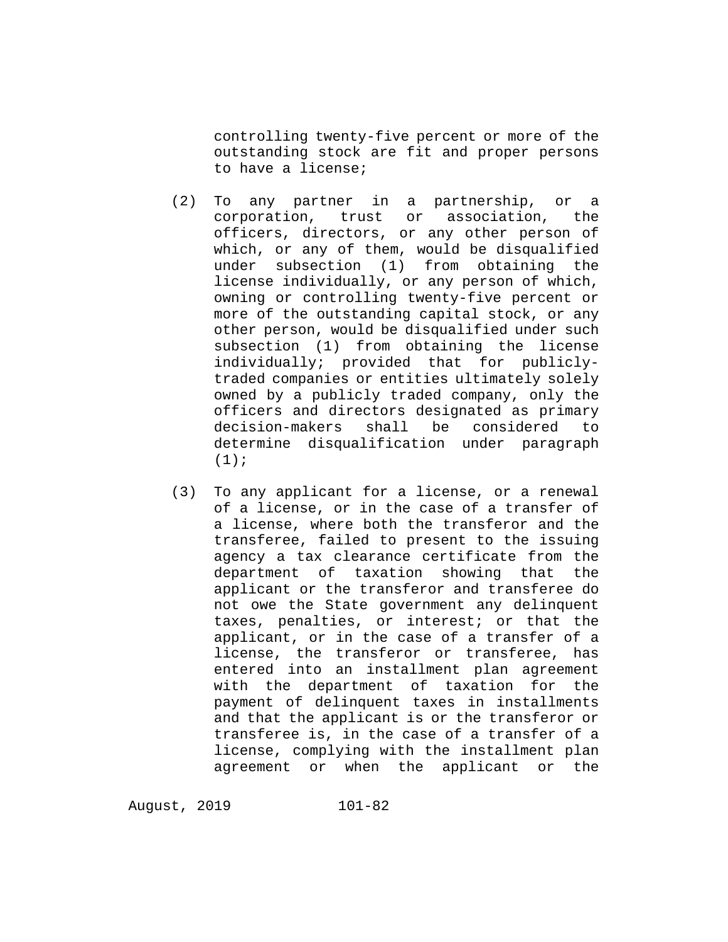controlling twenty-five percent or more of the outstanding stock are fit and proper persons to have a license;

- (2) To any partner in a partnership, or a corporation, trust or association, the officers, directors, or any other person of which, or any of them, would be disqualified under subsection (1) from obtaining the license individually, or any person of which, owning or controlling twenty-five percent or more of the outstanding capital stock, or any other person, would be disqualified under such subsection (1) from obtaining the license individually; provided that for publiclytraded companies or entities ultimately solely owned by a publicly traded company, only the officers and directors designated as primary<br>decision-makers shall be considered to decision-makers shall be considered to determine disqualification under paragraph  $(1)$ ;
- (3) To any applicant for a license, or a renewal of a license, or in the case of a transfer of a license, where both the transferor and the transferee, failed to present to the issuing agency a tax clearance certificate from the department of taxation showing that the applicant or the transferor and transferee do not owe the State government any delinquent taxes, penalties, or interest; or that the applicant, or in the case of a transfer of a license, the transferor or transferee, has entered into an installment plan agreement with the department of taxation for the payment of delinquent taxes in installments and that the applicant is or the transferor or transferee is, in the case of a transfer of a license, complying with the installment plan agreement or when the applicant or the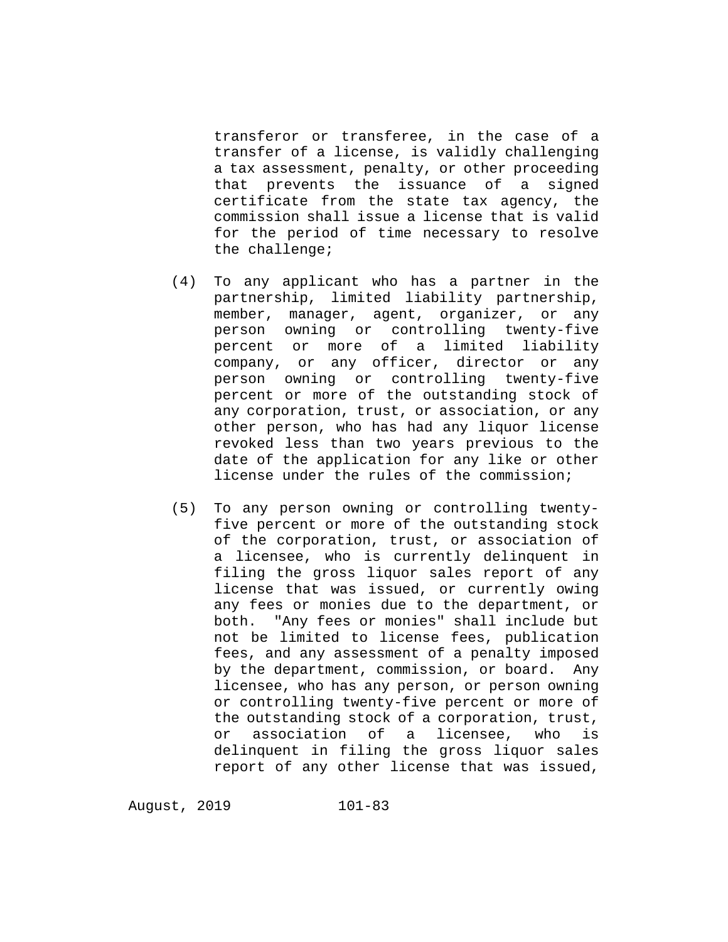transferor or transferee, in the case of a transfer of a license, is validly challenging a tax assessment, penalty, or other proceeding that prevents the issuance of a signed certificate from the state tax agency, the commission shall issue a license that is valid for the period of time necessary to resolve the challenge;

- (4) To any applicant who has a partner in the partnership, limited liability partnership, member, manager, agent, organizer, or any person owning or controlling twenty-five percent or more of a limited liability company, or any officer, director or any person owning or controlling twenty-five percent or more of the outstanding stock of any corporation, trust, or association, or any other person, who has had any liquor license revoked less than two years previous to the date of the application for any like or other license under the rules of the commission;
- (5) To any person owning or controlling twentyfive percent or more of the outstanding stock of the corporation, trust, or association of a licensee, who is currently delinquent in filing the gross liquor sales report of any license that was issued, or currently owing any fees or monies due to the department, or<br>both. "Any fees or monies" shall include but "Any fees or monies" shall include but not be limited to license fees, publication fees, and any assessment of a penalty imposed by the department, commission, or board. Any licensee, who has any person, or person owning or controlling twenty-five percent or more of the outstanding stock of a corporation, trust,<br>or association of a licensee, who is or association of a licensee, who is delinquent in filing the gross liquor sales report of any other license that was issued,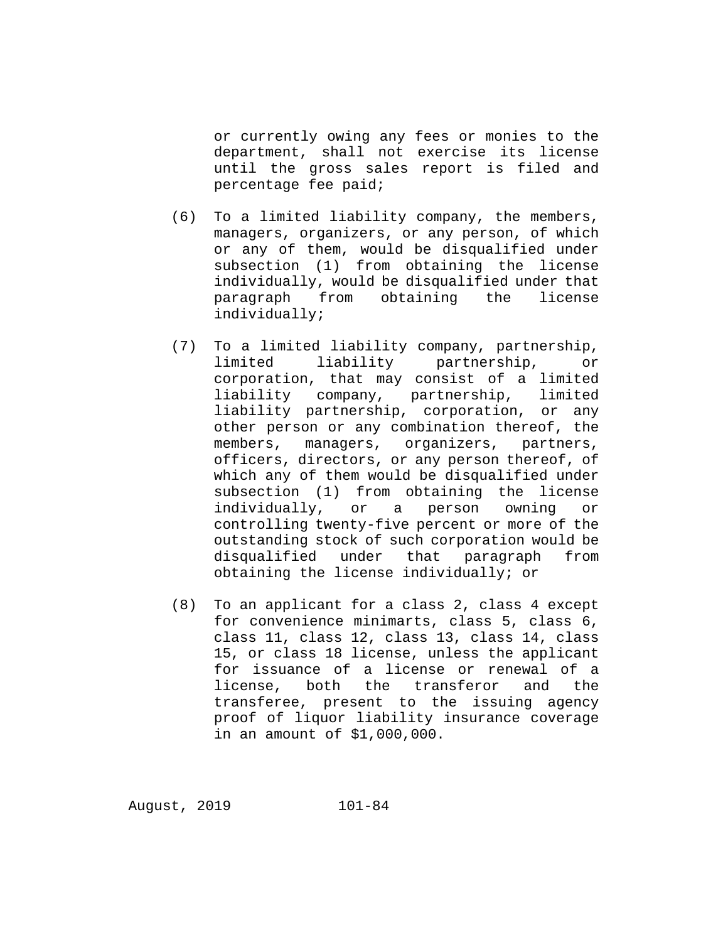or currently owing any fees or monies to the department, shall not exercise its license until the gross sales report is filed and percentage fee paid;

- (6) To a limited liability company, the members, managers, organizers, or any person, of which or any of them, would be disqualified under subsection (1) from obtaining the license individually, would be disqualified under that paragraph from obtaining the license individually;
- (7) To a limited liability company, partnership, limited liability partnership, or corporation, that may consist of a limited liability company, partnership, limited liability partnership, corporation, or any other person or any combination thereof, the members, managers, organizers, partners, officers, directors, or any person thereof, of which any of them would be disqualified under subsection (1) from obtaining the license individually, or a person owning or controlling twenty-five percent or more of the outstanding stock of such corporation would be<br>disqualified under that paragraph from disqualified under that paragraph obtaining the license individually; or
- (8) To an applicant for a class 2, class 4 except for convenience minimarts, class 5, class 6, class 11, class 12, class 13, class 14, class 15, or class 18 license, unless the applicant for issuance of a license or renewal of a<br>license, both the transferor and the license, both the transferor transferee, present to the issuing agency proof of liquor liability insurance coverage in an amount of \$1,000,000.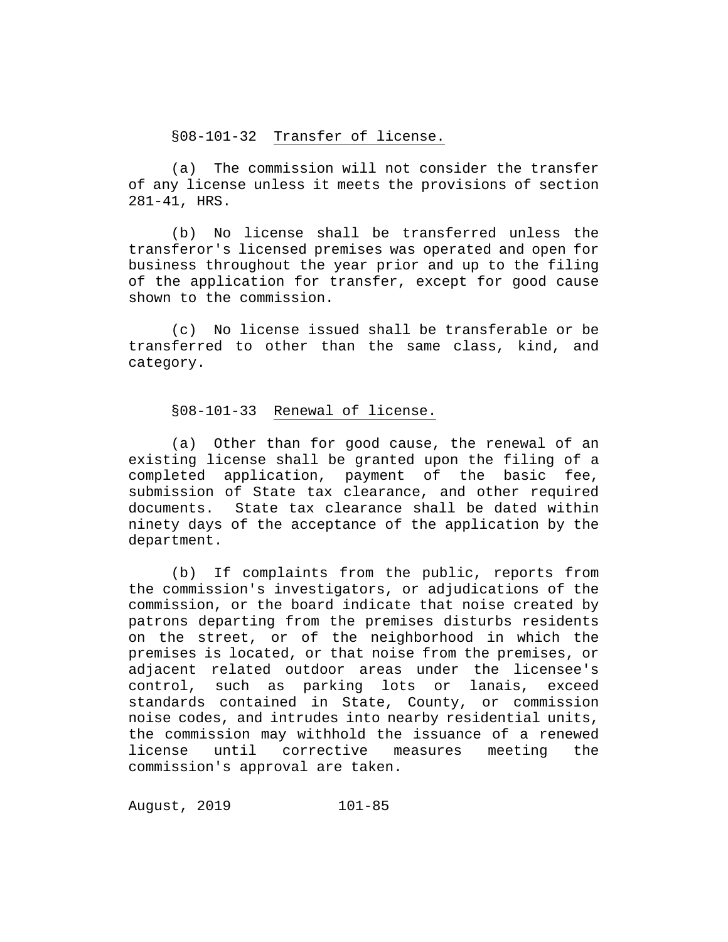# §08-101-32 Transfer of license.

(a) The commission will not consider the transfer of any license unless it meets the provisions of section 281-41, HRS.

(b) No license shall be transferred unless the transferor's licensed premises was operated and open for business throughout the year prior and up to the filing of the application for transfer, except for good cause shown to the commission.

(c) No license issued shall be transferable or be transferred to other than the same class, kind, and category.

# §08-101-33 Renewal of license.

(a) Other than for good cause, the renewal of an existing license shall be granted upon the filing of a completed application, payment of the basic fee, submission of State tax clearance, and other required documents. State tax clearance shall be dated within ninety days of the acceptance of the application by the department.

(b) If complaints from the public, reports from the commission's investigators, or adjudications of the commission, or the board indicate that noise created by patrons departing from the premises disturbs residents on the street, or of the neighborhood in which the premises is located, or that noise from the premises, or adjacent related outdoor areas under the licensee's control, such as parking lots or lanais, exceed standards contained in State, County, or commission noise codes, and intrudes into nearby residential units, the commission may withhold the issuance of a renewed license until corrective measures meeting the commission's approval are taken.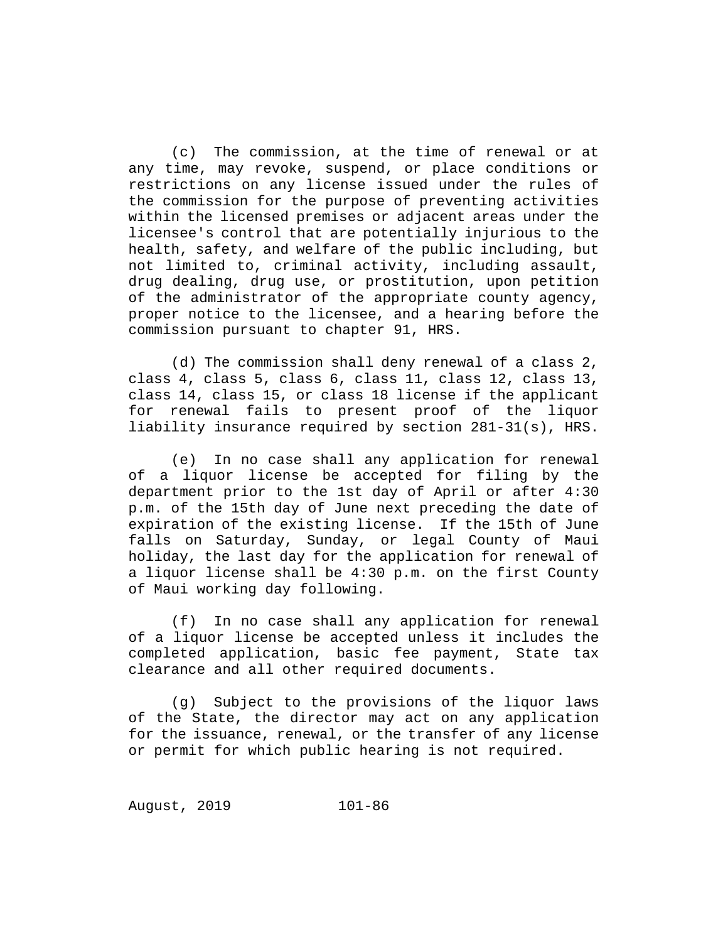(c) The commission, at the time of renewal or at any time, may revoke, suspend, or place conditions or restrictions on any license issued under the rules of the commission for the purpose of preventing activities within the licensed premises or adjacent areas under the licensee's control that are potentially injurious to the health, safety, and welfare of the public including, but not limited to, criminal activity, including assault, drug dealing, drug use, or prostitution, upon petition of the administrator of the appropriate county agency, proper notice to the licensee, and a hearing before the commission pursuant to chapter 91, HRS.

(d) The commission shall deny renewal of a class 2, class 4, class 5, class 6, class 11, class 12, class 13, class 14, class 15, or class 18 license if the applicant for renewal fails to present proof of the liquor liability insurance required by section 281-31(s), HRS.

(e) In no case shall any application for renewal of a liquor license be accepted for filing by the department prior to the 1st day of April or after 4:30 p.m. of the 15th day of June next preceding the date of expiration of the existing license. If the 15th of June falls on Saturday, Sunday, or legal County of Maui holiday, the last day for the application for renewal of a liquor license shall be 4:30 p.m. on the first County of Maui working day following.

(f) In no case shall any application for renewal of a liquor license be accepted unless it includes the completed application, basic fee payment, State tax clearance and all other required documents.

(g) Subject to the provisions of the liquor laws of the State, the director may act on any application for the issuance, renewal, or the transfer of any license or permit for which public hearing is not required.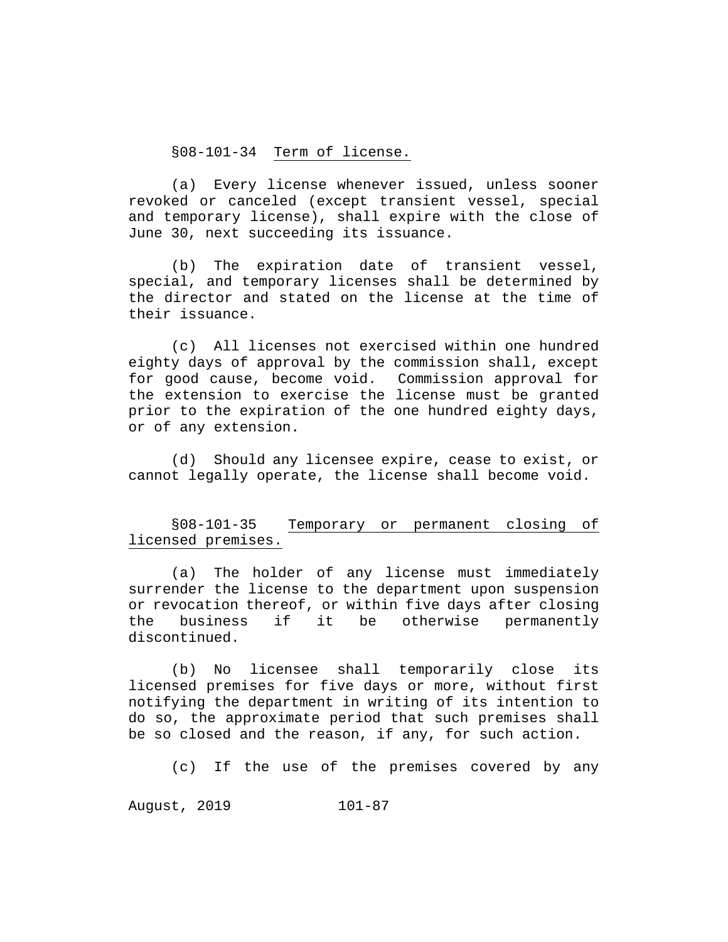§08-101-34 Term of license.

(a) Every license whenever issued, unless sooner revoked or canceled (except transient vessel, special and temporary license), shall expire with the close of June 30, next succeeding its issuance.

(b) The expiration date of transient vessel, special, and temporary licenses shall be determined by the director and stated on the license at the time of their issuance.

(c) All licenses not exercised within one hundred eighty days of approval by the commission shall, except for good cause, become void. Commission approval for the extension to exercise the license must be granted prior to the expiration of the one hundred eighty days, or of any extension.

(d) Should any licensee expire, cease to exist, or cannot legally operate, the license shall become void.

# §08-101-35 Temporary or permanent closing of licensed premises.

(a) The holder of any license must immediately surrender the license to the department upon suspension or revocation thereof, or within five days after closing<br>the business if it be otherwise permanently be otherwise discontinued.

(b) No licensee shall temporarily close its licensed premises for five days or more, without first notifying the department in writing of its intention to do so, the approximate period that such premises shall be so closed and the reason, if any, for such action.

(c) If the use of the premises covered by any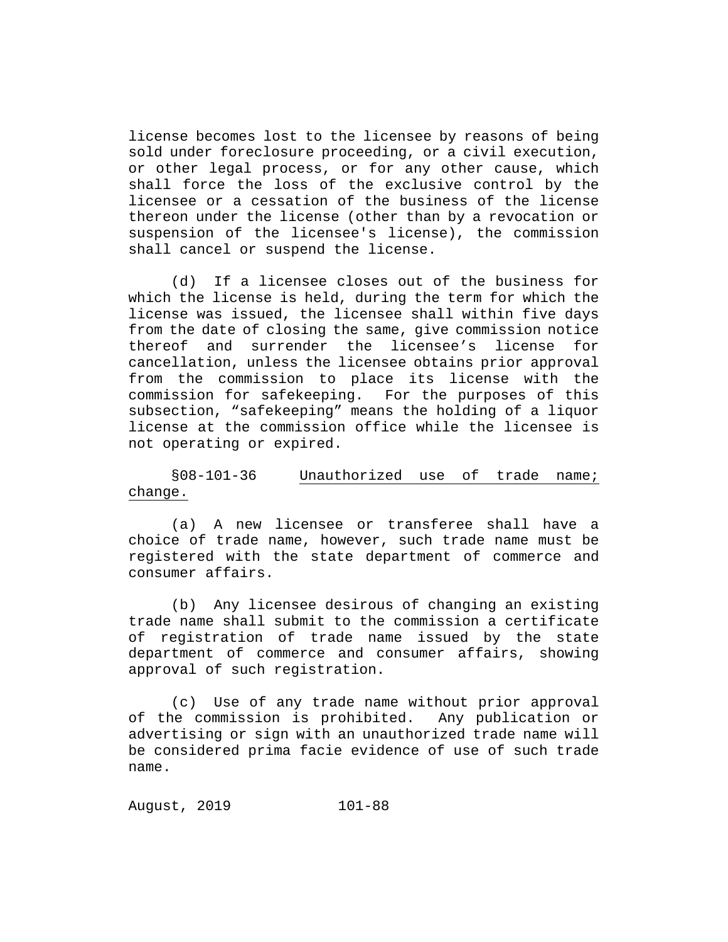license becomes lost to the licensee by reasons of being sold under foreclosure proceeding, or a civil execution, or other legal process, or for any other cause, which shall force the loss of the exclusive control by the licensee or a cessation of the business of the license thereon under the license (other than by a revocation or suspension of the licensee's license), the commission shall cancel or suspend the license.

(d) If a licensee closes out of the business for which the license is held, during the term for which the license was issued, the licensee shall within five days from the date of closing the same, give commission notice<br>thereof and surrender the licensee's license for thereof and surrender the licensee's license cancellation, unless the licensee obtains prior approval from the commission to place its license with the commission for safekeeping. For the purposes of this subsection, "safekeeping" means the holding of a liquor license at the commission office while the licensee is not operating or expired.

§08-101-36 Unauthorized use of trade name; change.

(a) A new licensee or transferee shall have a choice of trade name, however, such trade name must be registered with the state department of commerce and consumer affairs.

(b) Any licensee desirous of changing an existing trade name shall submit to the commission a certificate of registration of trade name issued by the state department of commerce and consumer affairs, showing approval of such registration.

(c) Use of any trade name without prior approval<br>le commission is prohibited. Any publication or of the commission is prohibited. advertising or sign with an unauthorized trade name will be considered prima facie evidence of use of such trade name.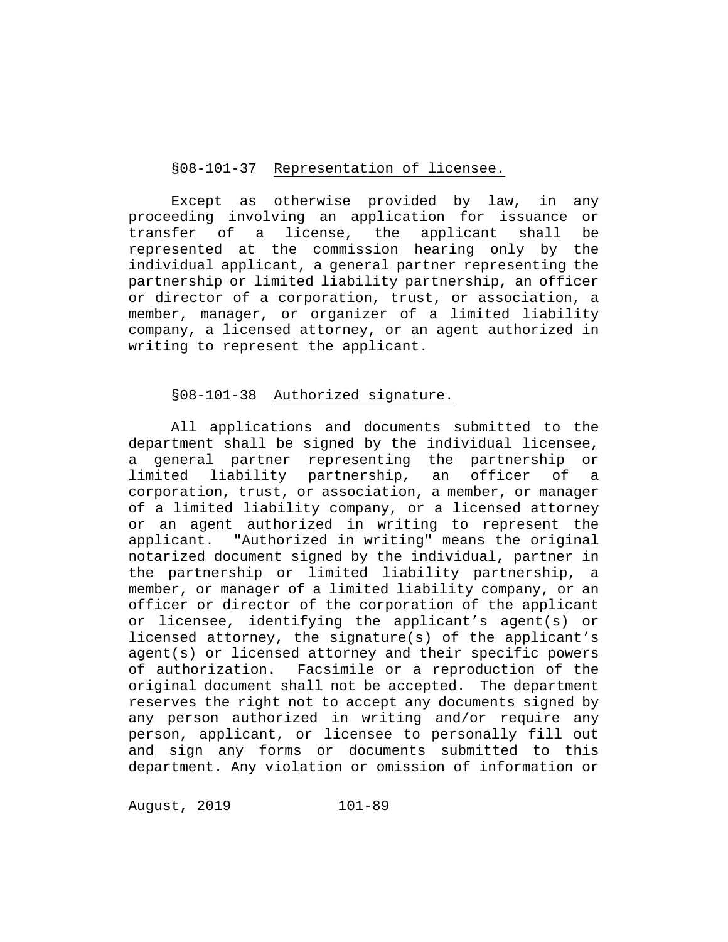#### §08-101-37 Representation of licensee.

Except as otherwise provided by law, in any proceeding involving an application for issuance or transfer of a license, the applicant shall be represented at the commission hearing only by the individual applicant, a general partner representing the partnership or limited liability partnership, an officer or director of a corporation, trust, or association, a member, manager, or organizer of a limited liability company, a licensed attorney, or an agent authorized in writing to represent the applicant.

# §08-101-38 Authorized signature.

All applications and documents submitted to the department shall be signed by the individual licensee, a general partner representing the partnership or limited liability partnership, an officer of a corporation, trust, or association, a member, or manager of a limited liability company, or a licensed attorney or an agent authorized in writing to represent the applicant. "Authorized in writing" means the original notarized document signed by the individual, partner in the partnership or limited liability partnership, a member, or manager of a limited liability company, or an officer or director of the corporation of the applicant or licensee, identifying the applicant's agent(s) or licensed attorney, the signature(s) of the applicant's agent(s) or licensed attorney and their specific powers of authorization. Facsimile or a reproduction of the original document shall not be accepted. The department reserves the right not to accept any documents signed by any person authorized in writing and/or require any person, applicant, or licensee to personally fill out and sign any forms or documents submitted to this department. Any violation or omission of information or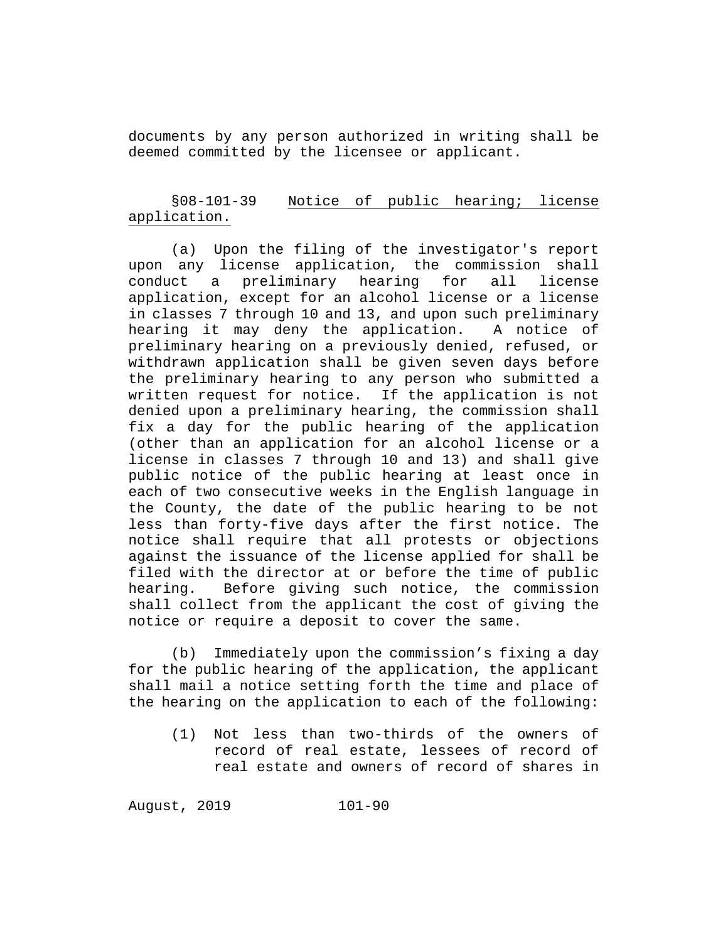documents by any person authorized in writing shall be deemed committed by the licensee or applicant.

# §08-101-39 Notice of public hearing; license application.

(a) Upon the filing of the investigator's report upon any license application, the commission shall<br>conduct a preliminary hearing for all license a preliminary hearing application, except for an alcohol license or a license in classes 7 through 10 and 13, and upon such preliminary hearing it may deny the application. A notice of preliminary hearing on a previously denied, refused, or withdrawn application shall be given seven days before the preliminary hearing to any person who submitted a written request for notice. If the application is not denied upon a preliminary hearing, the commission shall fix a day for the public hearing of the application (other than an application for an alcohol license or a license in classes 7 through 10 and 13) and shall give public notice of the public hearing at least once in each of two consecutive weeks in the English language in the County, the date of the public hearing to be not less than forty-five days after the first notice. The notice shall require that all protests or objections against the issuance of the license applied for shall be filed with the director at or before the time of public<br>hearing. Before giving such notice, the commission Before giving such notice, the commission shall collect from the applicant the cost of giving the notice or require a deposit to cover the same.

(b) Immediately upon the commission's fixing a day for the public hearing of the application, the applicant shall mail a notice setting forth the time and place of the hearing on the application to each of the following:

(1) Not less than two-thirds of the owners of record of real estate, lessees of record of real estate and owners of record of shares in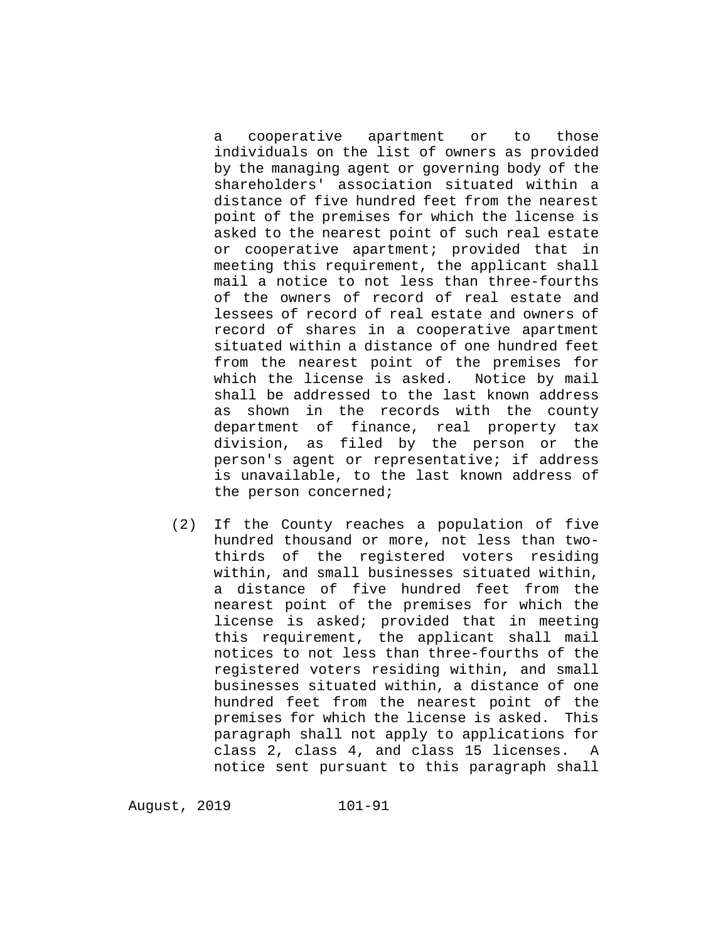a cooperative apartment or to those individuals on the list of owners as provided by the managing agent or governing body of the shareholders' association situated within a distance of five hundred feet from the nearest point of the premises for which the license is asked to the nearest point of such real estate or cooperative apartment; provided that in meeting this requirement, the applicant shall mail a notice to not less than three-fourths of the owners of record of real estate and lessees of record of real estate and owners of record of shares in a cooperative apartment situated within a distance of one hundred feet from the nearest point of the premises for which the license is asked. Notice by mail shall be addressed to the last known address as shown in the records with the county department of finance, real property tax division, as filed by the person or the person's agent or representative; if address is unavailable, to the last known address of the person concerned;

(2) If the County reaches a population of five hundred thousand or more, not less than twothirds of the registered voters residing within, and small businesses situated within, a distance of five hundred feet from the nearest point of the premises for which the license is asked; provided that in meeting this requirement, the applicant shall mail notices to not less than three-fourths of the registered voters residing within, and small businesses situated within, a distance of one hundred feet from the nearest point of the premises for which the license is asked. This paragraph shall not apply to applications for class 2, class 4, and class 15 licenses. A notice sent pursuant to this paragraph shall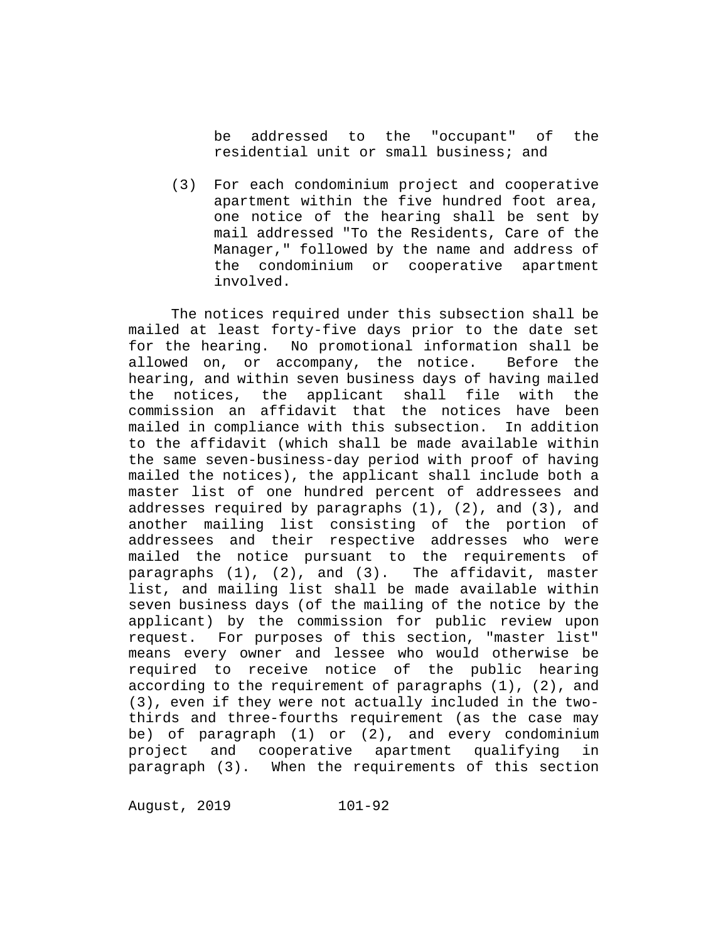be addressed to the "occupant" of the residential unit or small business; and

(3) For each condominium project and cooperative apartment within the five hundred foot area, one notice of the hearing shall be sent by mail addressed "To the Residents, Care of the Manager," followed by the name and address of the condominium or cooperative apartment involved.

The notices required under this subsection shall be mailed at least forty-five days prior to the date set for the hearing. No promotional information shall be allowed on, or accompany, the notice. Before the hearing, and within seven business days of having mailed the notices, the applicant shall file with the commission an affidavit that the notices have been mailed in compliance with this subsection. In addition to the affidavit (which shall be made available within the same seven-business-day period with proof of having mailed the notices), the applicant shall include both a master list of one hundred percent of addressees and addresses required by paragraphs (1), (2), and (3), and another mailing list consisting of the portion of addressees and their respective addresses who were mailed the notice pursuant to the requirements of paragraphs (1), (2), and (3). The affidavit, master list, and mailing list shall be made available within seven business days (of the mailing of the notice by the applicant) by the commission for public review upon request. For purposes of this section, "master list" means every owner and lessee who would otherwise be required to receive notice of the public hearing according to the requirement of paragraphs (1), (2), and (3), even if they were not actually included in the twothirds and three-fourths requirement (as the case may be) of paragraph (1) or (2), and every condominium project and cooperative apartment qualifying in paragraph (3). When the requirements of this section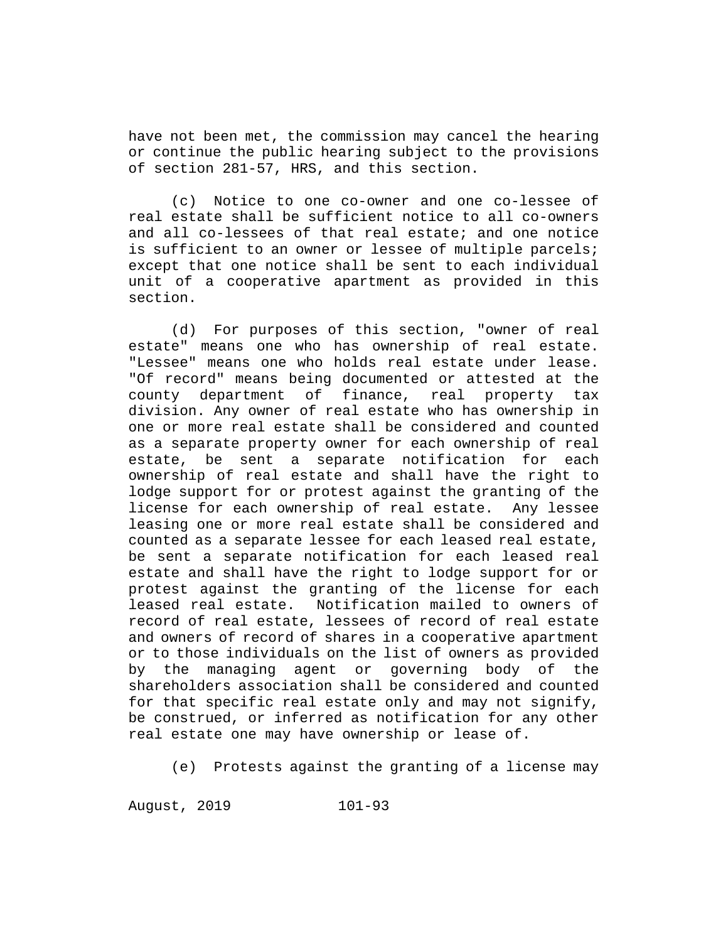have not been met, the commission may cancel the hearing or continue the public hearing subject to the provisions of section 281-57, HRS, and this section.

(c) Notice to one co-owner and one co-lessee of real estate shall be sufficient notice to all co-owners and all co-lessees of that real estate; and one notice is sufficient to an owner or lessee of multiple parcels; except that one notice shall be sent to each individual unit of a cooperative apartment as provided in this section.

(d) For purposes of this section, "owner of real estate" means one who has ownership of real estate. "Lessee" means one who holds real estate under lease. "Of record" means being documented or attested at the county department of finance, real property tax division. Any owner of real estate who has ownership in one or more real estate shall be considered and counted as a separate property owner for each ownership of real estate, be sent a separate notification for each ownership of real estate and shall have the right to lodge support for or protest against the granting of the license for each ownership of real estate. Any lessee leasing one or more real estate shall be considered and counted as a separate lessee for each leased real estate, be sent a separate notification for each leased real estate and shall have the right to lodge support for or protest against the granting of the license for each leased real estate. Notification mailed to owners of record of real estate, lessees of record of real estate and owners of record of shares in a cooperative apartment or to those individuals on the list of owners as provided by the managing agent or governing body of the shareholders association shall be considered and counted for that specific real estate only and may not signify, be construed, or inferred as notification for any other real estate one may have ownership or lease of.

(e) Protests against the granting of a license may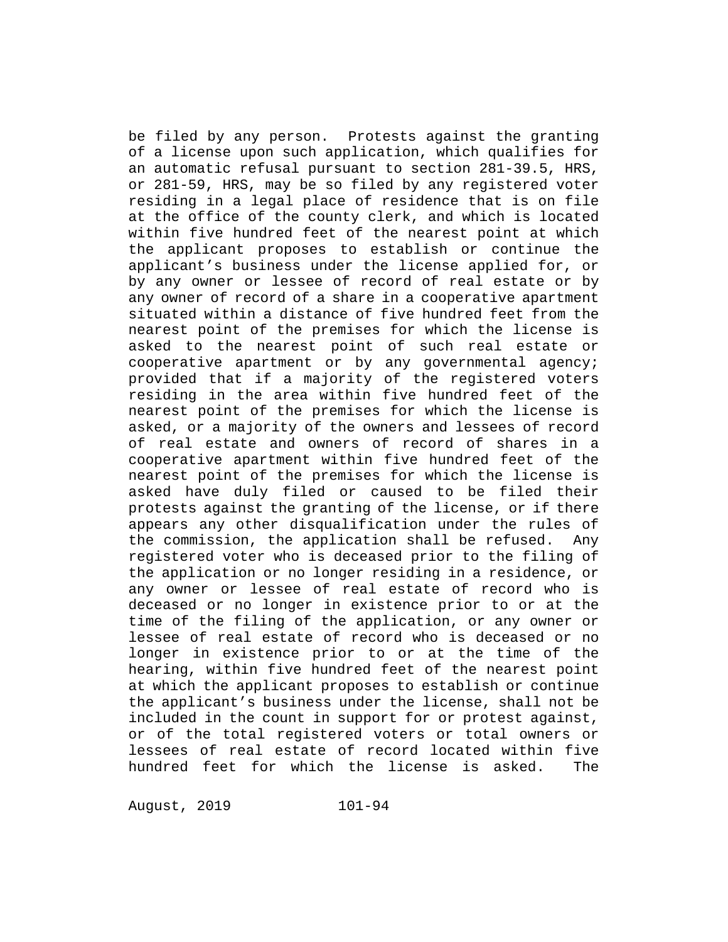be filed by any person. Protests against the granting of a license upon such application, which qualifies for an automatic refusal pursuant to section 281-39.5, HRS, or 281-59, HRS, may be so filed by any registered voter residing in a legal place of residence that is on file at the office of the county clerk, and which is located within five hundred feet of the nearest point at which the applicant proposes to establish or continue the applicant's business under the license applied for, or by any owner or lessee of record of real estate or by any owner of record of a share in a cooperative apartment situated within a distance of five hundred feet from the nearest point of the premises for which the license is asked to the nearest point of such real estate or cooperative apartment or by any governmental agency; provided that if a majority of the registered voters residing in the area within five hundred feet of the nearest point of the premises for which the license is asked, or a majority of the owners and lessees of record of real estate and owners of record of shares in a cooperative apartment within five hundred feet of the nearest point of the premises for which the license is asked have duly filed or caused to be filed their protests against the granting of the license, or if there appears any other disqualification under the rules of the commission, the application shall be refused. Any registered voter who is deceased prior to the filing of the application or no longer residing in a residence, or any owner or lessee of real estate of record who is deceased or no longer in existence prior to or at the time of the filing of the application, or any owner or lessee of real estate of record who is deceased or no longer in existence prior to or at the time of the hearing, within five hundred feet of the nearest point at which the applicant proposes to establish or continue the applicant's business under the license, shall not be included in the count in support for or protest against, or of the total registered voters or total owners or lessees of real estate of record located within five hundred feet for which the license is asked. The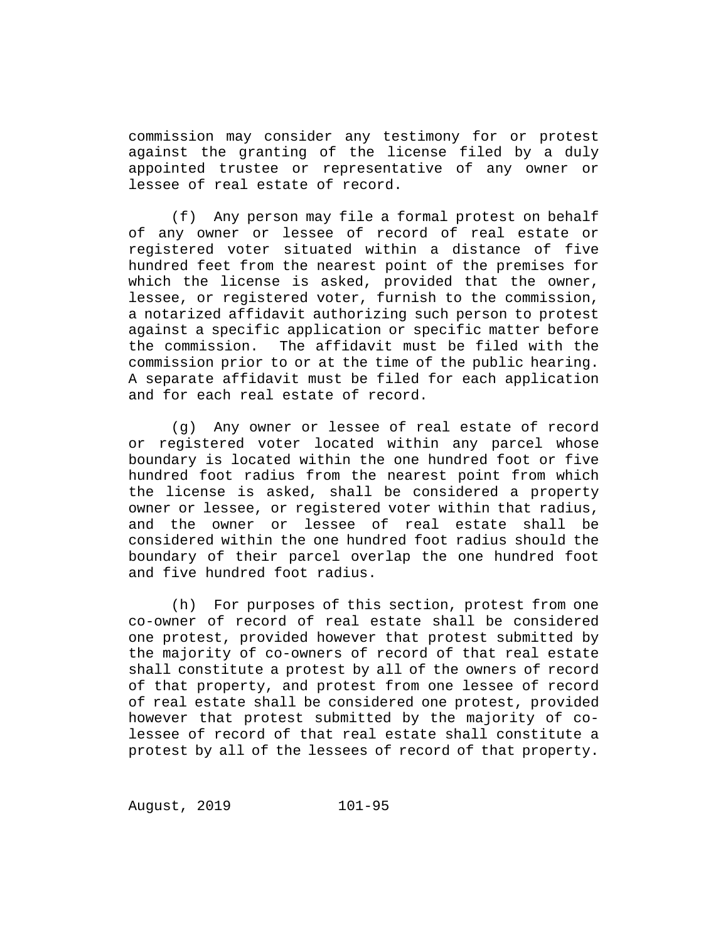commission may consider any testimony for or protest against the granting of the license filed by a duly appointed trustee or representative of any owner or lessee of real estate of record.

(f) Any person may file a formal protest on behalf of any owner or lessee of record of real estate or registered voter situated within a distance of five hundred feet from the nearest point of the premises for which the license is asked, provided that the owner, lessee, or registered voter, furnish to the commission, a notarized affidavit authorizing such person to protest against a specific application or specific matter before the commission. The affidavit must be filed with the commission prior to or at the time of the public hearing. A separate affidavit must be filed for each application and for each real estate of record.

(g) Any owner or lessee of real estate of record or registered voter located within any parcel whose boundary is located within the one hundred foot or five hundred foot radius from the nearest point from which the license is asked, shall be considered a property owner or lessee, or registered voter within that radius, and the owner or lessee of real estate shall be considered within the one hundred foot radius should the boundary of their parcel overlap the one hundred foot and five hundred foot radius.

(h) For purposes of this section, protest from one co-owner of record of real estate shall be considered one protest, provided however that protest submitted by the majority of co-owners of record of that real estate shall constitute a protest by all of the owners of record of that property, and protest from one lessee of record of real estate shall be considered one protest, provided however that protest submitted by the majority of colessee of record of that real estate shall constitute a protest by all of the lessees of record of that property.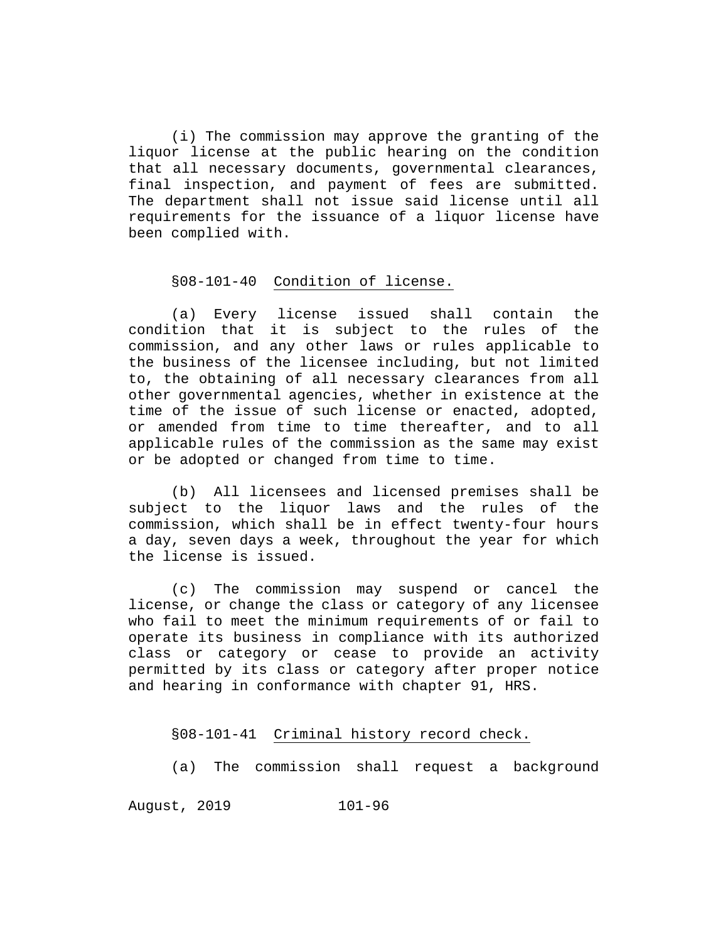(i) The commission may approve the granting of the liquor license at the public hearing on the condition that all necessary documents, governmental clearances, final inspection, and payment of fees are submitted. The department shall not issue said license until all requirements for the issuance of a liquor license have been complied with.

# §08-101-40 Condition of license.

(a) Every license issued shall contain the condition that it is subject to the rules of the commission, and any other laws or rules applicable to the business of the licensee including, but not limited to, the obtaining of all necessary clearances from all other governmental agencies, whether in existence at the time of the issue of such license or enacted, adopted, or amended from time to time thereafter, and to all applicable rules of the commission as the same may exist or be adopted or changed from time to time.

(b) All licensees and licensed premises shall be subject to the liquor laws and the rules of the commission, which shall be in effect twenty-four hours a day, seven days a week, throughout the year for which the license is issued.

(c) The commission may suspend or cancel the license, or change the class or category of any licensee who fail to meet the minimum requirements of or fail to operate its business in compliance with its authorized class or category or cease to provide an activity permitted by its class or category after proper notice and hearing in conformance with chapter 91, HRS.

#### §08-101-41 Criminal history record check.

(a) The commission shall request a background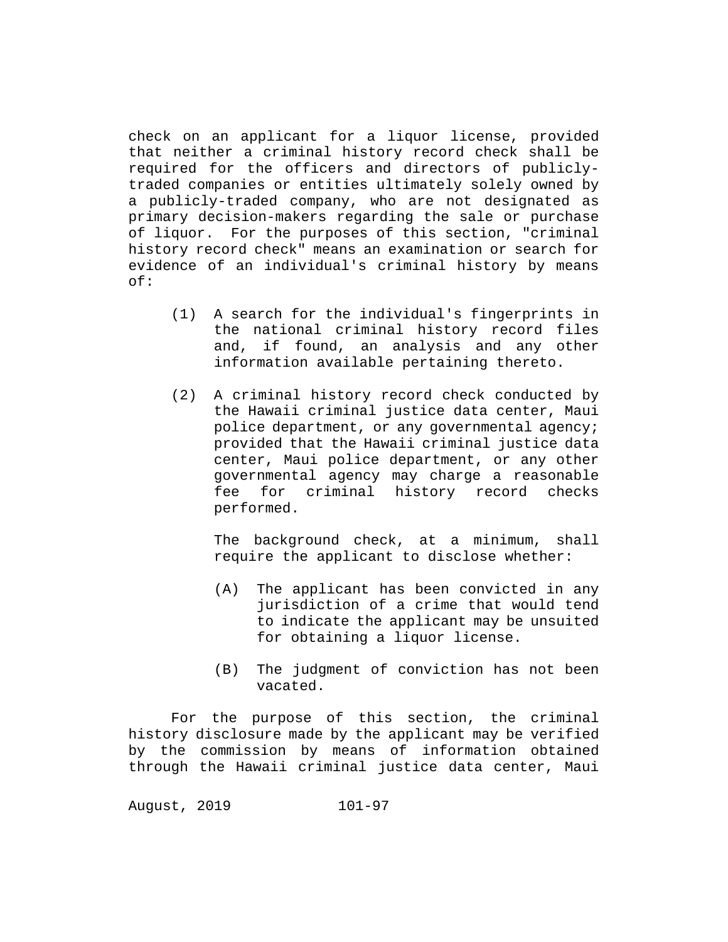check on an applicant for a liquor license, provided that neither a criminal history record check shall be required for the officers and directors of publiclytraded companies or entities ultimately solely owned by a publicly-traded company, who are not designated as primary decision-makers regarding the sale or purchase of liquor. For the purposes of this section, "criminal history record check" means an examination or search for evidence of an individual's criminal history by means of:

- (1) A search for the individual's fingerprints in the national criminal history record files and, if found, an analysis and any other information available pertaining thereto.
- (2) A criminal history record check conducted by the Hawaii criminal justice data center, Maui police department, or any governmental agency; provided that the Hawaii criminal justice data center, Maui police department, or any other governmental agency may charge a reasonable<br>fee for criminal history record checks for criminal history record performed.

The background check, at a minimum, shall require the applicant to disclose whether:

- (A) The applicant has been convicted in any jurisdiction of a crime that would tend to indicate the applicant may be unsuited for obtaining a liquor license.
- (B) The judgment of conviction has not been vacated.

For the purpose of this section, the criminal history disclosure made by the applicant may be verified by the commission by means of information obtained through the Hawaii criminal justice data center, Maui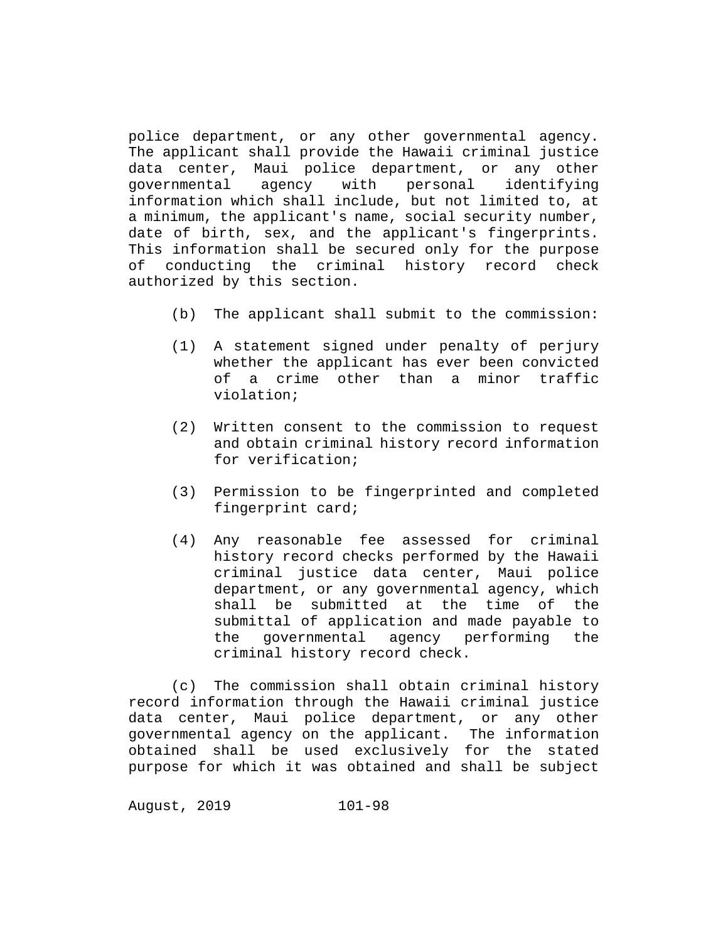police department, or any other governmental agency. The applicant shall provide the Hawaii criminal justice data center, Maui police department, or any other<br>governmental agency with personal identifying personal identifying information which shall include, but not limited to, at a minimum, the applicant's name, social security number, date of birth, sex, and the applicant's fingerprints. This information shall be secured only for the purpose of conducting the criminal history record check authorized by this section.

- (b) The applicant shall submit to the commission:
- (1) A statement signed under penalty of perjury whether the applicant has ever been convicted of a crime other than a minor traffic violation;
- (2) Written consent to the commission to request and obtain criminal history record information for verification;
- (3) Permission to be fingerprinted and completed fingerprint card;
- (4) Any reasonable fee assessed for criminal history record checks performed by the Hawaii criminal justice data center, Maui police department, or any governmental agency, which shall be submitted at the time of the submittal of application and made payable to the governmental agency performing the criminal history record check.

(c) The commission shall obtain criminal history record information through the Hawaii criminal justice data center, Maui police department, or any other governmental agency on the applicant. The information obtained shall be used exclusively for the stated purpose for which it was obtained and shall be subject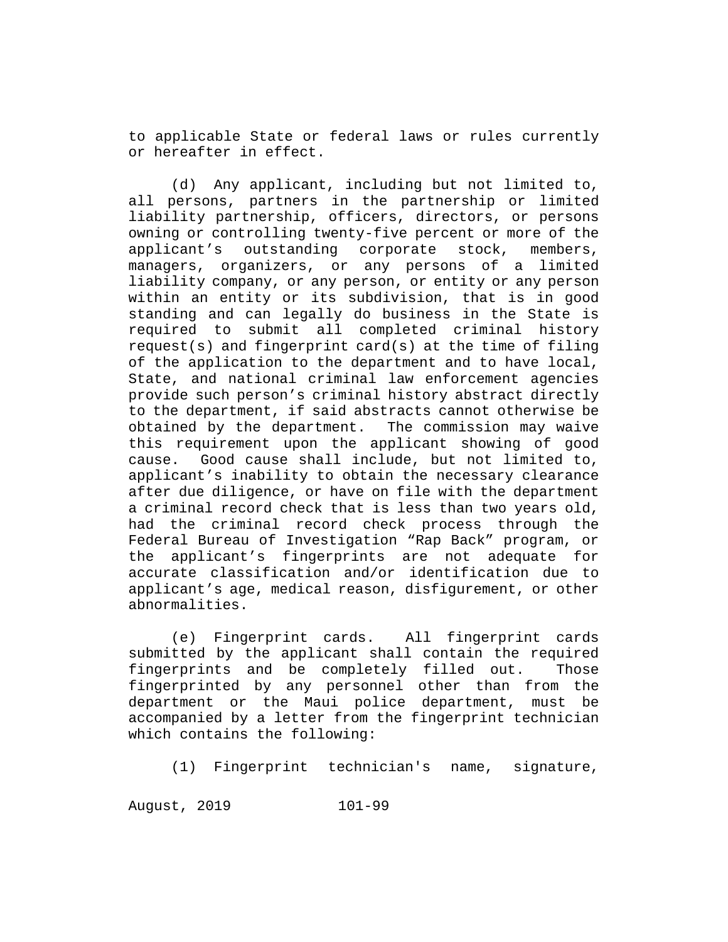to applicable State or federal laws or rules currently or hereafter in effect.

(d) Any applicant, including but not limited to, all persons, partners in the partnership or limited liability partnership, officers, directors, or persons owning or controlling twenty-five percent or more of the<br>applicant's outstanding corporate stock, members, applicant's outstanding corporate stock, members, managers, organizers, or any persons of a limited liability company, or any person, or entity or any person within an entity or its subdivision, that is in good standing and can legally do business in the State is required to submit all completed criminal history request(s) and fingerprint card(s) at the time of filing of the application to the department and to have local, State, and national criminal law enforcement agencies provide such person's criminal history abstract directly to the department, if said abstracts cannot otherwise be obtained by the department. The commission may waive this requirement upon the applicant showing of good cause. Good cause shall include, but not limited to, applicant's inability to obtain the necessary clearance after due diligence, or have on file with the department a criminal record check that is less than two years old, had the criminal record check process through the Federal Bureau of Investigation "Rap Back" program, or the applicant's fingerprints are not adequate for accurate classification and/or identification due to applicant's age, medical reason, disfigurement, or other abnormalities.

(e) Fingerprint cards. All fingerprint cards submitted by the applicant shall contain the required fingerprints and be completely filled out. Those fingerprinted by any personnel other than from the department or the Maui police department, must be accompanied by a letter from the fingerprint technician which contains the following:

(1) Fingerprint technician's name, signature,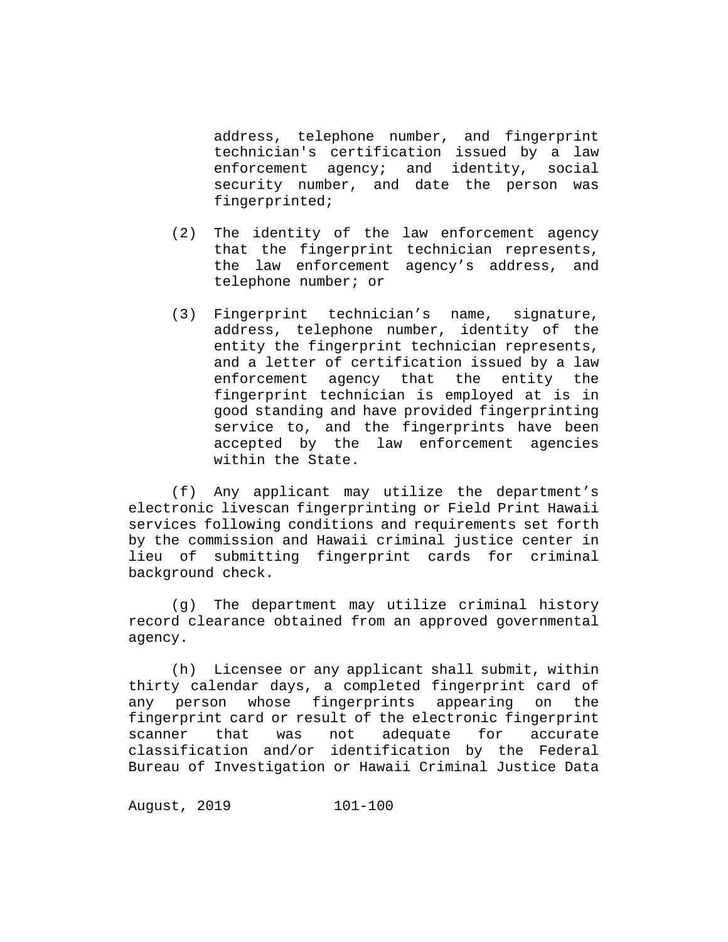address, telephone number, and fingerprint technician's certification issued by a law enforcement agency; and identity, social security number, and date the person was fingerprinted;

- (2) The identity of the law enforcement agency that the fingerprint technician represents, the law enforcement agency's address, and telephone number; or
- (3) Fingerprint technician's name, signature, address, telephone number, identity of the entity the fingerprint technician represents, and a letter of certification issued by a law enforcement agency that the entity the fingerprint technician is employed at is in good standing and have provided fingerprinting service to, and the fingerprints have been accepted by the law enforcement agencies within the State.

(f) Any applicant may utilize the department's electronic livescan fingerprinting or Field Print Hawaii services following conditions and requirements set forth by the commission and Hawaii criminal justice center in lieu of submitting fingerprint cards for criminal background check.

(g) The department may utilize criminal history record clearance obtained from an approved governmental agency.

(h) Licensee or any applicant shall submit, within thirty calendar days, a completed fingerprint card of any person whose fingerprints appearing on the fingerprint card or result of the electronic fingerprint<br>scanner that was not adequate for accurate scanner that was not adequate for accurate classification and/or identification by the Federal Bureau of Investigation or Hawaii Criminal Justice Data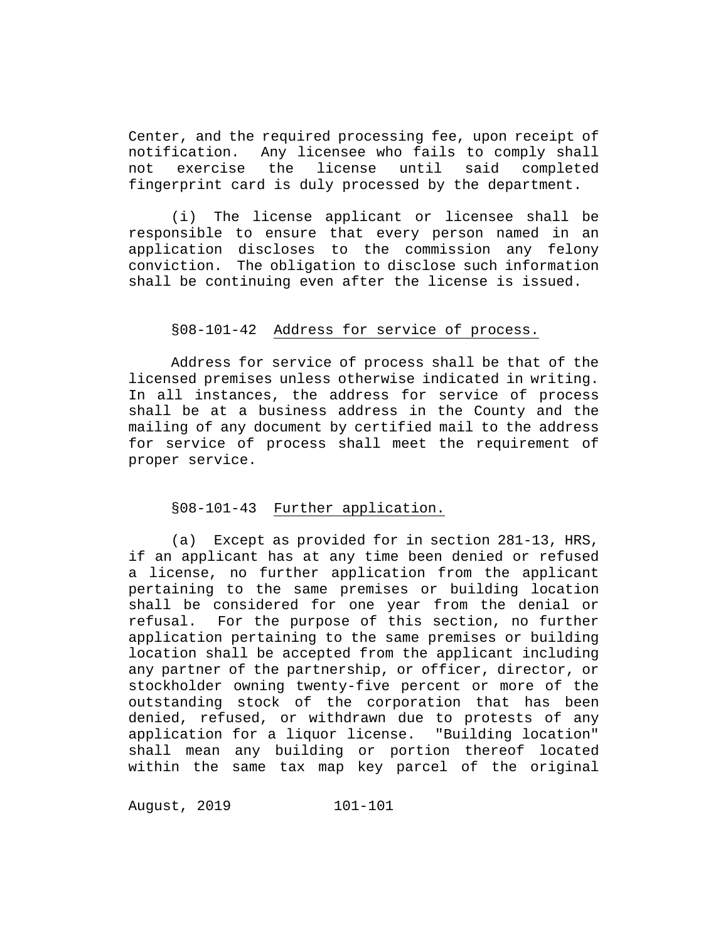Center, and the required processing fee, upon receipt of notification. Any licensee who fails to comply shall notification. Any licensee who fails to comply shall license until fingerprint card is duly processed by the department.

(i) The license applicant or licensee shall be responsible to ensure that every person named in an application discloses to the commission any felony conviction. The obligation to disclose such information shall be continuing even after the license is issued.

# §08-101-42 Address for service of process.

Address for service of process shall be that of the licensed premises unless otherwise indicated in writing. In all instances, the address for service of process shall be at a business address in the County and the mailing of any document by certified mail to the address for service of process shall meet the requirement of proper service.

#### §08-101-43 Further application.

(a) Except as provided for in section 281-13, HRS, if an applicant has at any time been denied or refused a license, no further application from the applicant pertaining to the same premises or building location shall be considered for one year from the denial or<br>refusal. For the purpose of this section, no further For the purpose of this section, no further application pertaining to the same premises or building location shall be accepted from the applicant including any partner of the partnership, or officer, director, or stockholder owning twenty-five percent or more of the outstanding stock of the corporation that has been denied, refused, or withdrawn due to protests of any application for a liquor license. "Building location" shall mean any building or portion thereof located within the same tax map key parcel of the original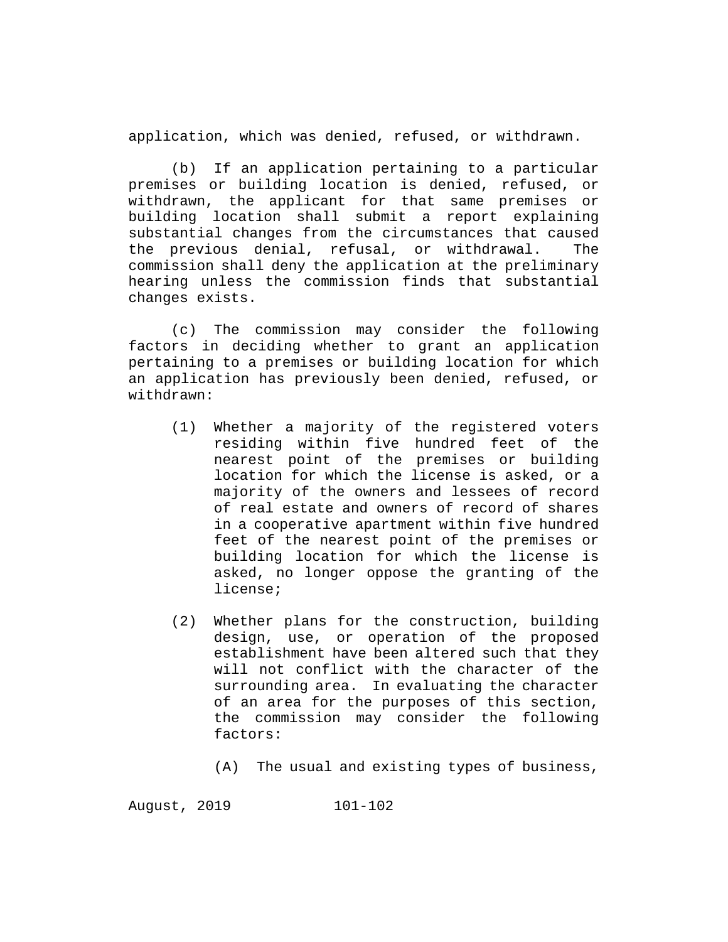application, which was denied, refused, or withdrawn.

(b) If an application pertaining to a particular premises or building location is denied, refused, or withdrawn, the applicant for that same premises or building location shall submit a report explaining substantial changes from the circumstances that caused the previous denial, refusal, or withdrawal. The commission shall deny the application at the preliminary hearing unless the commission finds that substantial changes exists.

(c) The commission may consider the following factors in deciding whether to grant an application pertaining to a premises or building location for which an application has previously been denied, refused, or withdrawn:

- (1) Whether a majority of the registered voters residing within five hundred feet of the nearest point of the premises or building location for which the license is asked, or a majority of the owners and lessees of record of real estate and owners of record of shares in a cooperative apartment within five hundred feet of the nearest point of the premises or building location for which the license is asked, no longer oppose the granting of the license;
- (2) Whether plans for the construction, building design, use, or operation of the proposed establishment have been altered such that they will not conflict with the character of the surrounding area. In evaluating the character of an area for the purposes of this section, the commission may consider the following factors:
	- (A) The usual and existing types of business,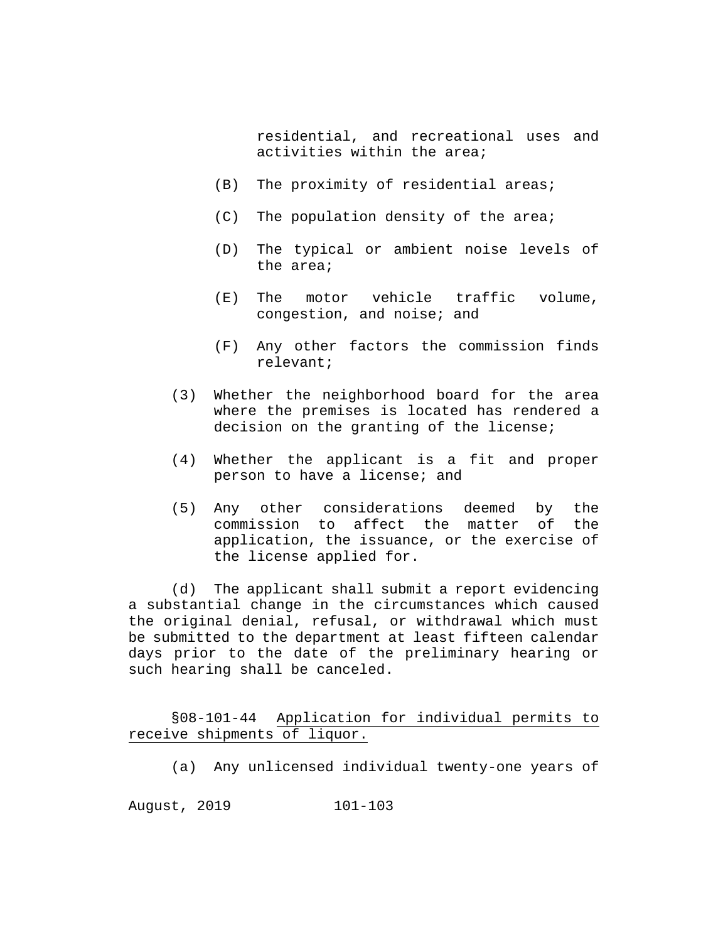residential, and recreational uses and activities within the area;

- (B) The proximity of residential areas;
- (C) The population density of the area;
- (D) The typical or ambient noise levels of the area;
- (E) The motor vehicle traffic volume, congestion, and noise; and
- (F) Any other factors the commission finds relevant;
- (3) Whether the neighborhood board for the area where the premises is located has rendered a decision on the granting of the license;
- (4) Whether the applicant is a fit and proper person to have a license; and
- (5) Any other considerations deemed by the commission to affect the matter of the application, the issuance, or the exercise of the license applied for.

(d) The applicant shall submit a report evidencing a substantial change in the circumstances which caused the original denial, refusal, or withdrawal which must be submitted to the department at least fifteen calendar days prior to the date of the preliminary hearing or such hearing shall be canceled.

§08-101-44 Application for individual permits to receive shipments of liquor.

(a) Any unlicensed individual twenty-one years of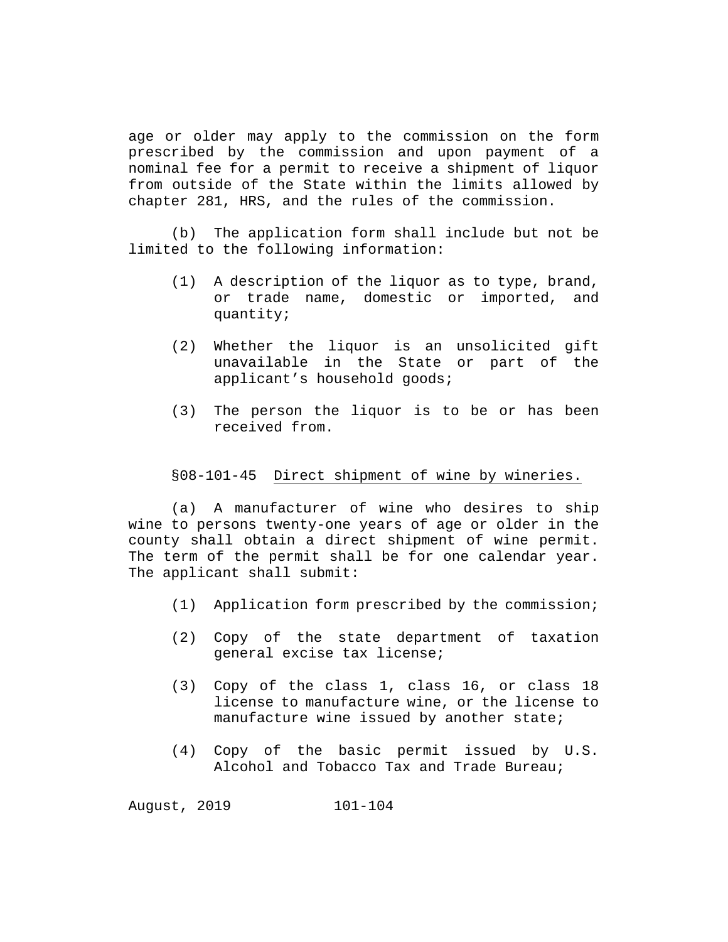age or older may apply to the commission on the form prescribed by the commission and upon payment of a nominal fee for a permit to receive a shipment of liquor from outside of the State within the limits allowed by chapter 281, HRS, and the rules of the commission.

(b) The application form shall include but not be limited to the following information:

- (1) A description of the liquor as to type, brand, or trade name, domestic or imported, and quantity;
- (2) Whether the liquor is an unsolicited gift unavailable in the State or part of the applicant's household goods;
- (3) The person the liquor is to be or has been received from.

#### §08-101-45 Direct shipment of wine by wineries.

(a) A manufacturer of wine who desires to ship wine to persons twenty-one years of age or older in the county shall obtain a direct shipment of wine permit. The term of the permit shall be for one calendar year. The applicant shall submit:

- (1) Application form prescribed by the commission;
- (2) Copy of the state department of taxation general excise tax license;
- (3) Copy of the class 1, class 16, or class 18 license to manufacture wine, or the license to manufacture wine issued by another state;
- (4) Copy of the basic permit issued by U.S. Alcohol and Tobacco Tax and Trade Bureau;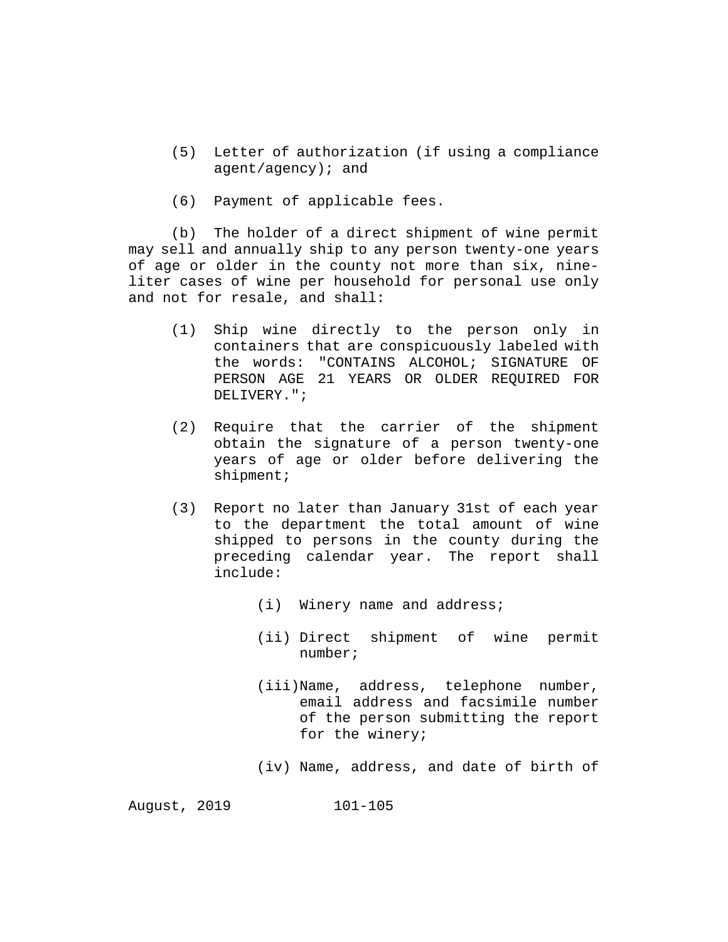- (5) Letter of authorization (if using a compliance agent/agency); and
- (6) Payment of applicable fees.

(b) The holder of a direct shipment of wine permit may sell and annually ship to any person twenty-one years of age or older in the county not more than six, nineliter cases of wine per household for personal use only and not for resale, and shall:

- (1) Ship wine directly to the person only in containers that are conspicuously labeled with the words: "CONTAINS ALCOHOL; SIGNATURE OF PERSON AGE 21 YEARS OR OLDER REQUIRED FOR DELIVERY.";
- (2) Require that the carrier of the shipment obtain the signature of a person twenty-one years of age or older before delivering the shipment;
- (3) Report no later than January 31st of each year to the department the total amount of wine shipped to persons in the county during the preceding calendar year. The report shall include:
	- (i) Winery name and address;
	- (ii) Direct shipment of wine permit number;
	- (iii)Name, address, telephone number, email address and facsimile number of the person submitting the report for the winery;
	- (iv) Name, address, and date of birth of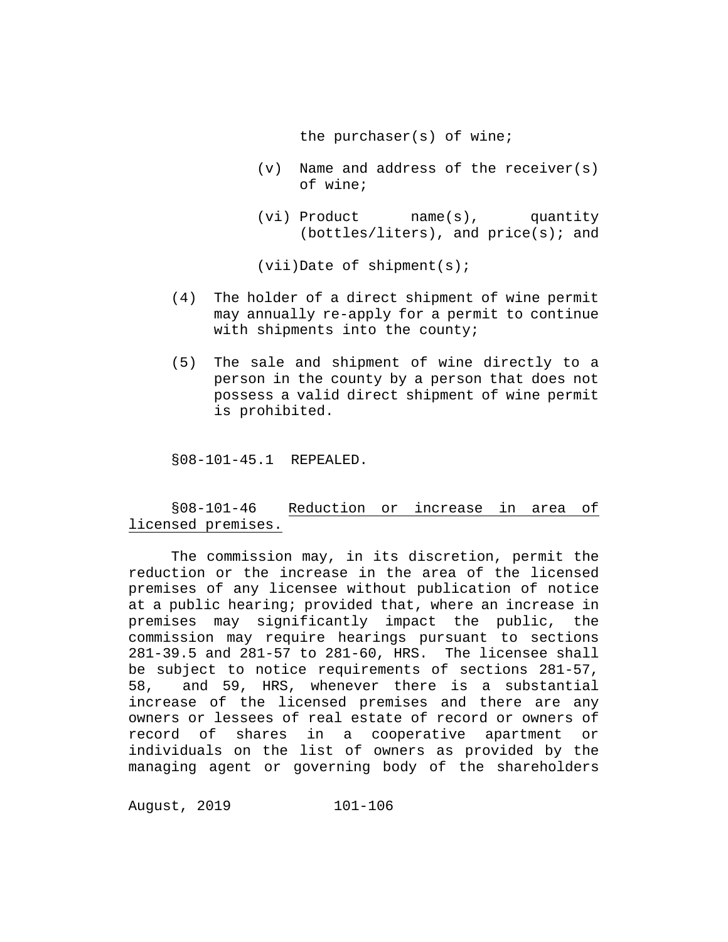the purchaser(s) of wine;

- (v) Name and address of the receiver(s) of wine;
- (vi) Product name(s), quantity  $(bottles/liters)$ , and  $price(s)$ ; and

(vii)Date of shipment(s);

- (4) The holder of a direct shipment of wine permit may annually re-apply for a permit to continue with shipments into the county;
- (5) The sale and shipment of wine directly to a person in the county by a person that does not possess a valid direct shipment of wine permit is prohibited.

§08-101-45.1 REPEALED.

§08-101-46 Reduction or increase in area of licensed premises.

The commission may, in its discretion, permit the reduction or the increase in the area of the licensed premises of any licensee without publication of notice at a public hearing; provided that, where an increase in<br>premises may significantly impact the public, the premises may significantly impact the public, commission may require hearings pursuant to sections 281-39.5 and 281-57 to 281-60, HRS. The licensee shall be subject to notice requirements of sections 281-57,<br>58, and 59, HRS, whenever there is a substantial 58, and 59, HRS, whenever there is a substantial increase of the licensed premises and there are any owners or lessees of real estate of record or owners of<br>record of shares in a cooperative apartment or shares in a cooperative apartment or individuals on the list of owners as provided by the managing agent or governing body of the shareholders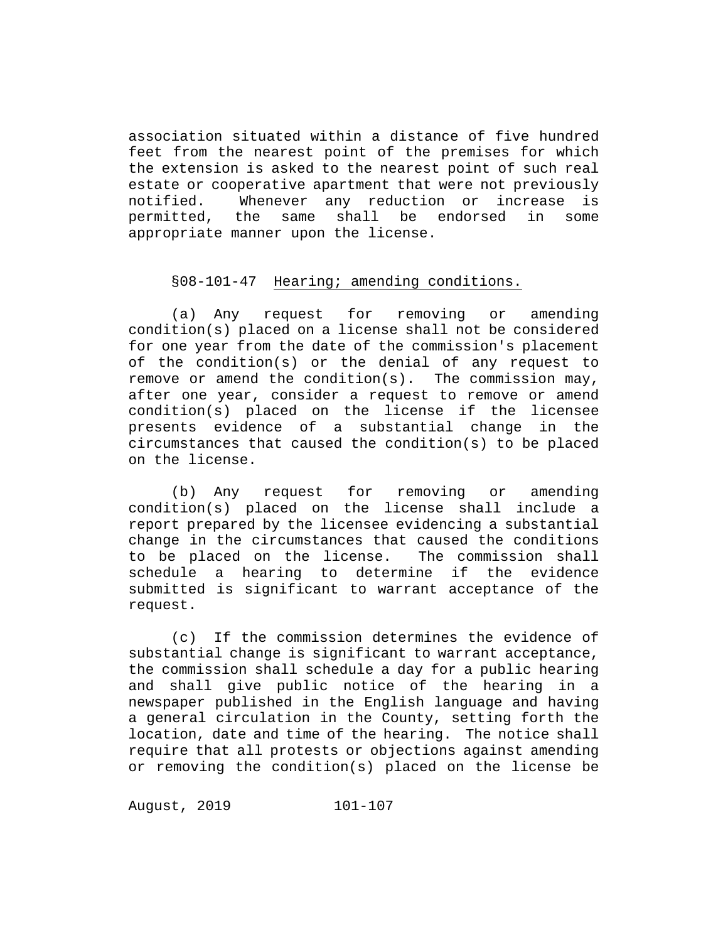association situated within a distance of five hundred feet from the nearest point of the premises for which the extension is asked to the nearest point of such real estate or cooperative apartment that were not previously notified. Whenever any reduction or increase is<br>permitted, the same shall be endorsed in some same shall be endorsed in some appropriate manner upon the license.

### §08-101-47 Hearing; amending conditions.

(a) Any request for removing or amending condition(s) placed on a license shall not be considered for one year from the date of the commission's placement of the condition(s) or the denial of any request to remove or amend the condition(s). The commission may, after one year, consider a request to remove or amend condition(s) placed on the license if the licensee presents evidence of a substantial change in the circumstances that caused the condition(s) to be placed on the license.

(b) Any request for removing or amending condition(s) placed on the license shall include a report prepared by the licensee evidencing a substantial change in the circumstances that caused the conditions<br>to be placed on the license. The commission shall to be placed on the license. schedule a hearing to determine if the evidence submitted is significant to warrant acceptance of the request.

(c) If the commission determines the evidence of substantial change is significant to warrant acceptance, the commission shall schedule a day for a public hearing and shall give public notice of the hearing in a newspaper published in the English language and having a general circulation in the County, setting forth the location, date and time of the hearing. The notice shall require that all protests or objections against amending or removing the condition(s) placed on the license be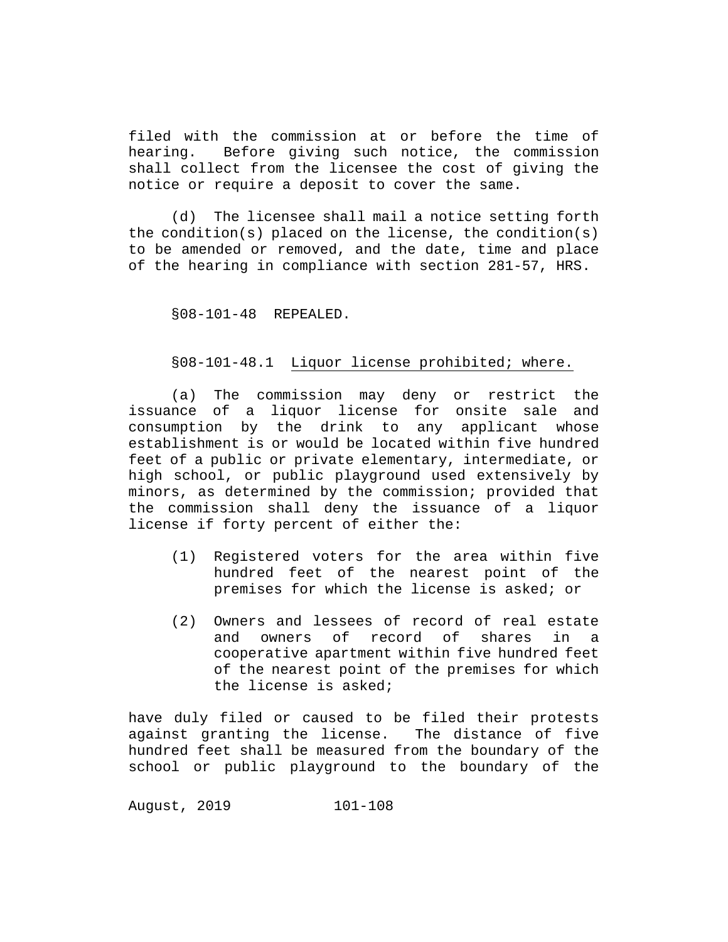filed with the commission at or before the time of<br>hearing. Before giving such notice, the commission Before giving such notice, the commission shall collect from the licensee the cost of giving the notice or require a deposit to cover the same.

(d) The licensee shall mail a notice setting forth the condition(s) placed on the license, the condition(s) to be amended or removed, and the date, time and place of the hearing in compliance with section 281-57, HRS.

§08-101-48 REPEALED.

### §08-101-48.1 Liquor license prohibited; where.

(a) The commission may deny or restrict the issuance of a liquor license for onsite sale and consumption by the drink to any applicant whose establishment is or would be located within five hundred feet of a public or private elementary, intermediate, or high school, or public playground used extensively by minors, as determined by the commission; provided that the commission shall deny the issuance of a liquor license if forty percent of either the:

- (1) Registered voters for the area within five hundred feet of the nearest point of the premises for which the license is asked; or
- (2) Owners and lessees of record of real estate and owners of record of shares in a cooperative apartment within five hundred feet of the nearest point of the premises for which the license is asked;

have duly filed or caused to be filed their protests against granting the license. The distance of five hundred feet shall be measured from the boundary of the school or public playground to the boundary of the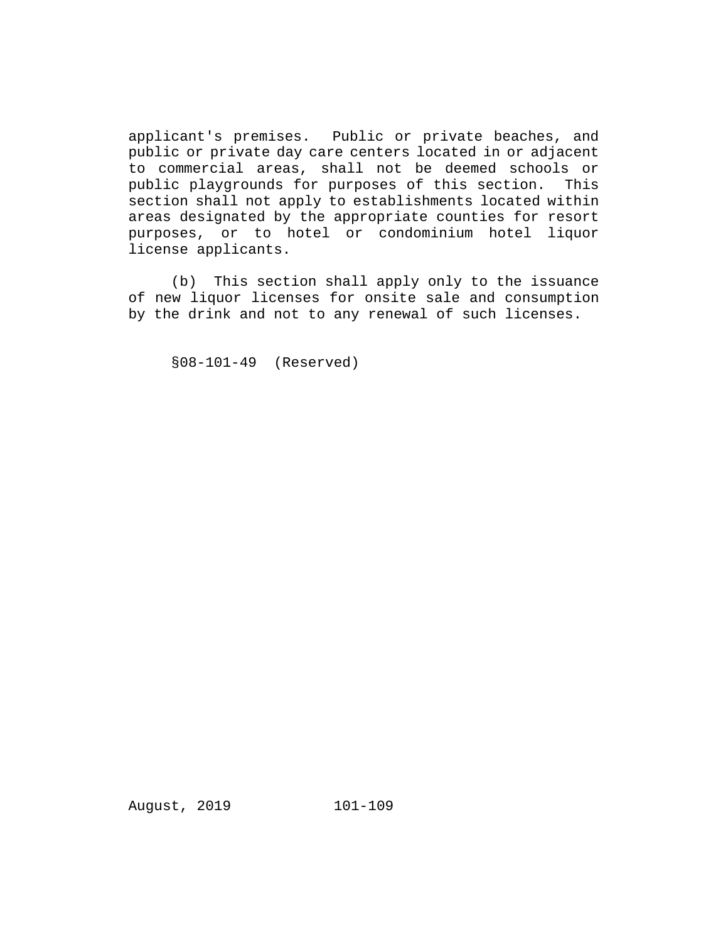applicant's premises. Public or private beaches, and public or private day care centers located in or adjacent to commercial areas, shall not be deemed schools or public playgrounds for purposes of this section. This section shall not apply to establishments located within areas designated by the appropriate counties for resort purposes, or to hotel or condominium hotel liquor license applicants.

(b) This section shall apply only to the issuance of new liquor licenses for onsite sale and consumption by the drink and not to any renewal of such licenses.

§08-101-49 (Reserved)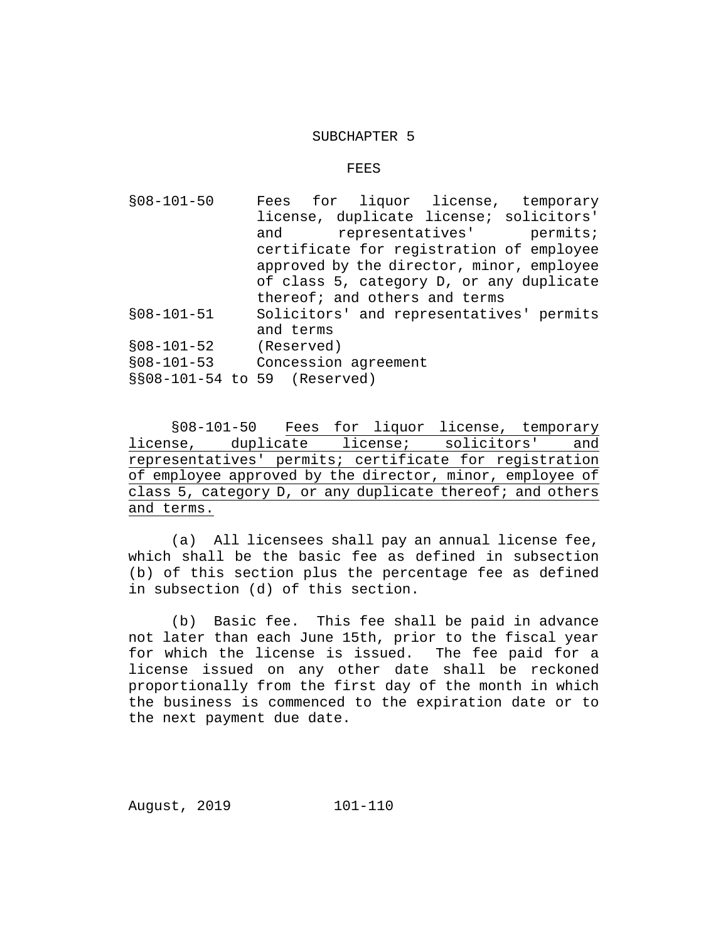#### SUBCHAPTER 5

#### FEES

§08-101-50 Fees for liquor license, temporary license, duplicate license; solicitors'<br>and representatives' permits; and representatives' certificate for registration of employee approved by the director, minor, employee of class 5, category D, or any duplicate thereof; and others and terms §08-101-51 Solicitors' and representatives' permits and terms<br>(Reserved) §08-101-52<br>§08-101-53 Concession agreement §§08-101-54 to 59 (Reserved)

§08-101-50 Fees for liquor license, temporary<br>se, duplicate license; solicitors' and license, duplicate license; solicitors' representatives' permits; certificate for registration of employee approved by the director, minor, employee of class 5, category D, or any duplicate thereof; and others and terms.

(a) All licensees shall pay an annual license fee, which shall be the basic fee as defined in subsection (b) of this section plus the percentage fee as defined in subsection (d) of this section.

(b) Basic fee. This fee shall be paid in advance not later than each June 15th, prior to the fiscal year for which the license is issued. The fee paid for a license issued on any other date shall be reckoned proportionally from the first day of the month in which the business is commenced to the expiration date or to the next payment due date.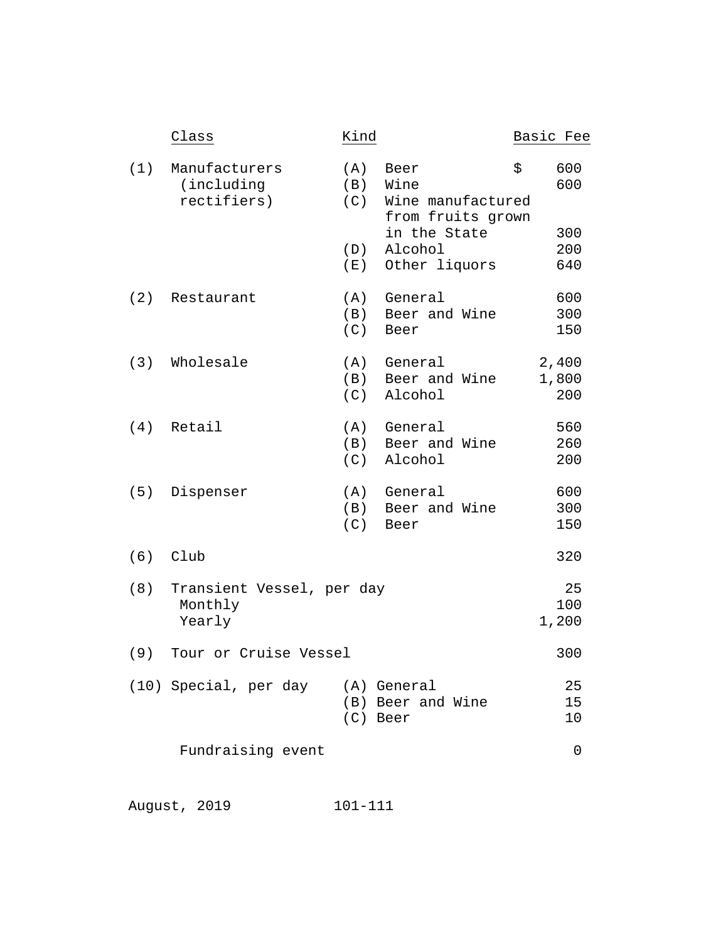|     | Class                                          | Kind                            |                                                                                                    | Basic Fee                             |
|-----|------------------------------------------------|---------------------------------|----------------------------------------------------------------------------------------------------|---------------------------------------|
| (1) | Manufacturers<br>(including<br>rectifiers)     | (A)<br>(B)<br>(C)<br>(D)<br>(E) | Beer<br>Wine<br>Wine manufactured<br>from fruits grown<br>in the State<br>Alcohol<br>Other liquors | \$<br>600<br>600<br>300<br>200<br>640 |
|     | (2) Restaurant                                 | (A)<br>(B)<br>(C)               | General<br>Beer and Wine<br>Beer                                                                   | 600<br>300<br>150                     |
| (3) | Wholesale                                      | (A)<br>(B)<br>(C)               | General<br>Beer and Wine<br>Alcohol                                                                | 2,400<br>1,800<br>200                 |
|     | $(4)$ Retail                                   | (B)<br>(C)                      | (A) General<br>Beer and Wine<br>Alcohol                                                            | 560<br>260<br>200                     |
| (5) | Dispenser                                      | (A)<br>(B)<br>(C)               | General<br>Beer and Wine<br>Beer                                                                   | 600<br>300<br>150                     |
| (6) | Club                                           |                                 |                                                                                                    | 320                                   |
| (8) | Transient Vessel, per day<br>Monthly<br>Yearly |                                 |                                                                                                    | 25<br>100<br>1,200                    |
| (9) | Tour or Cruise Vessel                          |                                 |                                                                                                    | 300                                   |
|     | (10) Special, per day (A) General              | (C) Beer                        | (B) Beer and Wine                                                                                  | 25<br>15<br>10                        |
|     | Fundraising event                              |                                 |                                                                                                    | 0                                     |
|     |                                                |                                 |                                                                                                    |                                       |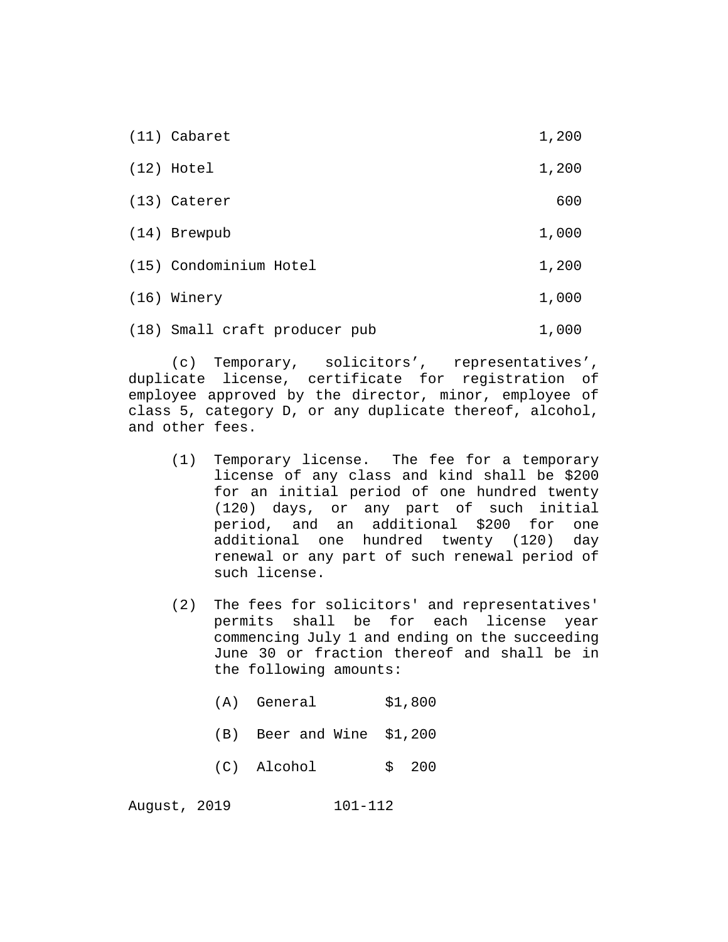| $(11)$ Cabaret                | 1,200 |
|-------------------------------|-------|
| $(12)$ Hotel                  | 1,200 |
| (13) Caterer                  | 600   |
| (14) Brewpub                  | 1,000 |
| (15) Condominium Hotel        | 1,200 |
| (16) Winery                   | 1,000 |
| (18) Small craft producer pub | 1,000 |

(c) Temporary, solicitors', representatives', duplicate license, certificate for registration of employee approved by the director, minor, employee of class 5, category D, or any duplicate thereof, alcohol, and other fees.

- (1) Temporary license. The fee for a temporary license of any class and kind shall be \$200 for an initial period of one hundred twenty (120) days, or any part of such initial period, and an additional \$200 for one additional one hundred twenty (120) day renewal or any part of such renewal period of such license.
- (2) The fees for solicitors' and representatives' permits shall be for each license year commencing July 1 and ending on the succeeding June 30 or fraction thereof and shall be in the following amounts:
	- (A) General \$1,800
	- (B) Beer and Wine \$1,200
	- (C) Alcohol \$ 200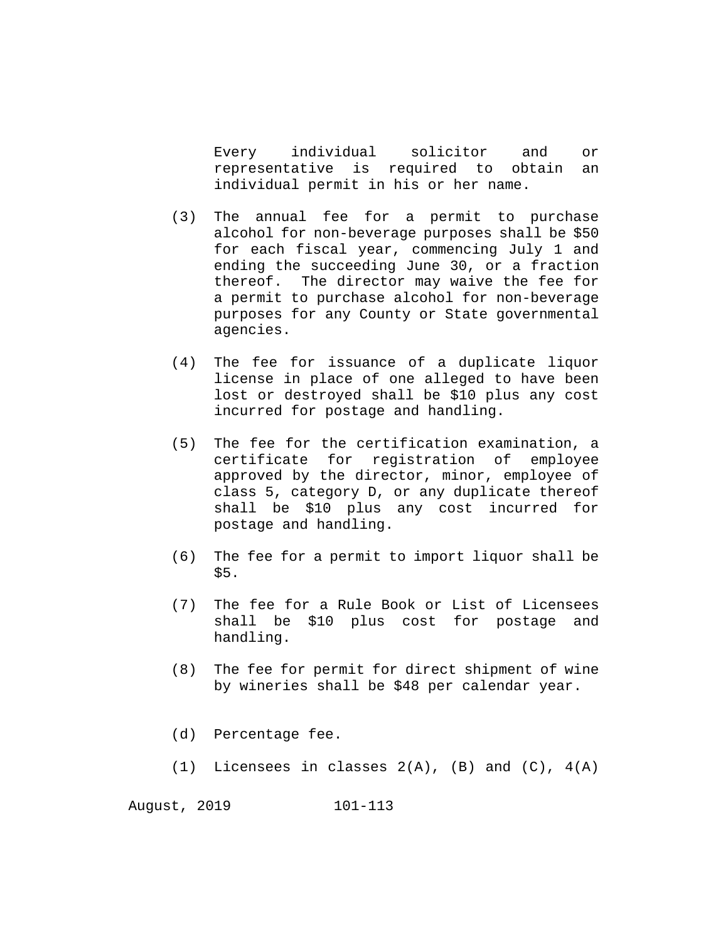Every individual solicitor and or representative is required to obtain an individual permit in his or her name.

- (3) The annual fee for a permit to purchase alcohol for non-beverage purposes shall be \$50 for each fiscal year, commencing July 1 and ending the succeeding June 30, or a fraction thereof. The director may waive the fee for a permit to purchase alcohol for non-beverage purposes for any County or State governmental agencies.
- (4) The fee for issuance of a duplicate liquor license in place of one alleged to have been lost or destroyed shall be \$10 plus any cost incurred for postage and handling.
- (5) The fee for the certification examination, a certificate for registration of employee approved by the director, minor, employee of class 5, category D, or any duplicate thereof shall be \$10 plus any cost incurred for postage and handling.
- (6) The fee for a permit to import liquor shall be \$5.
- (7) The fee for a Rule Book or List of Licensees shall be \$10 plus cost for postage and handling.
- (8) The fee for permit for direct shipment of wine by wineries shall be \$48 per calendar year.
- (d) Percentage fee.
- (1) Licensees in classes 2(A), (B) and (C), 4(A)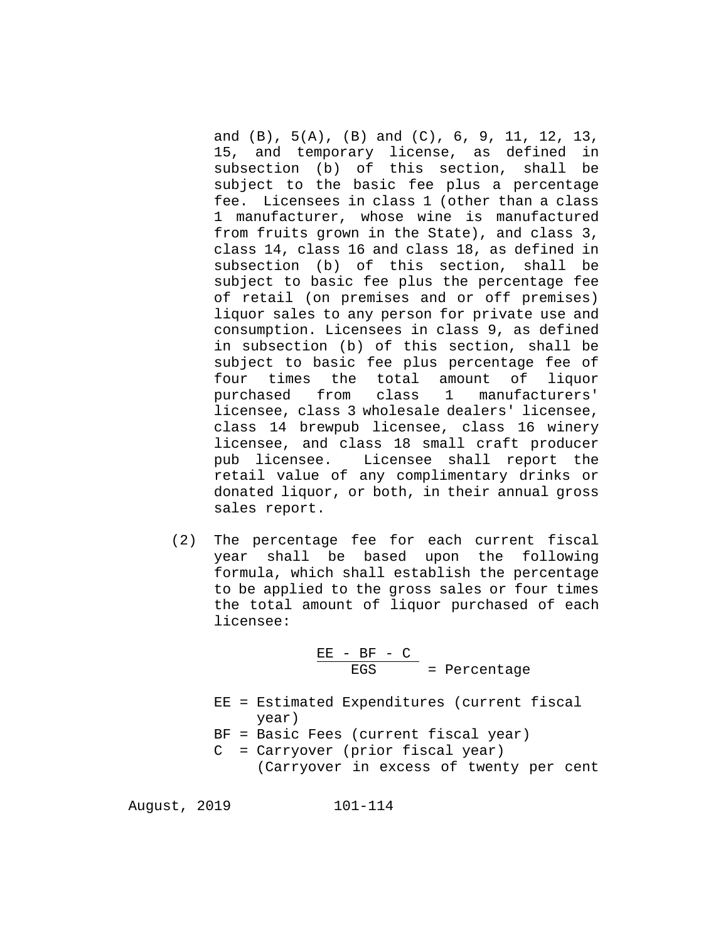and (B), 5(A), (B) and (C), 6, 9, 11, 12, 13, 15, and temporary license, as defined in subsection (b) of this section, shall be subject to the basic fee plus a percentage fee. Licensees in class 1 (other than a class 1 manufacturer, whose wine is manufactured from fruits grown in the State), and class 3, class 14, class 16 and class 18, as defined in subsection (b) of this section, shall be subject to basic fee plus the percentage fee of retail (on premises and or off premises) liquor sales to any person for private use and consumption. Licensees in class 9, as defined in subsection (b) of this section, shall be subject to basic fee plus percentage fee of four times the total amount of liquor purchased from class 1 manufacturers' licensee, class 3 wholesale dealers' licensee, class 14 brewpub licensee, class 16 winery licensee, and class 18 small craft producer pub licensee. Licensee shall report the retail value of any complimentary drinks or donated liquor, or both, in their annual gross sales report.

(2) The percentage fee for each current fiscal year shall be based upon the following formula, which shall establish the percentage to be applied to the gross sales or four times the total amount of liquor purchased of each licensee:

$$
\frac{EE - BF - C}{EGS} = Percentage
$$

EE = Estimated Expenditures (current fiscal year)

BF = Basic Fees (current fiscal year)

C = Carryover (prior fiscal year) (Carryover in excess of twenty per cent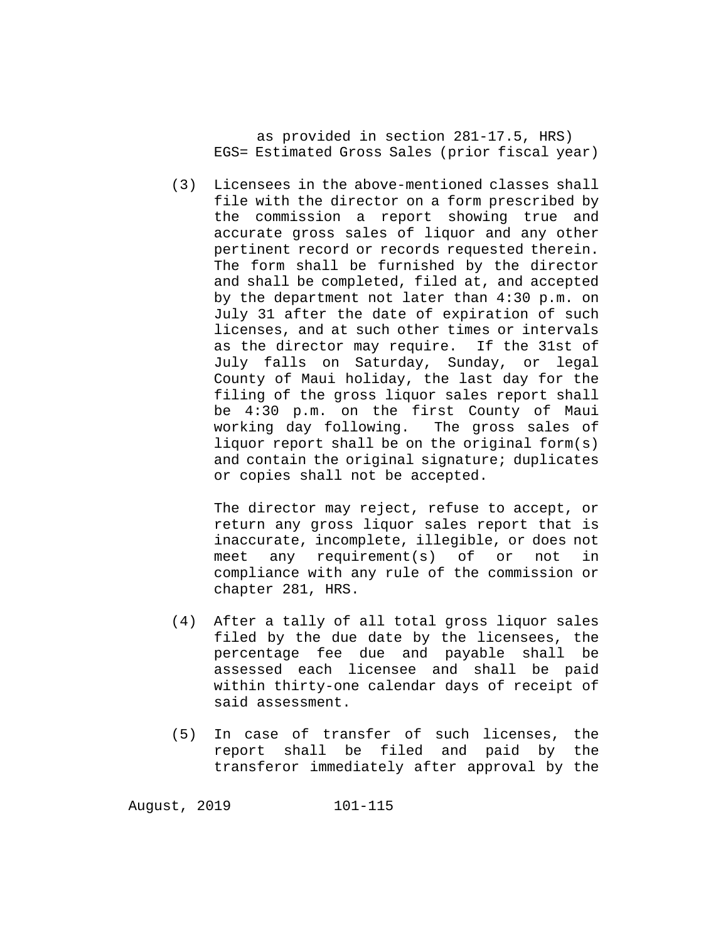as provided in section 281-17.5, HRS) EGS= Estimated Gross Sales (prior fiscal year)

(3) Licensees in the above-mentioned classes shall file with the director on a form prescribed by the commission a report showing true and accurate gross sales of liquor and any other pertinent record or records requested therein. The form shall be furnished by the director and shall be completed, filed at, and accepted by the department not later than 4:30 p.m. on July 31 after the date of expiration of such licenses, and at such other times or intervals<br>as the director may require. If the 31st of as the director may require. July falls on Saturday, Sunday, or legal County of Maui holiday, the last day for the filing of the gross liquor sales report shall be 4:30 p.m. on the first County of Maui<br>working day following. The gross sales of working day following. liquor report shall be on the original form(s) and contain the original signature; duplicates or copies shall not be accepted.

The director may reject, refuse to accept, or return any gross liquor sales report that is inaccurate, incomplete, illegible, or does not<br>meet any requirement(s) of or not in meet any requirement(s) of or not in compliance with any rule of the commission or chapter 281, HRS.

- (4) After a tally of all total gross liquor sales filed by the due date by the licensees, the percentage fee due and payable shall be assessed each licensee and shall be paid within thirty-one calendar days of receipt of said assessment.
- (5) In case of transfer of such licenses, the report shall be filed and paid by the transferor immediately after approval by the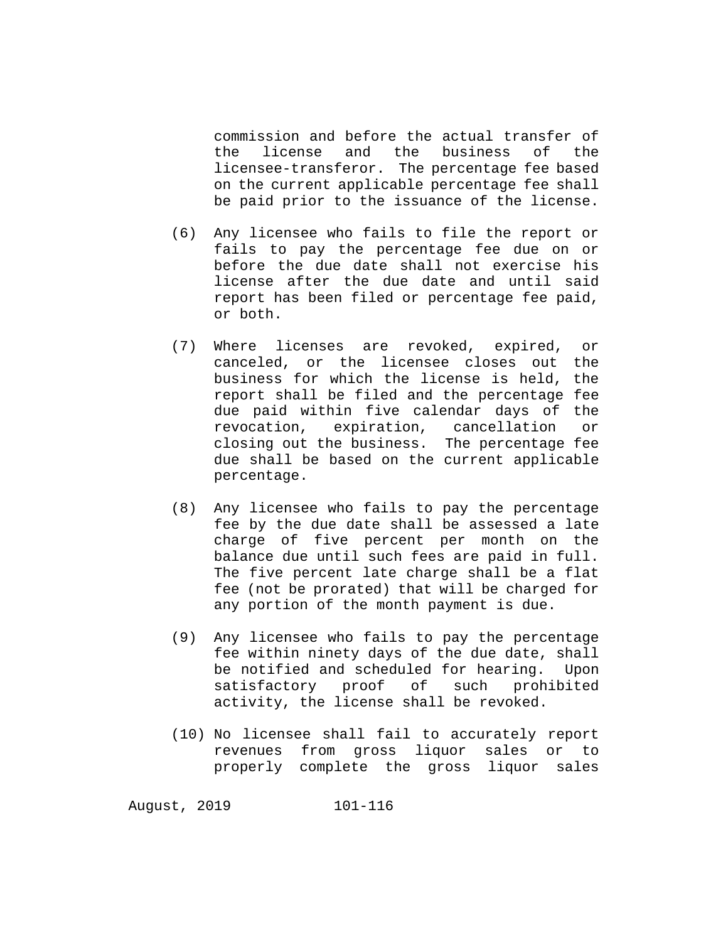commission and before the actual transfer of and the licensee-transferor. The percentage fee based on the current applicable percentage fee shall be paid prior to the issuance of the license.

- (6) Any licensee who fails to file the report or fails to pay the percentage fee due on or before the due date shall not exercise his license after the due date and until said report has been filed or percentage fee paid, or both.
- (7) Where licenses are revoked, expired, or canceled, or the licensee closes out the business for which the license is held, the report shall be filed and the percentage fee due paid within five calendar days of the<br>revocation, expiration, cancellation or expiration, cancellation or closing out the business. The percentage fee due shall be based on the current applicable percentage.
- (8) Any licensee who fails to pay the percentage fee by the due date shall be assessed a late charge of five percent per month on the balance due until such fees are paid in full. The five percent late charge shall be a flat fee (not be prorated) that will be charged for any portion of the month payment is due.
- (9) Any licensee who fails to pay the percentage fee within ninety days of the due date, shall be notified and scheduled for hearing. Upon<br>satisfactory proof of such prohibited satisfactory proof of activity, the license shall be revoked.
- (10) No licensee shall fail to accurately report revenues from gross liquor sales or to properly complete the gross liquor sales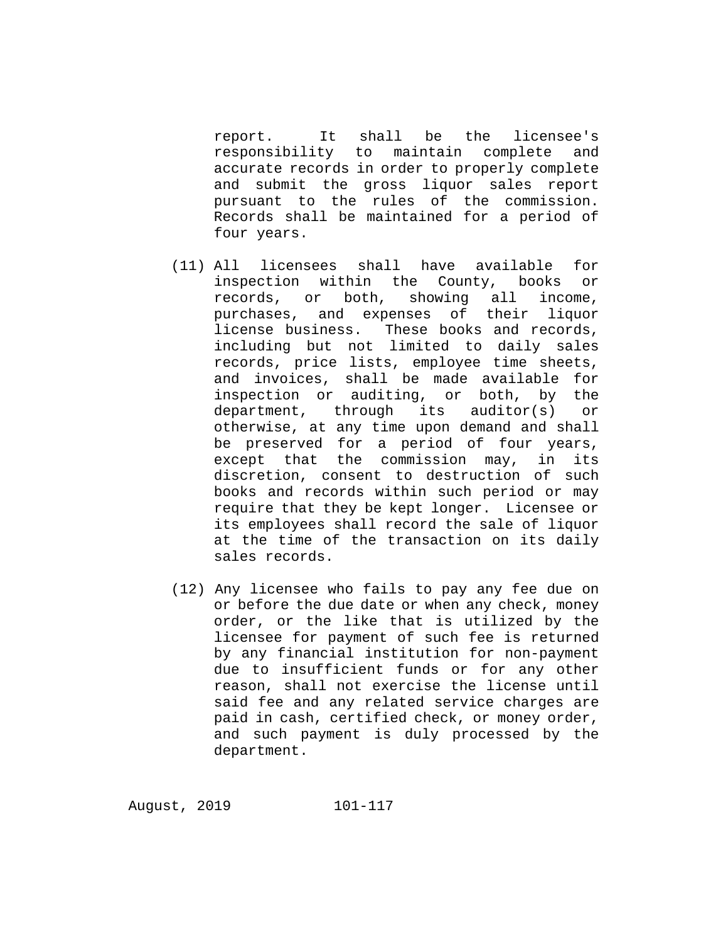report. It shall be the licensee's responsibility to maintain complete and accurate records in order to properly complete and submit the gross liquor sales report pursuant to the rules of the commission. Records shall be maintained for a period of four years.

- (11) All licensees shall have available for inspection within the County, books or records, or both, showing all income, purchases, and expenses of their liquor license business. These books and records, including but not limited to daily sales records, price lists, employee time sheets, and invoices, shall be made available for inspection or auditing, or both, by the department, through its auditor(s) or otherwise, at any time upon demand and shall be preserved for a period of four years, except that the commission may, in its discretion, consent to destruction of such books and records within such period or may require that they be kept longer. Licensee or its employees shall record the sale of liquor at the time of the transaction on its daily sales records.
- (12) Any licensee who fails to pay any fee due on or before the due date or when any check, money order, or the like that is utilized by the licensee for payment of such fee is returned by any financial institution for non-payment due to insufficient funds or for any other reason, shall not exercise the license until said fee and any related service charges are paid in cash, certified check, or money order, and such payment is duly processed by the department.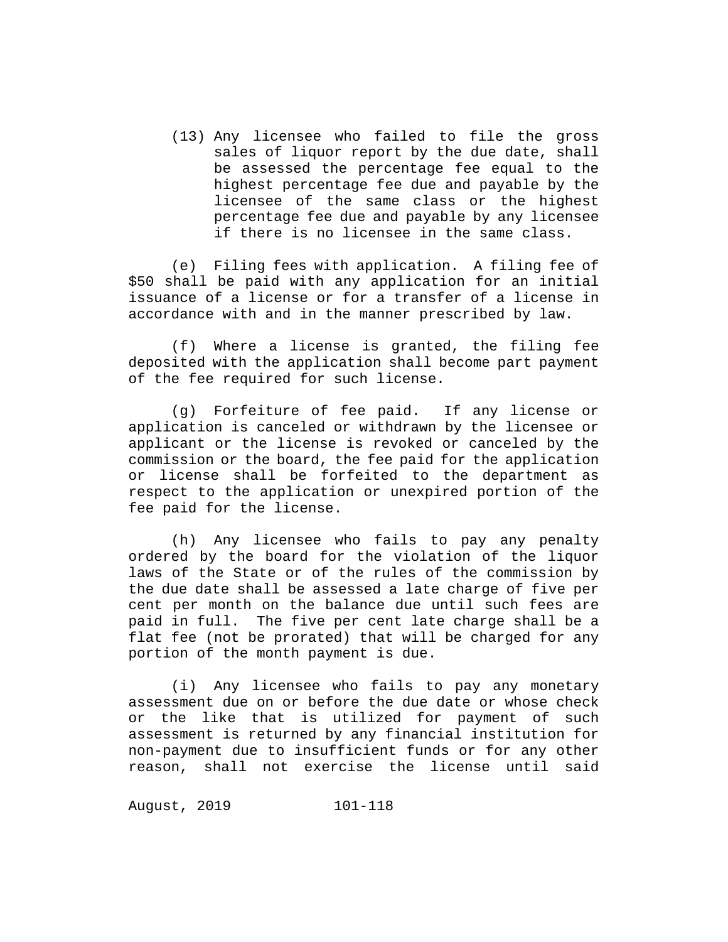(13) Any licensee who failed to file the gross sales of liquor report by the due date, shall be assessed the percentage fee equal to the highest percentage fee due and payable by the licensee of the same class or the highest percentage fee due and payable by any licensee if there is no licensee in the same class.

(e) Filing fees with application. A filing fee of \$50 shall be paid with any application for an initial issuance of a license or for a transfer of a license in accordance with and in the manner prescribed by law.

(f) Where a license is granted, the filing fee deposited with the application shall become part payment of the fee required for such license.

(g) Forfeiture of fee paid. If any license or application is canceled or withdrawn by the licensee or applicant or the license is revoked or canceled by the commission or the board, the fee paid for the application or license shall be forfeited to the department as respect to the application or unexpired portion of the fee paid for the license.

(h) Any licensee who fails to pay any penalty ordered by the board for the violation of the liquor laws of the State or of the rules of the commission by the due date shall be assessed a late charge of five per cent per month on the balance due until such fees are paid in full. The five per cent late charge shall be a flat fee (not be prorated) that will be charged for any portion of the month payment is due.

(i) Any licensee who fails to pay any monetary assessment due on or before the due date or whose check or the like that is utilized for payment of such assessment is returned by any financial institution for non-payment due to insufficient funds or for any other reason, shall not exercise the license until said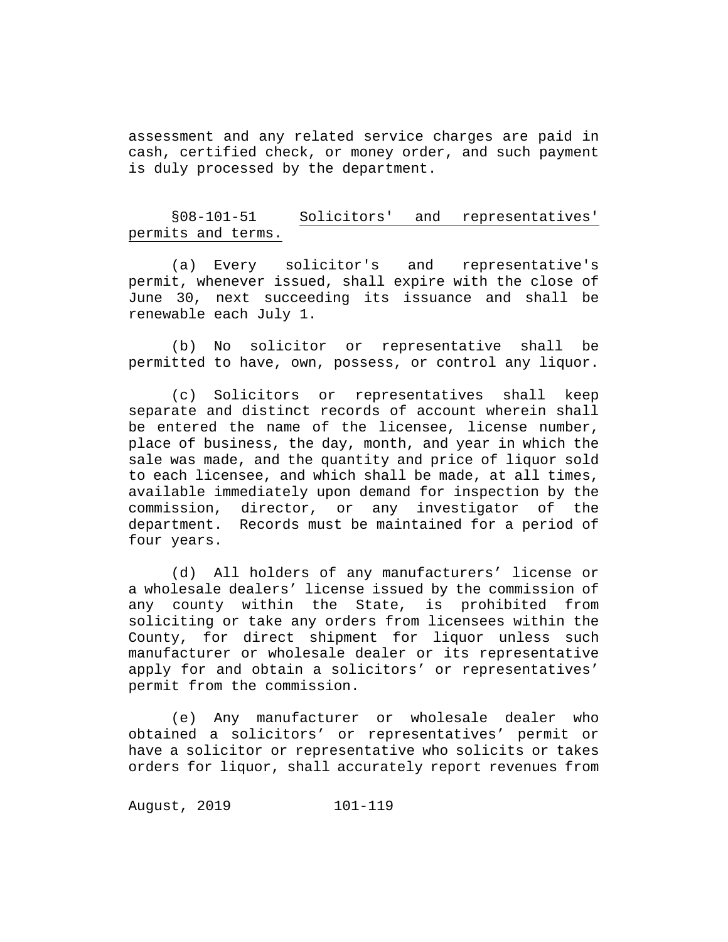assessment and any related service charges are paid in cash, certified check, or money order, and such payment is duly processed by the department.

# §08-101-51 Solicitors' and representatives' permits and terms.

(a) Every solicitor's and representative's permit, whenever issued, shall expire with the close of June 30, next succeeding its issuance and shall be renewable each July 1.

(b) No solicitor or representative shall be permitted to have, own, possess, or control any liquor.

(c) Solicitors or representatives shall keep separate and distinct records of account wherein shall be entered the name of the licensee, license number, place of business, the day, month, and year in which the sale was made, and the quantity and price of liquor sold to each licensee, and which shall be made, at all times, available immediately upon demand for inspection by the commission, director, or any investigator of the department. Records must be maintained for a period of four years.

(d) All holders of any manufacturers' license or a wholesale dealers' license issued by the commission of any county within the State, is prohibited from soliciting or take any orders from licensees within the County, for direct shipment for liquor unless such manufacturer or wholesale dealer or its representative apply for and obtain a solicitors' or representatives' permit from the commission.

(e) Any manufacturer or wholesale dealer who obtained a solicitors' or representatives' permit or have a solicitor or representative who solicits or takes orders for liquor, shall accurately report revenues from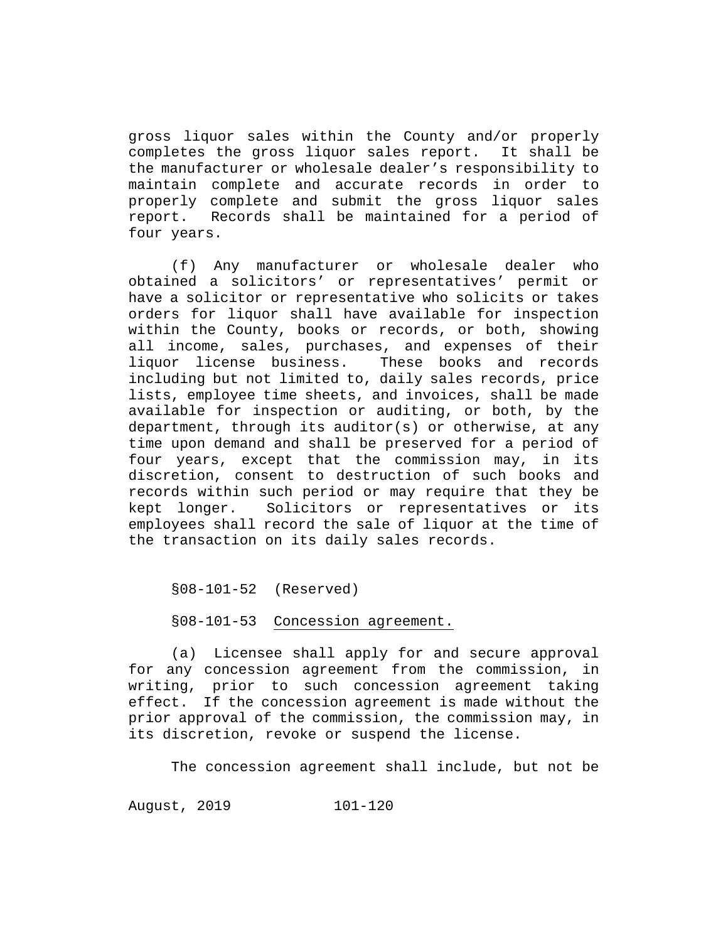gross liquor sales within the County and/or properly<br>completes the gross liguor sales report. It shall be completes the gross liquor sales report. the manufacturer or wholesale dealer's responsibility to maintain complete and accurate records in order to properly complete and submit the gross liquor sales report. Records shall be maintained for a period of four years.

(f) Any manufacturer or wholesale dealer who obtained a solicitors' or representatives' permit or have a solicitor or representative who solicits or takes orders for liquor shall have available for inspection within the County, books or records, or both, showing all income, sales, purchases, and expenses of their<br>liquor license business. These books and records These books and records including but not limited to, daily sales records, price lists, employee time sheets, and invoices, shall be made available for inspection or auditing, or both, by the department, through its auditor(s) or otherwise, at any time upon demand and shall be preserved for a period of four years, except that the commission may, in its discretion, consent to destruction of such books and records within such period or may require that they be kept longer. Solicitors or representatives or its employees shall record the sale of liquor at the time of the transaction on its daily sales records.

§08-101-52 (Reserved)

§08-101-53 Concession agreement.

(a) Licensee shall apply for and secure approval for any concession agreement from the commission, in writing, prior to such concession agreement taking effect. If the concession agreement is made without the prior approval of the commission, the commission may, in its discretion, revoke or suspend the license.

The concession agreement shall include, but not be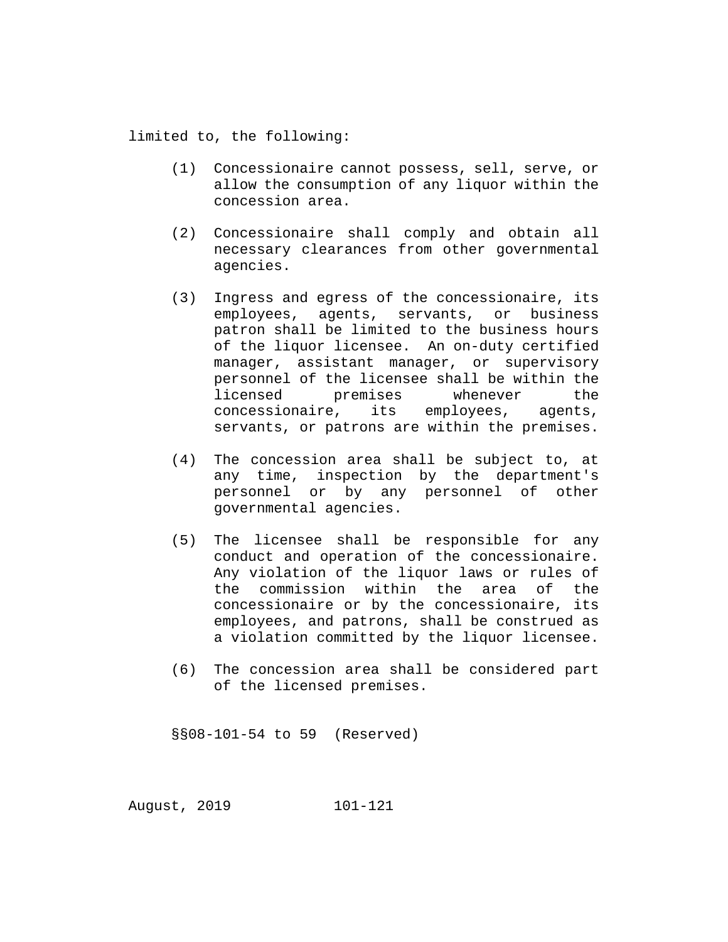limited to, the following:

- (1) Concessionaire cannot possess, sell, serve, or allow the consumption of any liquor within the concession area.
- (2) Concessionaire shall comply and obtain all necessary clearances from other governmental agencies.
- (3) Ingress and egress of the concessionaire, its employees, agents, servants, or business patron shall be limited to the business hours of the liquor licensee. An on-duty certified manager, assistant manager, or supervisory personnel of the licensee shall be within the licensed premises whenever the<br>concessionaire, its employees, agents, its employees, agents, servants, or patrons are within the premises.
- (4) The concession area shall be subject to, at any time, inspection by the department's personnel or by any personnel of other governmental agencies.
- (5) The licensee shall be responsible for any conduct and operation of the concessionaire. Any violation of the liquor laws or rules of<br>the commission within the area of the commission within the area of concessionaire or by the concessionaire, its employees, and patrons, shall be construed as a violation committed by the liquor licensee.
- (6) The concession area shall be considered part of the licensed premises.

§§08-101-54 to 59 (Reserved)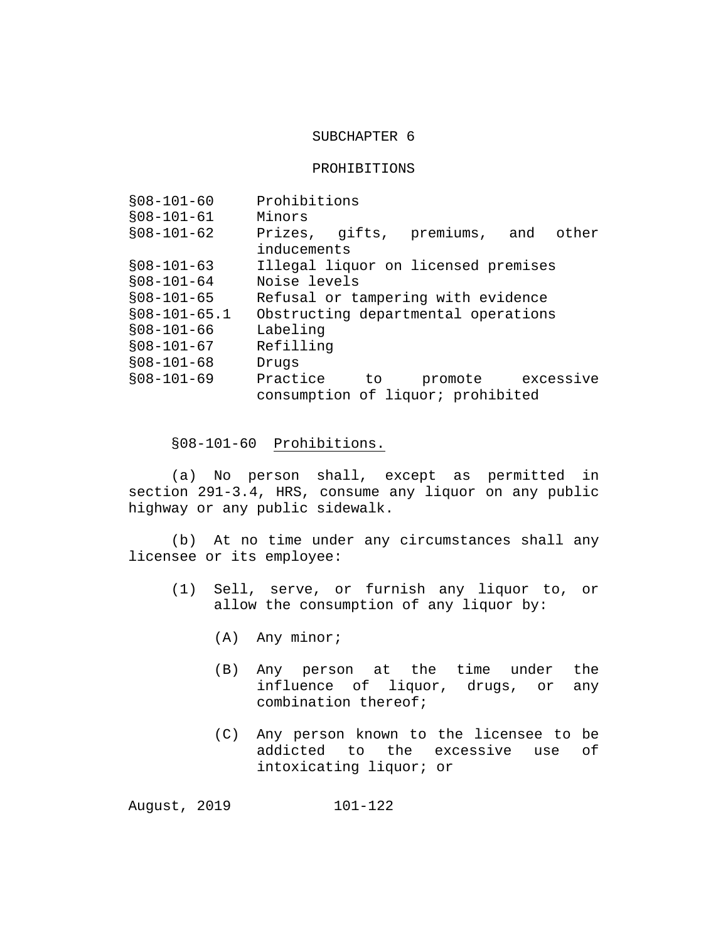## SUBCHAPTER 6

#### PROHIBITIONS

| $$08-101-60$   | Prohibitions                        |     |                                     |           |
|----------------|-------------------------------------|-----|-------------------------------------|-----------|
| $$08-101-61$   | Minors                              |     |                                     |           |
| $$08-101-62$   | Prizes, gifts, premiums, and        |     |                                     | other     |
|                | inducements                         |     |                                     |           |
| $$08-101-63$   |                                     |     | Illegal liquor on licensed premises |           |
| $$08-101-64$   | Noise levels                        |     |                                     |           |
| $$08-101-65$   | Refusal or tampering with evidence  |     |                                     |           |
| $$08-101-65.1$ | Obstructing departmental operations |     |                                     |           |
| $$08-101-66$   | Labeling                            |     |                                     |           |
| $$08-101-67$   | Refilling                           |     |                                     |           |
| $$08-101-68$   | Drugs                               |     |                                     |           |
| $$08-101-69$   | Practice                            | to. | promote                             | excessive |
|                | consumption of liquor; prohibited   |     |                                     |           |

§08-101-60 Prohibitions.

(a) No person shall, except as permitted in section 291-3.4, HRS, consume any liquor on any public highway or any public sidewalk.

(b) At no time under any circumstances shall any licensee or its employee:

- (1) Sell, serve, or furnish any liquor to, or allow the consumption of any liquor by:
	- (A) Any minor;
	- (B) Any person at the time under the influence of liquor, drugs, or any combination thereof;
	- (C) Any person known to the licensee to be addicted to the excessive use of intoxicating liquor; or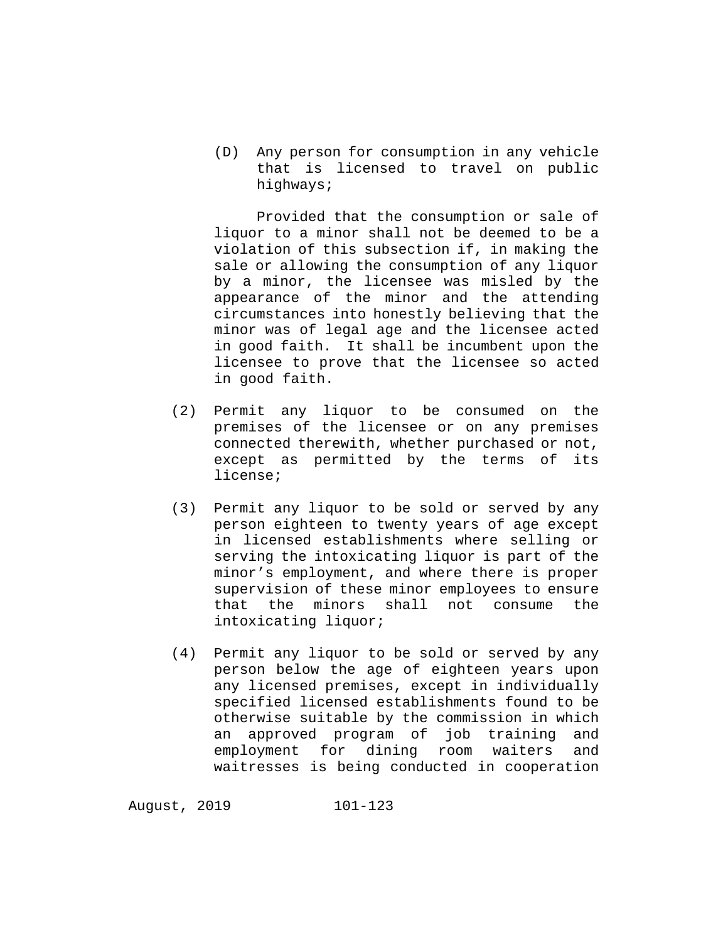(D) Any person for consumption in any vehicle that is licensed to travel on public highways;

Provided that the consumption or sale of liquor to a minor shall not be deemed to be a violation of this subsection if, in making the sale or allowing the consumption of any liquor by a minor, the licensee was misled by the appearance of the minor and the attending circumstances into honestly believing that the minor was of legal age and the licensee acted in good faith. It shall be incumbent upon the licensee to prove that the licensee so acted in good faith.

- (2) Permit any liquor to be consumed on the premises of the licensee or on any premises connected therewith, whether purchased or not, except as permitted by the terms of its license;
- (3) Permit any liquor to be sold or served by any person eighteen to twenty years of age except in licensed establishments where selling or serving the intoxicating liquor is part of the minor's employment, and where there is proper supervision of these minor employees to ensure<br>that the minors shall not consume the that the minors shall not consume intoxicating liquor;
- (4) Permit any liquor to be sold or served by any person below the age of eighteen years upon any licensed premises, except in individually specified licensed establishments found to be otherwise suitable by the commission in which an approved program of job training and employment for dining room waiters and waitresses is being conducted in cooperation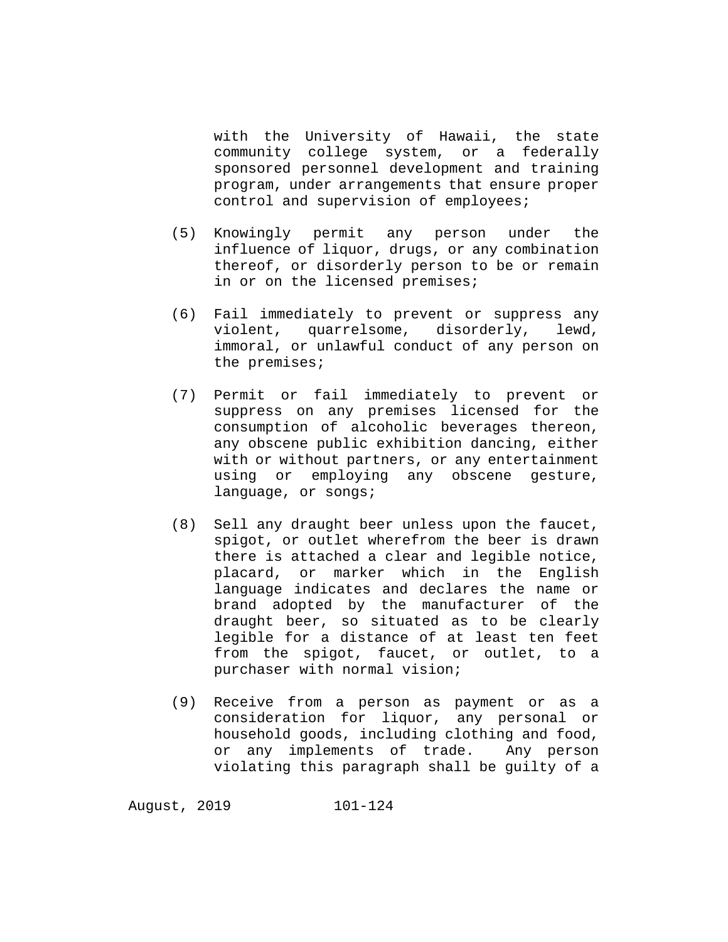with the University of Hawaii, the state community college system, or a federally sponsored personnel development and training program, under arrangements that ensure proper control and supervision of employees;

- (5) Knowingly permit any person under the influence of liquor, drugs, or any combination thereof, or disorderly person to be or remain in or on the licensed premises;
- (6) Fail immediately to prevent or suppress any violent, quarrelsome, disorderly, lewd, immoral, or unlawful conduct of any person on the premises;
- (7) Permit or fail immediately to prevent or suppress on any premises licensed for the consumption of alcoholic beverages thereon, any obscene public exhibition dancing, either with or without partners, or any entertainment using or employing any obscene gesture, language, or songs;
- (8) Sell any draught beer unless upon the faucet, spigot, or outlet wherefrom the beer is drawn there is attached a clear and legible notice, placard, or marker which in the English language indicates and declares the name or brand adopted by the manufacturer of the draught beer, so situated as to be clearly legible for a distance of at least ten feet from the spigot, faucet, or outlet, to a purchaser with normal vision;
- (9) Receive from a person as payment or as a consideration for liquor, any personal or household goods, including clothing and food, or any implements of trade. Any person violating this paragraph shall be guilty of a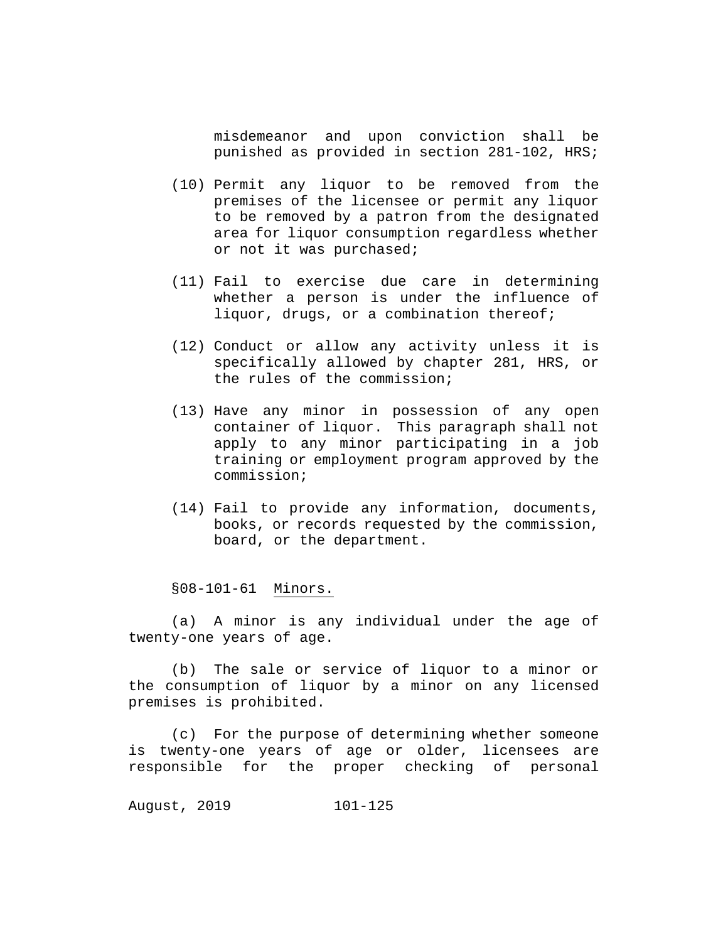misdemeanor and upon conviction shall be punished as provided in section 281-102, HRS;

- (10) Permit any liquor to be removed from the premises of the licensee or permit any liquor to be removed by a patron from the designated area for liquor consumption regardless whether or not it was purchased;
- (11) Fail to exercise due care in determining whether a person is under the influence of liquor, drugs, or a combination thereof;
- (12) Conduct or allow any activity unless it is specifically allowed by chapter 281, HRS, or the rules of the commission;
- (13) Have any minor in possession of any open container of liquor. This paragraph shall not apply to any minor participating in a job training or employment program approved by the commission;
- (14) Fail to provide any information, documents, books, or records requested by the commission, board, or the department.

§08-101-61 Minors.

(a) A minor is any individual under the age of twenty-one years of age.

(b) The sale or service of liquor to a minor or the consumption of liquor by a minor on any licensed premises is prohibited.

(c) For the purpose of determining whether someone is twenty-one years of age or older, licensees are responsible for the proper checking of personal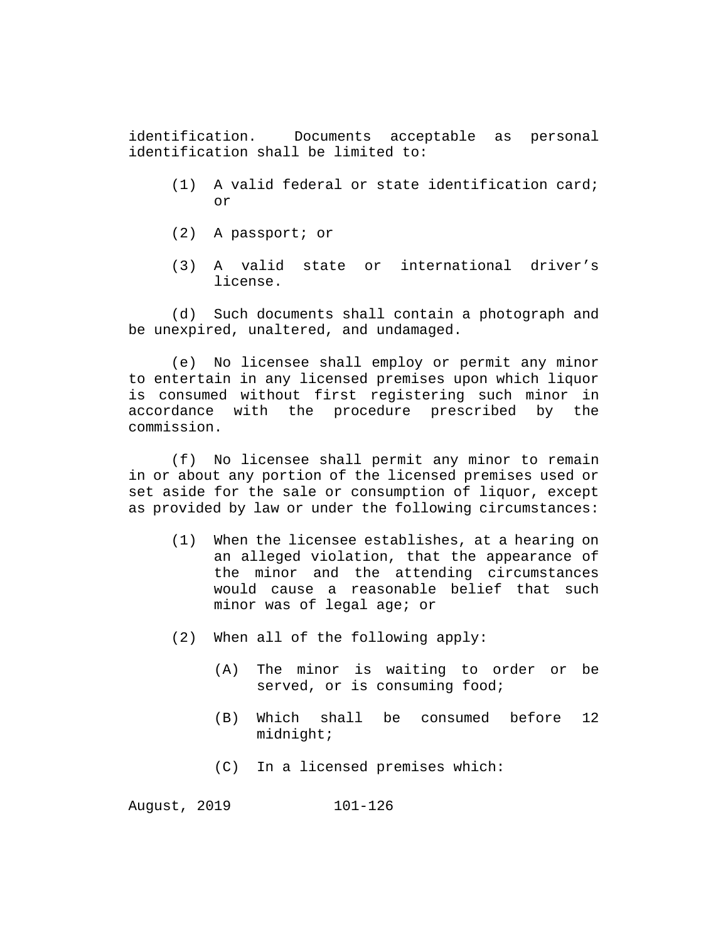identification. Documents acceptable as personal identification shall be limited to:

- (1) A valid federal or state identification card; or
- (2) A passport; or
- (3) A valid state or international driver's license.

(d) Such documents shall contain a photograph and be unexpired, unaltered, and undamaged.

(e) No licensee shall employ or permit any minor to entertain in any licensed premises upon which liquor is consumed without first registering such minor in accordance with the procedure prescribed by the commission.

(f) No licensee shall permit any minor to remain in or about any portion of the licensed premises used or set aside for the sale or consumption of liquor, except as provided by law or under the following circumstances:

- (1) When the licensee establishes, at a hearing on an alleged violation, that the appearance of the minor and the attending circumstances would cause a reasonable belief that such minor was of legal age; or
- (2) When all of the following apply:
	- (A) The minor is waiting to order or be served, or is consuming food;
	- (B) Which shall be consumed before 12 midnight;
	- (C) In a licensed premises which: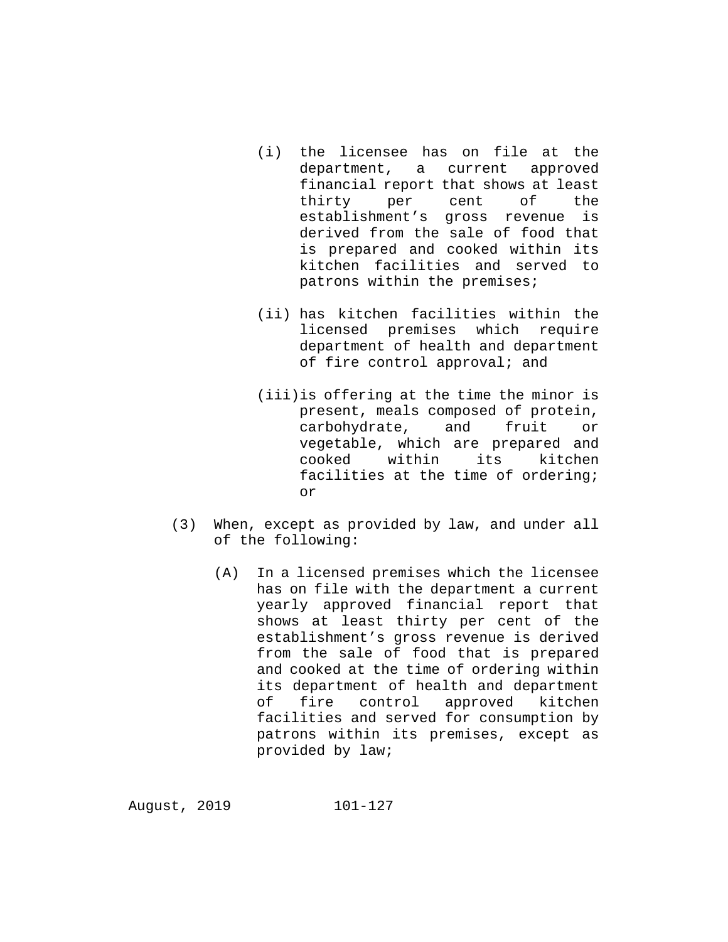- (i) the licensee has on file at the department, a current approved financial report that shows at least thirty per cent of the establishment's gross revenue is derived from the sale of food that is prepared and cooked within its kitchen facilities and served to patrons within the premises;
- (ii) has kitchen facilities within the licensed premises which require department of health and department of fire control approval; and
- (iii)is offering at the time the minor is present, meals composed of protein,<br>carbohydrate, and fruit or carbohydrate, and fruit or vegetable, which are prepared and<br>cooked within its kitchen cooked within facilities at the time of ordering; or
- (3) When, except as provided by law, and under all of the following:
	- (A) In a licensed premises which the licensee has on file with the department a current yearly approved financial report that shows at least thirty per cent of the establishment's gross revenue is derived from the sale of food that is prepared and cooked at the time of ordering within its department of health and department<br>of fire control approved kitchen control facilities and served for consumption by patrons within its premises, except as provided by law;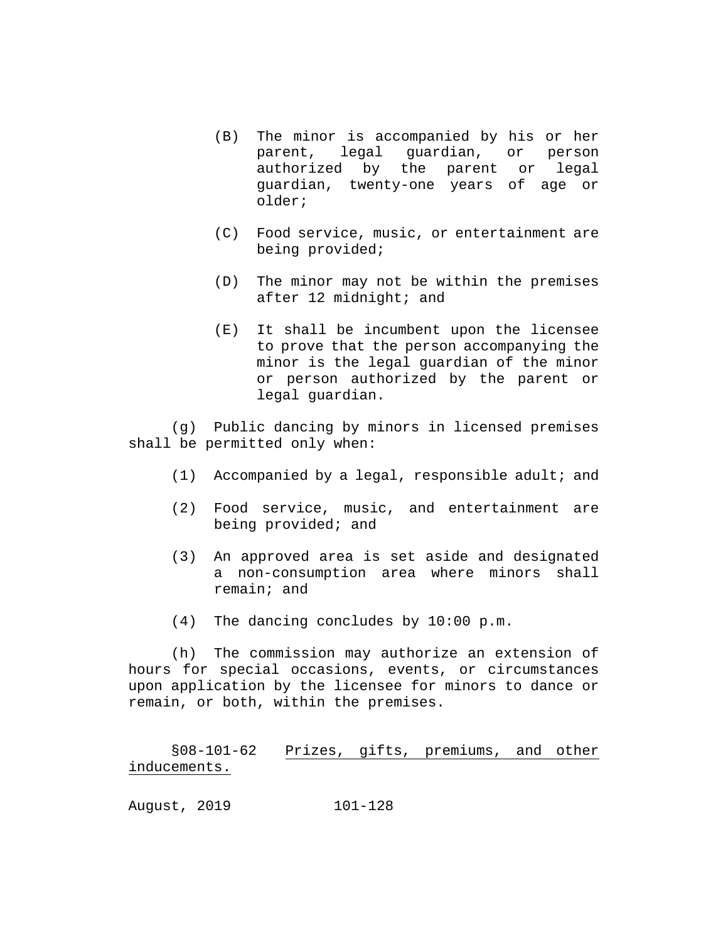- (B) The minor is accompanied by his or her parent, legal guardian, or person authorized by the parent or legal guardian, twenty-one years of age or older;
- (C) Food service, music, or entertainment are being provided;
- (D) The minor may not be within the premises after 12 midnight; and
- (E) It shall be incumbent upon the licensee to prove that the person accompanying the minor is the legal guardian of the minor or person authorized by the parent or legal guardian.

(g) Public dancing by minors in licensed premises shall be permitted only when:

- (1) Accompanied by a legal, responsible adult; and
- (2) Food service, music, and entertainment are being provided; and
- (3) An approved area is set aside and designated a non-consumption area where minors shall remain; and
- (4) The dancing concludes by 10:00 p.m.

(h) The commission may authorize an extension of hours for special occasions, events, or circumstances upon application by the licensee for minors to dance or remain, or both, within the premises.

§08-101-62 Prizes, gifts, premiums, and other inducements.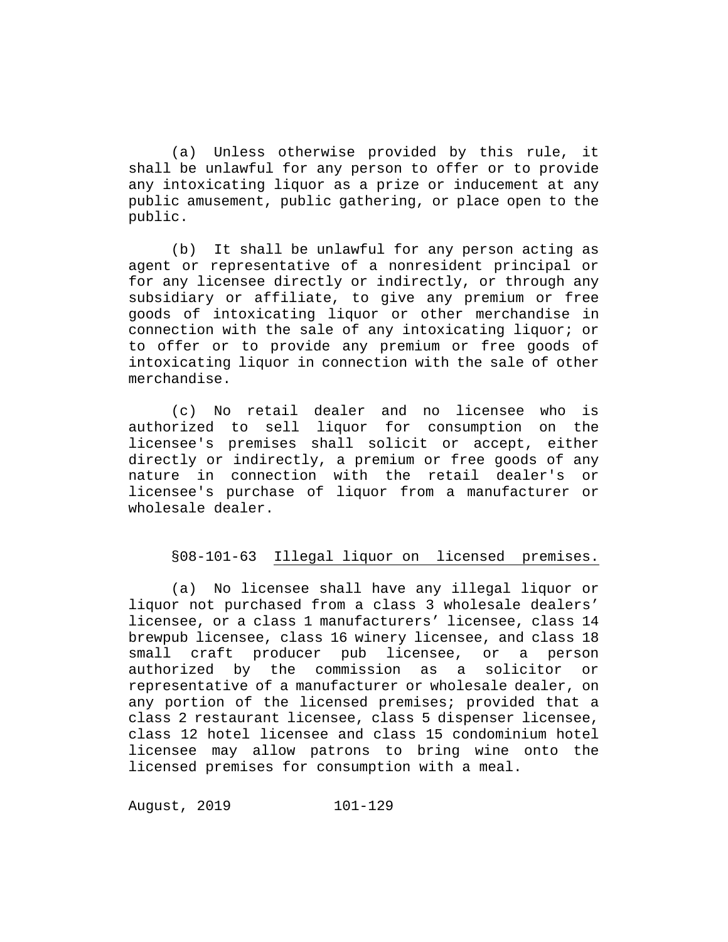(a) Unless otherwise provided by this rule, it shall be unlawful for any person to offer or to provide any intoxicating liquor as a prize or inducement at any public amusement, public gathering, or place open to the public.

(b) It shall be unlawful for any person acting as agent or representative of a nonresident principal or for any licensee directly or indirectly, or through any subsidiary or affiliate, to give any premium or free goods of intoxicating liquor or other merchandise in connection with the sale of any intoxicating liquor; or to offer or to provide any premium or free goods of intoxicating liquor in connection with the sale of other merchandise.

(c) No retail dealer and no licensee who is authorized to sell liquor for consumption on the licensee's premises shall solicit or accept, either directly or indirectly, a premium or free goods of any nature in connection with the retail dealer's or licensee's purchase of liquor from a manufacturer or wholesale dealer.

# §08-101-63 Illegal liquor on licensed premises.

(a) No licensee shall have any illegal liquor or liquor not purchased from a class 3 wholesale dealers' licensee, or a class 1 manufacturers' licensee, class 14 brewpub licensee, class 16 winery licensee, and class 18<br>small craft producer pub licensee, or a person small craft producer authorized by the commission as a solicitor or representative of a manufacturer or wholesale dealer, on any portion of the licensed premises; provided that a class 2 restaurant licensee, class 5 dispenser licensee, class 12 hotel licensee and class 15 condominium hotel licensee may allow patrons to bring wine onto the licensed premises for consumption with a meal.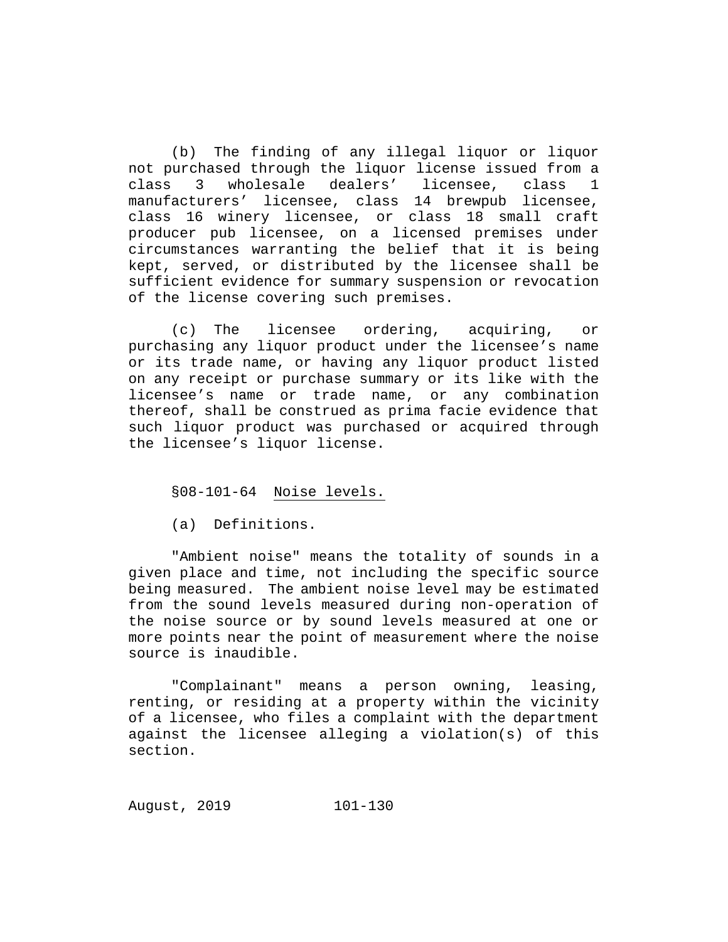(b) The finding of any illegal liquor or liquor not purchased through the liquor license issued from a<br>class 3 wholesale dealers' licensee, class 1 class 3 wholesale dealers' licensee, class 1 manufacturers' licensee, class 14 brewpub licensee, class 16 winery licensee, or class 18 small craft producer pub licensee, on a licensed premises under circumstances warranting the belief that it is being kept, served, or distributed by the licensee shall be sufficient evidence for summary suspension or revocation of the license covering such premises.

(c) The licensee ordering, acquiring, or purchasing any liquor product under the licensee's name or its trade name, or having any liquor product listed on any receipt or purchase summary or its like with the licensee's name or trade name, or any combination thereof, shall be construed as prima facie evidence that such liquor product was purchased or acquired through the licensee's liquor license.

§08-101-64 Noise levels.

(a) Definitions.

"Ambient noise" means the totality of sounds in a given place and time, not including the specific source being measured. The ambient noise level may be estimated from the sound levels measured during non-operation of the noise source or by sound levels measured at one or more points near the point of measurement where the noise source is inaudible.

"Complainant" means a person owning, leasing, renting, or residing at a property within the vicinity of a licensee, who files a complaint with the department against the licensee alleging a violation(s) of this section.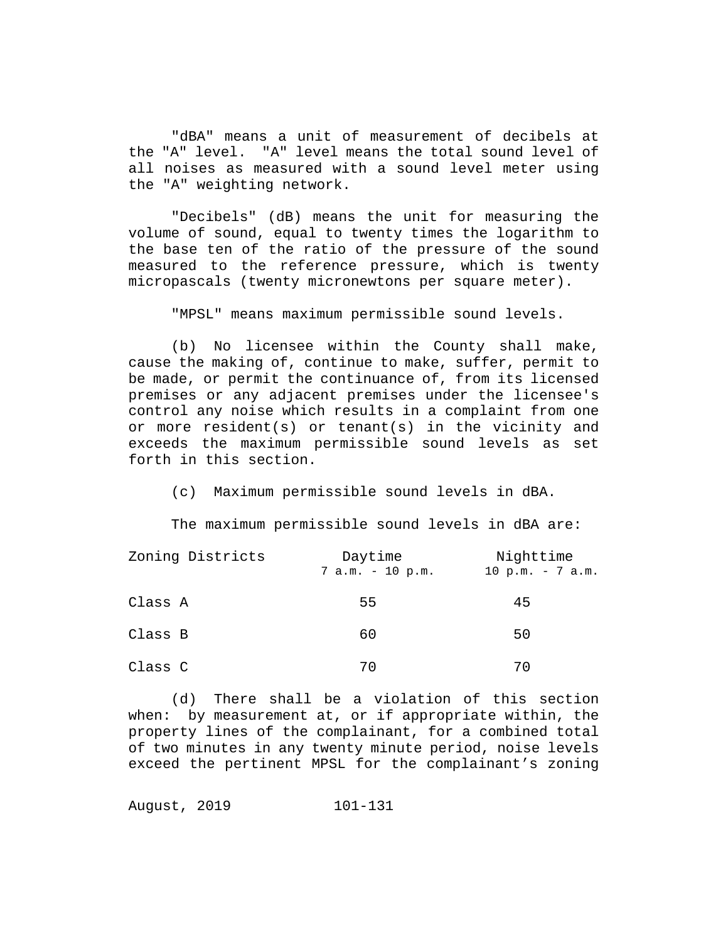"dBA" means a unit of measurement of decibels at the "A" level. "A" level means the total sound level of all noises as measured with a sound level meter using the "A" weighting network.

"Decibels" (dB) means the unit for measuring the volume of sound, equal to twenty times the logarithm to the base ten of the ratio of the pressure of the sound measured to the reference pressure, which is twenty micropascals (twenty micronewtons per square meter).

"MPSL" means maximum permissible sound levels.

(b) No licensee within the County shall make, cause the making of, continue to make, suffer, permit to be made, or permit the continuance of, from its licensed premises or any adjacent premises under the licensee's control any noise which results in a complaint from one or more resident(s) or tenant(s) in the vicinity and exceeds the maximum permissible sound levels as set forth in this section.

(c) Maximum permissible sound levels in dBA.

The maximum permissible sound levels in dBA are:

| Zoning Districts | Daytime            | Nighttime         |  |
|------------------|--------------------|-------------------|--|
|                  | $7 a.m. - 10 p.m.$ | 10 p.m. $-7$ a.m. |  |
| Class A          | 55                 | 45                |  |
| Class B          | 60                 | 50                |  |
| Class C          | 70                 | 70                |  |

(d) There shall be a violation of this section when: by measurement at, or if appropriate within, the property lines of the complainant, for a combined total of two minutes in any twenty minute period, noise levels exceed the pertinent MPSL for the complainant's zoning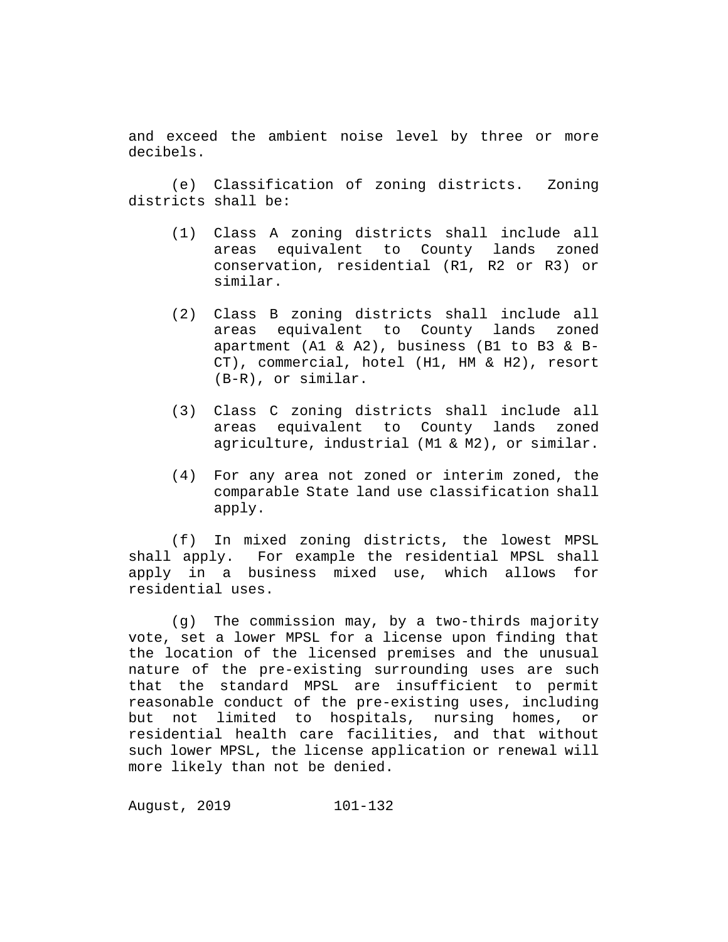and exceed the ambient noise level by three or more decibels.

(e) Classification of zoning districts. Zoning districts shall be:

- (1) Class A zoning districts shall include all areas equivalent to County lands zoned conservation, residential (R1, R2 or R3) or similar.
- (2) Class B zoning districts shall include all areas equivalent to County lands zoned apartment (A1 & A2), business (B1 to B3 & B-CT), commercial, hotel (H1, HM & H2), resort (B-R), or similar.
- (3) Class C zoning districts shall include all areas equivalent to County lands zoned agriculture, industrial (M1 & M2), or similar.
- (4) For any area not zoned or interim zoned, the comparable State land use classification shall apply.

(f) In mixed zoning districts, the lowest MPSL shall apply. For example the residential MPSL shall apply in a business mixed use, which allows for residential uses.

(g) The commission may, by a two-thirds majority vote, set a lower MPSL for a license upon finding that the location of the licensed premises and the unusual nature of the pre-existing surrounding uses are such that the standard MPSL are insufficient to permit reasonable conduct of the pre-existing uses, including but not limited to hospitals, nursing homes, or residential health care facilities, and that without such lower MPSL, the license application or renewal will more likely than not be denied.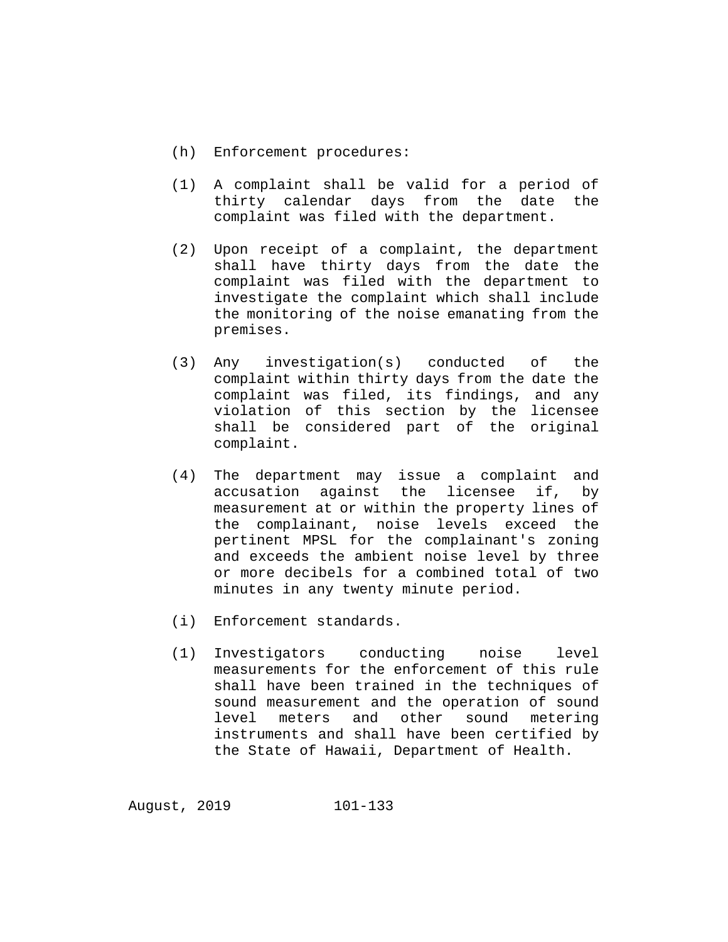- (h) Enforcement procedures:
- (1) A complaint shall be valid for a period of thirty calendar days from the date the complaint was filed with the department.
- (2) Upon receipt of a complaint, the department shall have thirty days from the date the complaint was filed with the department to investigate the complaint which shall include the monitoring of the noise emanating from the premises.
- (3) Any investigation(s) conducted of the complaint within thirty days from the date the complaint was filed, its findings, and any violation of this section by the licensee shall be considered part of the original complaint.
- (4) The department may issue a complaint and accusation against the licensee if, by measurement at or within the property lines of the complainant, noise levels exceed the pertinent MPSL for the complainant's zoning and exceeds the ambient noise level by three or more decibels for a combined total of two minutes in any twenty minute period.
- (i) Enforcement standards.
- (1) Investigators conducting noise level measurements for the enforcement of this rule shall have been trained in the techniques of sound measurement and the operation of sound<br>level meters and other sound metering meters and other sound metering instruments and shall have been certified by the State of Hawaii, Department of Health.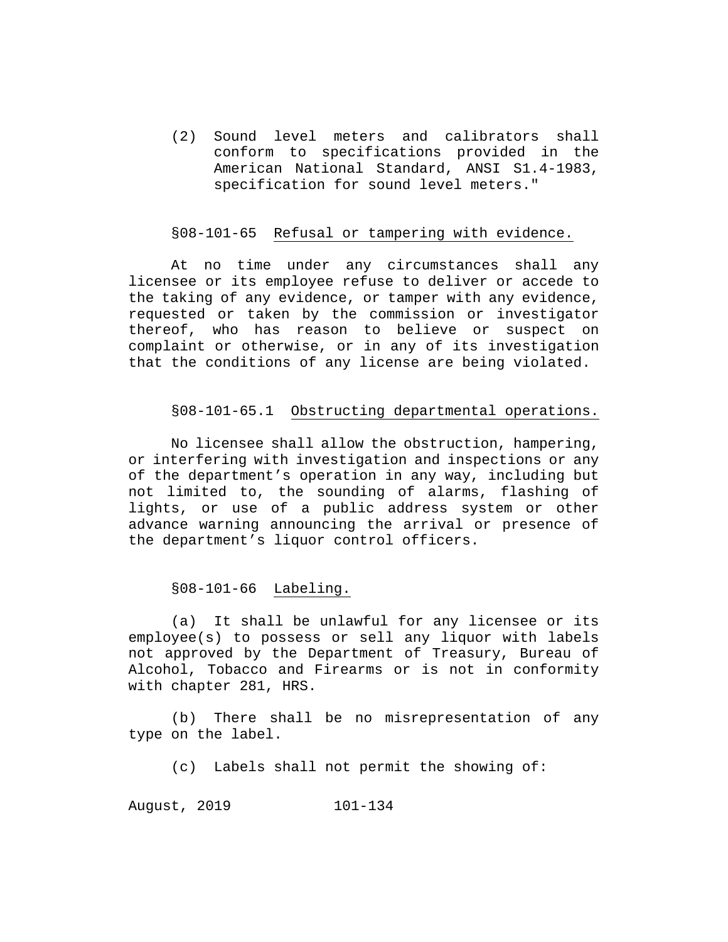(2) Sound level meters and calibrators shall conform to specifications provided in the American National Standard, ANSI S1.4-1983, specification for sound level meters."

### §08-101-65 Refusal or tampering with evidence.

At no time under any circumstances shall any licensee or its employee refuse to deliver or accede to the taking of any evidence, or tamper with any evidence, requested or taken by the commission or investigator thereof, who has reason to believe or suspect on complaint or otherwise, or in any of its investigation that the conditions of any license are being violated.

### §08-101-65.1 Obstructing departmental operations.

No licensee shall allow the obstruction, hampering, or interfering with investigation and inspections or any of the department's operation in any way, including but not limited to, the sounding of alarms, flashing of lights, or use of a public address system or other advance warning announcing the arrival or presence of the department's liquor control officers.

## §08-101-66 Labeling.

(a) It shall be unlawful for any licensee or its employee(s) to possess or sell any liquor with labels not approved by the Department of Treasury, Bureau of Alcohol, Tobacco and Firearms or is not in conformity with chapter 281, HRS.

(b) There shall be no misrepresentation of any type on the label.

(c) Labels shall not permit the showing of: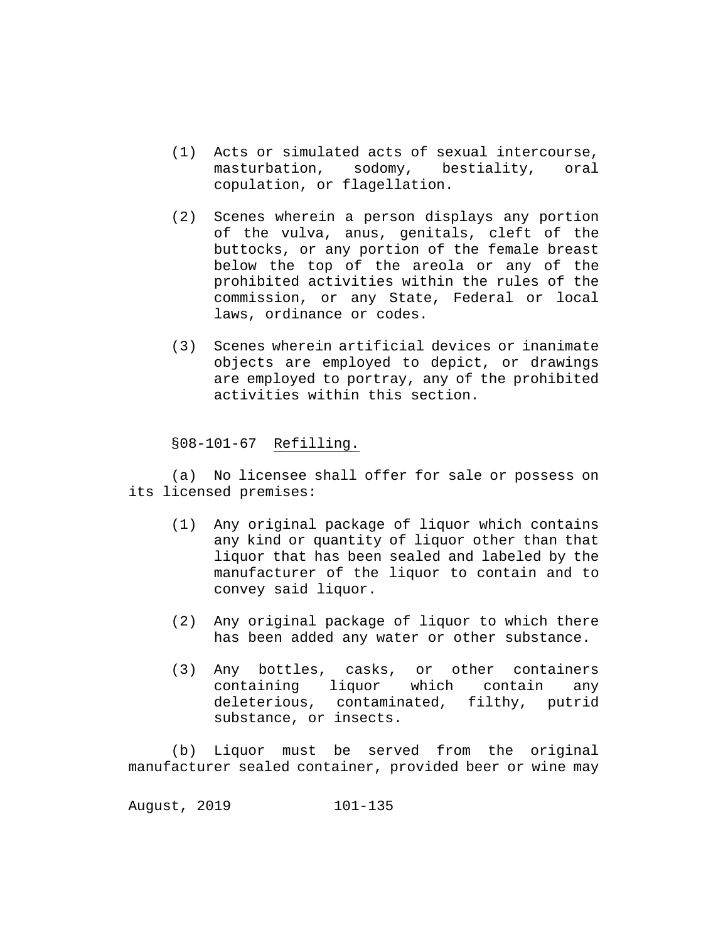- (1) Acts or simulated acts of sexual intercourse, masturbation, sodomy, bestiality, oral copulation, or flagellation.
- (2) Scenes wherein a person displays any portion of the vulva, anus, genitals, cleft of the buttocks, or any portion of the female breast below the top of the areola or any of the prohibited activities within the rules of the commission, or any State, Federal or local laws, ordinance or codes.
- (3) Scenes wherein artificial devices or inanimate objects are employed to depict, or drawings are employed to portray, any of the prohibited activities within this section.

§08-101-67 Refilling.

(a) No licensee shall offer for sale or possess on its licensed premises:

- (1) Any original package of liquor which contains any kind or quantity of liquor other than that liquor that has been sealed and labeled by the manufacturer of the liquor to contain and to convey said liquor.
- (2) Any original package of liquor to which there has been added any water or other substance.
- (3) Any bottles, casks, or other containers<br>containing liquor which contain any containing liquor which contain deleterious, contaminated, filthy, putrid substance, or insects.

(b) Liquor must be served from the original manufacturer sealed container, provided beer or wine may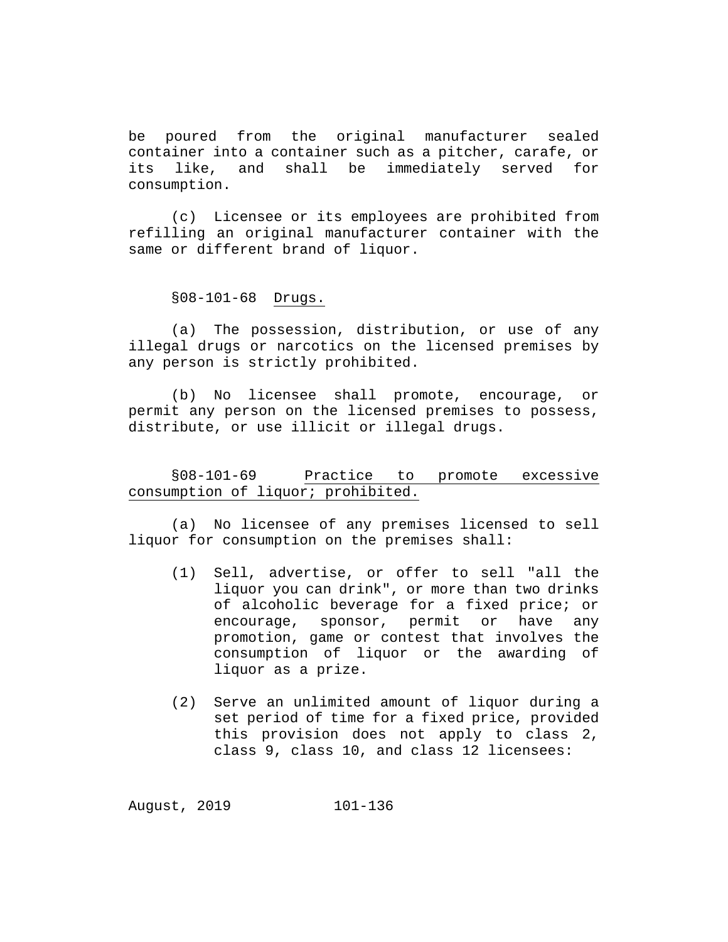be poured from the original manufacturer sealed container into a container such as a pitcher, carafe, or<br>its like, and shall be immediately served for immediately served for consumption.

(c) Licensee or its employees are prohibited from refilling an original manufacturer container with the same or different brand of liquor.

### §08-101-68 Drugs.

(a) The possession, distribution, or use of any illegal drugs or narcotics on the licensed premises by any person is strictly prohibited.

(b) No licensee shall promote, encourage, or permit any person on the licensed premises to possess, distribute, or use illicit or illegal drugs.

# §08-101-69 Practice to promote excessive consumption of liquor; prohibited.

(a) No licensee of any premises licensed to sell liquor for consumption on the premises shall:

- (1) Sell, advertise, or offer to sell "all the liquor you can drink", or more than two drinks of alcoholic beverage for a fixed price; or<br>encourage, sponsor, permit or have any sponsor, permit or have any promotion, game or contest that involves the consumption of liquor or the awarding of liquor as a prize.
- (2) Serve an unlimited amount of liquor during a set period of time for a fixed price, provided this provision does not apply to class 2, class 9, class 10, and class 12 licensees: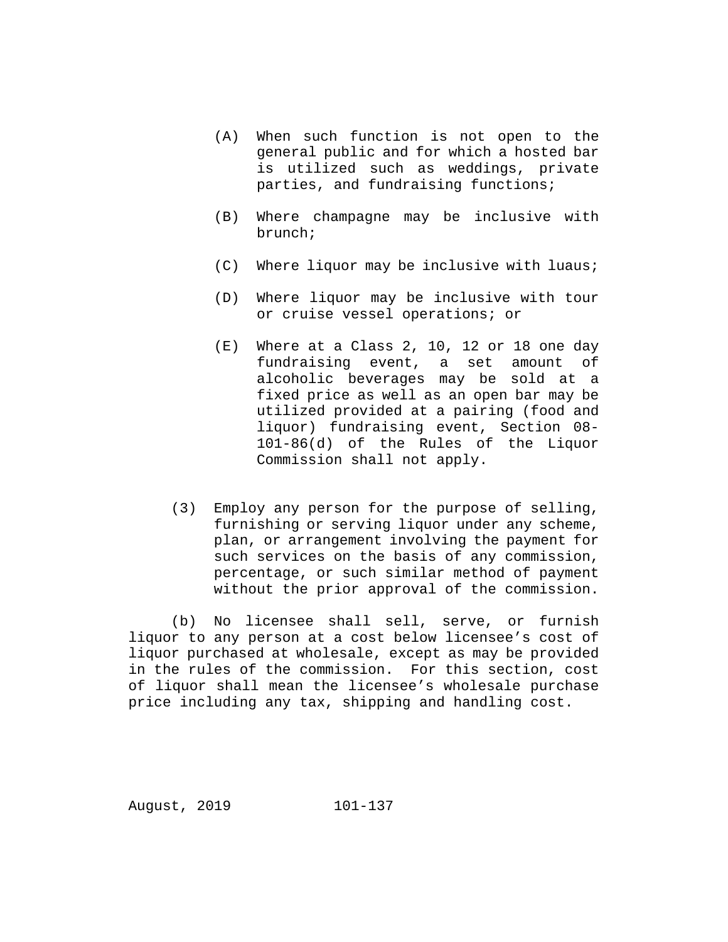- (A) When such function is not open to the general public and for which a hosted bar is utilized such as weddings, private parties, and fundraising functions;
- (B) Where champagne may be inclusive with brunch;
- (C) Where liquor may be inclusive with luaus;
- (D) Where liquor may be inclusive with tour or cruise vessel operations; or
- (E) Where at a Class 2, 10, 12 or 18 one day fundraising event, a set amount of alcoholic beverages may be sold at a fixed price as well as an open bar may be utilized provided at a pairing (food and liquor) fundraising event, Section 08- 101-86(d) of the Rules of the Liquor Commission shall not apply.
- (3) Employ any person for the purpose of selling, furnishing or serving liquor under any scheme, plan, or arrangement involving the payment for such services on the basis of any commission, percentage, or such similar method of payment without the prior approval of the commission.

(b) No licensee shall sell, serve, or furnish liquor to any person at a cost below licensee's cost of liquor purchased at wholesale, except as may be provided in the rules of the commission. For this section, cost of liquor shall mean the licensee's wholesale purchase price including any tax, shipping and handling cost.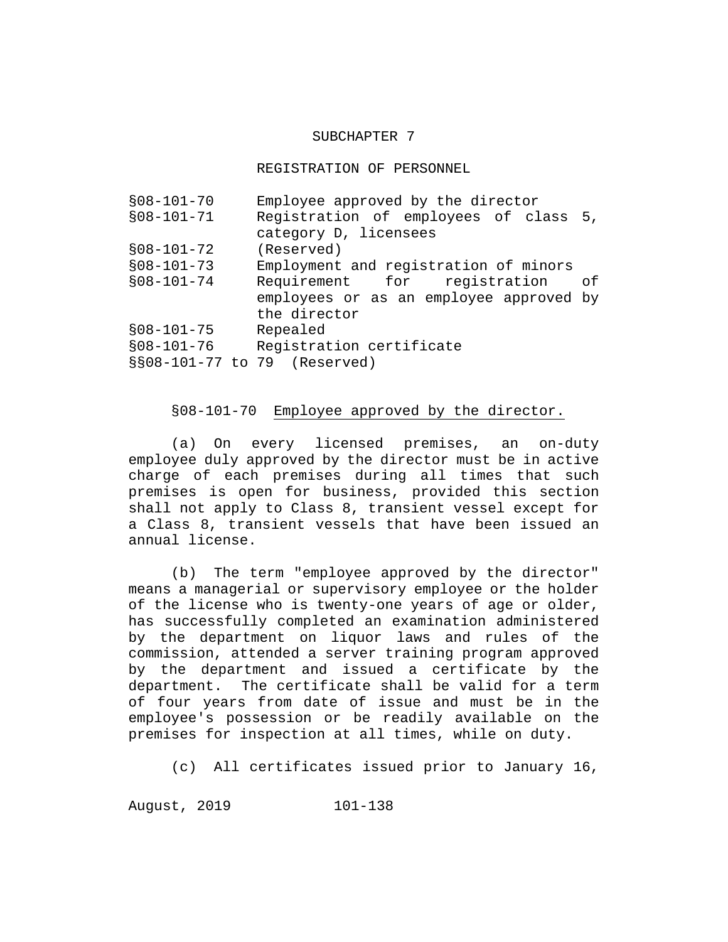### SUBCHAPTER 7

REGISTRATION OF PERSONNEL

| $$08-101-70$                 | Employee approved by the director       |  |
|------------------------------|-----------------------------------------|--|
| $$08-101-71$                 | Registration of employees of class 5,   |  |
|                              | category D, licensees                   |  |
| $$08-101-72$                 | (Reserved)                              |  |
| $$08-101-73$                 | Employment and registration of minors   |  |
| $$08-101-74$                 | Requirement for registration<br>of      |  |
|                              | employees or as an employee approved by |  |
|                              | the director                            |  |
| $$08-101-75$                 | Repealed                                |  |
| $$08-101-76$                 | Registration certificate                |  |
| §§08-101-77 to 79 (Reserved) |                                         |  |

# §08-101-70 Employee approved by the director.

(a) On every licensed premises, an on-duty employee duly approved by the director must be in active charge of each premises during all times that such premises is open for business, provided this section shall not apply to Class 8, transient vessel except for a Class 8, transient vessels that have been issued an annual license.

(b) The term "employee approved by the director" means a managerial or supervisory employee or the holder of the license who is twenty-one years of age or older, has successfully completed an examination administered by the department on liquor laws and rules of the commission, attended a server training program approved by the department and issued a certificate by the department. The certificate shall be valid for a term of four years from date of issue and must be in the employee's possession or be readily available on the premises for inspection at all times, while on duty.

(c) All certificates issued prior to January 16,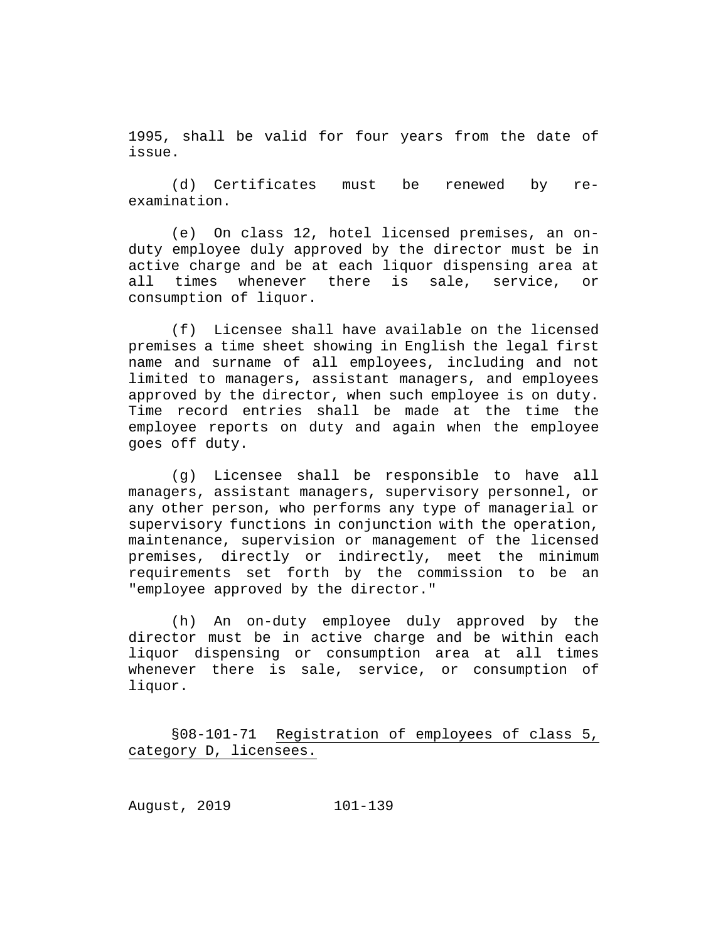1995, shall be valid for four years from the date of issue.

(d) Certificates must be renewed by reexamination.

(e) On class 12, hotel licensed premises, an onduty employee duly approved by the director must be in active charge and be at each liquor dispensing area at<br>all times whenever there is sale, service, or times whenever there is sale, service, or consumption of liquor.

(f) Licensee shall have available on the licensed premises a time sheet showing in English the legal first name and surname of all employees, including and not limited to managers, assistant managers, and employees approved by the director, when such employee is on duty. Time record entries shall be made at the time the employee reports on duty and again when the employee goes off duty.

(g) Licensee shall be responsible to have all managers, assistant managers, supervisory personnel, or any other person, who performs any type of managerial or supervisory functions in conjunction with the operation, maintenance, supervision or management of the licensed premises, directly or indirectly, meet the minimum requirements set forth by the commission to be an "employee approved by the director."

(h) An on-duty employee duly approved by the director must be in active charge and be within each liquor dispensing or consumption area at all times whenever there is sale, service, or consumption of liquor.

§08-101-71 Registration of employees of class 5, category D, licensees.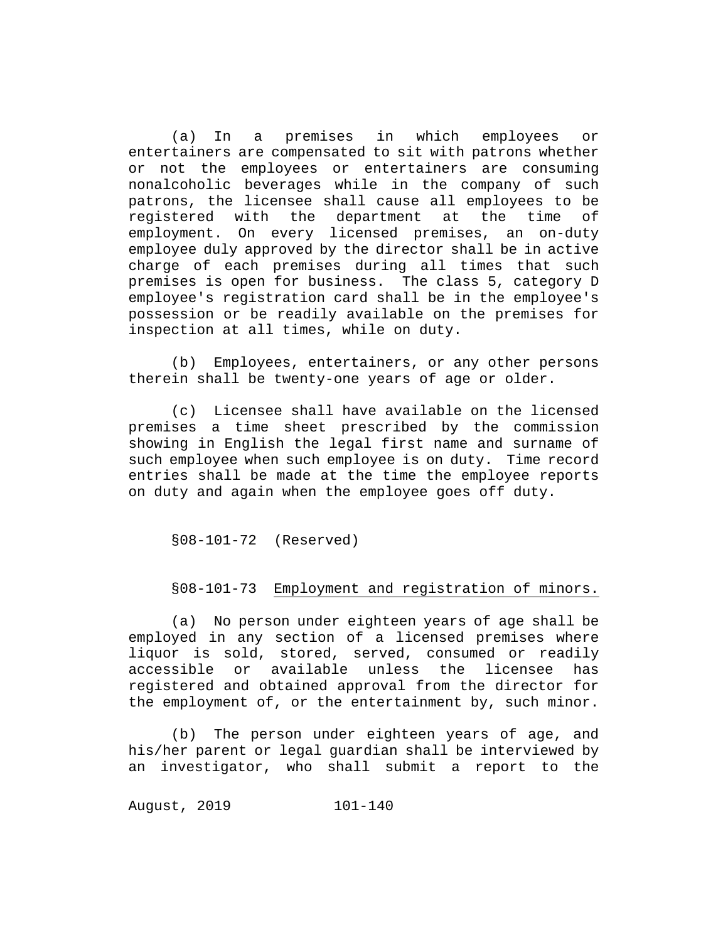(a) In a premises in which employees or entertainers are compensated to sit with patrons whether or not the employees or entertainers are consuming nonalcoholic beverages while in the company of such patrons, the licensee shall cause all employees to be registered with the department at the time of employment. On every licensed premises, an on-duty employee duly approved by the director shall be in active charge of each premises during all times that such premises is open for business. The class 5, category D employee's registration card shall be in the employee's possession or be readily available on the premises for inspection at all times, while on duty.

(b) Employees, entertainers, or any other persons therein shall be twenty-one years of age or older.

(c) Licensee shall have available on the licensed premises a time sheet prescribed by the commission showing in English the legal first name and surname of such employee when such employee is on duty. Time record entries shall be made at the time the employee reports on duty and again when the employee goes off duty.

§08-101-72 (Reserved)

# §08-101-73 Employment and registration of minors.

(a) No person under eighteen years of age shall be employed in any section of a licensed premises where liquor is sold, stored, served, consumed or readily accessible or available unless the licensee has registered and obtained approval from the director for the employment of, or the entertainment by, such minor.

(b) The person under eighteen years of age, and his/her parent or legal guardian shall be interviewed by an investigator, who shall submit a report to the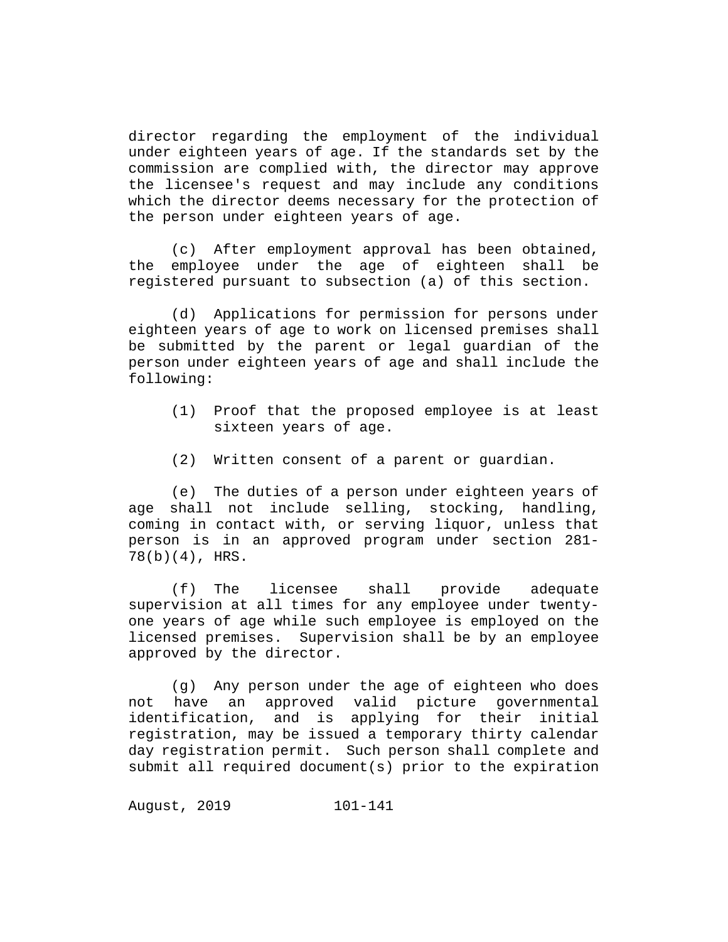director regarding the employment of the individual under eighteen years of age. If the standards set by the commission are complied with, the director may approve the licensee's request and may include any conditions which the director deems necessary for the protection of the person under eighteen years of age.

(c) After employment approval has been obtained, the employee under the age of eighteen shall be registered pursuant to subsection (a) of this section.

(d) Applications for permission for persons under eighteen years of age to work on licensed premises shall be submitted by the parent or legal guardian of the person under eighteen years of age and shall include the following:

- (1) Proof that the proposed employee is at least sixteen years of age.
- (2) Written consent of a parent or guardian.

(e) The duties of a person under eighteen years of age shall not include selling, stocking, handling, coming in contact with, or serving liquor, unless that person is in an approved program under section 281- 78(b)(4), HRS.

(f) The licensee shall provide adequate supervision at all times for any employee under twentyone years of age while such employee is employed on the licensed premises. Supervision shall be by an employee approved by the director.

(g) Any person under the age of eighteen who does not have an approved valid picture governmental<br>identification, and is applying for their initial identification, and is applying for their registration, may be issued a temporary thirty calendar day registration permit. Such person shall complete and submit all required document(s) prior to the expiration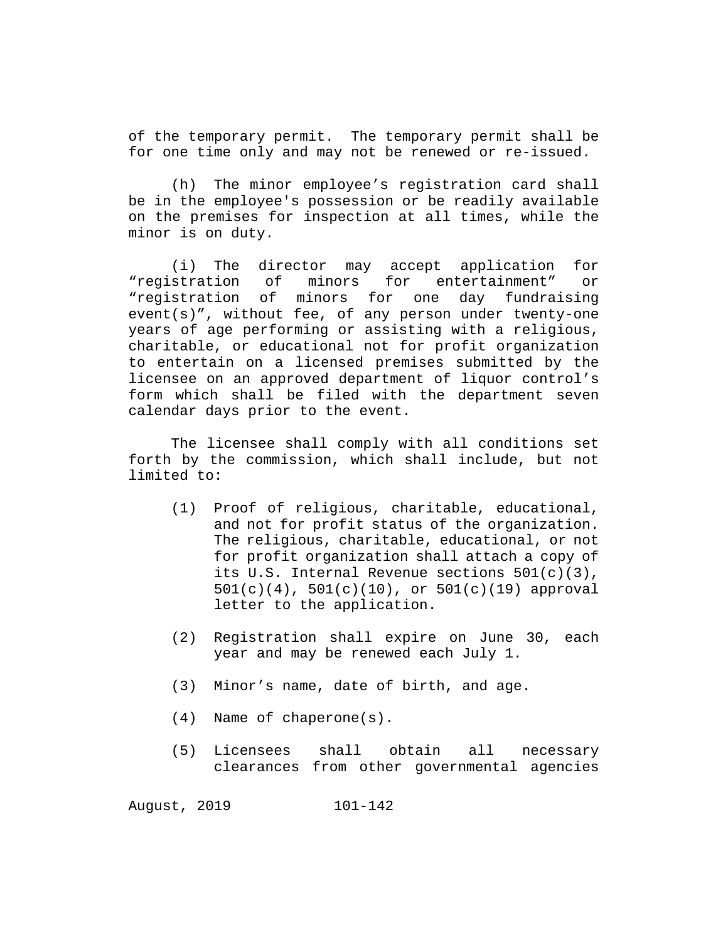of the temporary permit. The temporary permit shall be for one time only and may not be renewed or re-issued.

(h) The minor employee's registration card shall be in the employee's possession or be readily available on the premises for inspection at all times, while the minor is on duty.

(i) The director may accept application for<br>"reqistration of minors for entertainment" or for entertainment" "registration of minors for one day fundraising event(s)", without fee, of any person under twenty-one years of age performing or assisting with a religious, charitable, or educational not for profit organization to entertain on a licensed premises submitted by the licensee on an approved department of liquor control's form which shall be filed with the department seven calendar days prior to the event.

The licensee shall comply with all conditions set forth by the commission, which shall include, but not limited to:

- (1) Proof of religious, charitable, educational, and not for profit status of the organization. The religious, charitable, educational, or not for profit organization shall attach a copy of its U.S. Internal Revenue sections 501(c)(3), 501(c)(4), 501(c)(10), or 501(c)(19) approval letter to the application.
- (2) Registration shall expire on June 30, each year and may be renewed each July 1.
- (3) Minor's name, date of birth, and age.
- (4) Name of chaperone(s).
- (5) Licensees shall obtain all necessary clearances from other governmental agencies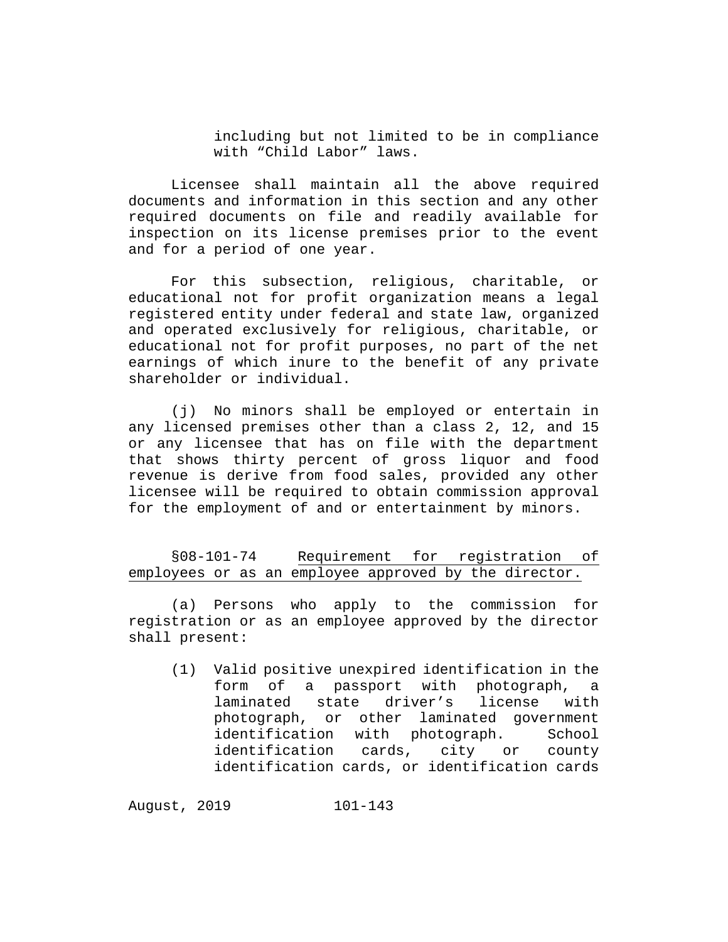including but not limited to be in compliance with "Child Labor" laws.

Licensee shall maintain all the above required documents and information in this section and any other required documents on file and readily available for inspection on its license premises prior to the event and for a period of one year.

For this subsection, religious, charitable, or educational not for profit organization means a legal registered entity under federal and state law, organized and operated exclusively for religious, charitable, or educational not for profit purposes, no part of the net earnings of which inure to the benefit of any private shareholder or individual.

(j) No minors shall be employed or entertain in any licensed premises other than a class 2, 12, and 15 or any licensee that has on file with the department that shows thirty percent of gross liquor and food revenue is derive from food sales, provided any other licensee will be required to obtain commission approval for the employment of and or entertainment by minors.

§08-101-74 Requirement for registration of employees or as an employee approved by the director.

(a) Persons who apply to the commission for registration or as an employee approved by the director shall present:

(1) Valid positive unexpired identification in the form of a passport with photograph, a<br>laminated state driver's license with laminated state driver's photograph, or other laminated government identification with photograph. School identification cards, city or county identification cards, or identification cards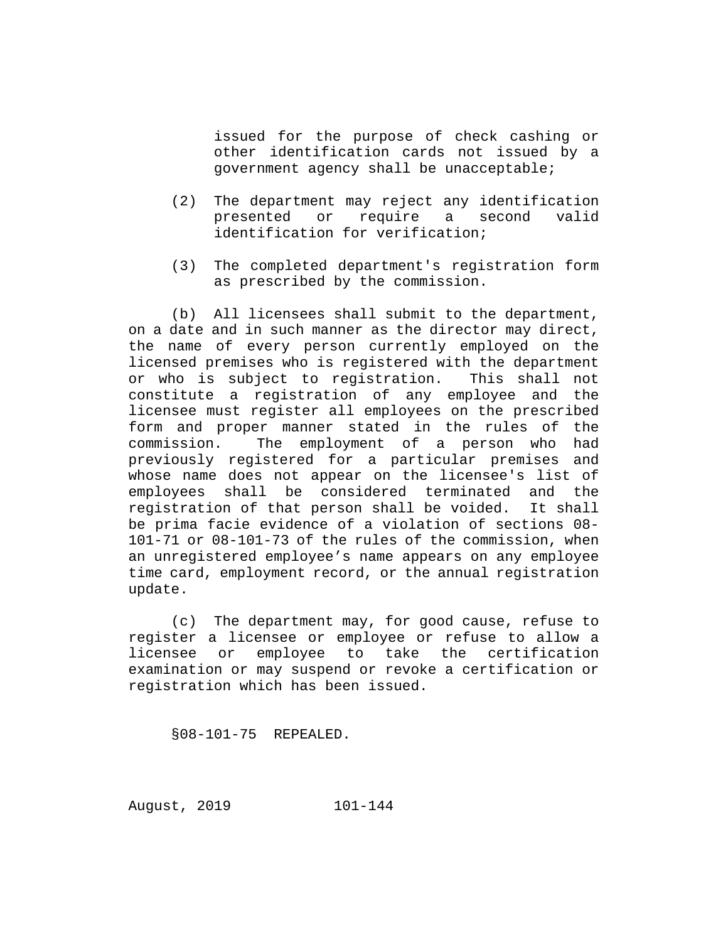issued for the purpose of check cashing or other identification cards not issued by a government agency shall be unacceptable;

- (2) The department may reject any identification<br>presented or require a second valid presented or require a second identification for verification;
- (3) The completed department's registration form as prescribed by the commission.

(b) All licensees shall submit to the department, on a date and in such manner as the director may direct, the name of every person currently employed on the licensed premises who is registered with the department<br>or who is subject to registration. This shall not or who is subject to registration. constitute a registration of any employee and the licensee must register all employees on the prescribed form and proper manner stated in the rules of the<br>commission. The employment of a person who had The employment of a person who had previously registered for a particular premises and whose name does not appear on the licensee's list of employees shall be considered terminated and the registration of that person shall be voided. It shall be prima facie evidence of a violation of sections 08- 101-71 or 08-101-73 of the rules of the commission, when an unregistered employee's name appears on any employee time card, employment record, or the annual registration update.

(c) The department may, for good cause, refuse to register a licensee or employee or refuse to allow a<br>licensee or employee to take the certification employee to take the certification examination or may suspend or revoke a certification or registration which has been issued.

§08-101-75 REPEALED.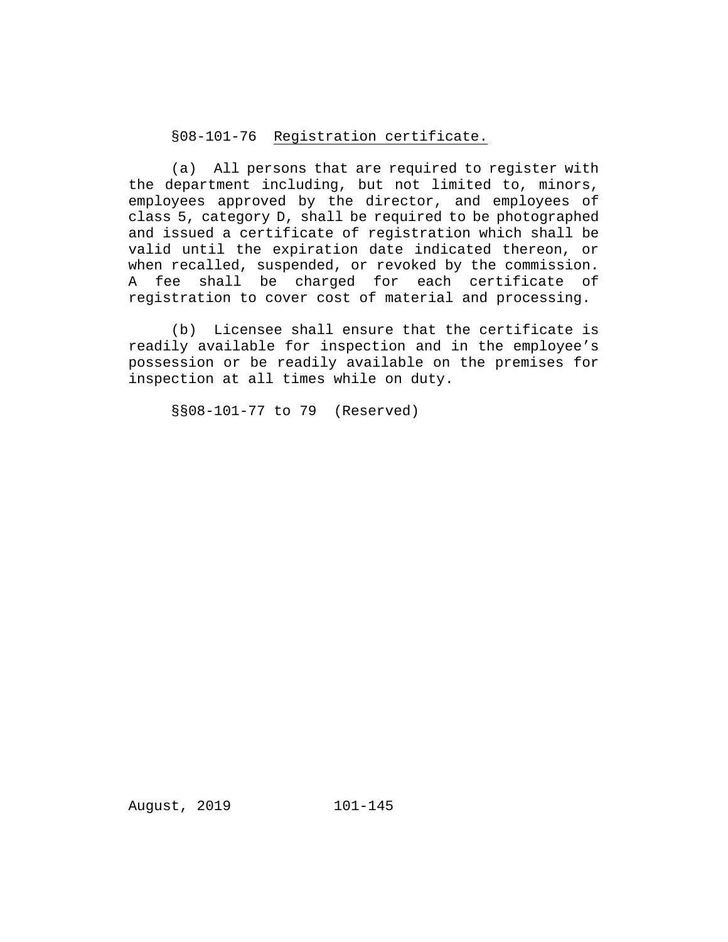# §08-101-76 Registration certificate.

(a) All persons that are required to register with the department including, but not limited to, minors, employees approved by the director, and employees of class 5, category D, shall be required to be photographed and issued a certificate of registration which shall be valid until the expiration date indicated thereon, or when recalled, suspended, or revoked by the commission. A fee shall be charged for each certificate of registration to cover cost of material and processing.

(b) Licensee shall ensure that the certificate is readily available for inspection and in the employee's possession or be readily available on the premises for inspection at all times while on duty.

§§08-101-77 to 79 (Reserved)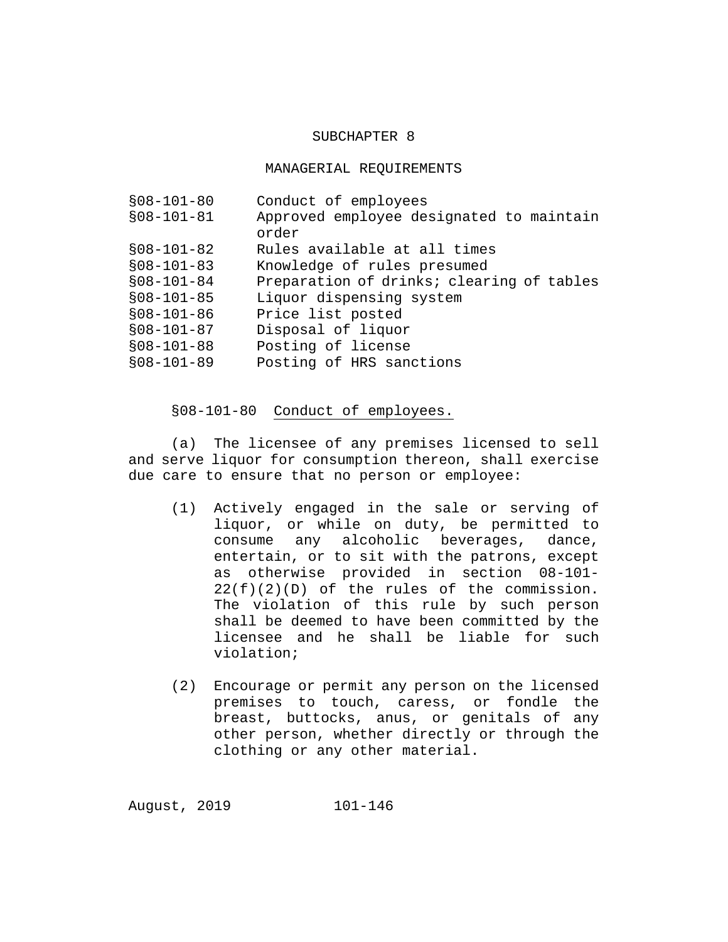#### SUBCHAPTER 8

#### MANAGERIAL REQUIREMENTS

| Conduct of employees                              |
|---------------------------------------------------|
| Approved employee designated to maintain<br>order |
| Rules available at all times                      |
| Knowledge of rules presumed                       |
| Preparation of drinks; clearing of tables         |
| Liquor dispensing system                          |
| Price list posted                                 |
| Disposal of liquor                                |
| Posting of license                                |
| Posting of HRS sanctions                          |
|                                                   |

#### §08-101-80 Conduct of employees.

(a) The licensee of any premises licensed to sell and serve liquor for consumption thereon, shall exercise due care to ensure that no person or employee:

- (1) Actively engaged in the sale or serving of liquor, or while on duty, be permitted to consume any alcoholic beverages, dance, entertain, or to sit with the patrons, except as otherwise provided in section 08-101-  $22(f)(2)(D)$  of the rules of the commission. The violation of this rule by such person shall be deemed to have been committed by the licensee and he shall be liable for such violation;
- (2) Encourage or permit any person on the licensed premises to touch, caress, or fondle the breast, buttocks, anus, or genitals of any other person, whether directly or through the clothing or any other material.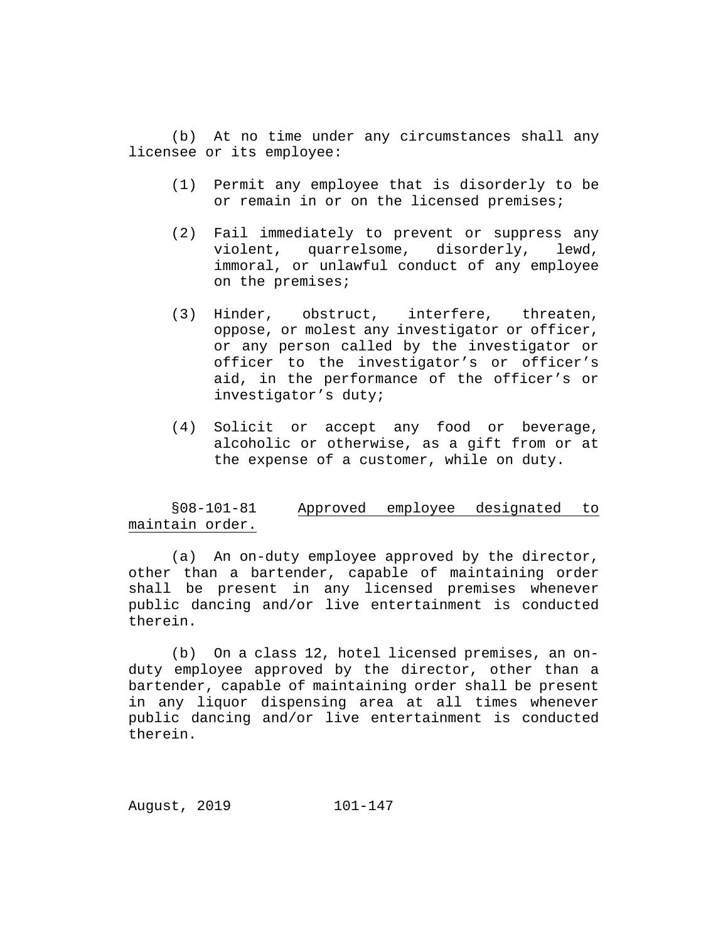(b) At no time under any circumstances shall any licensee or its employee:

- (1) Permit any employee that is disorderly to be or remain in or on the licensed premises;
- (2) Fail immediately to prevent or suppress any violent, quarrelsome, disorderly, lewd, immoral, or unlawful conduct of any employee on the premises;
- (3) Hinder, obstruct, interfere, threaten, oppose, or molest any investigator or officer, or any person called by the investigator or officer to the investigator's or officer's aid, in the performance of the officer's or investigator's duty;
- (4) Solicit or accept any food or beverage, alcoholic or otherwise, as a gift from or at the expense of a customer, while on duty.

## §08-101-81 Approved employee designated to maintain order.

(a) An on-duty employee approved by the director, other than a bartender, capable of maintaining order shall be present in any licensed premises whenever public dancing and/or live entertainment is conducted therein.

(b) On a class 12, hotel licensed premises, an onduty employee approved by the director, other than a bartender, capable of maintaining order shall be present in any liquor dispensing area at all times whenever public dancing and/or live entertainment is conducted therein.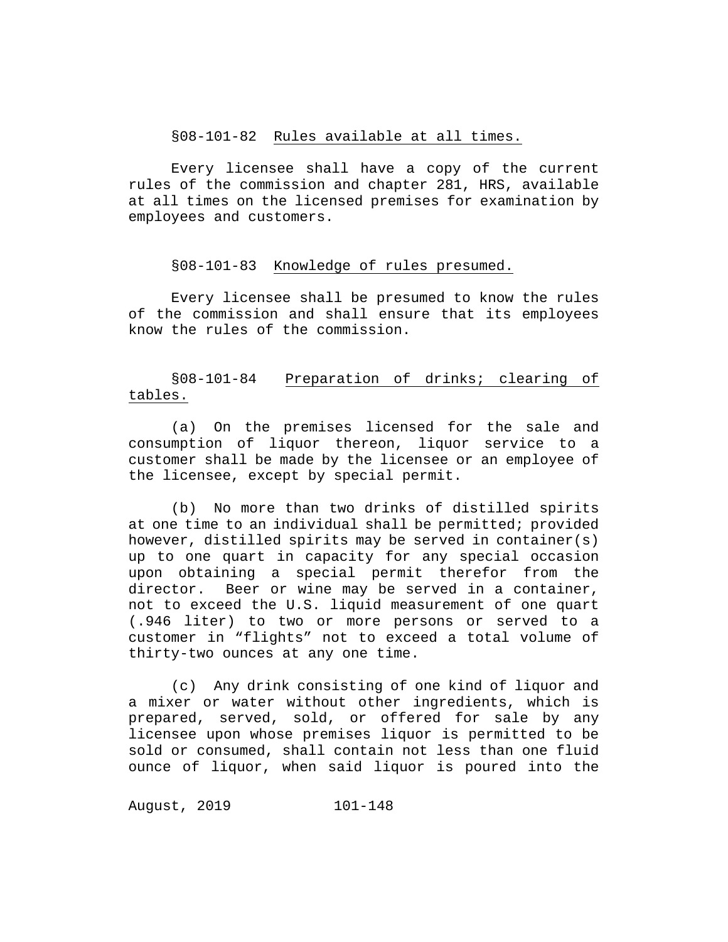#### §08-101-82 Rules available at all times.

Every licensee shall have a copy of the current rules of the commission and chapter 281, HRS, available at all times on the licensed premises for examination by employees and customers.

### §08-101-83 Knowledge of rules presumed.

Every licensee shall be presumed to know the rules of the commission and shall ensure that its employees know the rules of the commission.

# §08-101-84 Preparation of drinks; clearing of tables.

(a) On the premises licensed for the sale and consumption of liquor thereon, liquor service to a customer shall be made by the licensee or an employee of the licensee, except by special permit.

(b) No more than two drinks of distilled spirits at one time to an individual shall be permitted; provided however, distilled spirits may be served in container(s) up to one quart in capacity for any special occasion upon obtaining a special permit therefor from the<br>director. Beer or wine may be served in a container, Beer or wine may be served in a container, not to exceed the U.S. liquid measurement of one quart (.946 liter) to two or more persons or served to a customer in "flights" not to exceed a total volume of thirty-two ounces at any one time.

(c) Any drink consisting of one kind of liquor and a mixer or water without other ingredients, which is prepared, served, sold, or offered for sale by any licensee upon whose premises liquor is permitted to be sold or consumed, shall contain not less than one fluid ounce of liquor, when said liquor is poured into the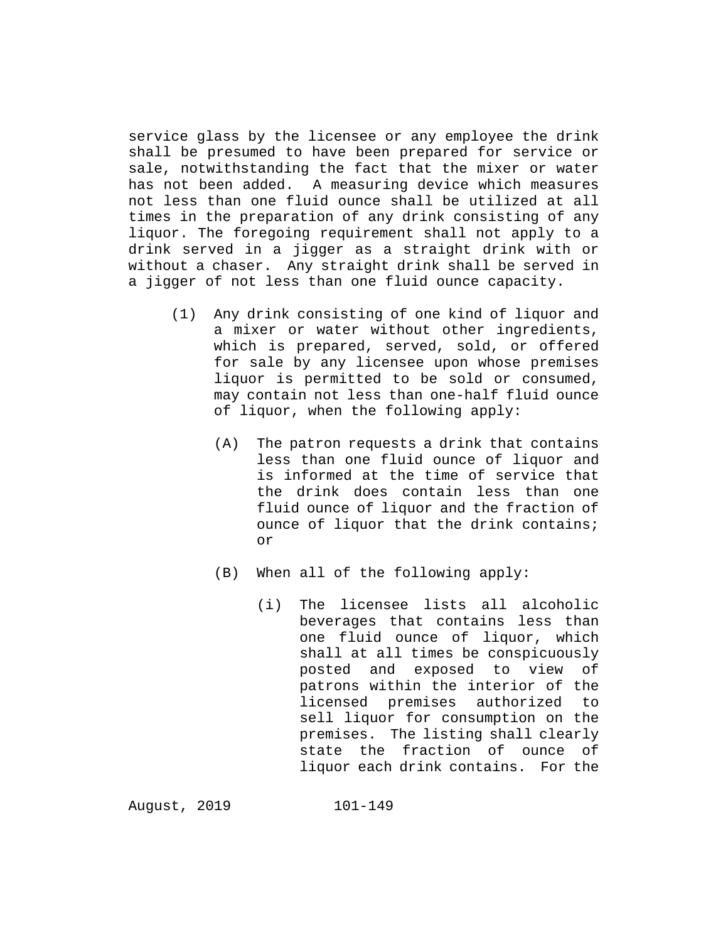service glass by the licensee or any employee the drink shall be presumed to have been prepared for service or sale, notwithstanding the fact that the mixer or water has not been added. A measuring device which measures not less than one fluid ounce shall be utilized at all times in the preparation of any drink consisting of any liquor. The foregoing requirement shall not apply to a drink served in a jigger as a straight drink with or without a chaser. Any straight drink shall be served in a jigger of not less than one fluid ounce capacity.

- (1) Any drink consisting of one kind of liquor and a mixer or water without other ingredients, which is prepared, served, sold, or offered for sale by any licensee upon whose premises liquor is permitted to be sold or consumed, may contain not less than one-half fluid ounce of liquor, when the following apply:
	- (A) The patron requests a drink that contains less than one fluid ounce of liquor and is informed at the time of service that the drink does contain less than one fluid ounce of liquor and the fraction of ounce of liquor that the drink contains; or
	- (B) When all of the following apply:
		- (i) The licensee lists all alcoholic beverages that contains less than one fluid ounce of liquor, which shall at all times be conspicuously posted and exposed to view of patrons within the interior of the licensed premises authorized to sell liquor for consumption on the premises. The listing shall clearly state the fraction of ounce of liquor each drink contains. For the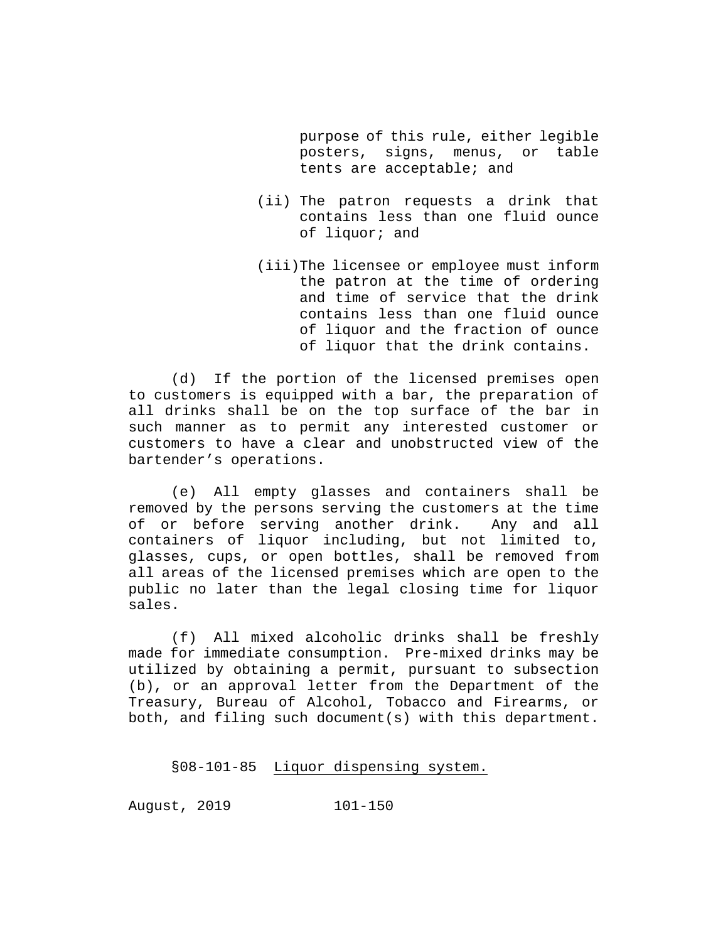purpose of this rule, either legible posters, signs, menus, or table tents are acceptable; and

- (ii) The patron requests a drink that contains less than one fluid ounce of liquor; and
- (iii)The licensee or employee must inform the patron at the time of ordering and time of service that the drink contains less than one fluid ounce of liquor and the fraction of ounce of liquor that the drink contains.

(d) If the portion of the licensed premises open to customers is equipped with a bar, the preparation of all drinks shall be on the top surface of the bar in such manner as to permit any interested customer or customers to have a clear and unobstructed view of the bartender's operations.

(e) All empty glasses and containers shall be removed by the persons serving the customers at the time of or before serving another drink. Any and all containers of liquor including, but not limited to, glasses, cups, or open bottles, shall be removed from all areas of the licensed premises which are open to the public no later than the legal closing time for liquor sales.

(f) All mixed alcoholic drinks shall be freshly made for immediate consumption. Pre-mixed drinks may be utilized by obtaining a permit, pursuant to subsection (b), or an approval letter from the Department of the Treasury, Bureau of Alcohol, Tobacco and Firearms, or both, and filing such document(s) with this department.

§08-101-85 Liquor dispensing system.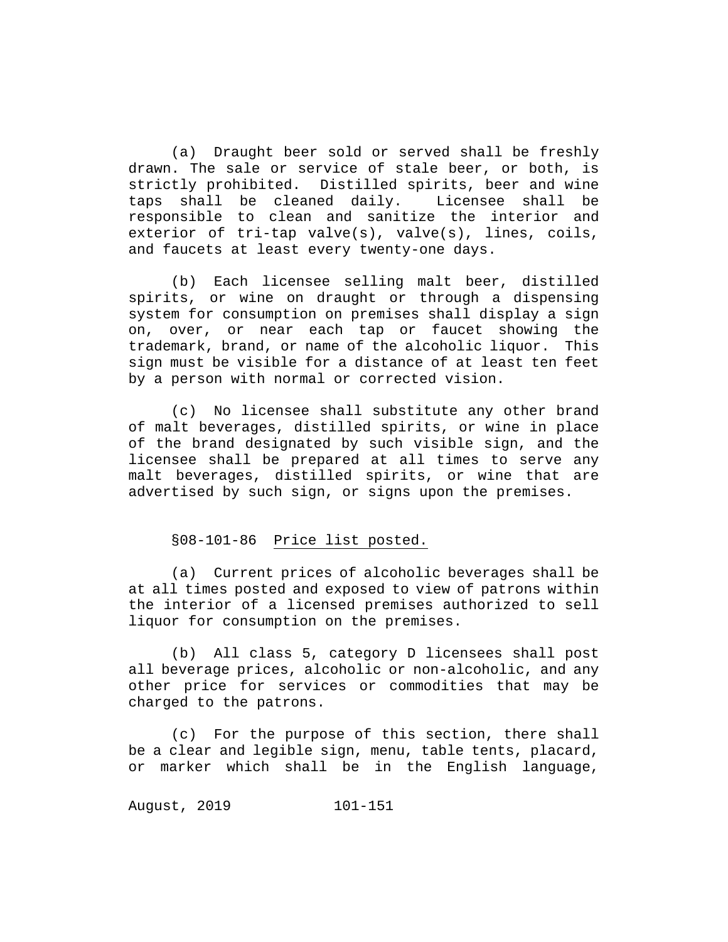(a) Draught beer sold or served shall be freshly drawn. The sale or service of stale beer, or both, is strictly prohibited. Distilled spirits, beer and wine<br>taps shall be cleaned daily. Licensee shall be taps shall be cleaned daily. Licensee shall be responsible to clean and sanitize the interior and exterior of tri-tap valve(s), valve(s), lines, coils, and faucets at least every twenty-one days.

(b) Each licensee selling malt beer, distilled spirits, or wine on draught or through a dispensing system for consumption on premises shall display a sign on, over, or near each tap or faucet showing the trademark, brand, or name of the alcoholic liquor. This sign must be visible for a distance of at least ten feet by a person with normal or corrected vision.

(c) No licensee shall substitute any other brand of malt beverages, distilled spirits, or wine in place of the brand designated by such visible sign, and the licensee shall be prepared at all times to serve any malt beverages, distilled spirits, or wine that are advertised by such sign, or signs upon the premises.

### §08-101-86 Price list posted.

(a) Current prices of alcoholic beverages shall be at all times posted and exposed to view of patrons within the interior of a licensed premises authorized to sell liquor for consumption on the premises.

(b) All class 5, category D licensees shall post all beverage prices, alcoholic or non-alcoholic, and any other price for services or commodities that may be charged to the patrons.

(c) For the purpose of this section, there shall be a clear and legible sign, menu, table tents, placard, or marker which shall be in the English language,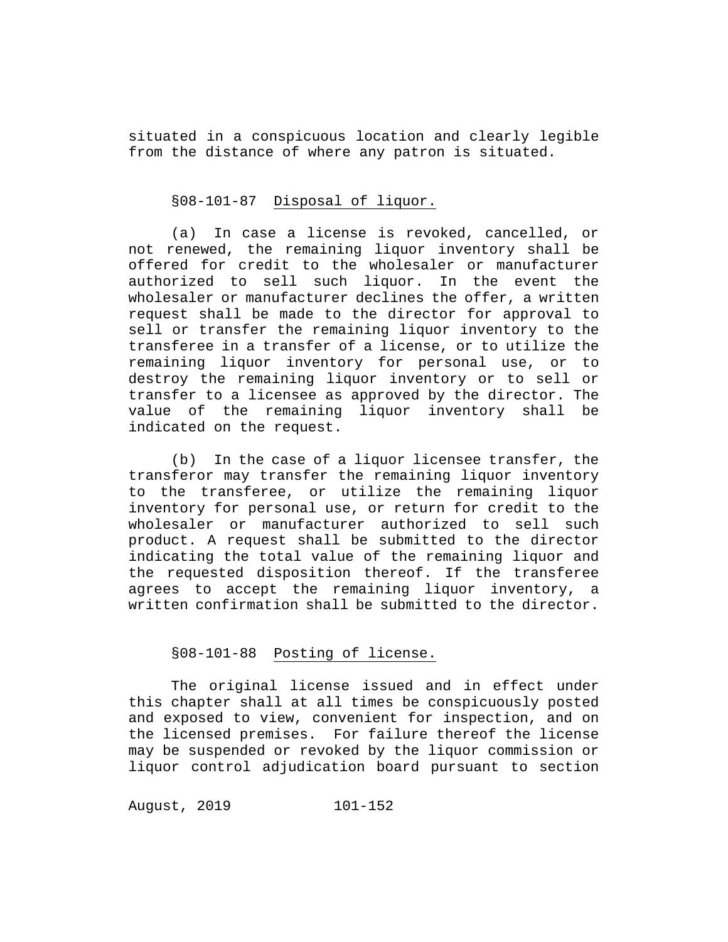situated in a conspicuous location and clearly legible from the distance of where any patron is situated.

### §08-101-87 Disposal of liquor.

(a) In case a license is revoked, cancelled, or not renewed, the remaining liquor inventory shall be offered for credit to the wholesaler or manufacturer authorized to sell such liquor. In the event the wholesaler or manufacturer declines the offer, a written request shall be made to the director for approval to sell or transfer the remaining liquor inventory to the transferee in a transfer of a license, or to utilize the remaining liquor inventory for personal use, or to destroy the remaining liquor inventory or to sell or transfer to a licensee as approved by the director. The<br>value of the remaining liguor inventory shall be value of the remaining liquor inventory shall indicated on the request.

(b) In the case of a liquor licensee transfer, the transferor may transfer the remaining liquor inventory to the transferee, or utilize the remaining liquor inventory for personal use, or return for credit to the wholesaler or manufacturer authorized to sell such product. A request shall be submitted to the director indicating the total value of the remaining liquor and the requested disposition thereof. If the transferee agrees to accept the remaining liquor inventory, a written confirmation shall be submitted to the director.

## §08-101-88 Posting of license.

The original license issued and in effect under this chapter shall at all times be conspicuously posted and exposed to view, convenient for inspection, and on the licensed premises. For failure thereof the license may be suspended or revoked by the liquor commission or liquor control adjudication board pursuant to section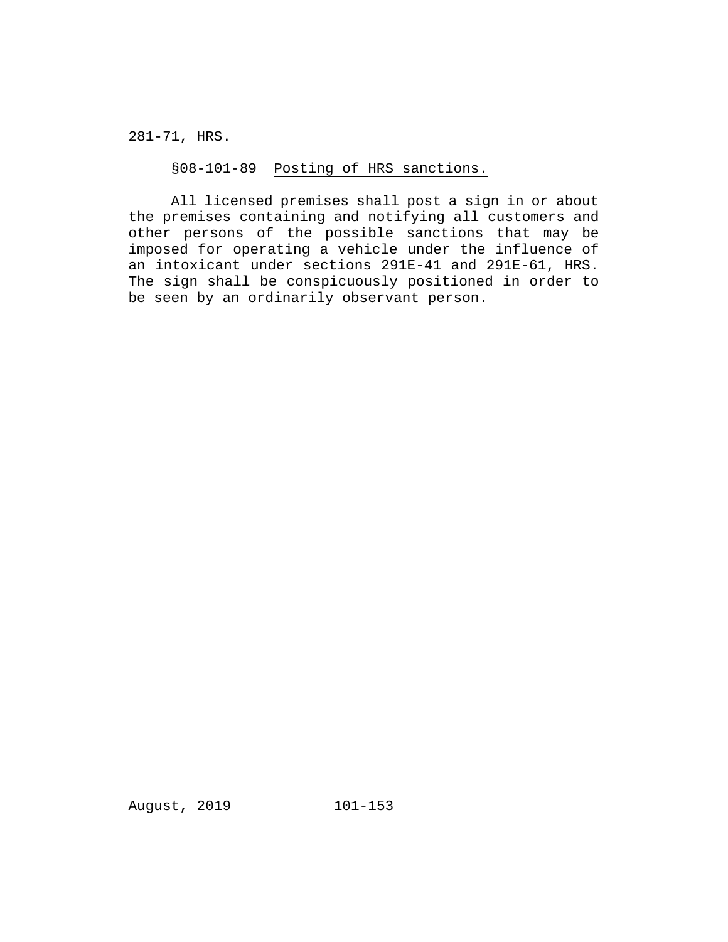281-71, HRS.

§08-101-89 Posting of HRS sanctions.

All licensed premises shall post a sign in or about the premises containing and notifying all customers and other persons of the possible sanctions that may be imposed for operating a vehicle under the influence of an intoxicant under sections 291E-41 and 291E-61, HRS. The sign shall be conspicuously positioned in order to be seen by an ordinarily observant person.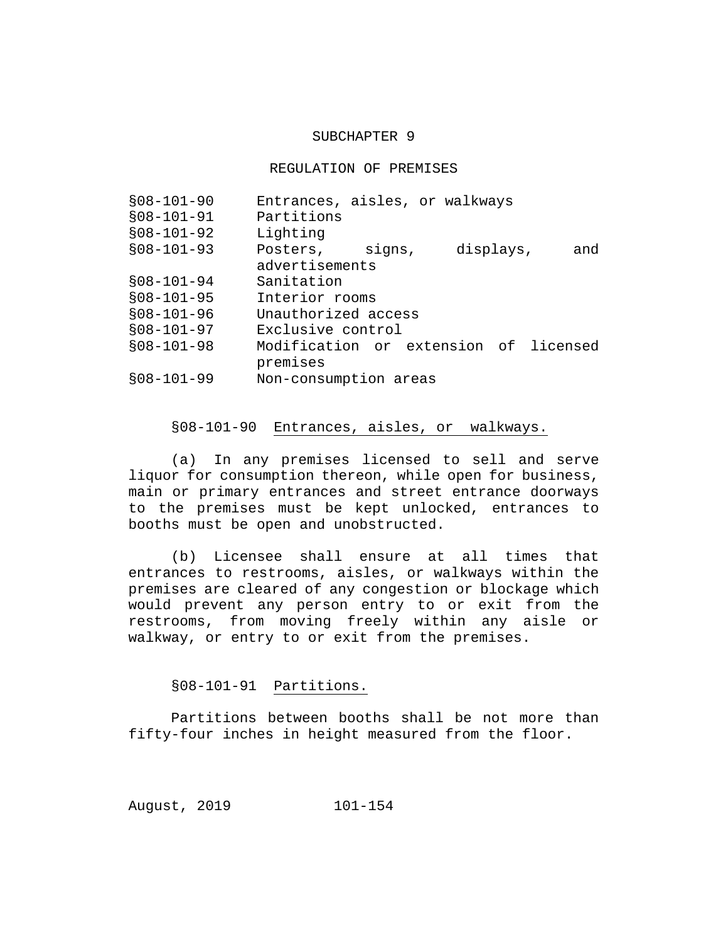#### SUBCHAPTER 9

#### REGULATION OF PREMISES

| Entrances, aisles, or walkways        |
|---------------------------------------|
| Partitions                            |
| Lighting                              |
| displays,<br>Posters, signs,<br>and   |
| advertisements                        |
| Sanitation                            |
| Interior rooms                        |
| Unauthorized access                   |
| Exclusive control                     |
| Modification or extension of licensed |
| premises                              |
| Non-consumption areas                 |
|                                       |

### §08-101-90 Entrances, aisles, or walkways.

(a) In any premises licensed to sell and serve liquor for consumption thereon, while open for business, main or primary entrances and street entrance doorways to the premises must be kept unlocked, entrances to booths must be open and unobstructed.

(b) Licensee shall ensure at all times that entrances to restrooms, aisles, or walkways within the premises are cleared of any congestion or blockage which would prevent any person entry to or exit from the restrooms, from moving freely within any aisle or walkway, or entry to or exit from the premises.

§08-101-91 Partitions.

Partitions between booths shall be not more than fifty-four inches in height measured from the floor.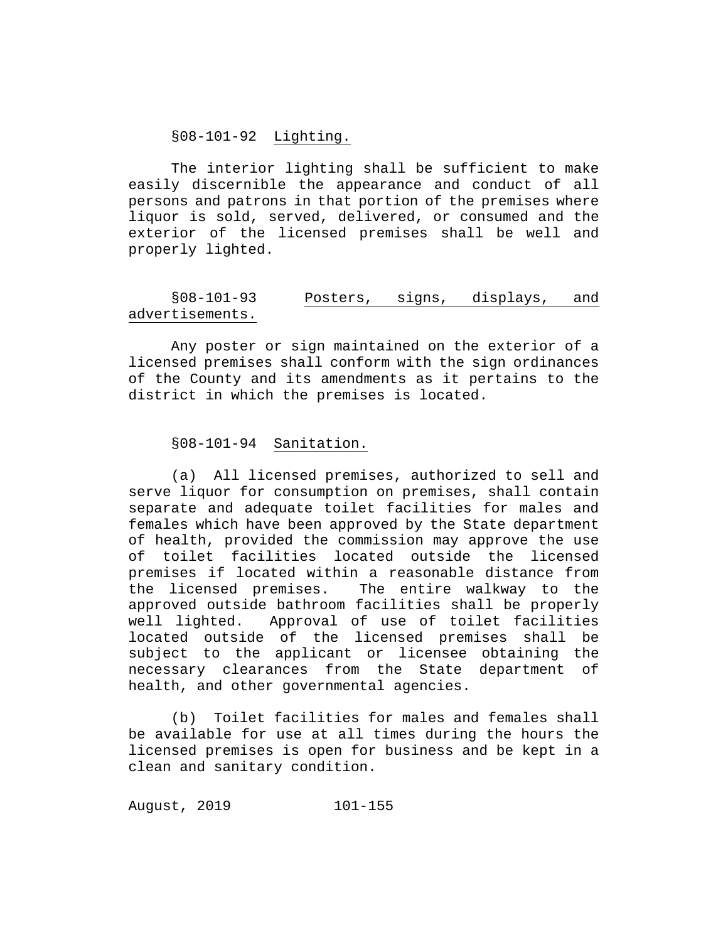#### §08-101-92 Lighting.

The interior lighting shall be sufficient to make easily discernible the appearance and conduct of all persons and patrons in that portion of the premises where liquor is sold, served, delivered, or consumed and the exterior of the licensed premises shall be well and properly lighted.

### §08-101-93 Posters, signs, displays, and advertisements.

Any poster or sign maintained on the exterior of a licensed premises shall conform with the sign ordinances of the County and its amendments as it pertains to the district in which the premises is located.

#### §08-101-94 Sanitation.

(a) All licensed premises, authorized to sell and serve liquor for consumption on premises, shall contain separate and adequate toilet facilities for males and females which have been approved by the State department of health, provided the commission may approve the use of toilet facilities located outside the licensed premises if located within a reasonable distance from<br>the licensed premises. The entire walkway to the The entire walkway to the approved outside bathroom facilities shall be properly<br>well lighted. Approval of use of toilet facilities Approval of use of toilet facilities located outside of the licensed premises shall be subject to the applicant or licensee obtaining the necessary clearances from the State department of health, and other governmental agencies.

(b) Toilet facilities for males and females shall be available for use at all times during the hours the licensed premises is open for business and be kept in a clean and sanitary condition.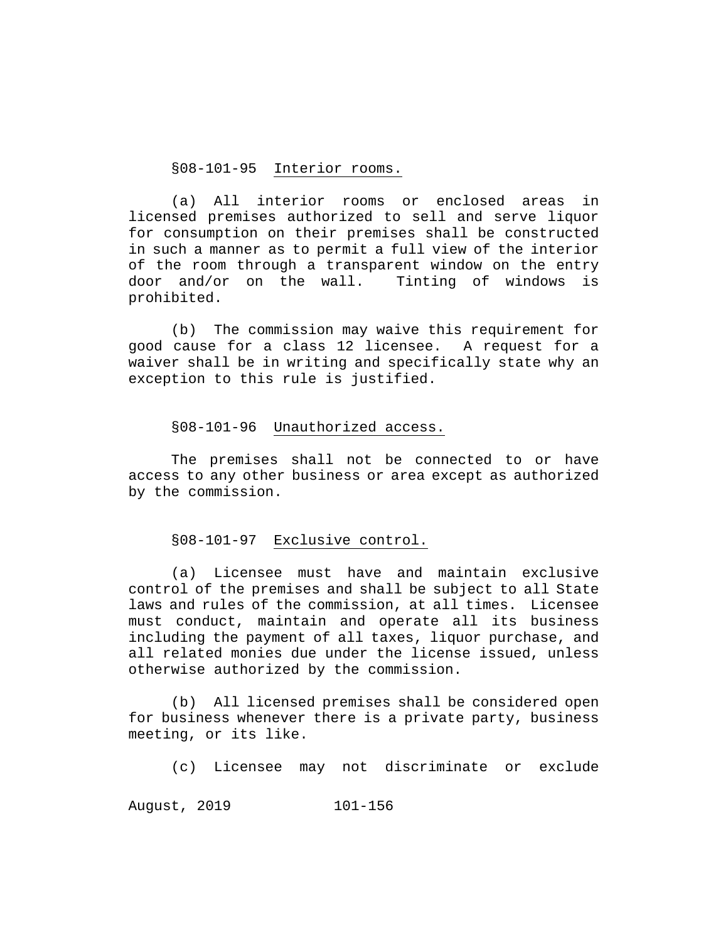§08-101-95 Interior rooms.

(a) All interior rooms or enclosed areas in licensed premises authorized to sell and serve liquor for consumption on their premises shall be constructed in such a manner as to permit a full view of the interior of the room through a transparent window on the entry door and/or on the wall. Tinting of windows is prohibited.

(b) The commission may waive this requirement for good cause for a class 12 licensee. A request for a waiver shall be in writing and specifically state why an exception to this rule is justified.

#### §08-101-96 Unauthorized access.

The premises shall not be connected to or have access to any other business or area except as authorized by the commission.

#### §08-101-97 Exclusive control.

(a) Licensee must have and maintain exclusive control of the premises and shall be subject to all State laws and rules of the commission, at all times. Licensee must conduct, maintain and operate all its business including the payment of all taxes, liquor purchase, and all related monies due under the license issued, unless otherwise authorized by the commission.

(b) All licensed premises shall be considered open for business whenever there is a private party, business meeting, or its like.

(c) Licensee may not discriminate or exclude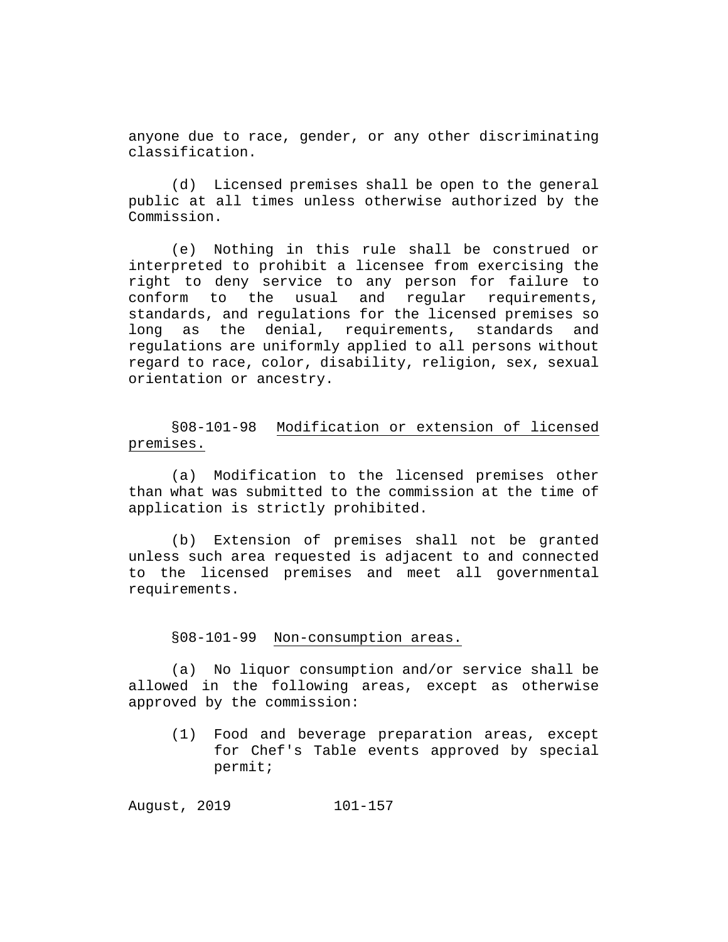anyone due to race, gender, or any other discriminating classification.

(d) Licensed premises shall be open to the general public at all times unless otherwise authorized by the Commission.

(e) Nothing in this rule shall be construed or interpreted to prohibit a licensee from exercising the right to deny service to any person for failure to conform to the usual and regular requirements, standards, and regulations for the licensed premises so long as the denial, requirements, standards and regulations are uniformly applied to all persons without regard to race, color, disability, religion, sex, sexual orientation or ancestry.

§08-101-98 Modification or extension of licensed premises.

(a) Modification to the licensed premises other than what was submitted to the commission at the time of application is strictly prohibited.

(b) Extension of premises shall not be granted unless such area requested is adjacent to and connected to the licensed premises and meet all governmental requirements.

#### §08-101-99 Non-consumption areas.

(a) No liquor consumption and/or service shall be allowed in the following areas, except as otherwise approved by the commission:

(1) Food and beverage preparation areas, except for Chef's Table events approved by special permit;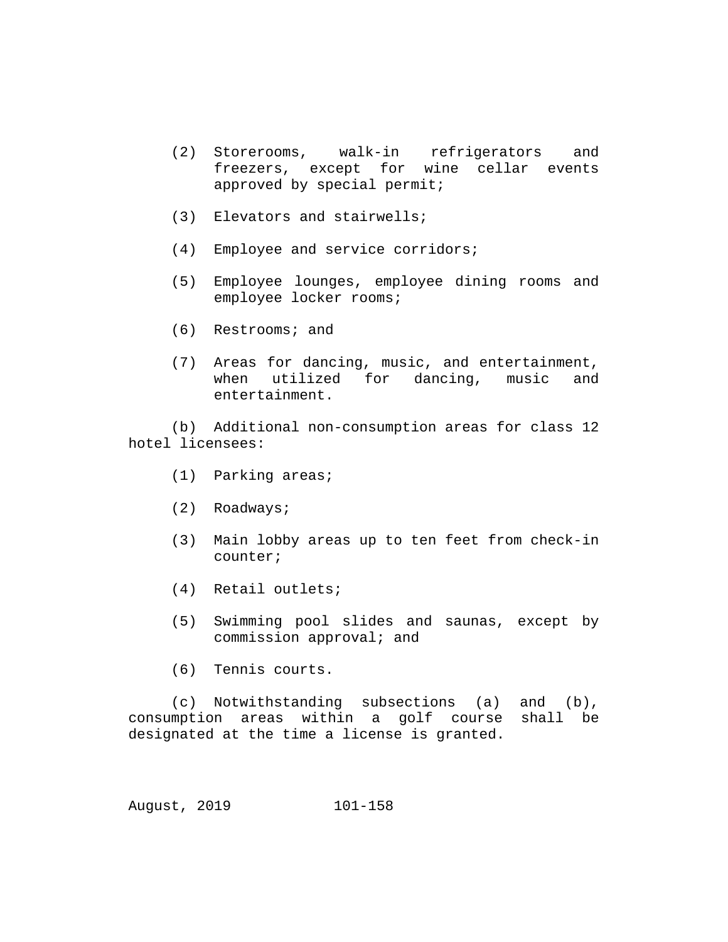- (2) Storerooms, walk-in refrigerators and freezers, except for wine cellar events approved by special permit;
- (3) Elevators and stairwells;
- (4) Employee and service corridors;
- (5) Employee lounges, employee dining rooms and employee locker rooms;
- (6) Restrooms; and
- (7) Areas for dancing, music, and entertainment, when utilized for dancing, music and entertainment.

(b) Additional non-consumption areas for class 12 hotel licensees:

- (1) Parking areas;
- (2) Roadways;
- (3) Main lobby areas up to ten feet from check-in counter;
- (4) Retail outlets;
- (5) Swimming pool slides and saunas, except by commission approval; and
- (6) Tennis courts.

(c) Notwithstanding subsections (a) and (b),<br>mption areas within a golf course shall be consumption areas within a golf course designated at the time a license is granted.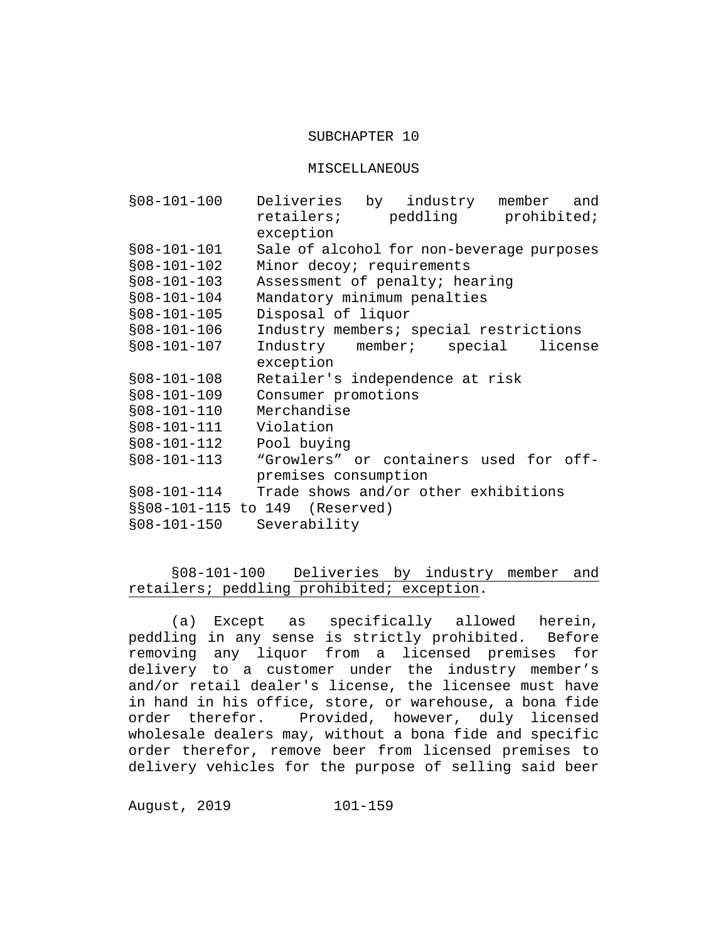#### SUBCHAPTER 10

#### MISCELLANEOUS

| $$08-101-100$ | Deliveries by industry<br>member<br>and   |
|---------------|-------------------------------------------|
|               | retailers; peddling prohibited;           |
|               | exception                                 |
| $$08-101-101$ | Sale of alcohol for non-beverage purposes |
| $$08-101-102$ | Minor decoy; requirements                 |
| $$08-101-103$ | Assessment of penalty; hearing            |
| $$08-101-104$ | Mandatory minimum penalties               |
| $$08-101-105$ | Disposal of liquor                        |
| $$08-101-106$ | Industry members; special restrictions    |
| $$08-101-107$ | Industry member; special<br>license       |
|               | exception                                 |
| $$08-101-108$ | Retailer's independence at risk           |
| $$08-101-109$ | Consumer promotions                       |
| $$08-101-110$ | Merchandise                               |
| $$08-101-111$ | Violation                                 |
| $$08-101-112$ | Pool buying                               |
| $$08-101-113$ | "Growlers" or containers used for off-    |
|               | premises consumption                      |
| $$08-101-114$ | Trade shows and/or other exhibitions      |
|               | §§08-101-115 to 149 (Reserved)            |
| $$08-101-150$ | Severability                              |

## §08-101-100 Deliveries by industry member and retailers; peddling prohibited; exception.

(a) Except as specifically allowed herein, peddling in any sense is strictly prohibited. Before removing any liquor from a licensed premises for delivery to a customer under the industry member's and/or retail dealer's license, the licensee must have in hand in his office, store, or warehouse, a bona fide<br>order therefor. Provided, however, duly licensed Provided, however, duly licensed wholesale dealers may, without a bona fide and specific order therefor, remove beer from licensed premises to delivery vehicles for the purpose of selling said beer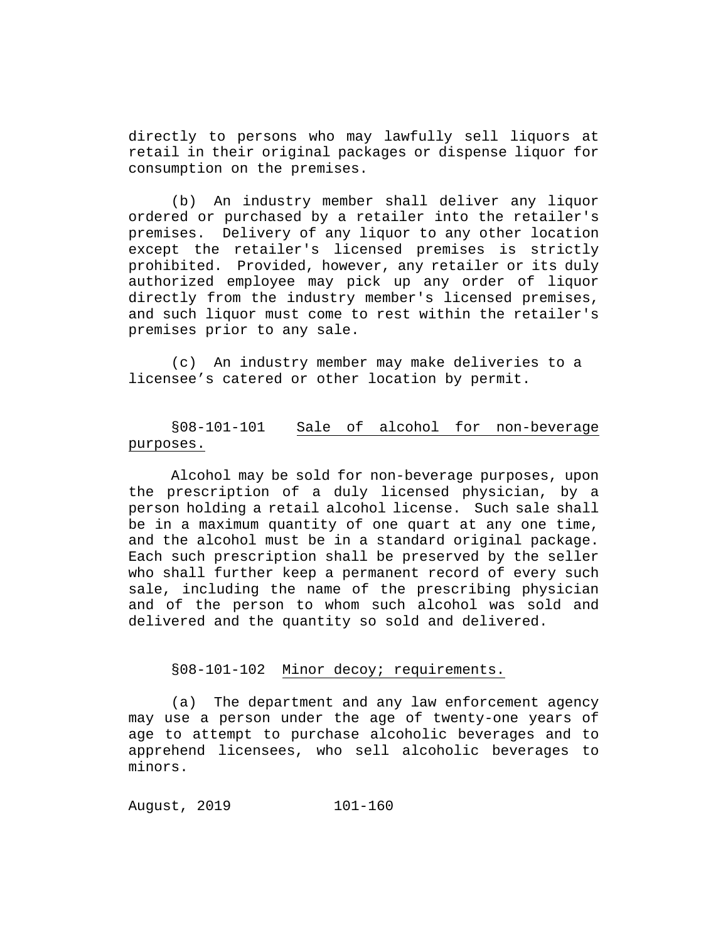directly to persons who may lawfully sell liquors at retail in their original packages or dispense liquor for consumption on the premises.

(b) An industry member shall deliver any liquor ordered or purchased by a retailer into the retailer's premises. Delivery of any liquor to any other location except the retailer's licensed premises is strictly prohibited. Provided, however, any retailer or its duly authorized employee may pick up any order of liquor directly from the industry member's licensed premises, and such liquor must come to rest within the retailer's premises prior to any sale.

(c) An industry member may make deliveries to a licensee's catered or other location by permit.

### §08-101-101 Sale of alcohol for non-beverage purposes.

Alcohol may be sold for non-beverage purposes, upon the prescription of a duly licensed physician, by a person holding a retail alcohol license. Such sale shall be in a maximum quantity of one quart at any one time, and the alcohol must be in a standard original package. Each such prescription shall be preserved by the seller who shall further keep a permanent record of every such sale, including the name of the prescribing physician and of the person to whom such alcohol was sold and delivered and the quantity so sold and delivered.

#### §08-101-102 Minor decoy; requirements.

(a) The department and any law enforcement agency may use a person under the age of twenty-one years of age to attempt to purchase alcoholic beverages and to apprehend licensees, who sell alcoholic beverages to minors.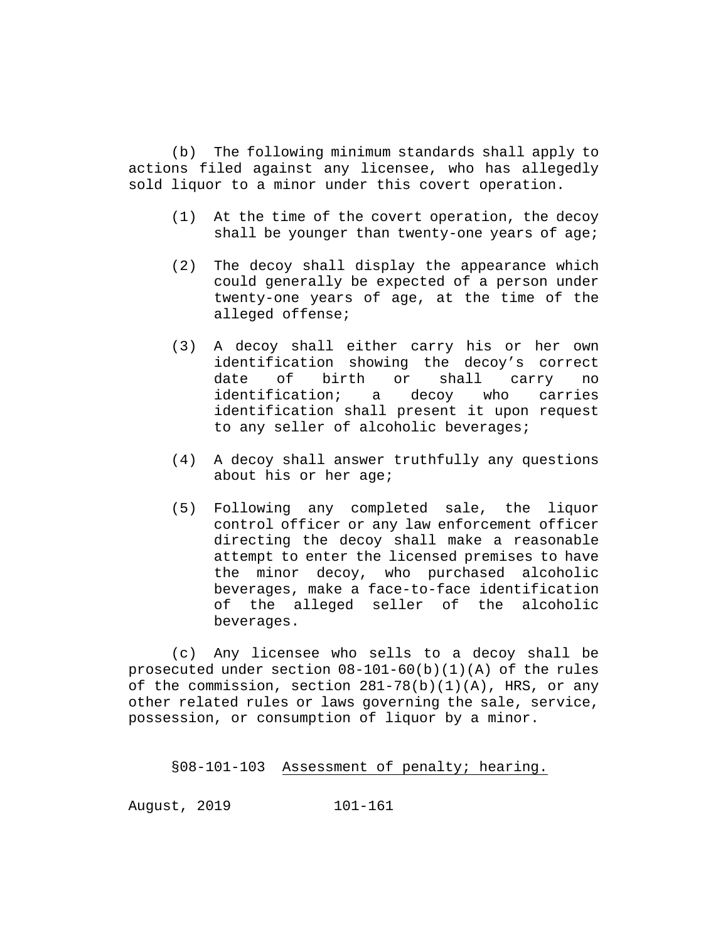(b) The following minimum standards shall apply to actions filed against any licensee, who has allegedly sold liquor to a minor under this covert operation.

- (1) At the time of the covert operation, the decoy shall be younger than twenty-one years of age;
- (2) The decoy shall display the appearance which could generally be expected of a person under twenty-one years of age, at the time of the alleged offense;
- (3) A decoy shall either carry his or her own identification showing the decoy's correct<br>date of birth or shall carry no date of birth or shall carry no identification; a decoy who carries identification shall present it upon request to any seller of alcoholic beverages;
- (4) A decoy shall answer truthfully any questions about his or her age;
- (5) Following any completed sale, the liquor control officer or any law enforcement officer directing the decoy shall make a reasonable attempt to enter the licensed premises to have the minor decoy, who purchased alcoholic beverages, make a face-to-face identification of the alleged seller of the alcoholic beverages.

(c) Any licensee who sells to a decoy shall be prosecuted under section  $08-101-60(b)(1)(A)$  of the rules of the commission, section 281-78(b)(1)(A), HRS, or any other related rules or laws governing the sale, service, possession, or consumption of liquor by a minor.

§08-101-103 Assessment of penalty; hearing.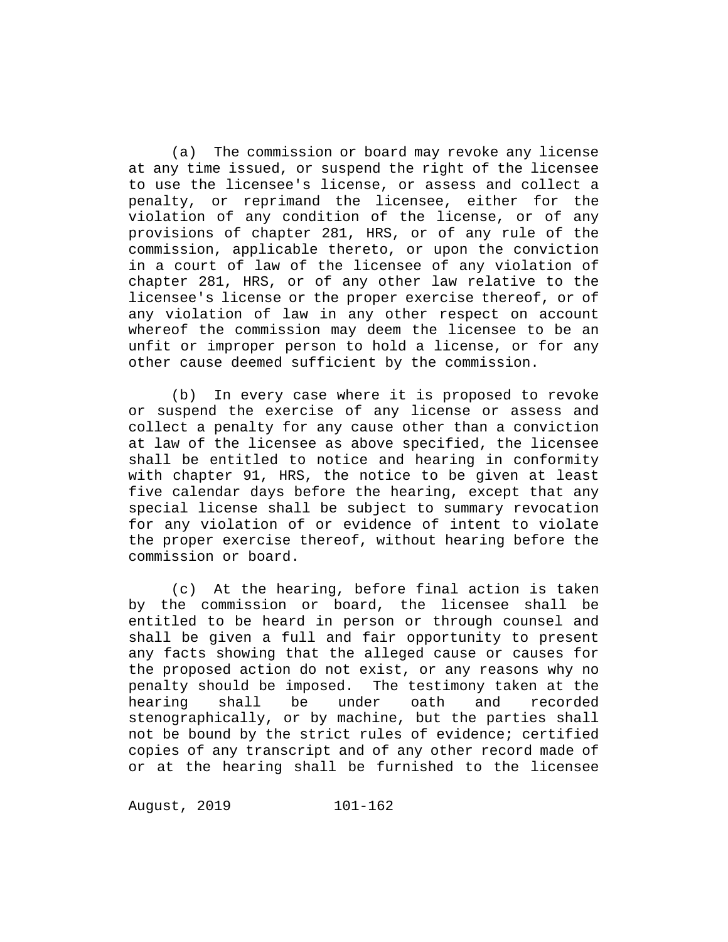(a) The commission or board may revoke any license at any time issued, or suspend the right of the licensee to use the licensee's license, or assess and collect a penalty, or reprimand the licensee, either for the violation of any condition of the license, or of any provisions of chapter 281, HRS, or of any rule of the commission, applicable thereto, or upon the conviction in a court of law of the licensee of any violation of chapter 281, HRS, or of any other law relative to the licensee's license or the proper exercise thereof, or of any violation of law in any other respect on account whereof the commission may deem the licensee to be an unfit or improper person to hold a license, or for any other cause deemed sufficient by the commission.

(b) In every case where it is proposed to revoke or suspend the exercise of any license or assess and collect a penalty for any cause other than a conviction at law of the licensee as above specified, the licensee shall be entitled to notice and hearing in conformity with chapter 91, HRS, the notice to be given at least five calendar days before the hearing, except that any special license shall be subject to summary revocation for any violation of or evidence of intent to violate the proper exercise thereof, without hearing before the commission or board.

(c) At the hearing, before final action is taken by the commission or board, the licensee shall be entitled to be heard in person or through counsel and shall be given a full and fair opportunity to present any facts showing that the alleged cause or causes for the proposed action do not exist, or any reasons why no penalty should be imposed. The testimony taken at the<br>hearing shall be under oath and recorded hearing shall be under oath and recorded stenographically, or by machine, but the parties shall not be bound by the strict rules of evidence; certified copies of any transcript and of any other record made of or at the hearing shall be furnished to the licensee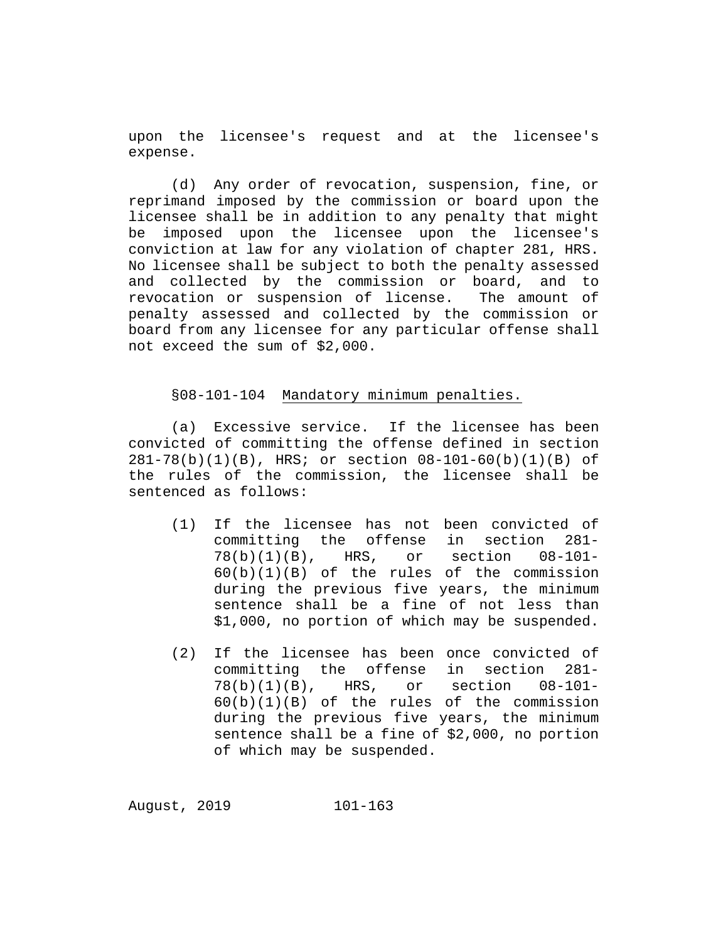upon the licensee's request and at the licensee's expense.

(d) Any order of revocation, suspension, fine, or reprimand imposed by the commission or board upon the licensee shall be in addition to any penalty that might be imposed upon the licensee upon the licensee's conviction at law for any violation of chapter 281, HRS. No licensee shall be subject to both the penalty assessed<br>and collected by the commission or board, and to and collected by the commission or board, revocation or suspension of license. The amount of penalty assessed and collected by the commission or board from any licensee for any particular offense shall not exceed the sum of \$2,000.

### §08-101-104 Mandatory minimum penalties.

(a) Excessive service. If the licensee has been convicted of committing the offense defined in section 281-78(b)(1)(B), HRS; or section 08-101-60(b)(1)(B) of the rules of the commission, the licensee shall be sentenced as follows:

- (1) If the licensee has not been convicted of committing the offense in section 281-<br>78(b)(1)(B), HRS, or section 08-101- $78(b)(1)(B)$ , HRS,  $60(b)(1)(B)$  of the rules of the commission during the previous five years, the minimum sentence shall be a fine of not less than \$1,000, no portion of which may be suspended.
- (2) If the licensee has been once convicted of committing the offense in section 281-<br>78(b)(1)(B), HRS, or section 08-101- $78(b)(1)(B)$ ,  $60(b)(1)(B)$  of the rules of the commission during the previous five years, the minimum sentence shall be a fine of \$2,000, no portion of which may be suspended.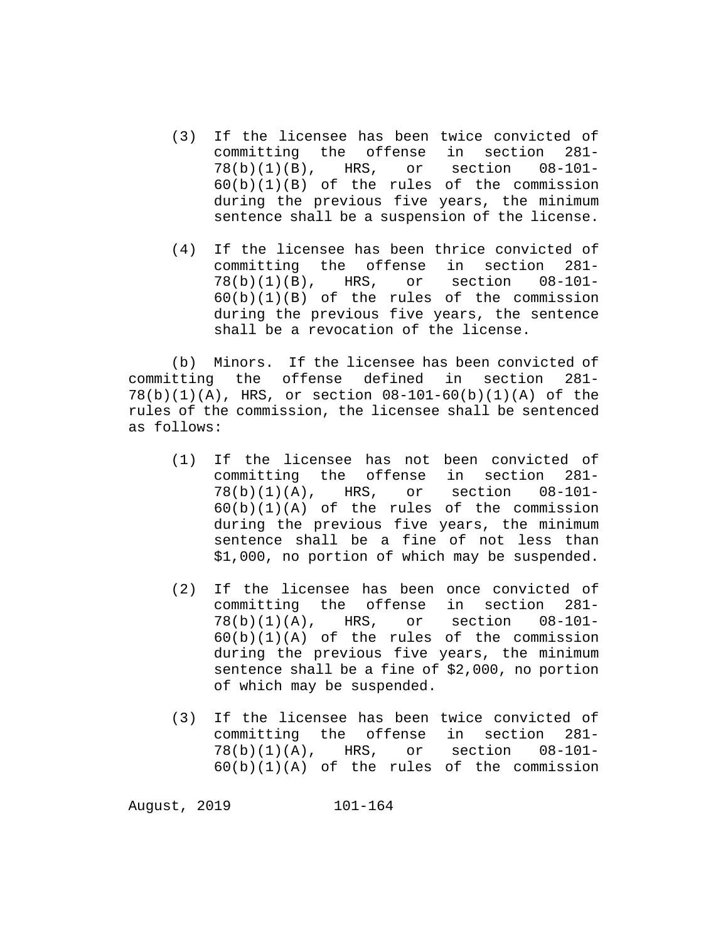- (3) If the licensee has been twice convicted of committing the offense in section  $281 - 78(b)(1)(B)$ , HRS, or section  $08-101 78(b)(1)(B)$ , HRS, 60(b)(1)(B) of the rules of the commission during the previous five years, the minimum sentence shall be a suspension of the license.
- (4) If the licensee has been thrice convicted of committing the offense in section  $281 - 78(b)(1)(B)$ , HRS, or section  $08-101 78(b)(1)(B)$ , HRS,  $60(b)(1)(B)$  of the rules of the commission during the previous five years, the sentence shall be a revocation of the license.

(b) Minors. If the licensee has been convicted of committing the offense defined in section 281- 78(b)(1)(A), HRS, or section 08-101-60(b)(1)(A) of the rules of the commission, the licensee shall be sentenced as follows:

- (1) If the licensee has not been convicted of committing the offense in section  $281 - 78(b)(1)(A)$ , HRS, or section  $08-101 78(b)(1)(A)$ , HRS, or  $60(b)(1)(A)$  of the rules of the commission during the previous five years, the minimum sentence shall be a fine of not less than \$1,000, no portion of which may be suspended.
- (2) If the licensee has been once convicted of committing the offense in section  $281 - 78(b)(1)(A)$ , HRS, or section  $08-101 78(b)(1)(A)$ , HRS,  $60(b)(1)(A)$  of the rules of the commission during the previous five years, the minimum sentence shall be a fine of \$2,000, no portion of which may be suspended.
- (3) If the licensee has been twice convicted of committing the offense in section 281- 78(b)(1)(A), HRS, or section 08-101- 60(b)(1)(A) of the rules of the commission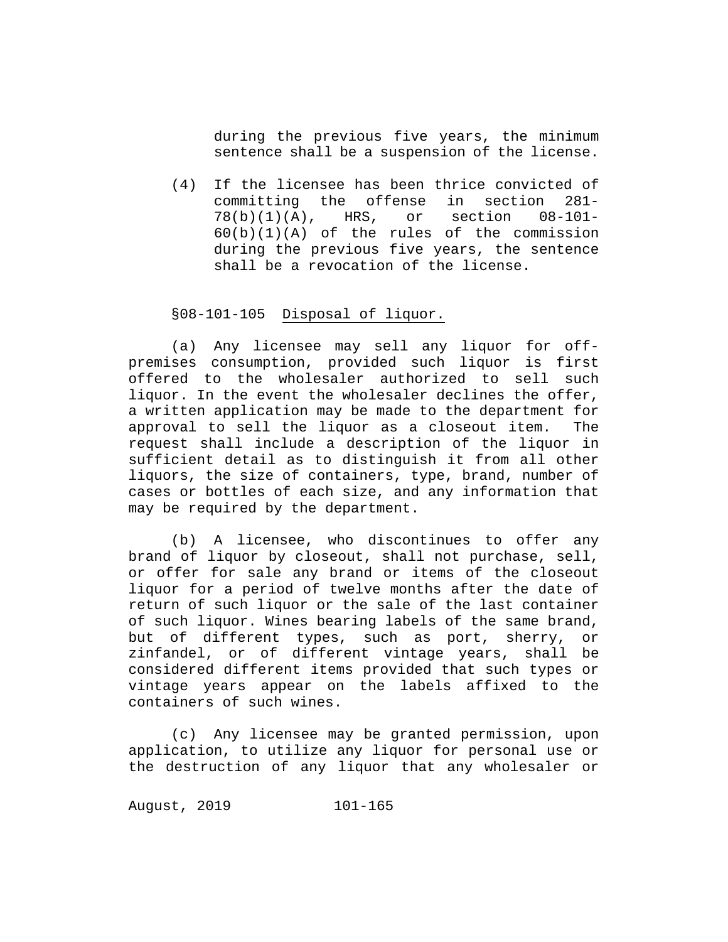during the previous five years, the minimum sentence shall be a suspension of the license.

(4) If the licensee has been thrice convicted of committing the offense in section 281-<br>78(b)(1)(A), HRS, or section 08-101- $78(b)(1)(A)$ ,  $60(b)(1)(A)$  of the rules of the commission during the previous five years, the sentence shall be a revocation of the license.

#### §08-101-105 Disposal of liquor.

(a) Any licensee may sell any liquor for offpremises consumption, provided such liquor is first offered to the wholesaler authorized to sell such liquor. In the event the wholesaler declines the offer, a written application may be made to the department for<br>approval to sell the liguor as a closeout item. The approval to sell the liquor as a closeout item. request shall include a description of the liquor in sufficient detail as to distinguish it from all other liquors, the size of containers, type, brand, number of cases or bottles of each size, and any information that may be required by the department.

(b) A licensee, who discontinues to offer any brand of liquor by closeout, shall not purchase, sell, or offer for sale any brand or items of the closeout liquor for a period of twelve months after the date of return of such liquor or the sale of the last container of such liquor. Wines bearing labels of the same brand, but of different types, such as port, sherry, or zinfandel, or of different vintage years, shall be considered different items provided that such types or vintage years appear on the labels affixed to the containers of such wines.

(c) Any licensee may be granted permission, upon application, to utilize any liquor for personal use or the destruction of any liquor that any wholesaler or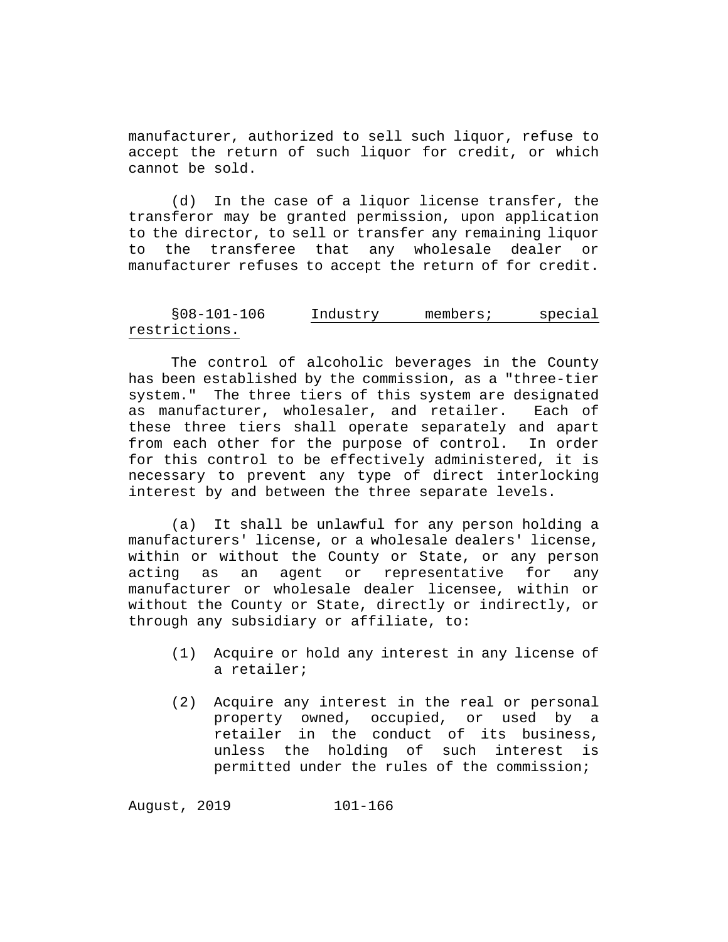manufacturer, authorized to sell such liquor, refuse to accept the return of such liquor for credit, or which cannot be sold.

(d) In the case of a liquor license transfer, the transferor may be granted permission, upon application to the director, to sell or transfer any remaining liquor to the transferee that any wholesale dealer or manufacturer refuses to accept the return of for credit.

## §08-101-106 Industry members; special restrictions.

The control of alcoholic beverages in the County has been established by the commission, as a "three-tier system." The three tiers of this system are designated as manufacturer, wholesaler, and retailer. Each of these three tiers shall operate separately and apart from each other for the purpose of control. In order for this control to be effectively administered, it is necessary to prevent any type of direct interlocking interest by and between the three separate levels.

(a) It shall be unlawful for any person holding a manufacturers' license, or a wholesale dealers' license, within or without the County or State, or any person acting as an agent or representative for any manufacturer or wholesale dealer licensee, within or without the County or State, directly or indirectly, or through any subsidiary or affiliate, to:

- (1) Acquire or hold any interest in any license of a retailer;
- (2) Acquire any interest in the real or personal property owned, occupied, or used by retailer in the conduct of its business, unless the holding of such interest is permitted under the rules of the commission;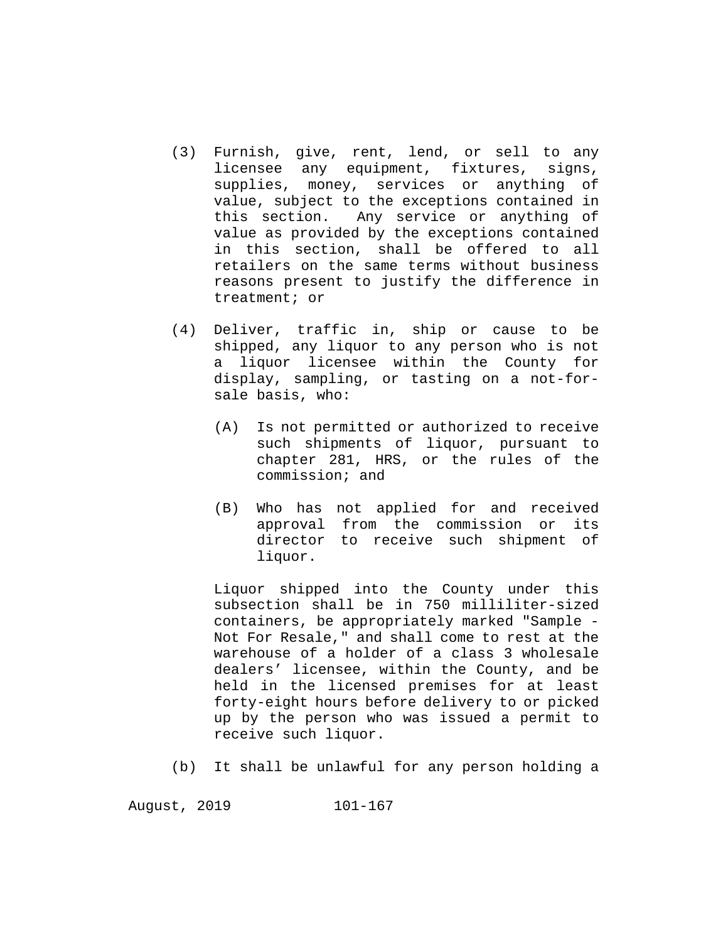- (3) Furnish, give, rent, lend, or sell to any<br>licensee any equipment, fixtures, signs, licensee any equipment, fixtures, supplies, money, services or anything of value, subject to the exceptions contained in<br>this section. Any service or anything of Any service or anything of value as provided by the exceptions contained in this section, shall be offered to all retailers on the same terms without business reasons present to justify the difference in treatment; or
- (4) Deliver, traffic in, ship or cause to be shipped, any liquor to any person who is not a liquor licensee within the County for display, sampling, or tasting on a not-forsale basis, who:
	- (A) Is not permitted or authorized to receive such shipments of liquor, pursuant to chapter 281, HRS, or the rules of the commission; and
	- (B) Who has not applied for and received approval from the commission or its director to receive such shipment of liquor.

Liquor shipped into the County under this subsection shall be in 750 milliliter-sized containers, be appropriately marked "Sample - Not For Resale," and shall come to rest at the warehouse of a holder of a class 3 wholesale dealers' licensee, within the County, and be held in the licensed premises for at least forty-eight hours before delivery to or picked up by the person who was issued a permit to receive such liquor.

(b) It shall be unlawful for any person holding a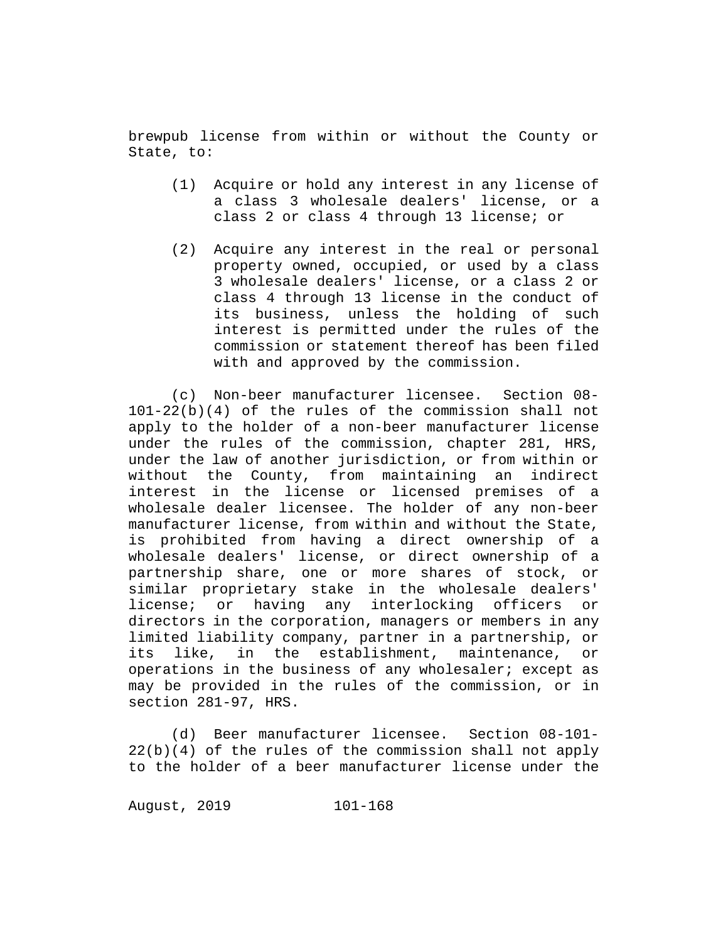brewpub license from within or without the County or State, to:

- (1) Acquire or hold any interest in any license of a class 3 wholesale dealers' license, or a class 2 or class 4 through 13 license; or
- (2) Acquire any interest in the real or personal property owned, occupied, or used by a class 3 wholesale dealers' license, or a class 2 or class 4 through 13 license in the conduct of its business, unless the holding of such interest is permitted under the rules of the commission or statement thereof has been filed with and approved by the commission.

(c) Non-beer manufacturer licensee. Section 08- 101-22(b)(4) of the rules of the commission shall not apply to the holder of a non-beer manufacturer license under the rules of the commission, chapter 281, HRS, under the law of another jurisdiction, or from within or<br>without the County, from maintaining an indirect without the County, from maintaining an interest in the license or licensed premises of a wholesale dealer licensee. The holder of any non-beer manufacturer license, from within and without the State, is prohibited from having a direct ownership of a wholesale dealers' license, or direct ownership of a partnership share, one or more shares of stock, or similar proprietary stake in the wholesale dealers' license; or having any interlocking officers or directors in the corporation, managers or members in any limited liability company, partner in a partnership, or<br>its like, in the establishment, maintenance, or establishment, maintenance, or operations in the business of any wholesaler; except as may be provided in the rules of the commission, or in section 281-97, HRS.

(d) Beer manufacturer licensee. Section 08-101- 22(b)(4) of the rules of the commission shall not apply to the holder of a beer manufacturer license under the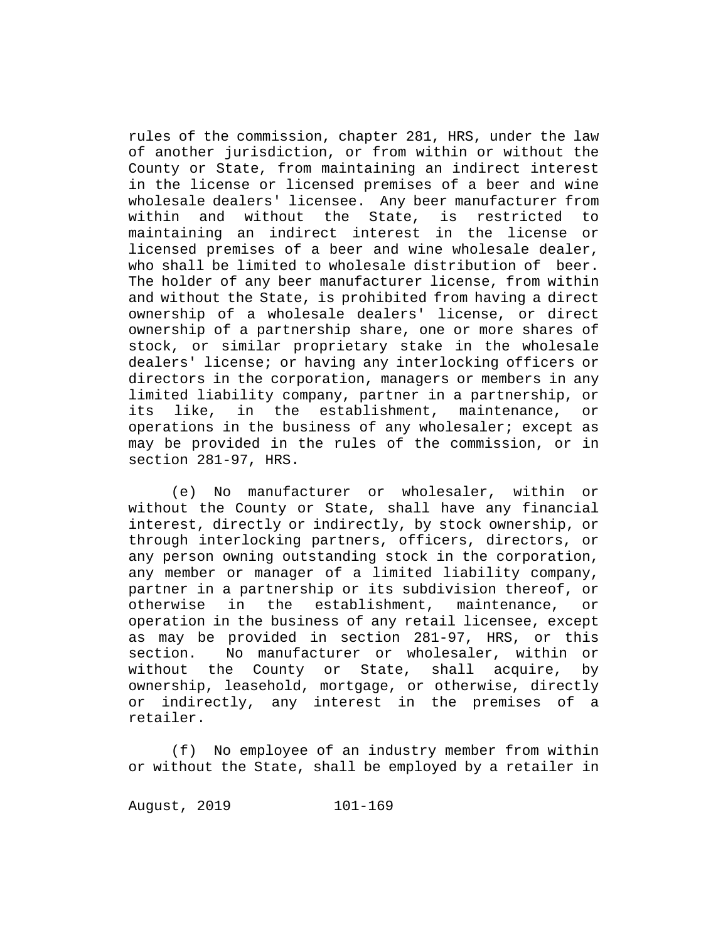rules of the commission, chapter 281, HRS, under the law of another jurisdiction, or from within or without the County or State, from maintaining an indirect interest in the license or licensed premises of a beer and wine wholesale dealers' licensee. Any beer manufacturer from<br>within and without the State, is restricted to and without the State, is restricted to maintaining an indirect interest in the license or licensed premises of a beer and wine wholesale dealer, who shall be limited to wholesale distribution of beer. The holder of any beer manufacturer license, from within and without the State, is prohibited from having a direct ownership of a wholesale dealers' license, or direct ownership of a partnership share, one or more shares of stock, or similar proprietary stake in the wholesale dealers' license; or having any interlocking officers or directors in the corporation, managers or members in any limited liability company, partner in a partnership, or<br>its like, in the establishment, maintenance, or like, in the establishment, maintenance, or operations in the business of any wholesaler; except as may be provided in the rules of the commission, or in section 281-97, HRS.

(e) No manufacturer or wholesaler, within or without the County or State, shall have any financial interest, directly or indirectly, by stock ownership, or through interlocking partners, officers, directors, or any person owning outstanding stock in the corporation, any member or manager of a limited liability company, partner in a partnership or its subdivision thereof, or<br>otherwise in the establishment, maintenance, or otherwise in the establishment, maintenance, or operation in the business of any retail licensee, except as may be provided in section 281-97, HRS, or this<br>section. No manufacturer or wholesaler, within or No manufacturer or wholesaler, within or without the County or State, shall acquire, by ownership, leasehold, mortgage, or otherwise, directly or indirectly, any interest in the premises of a retailer.

(f) No employee of an industry member from within or without the State, shall be employed by a retailer in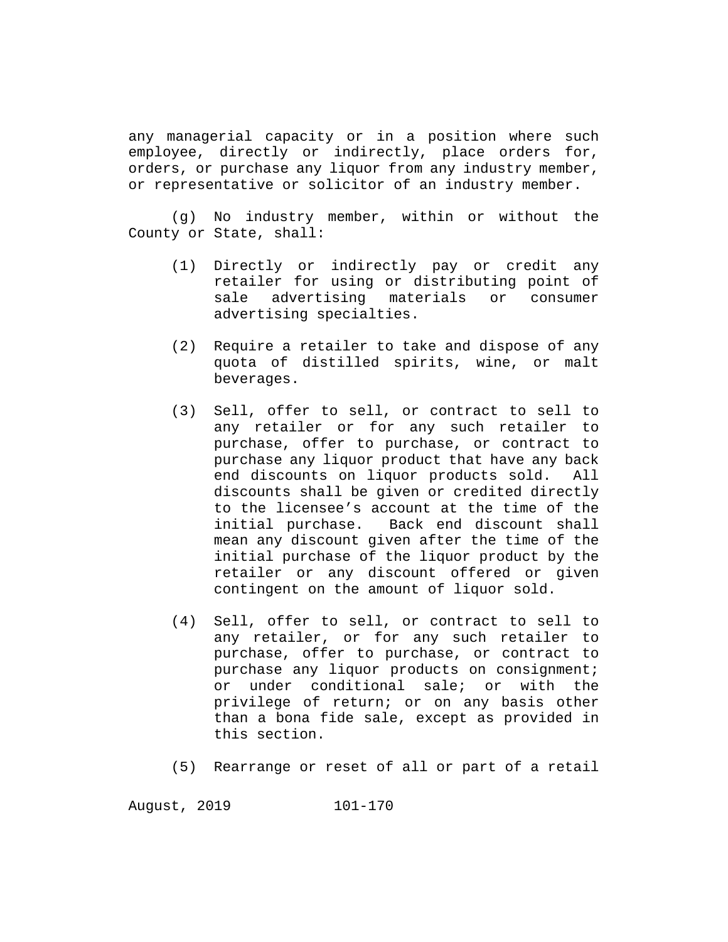any managerial capacity or in a position where such employee, directly or indirectly, place orders for, orders, or purchase any liquor from any industry member, or representative or solicitor of an industry member.

(g) No industry member, within or without the County or State, shall:

- (1) Directly or indirectly pay or credit any retailer for using or distributing point of sale advertising materials or consumer advertising specialties.
- (2) Require a retailer to take and dispose of any quota of distilled spirits, wine, or malt beverages.
- (3) Sell, offer to sell, or contract to sell to any retailer or for any such retailer to purchase, offer to purchase, or contract to purchase any liquor product that have any back end discounts on liquor products sold. All discounts shall be given or credited directly to the licensee's account at the time of the initial purchase. Back end discount shall mean any discount given after the time of the initial purchase of the liquor product by the retailer or any discount offered or given contingent on the amount of liquor sold.
- (4) Sell, offer to sell, or contract to sell to any retailer, or for any such retailer to purchase, offer to purchase, or contract to purchase any liquor products on consignment; or under conditional sale; or with the privilege of return; or on any basis other than a bona fide sale, except as provided in this section.
- (5) Rearrange or reset of all or part of a retail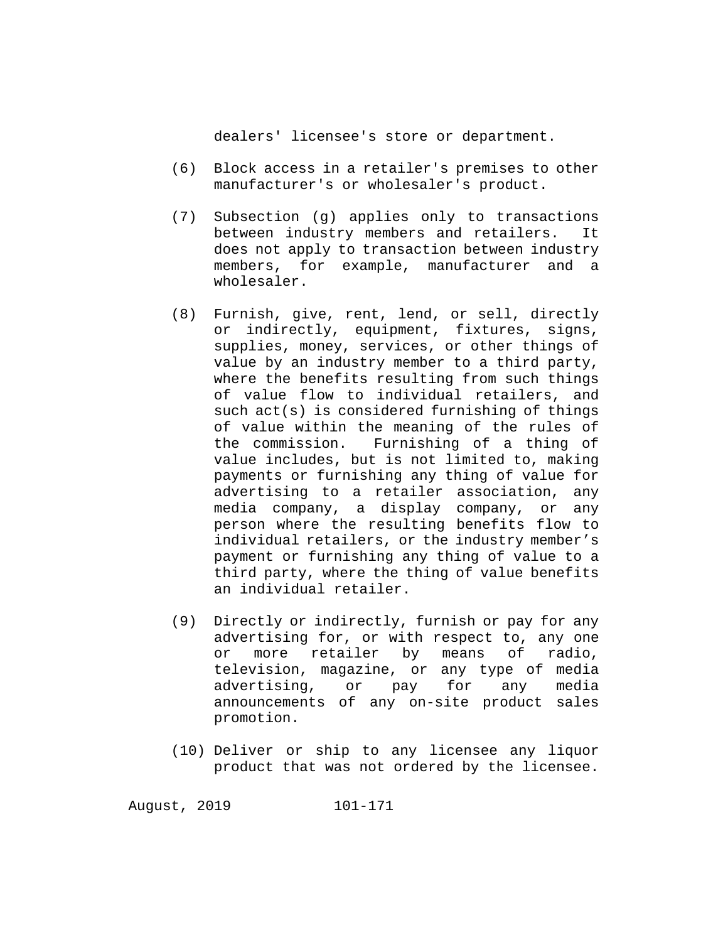dealers' licensee's store or department.

- (6) Block access in a retailer's premises to other manufacturer's or wholesaler's product.
- (7) Subsection (g) applies only to transactions between industry members and retailers. It does not apply to transaction between industry members, for example, manufacturer and a wholesaler.
- (8) Furnish, give, rent, lend, or sell, directly or indirectly, equipment, fixtures, signs, supplies, money, services, or other things of value by an industry member to a third party, where the benefits resulting from such things of value flow to individual retailers, and such act(s) is considered furnishing of things of value within the meaning of the rules of the commission. Furnishing of a thing of value includes, but is not limited to, making payments or furnishing any thing of value for advertising to a retailer association, any media company, a display company, or any person where the resulting benefits flow to individual retailers, or the industry member's payment or furnishing any thing of value to a third party, where the thing of value benefits an individual retailer.
- (9) Directly or indirectly, furnish or pay for any advertising for, or with respect to, any one<br>or more retailer by means of radio, more retailer by means of television, magazine, or any type of media<br>advertising, or pay for any media advertising, or pay announcements of any on-site product sales promotion.
- (10) Deliver or ship to any licensee any liquor product that was not ordered by the licensee.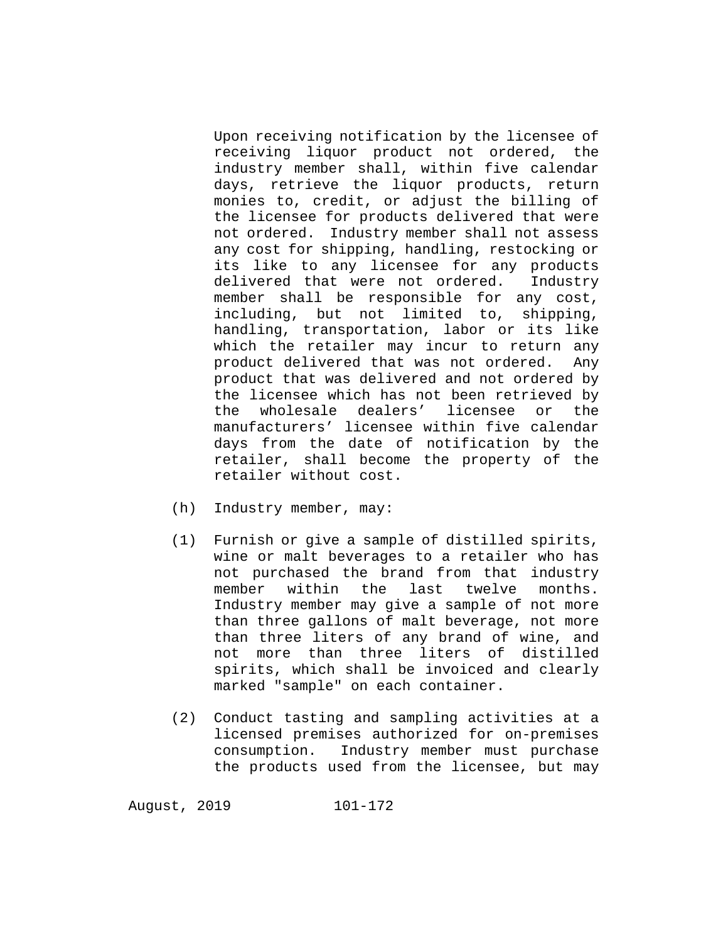Upon receiving notification by the licensee of receiving liquor product not ordered, the industry member shall, within five calendar days, retrieve the liquor products, return monies to, credit, or adjust the billing of the licensee for products delivered that were not ordered. Industry member shall not assess any cost for shipping, handling, restocking or its like to any licensee for any products<br>delivered that were not ordered. Industry delivered that were not ordered. member shall be responsible for any cost, including, but not limited to, shipping, handling, transportation, labor or its like which the retailer may incur to return any product delivered that was not ordered. Any product that was delivered and not ordered by the licensee which has not been retrieved by the wholesale dealers' licensee or the manufacturers' licensee within five calendar days from the date of notification by the retailer, shall become the property of the retailer without cost.

- (h) Industry member, may:
- (1) Furnish or give a sample of distilled spirits, wine or malt beverages to a retailer who has not purchased the brand from that industry<br>member within the last twelve months. member within the Industry member may give a sample of not more than three gallons of malt beverage, not more than three liters of any brand of wine, and not more than three liters of distilled spirits, which shall be invoiced and clearly marked "sample" on each container.
- (2) Conduct tasting and sampling activities at a licensed premises authorized for on-premises consumption. Industry member must purchase the products used from the licensee, but may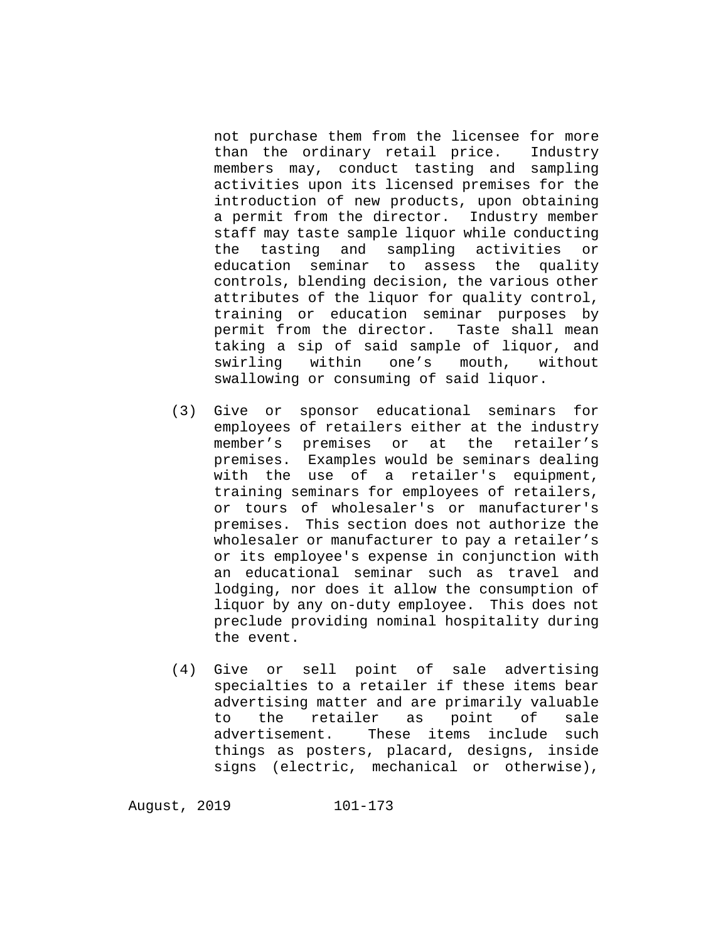not purchase them from the licensee for more than the ordinary retail price. Industry members may, conduct tasting and sampling activities upon its licensed premises for the introduction of new products, upon obtaining a permit from the director. Industry member staff may taste sample liquor while conducting the tasting and sampling activities or education seminar to assess the quality controls, blending decision, the various other attributes of the liquor for quality control, training or education seminar purposes by permit from the director. Taste shall mean taking a sip of said sample of liquor, and swirling within one's mouth, without swallowing or consuming of said liquor.

- (3) Give or sponsor educational seminars for employees of retailers either at the industry member's premises or at the retailer's premises. Examples would be seminars dealing with the use of a retailer's equipment, training seminars for employees of retailers, or tours of wholesaler's or manufacturer's premises. This section does not authorize the wholesaler or manufacturer to pay a retailer's or its employee's expense in conjunction with an educational seminar such as travel and lodging, nor does it allow the consumption of liquor by any on-duty employee. This does not preclude providing nominal hospitality during the event.
- (4) Give or sell point of sale advertising specialties to a retailer if these items bear advertising matter and are primarily valuable<br>to the retailer as point of sale to the retailer<br>advertisement. Th These items include such things as posters, placard, designs, inside signs (electric, mechanical or otherwise),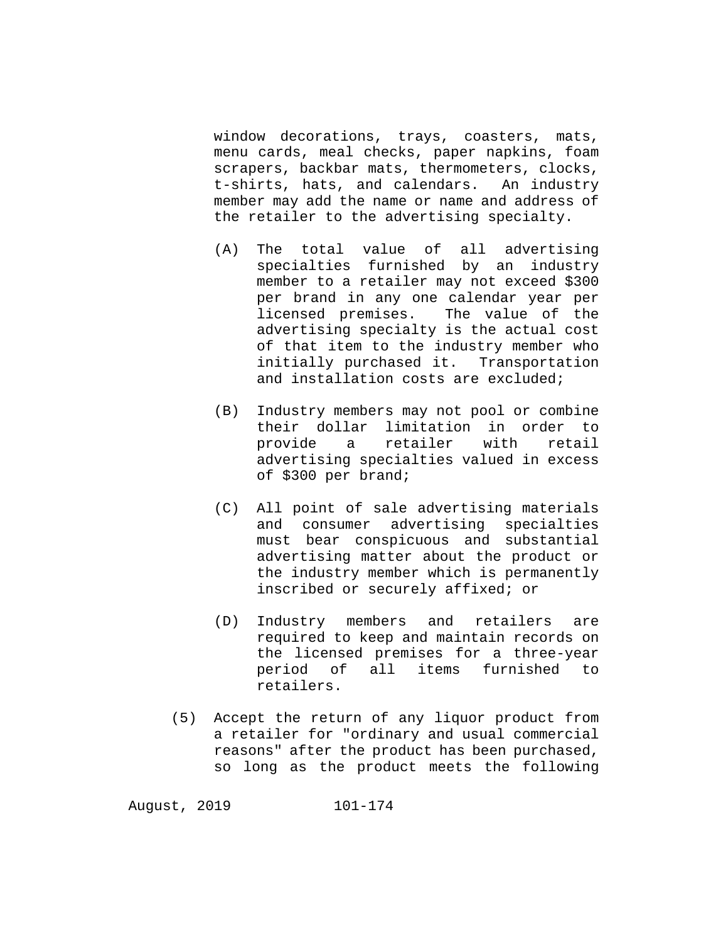window decorations, trays, coasters, mats, menu cards, meal checks, paper napkins, foam scrapers, backbar mats, thermometers, clocks, t-shirts, hats, and calendars. An industry member may add the name or name and address of the retailer to the advertising specialty.

- (A) The total value of all advertising specialties furnished by an industry member to a retailer may not exceed \$300 per brand in any one calendar year per licensed premises. The value of the advertising specialty is the actual cost of that item to the industry member who initially purchased it. Transportation and installation costs are excluded;
- (B) Industry members may not pool or combine their dollar limitation in order to<br>provide a retailer with retail retailer with advertising specialties valued in excess of \$300 per brand;
- (C) All point of sale advertising materials and consumer advertising specialties must bear conspicuous and substantial advertising matter about the product or the industry member which is permanently inscribed or securely affixed; or
- (D) Industry members and retailers are required to keep and maintain records on the licensed premises for a three-year period of all items furnished to retailers.
- (5) Accept the return of any liquor product from a retailer for "ordinary and usual commercial reasons" after the product has been purchased, so long as the product meets the following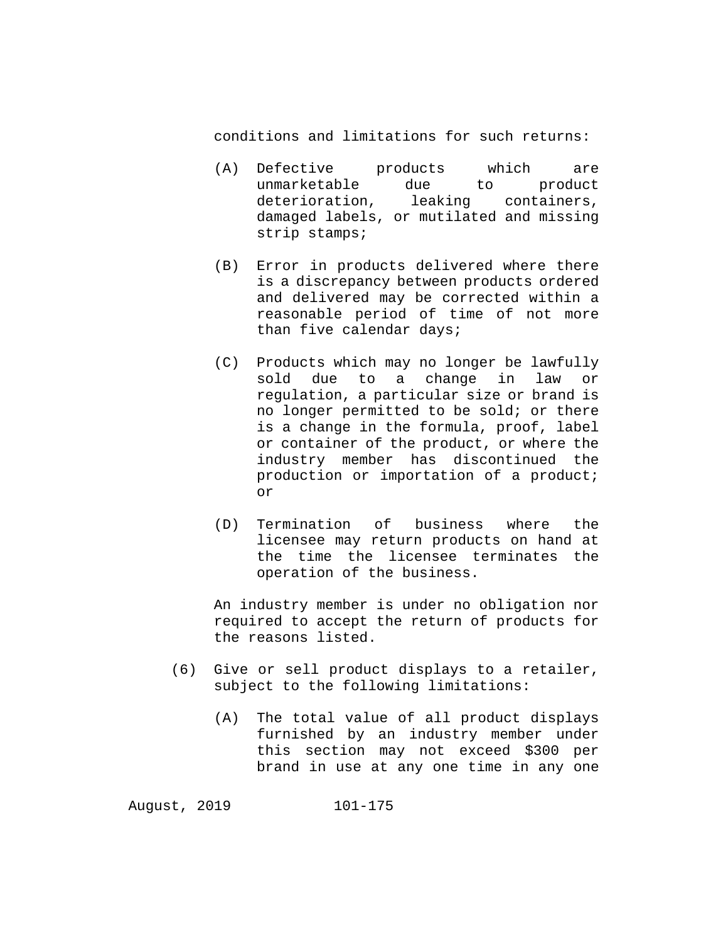conditions and limitations for such returns:

- (A) Defective products which are unmarketable due to product deterioration, leaking containers, damaged labels, or mutilated and missing strip stamps;
- (B) Error in products delivered where there is a discrepancy between products ordered and delivered may be corrected within a reasonable period of time of not more than five calendar days;
- (C) Products which may no longer be lawfully sold due to a change in law or regulation, a particular size or brand is no longer permitted to be sold; or there is a change in the formula, proof, label or container of the product, or where the industry member has discontinued the production or importation of a product; or
- (D) Termination of business where the licensee may return products on hand at the time the licensee terminates the operation of the business.

An industry member is under no obligation nor required to accept the return of products for the reasons listed.

- (6) Give or sell product displays to a retailer, subject to the following limitations:
	- (A) The total value of all product displays furnished by an industry member under this section may not exceed \$300 per brand in use at any one time in any one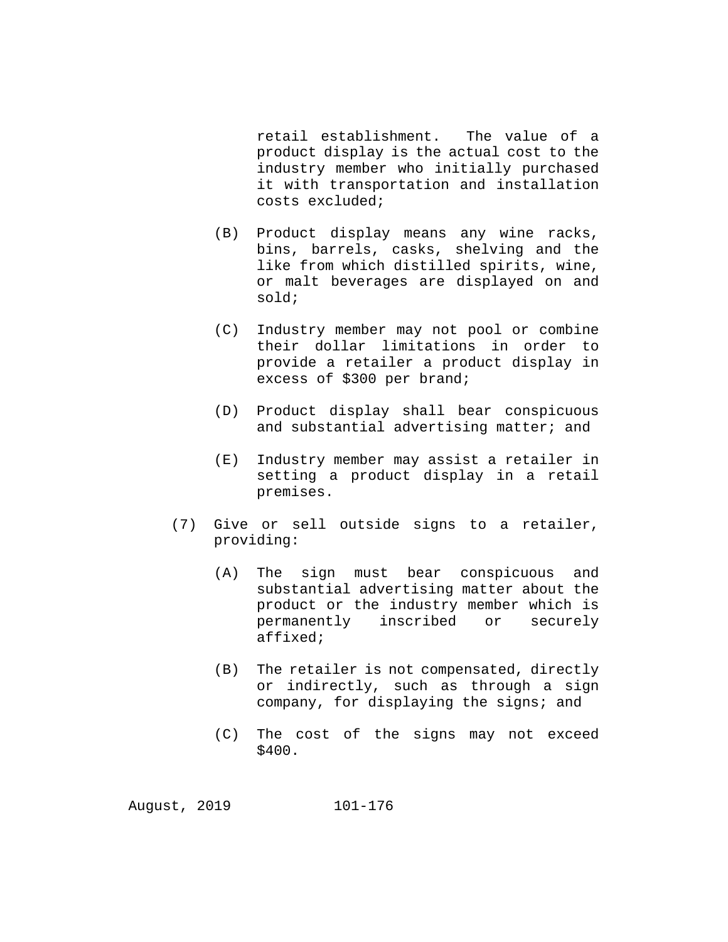retail establishment. The value of a product display is the actual cost to the industry member who initially purchased it with transportation and installation costs excluded;

- (B) Product display means any wine racks, bins, barrels, casks, shelving and the like from which distilled spirits, wine, or malt beverages are displayed on and sold;
- (C) Industry member may not pool or combine their dollar limitations in order to provide a retailer a product display in excess of \$300 per brand;
- (D) Product display shall bear conspicuous and substantial advertising matter; and
- (E) Industry member may assist a retailer in setting a product display in a retail premises.
- (7) Give or sell outside signs to a retailer, providing:
	- (A) The sign must bear conspicuous and substantial advertising matter about the product or the industry member which is<br>permanently inscribed or securely permanently inscribed affixed;
	- (B) The retailer is not compensated, directly or indirectly, such as through a sign company, for displaying the signs; and
	- (C) The cost of the signs may not exceed \$400.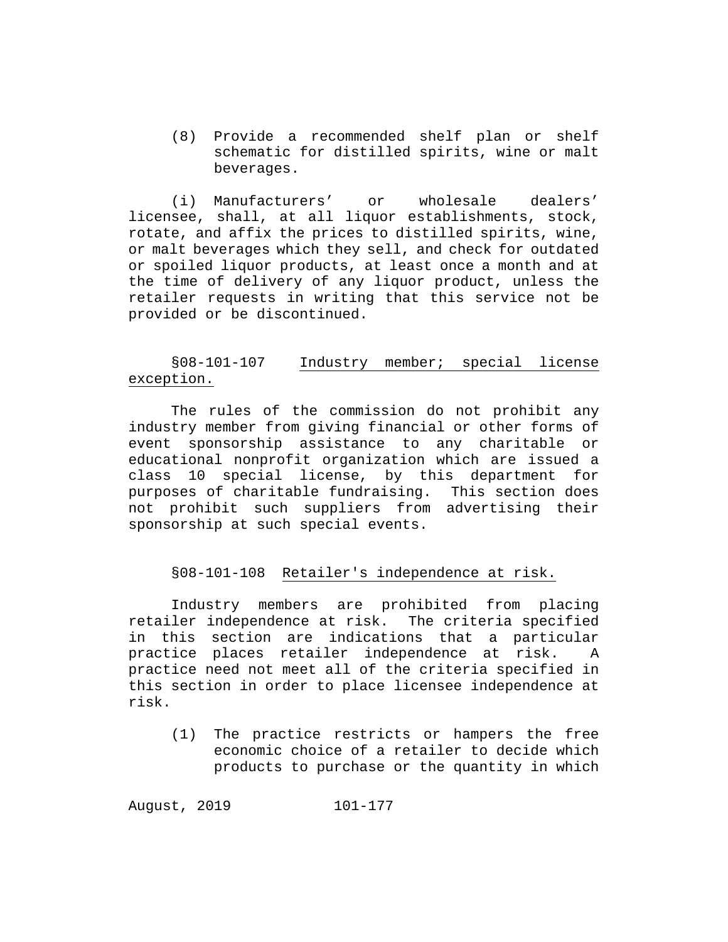(8) Provide a recommended shelf plan or shelf schematic for distilled spirits, wine or malt beverages.

(i) Manufacturers' or wholesale dealers' licensee, shall, at all liquor establishments, stock, rotate, and affix the prices to distilled spirits, wine, or malt beverages which they sell, and check for outdated or spoiled liquor products, at least once a month and at the time of delivery of any liquor product, unless the retailer requests in writing that this service not be provided or be discontinued.

# §08-101-107 Industry member; special license exception.

The rules of the commission do not prohibit any industry member from giving financial or other forms of event sponsorship assistance to any charitable or educational nonprofit organization which are issued a class 10 special license, by this department for purposes of charitable fundraising. This section does not prohibit such suppliers from advertising their sponsorship at such special events.

### §08-101-108 Retailer's independence at risk.

Industry members are prohibited from placing retailer independence at risk. The criteria specified in this section are indications that a particular<br>practice places retailer independence at risk. A practice places retailer independence at risk. practice need not meet all of the criteria specified in this section in order to place licensee independence at risk.

(1) The practice restricts or hampers the free economic choice of a retailer to decide which products to purchase or the quantity in which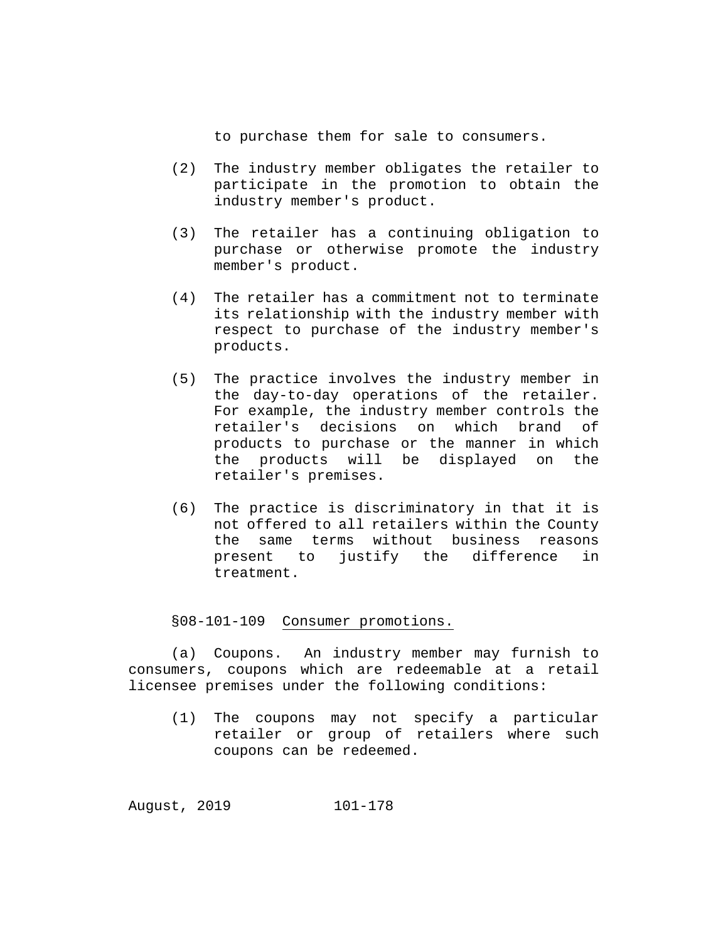to purchase them for sale to consumers.

- (2) The industry member obligates the retailer to participate in the promotion to obtain the industry member's product.
- (3) The retailer has a continuing obligation to purchase or otherwise promote the industry member's product.
- (4) The retailer has a commitment not to terminate its relationship with the industry member with respect to purchase of the industry member's products.
- (5) The practice involves the industry member in the day-to-day operations of the retailer. For example, the industry member controls the retailer's decisions on which brand of products to purchase or the manner in which the products will be displayed on the retailer's premises.
- (6) The practice is discriminatory in that it is not offered to all retailers within the County the same terms without business reasons<br>present to justify the difference in present to justify the difference treatment.

§08-101-109 Consumer promotions.

(a) Coupons. An industry member may furnish to consumers, coupons which are redeemable at a retail licensee premises under the following conditions:

(1) The coupons may not specify a particular retailer or group of retailers where such coupons can be redeemed.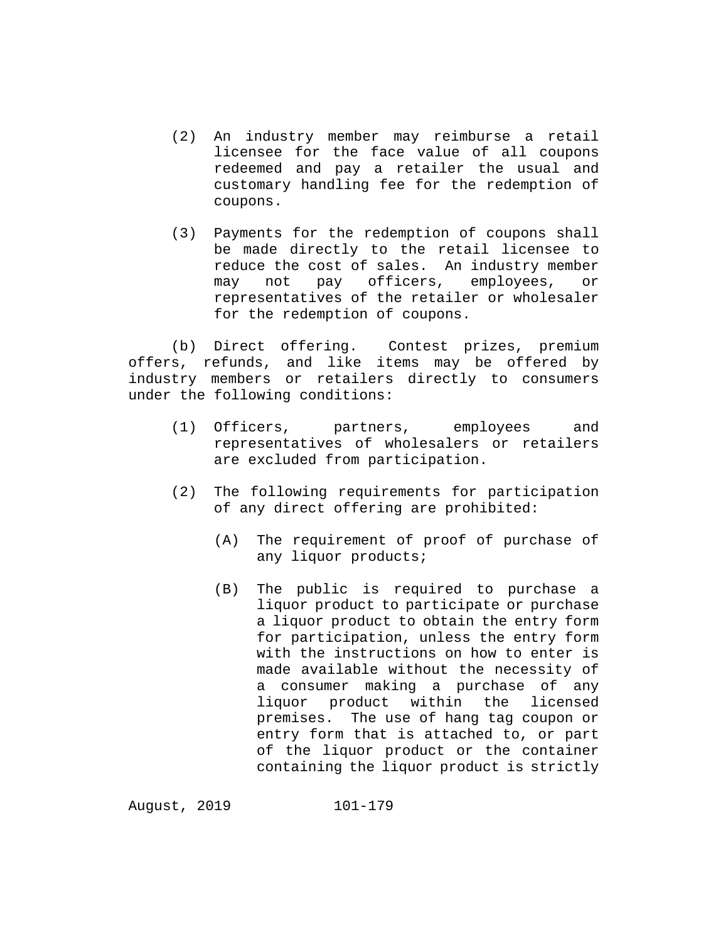- (2) An industry member may reimburse a retail licensee for the face value of all coupons redeemed and pay a retailer the usual and customary handling fee for the redemption of coupons.
- (3) Payments for the redemption of coupons shall be made directly to the retail licensee to reduce the cost of sales. An industry member<br>may not pay officers, employees, or may not pay officers, employees, or representatives of the retailer or wholesaler for the redemption of coupons.

(b) Direct offering. Contest prizes, premium offers, refunds, and like items may be offered by industry members or retailers directly to consumers under the following conditions:

- (1) Officers, partners, employees and representatives of wholesalers or retailers are excluded from participation.
- (2) The following requirements for participation of any direct offering are prohibited:
	- (A) The requirement of proof of purchase of any liquor products;
	- (B) The public is required to purchase a liquor product to participate or purchase a liquor product to obtain the entry form for participation, unless the entry form with the instructions on how to enter is made available without the necessity of a consumer making a purchase of any liquor product within the licensed premises. The use of hang tag coupon or entry form that is attached to, or part of the liquor product or the container containing the liquor product is strictly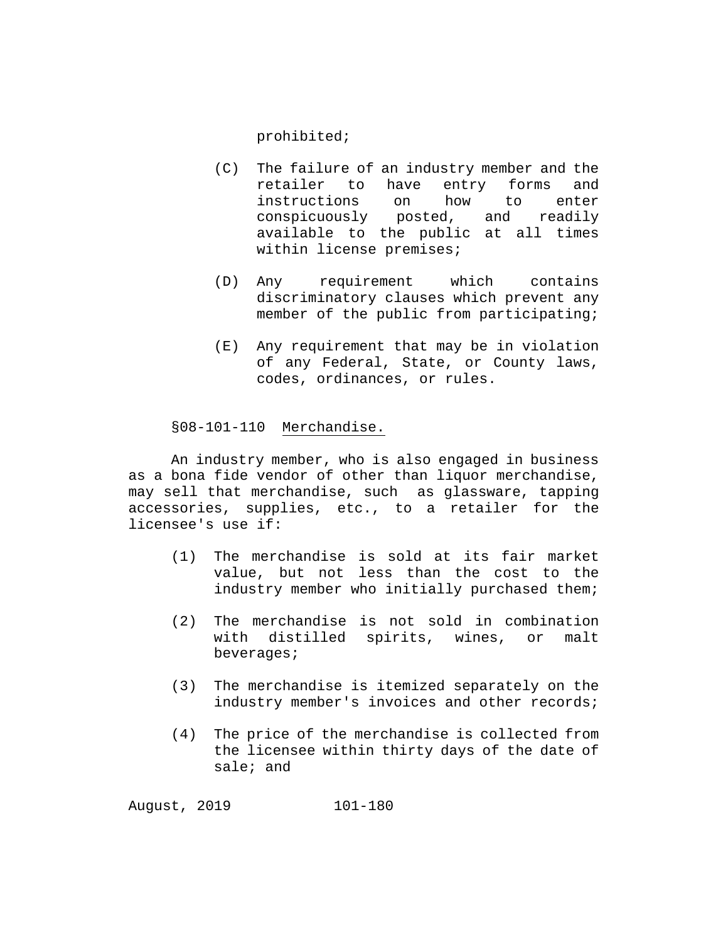prohibited;

- (C) The failure of an industry member and the<br>retailer to have entry forms and retailer to have instructions on how to enter<br>conspicuously posted, and readily conspicuously posted, available to the public at all times within license premises;
- (D) Any requirement which contains discriminatory clauses which prevent any member of the public from participating;
- (E) Any requirement that may be in violation of any Federal, State, or County laws, codes, ordinances, or rules.

### §08-101-110 Merchandise.

An industry member, who is also engaged in business as a bona fide vendor of other than liquor merchandise, may sell that merchandise, such as glassware, tapping accessories, supplies, etc., to a retailer for the licensee's use if:

- (1) The merchandise is sold at its fair market value, but not less than the cost to the industry member who initially purchased them;
- (2) The merchandise is not sold in combination with distilled spirits, wines, or malt beverages;
- (3) The merchandise is itemized separately on the industry member's invoices and other records;
- (4) The price of the merchandise is collected from the licensee within thirty days of the date of sale; and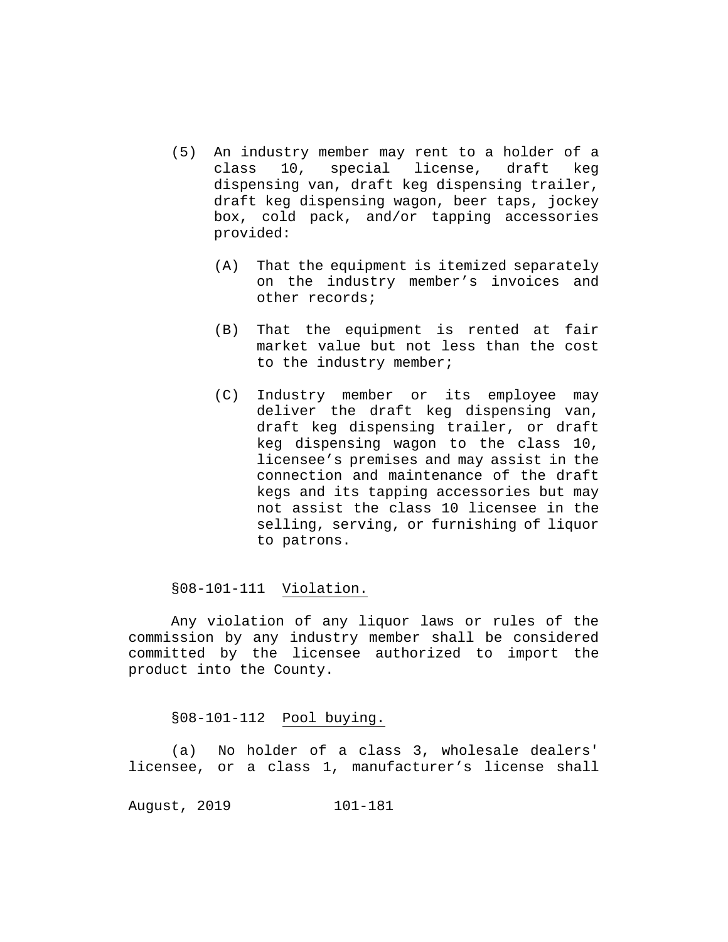- (5) An industry member may rent to a holder of a 10, special license, draft keg dispensing van, draft keg dispensing trailer, draft keg dispensing wagon, beer taps, jockey box, cold pack, and/or tapping accessories provided:
	- (A) That the equipment is itemized separately on the industry member's invoices and other records;
	- (B) That the equipment is rented at fair market value but not less than the cost to the industry member;
	- (C) Industry member or its employee may deliver the draft keg dispensing van, draft keg dispensing trailer, or draft keg dispensing wagon to the class 10, licensee's premises and may assist in the connection and maintenance of the draft kegs and its tapping accessories but may not assist the class 10 licensee in the selling, serving, or furnishing of liquor to patrons.

## §08-101-111 Violation.

Any violation of any liquor laws or rules of the commission by any industry member shall be considered committed by the licensee authorized to import the product into the County.

## §08-101-112 Pool buying.

(a) No holder of a class 3, wholesale dealers' licensee, or a class 1, manufacturer's license shall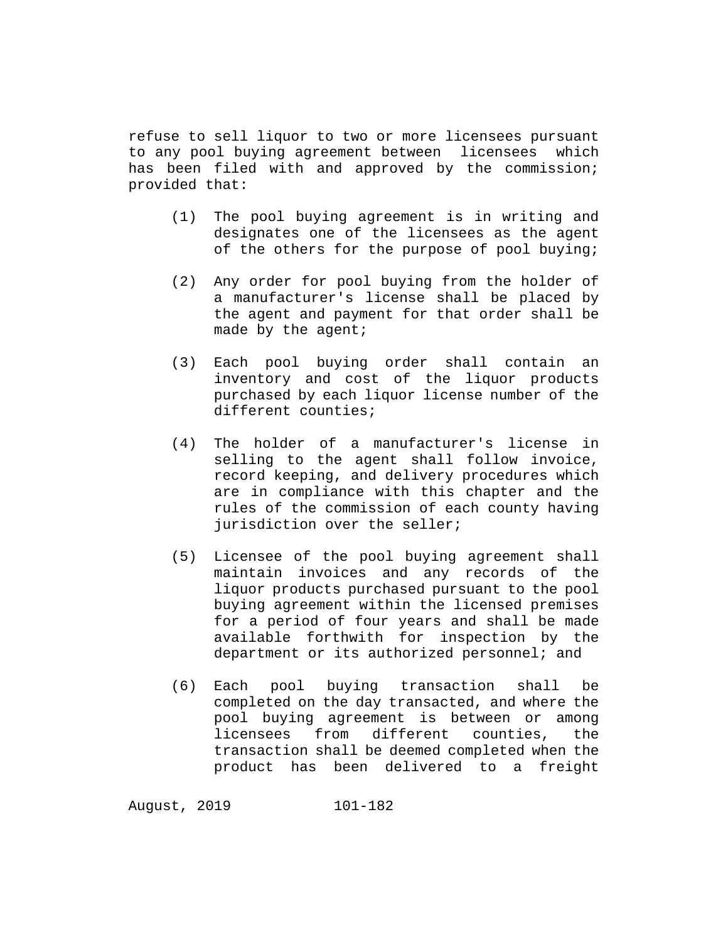refuse to sell liquor to two or more licensees pursuant to any pool buying agreement between licensees which has been filed with and approved by the commission; provided that:

- (1) The pool buying agreement is in writing and designates one of the licensees as the agent of the others for the purpose of pool buying;
- (2) Any order for pool buying from the holder of a manufacturer's license shall be placed by the agent and payment for that order shall be made by the agent;
- (3) Each pool buying order shall contain an inventory and cost of the liquor products purchased by each liquor license number of the different counties;
- (4) The holder of a manufacturer's license in selling to the agent shall follow invoice, record keeping, and delivery procedures which are in compliance with this chapter and the rules of the commission of each county having jurisdiction over the seller;
- (5) Licensee of the pool buying agreement shall maintain invoices and any records of the liquor products purchased pursuant to the pool buying agreement within the licensed premises for a period of four years and shall be made available forthwith for inspection by the department or its authorized personnel; and
- (6) Each pool buying transaction shall be completed on the day transacted, and where the pool buying agreement is between or among<br>licensees from different counties, the different counties, the transaction shall be deemed completed when the product has been delivered to a freight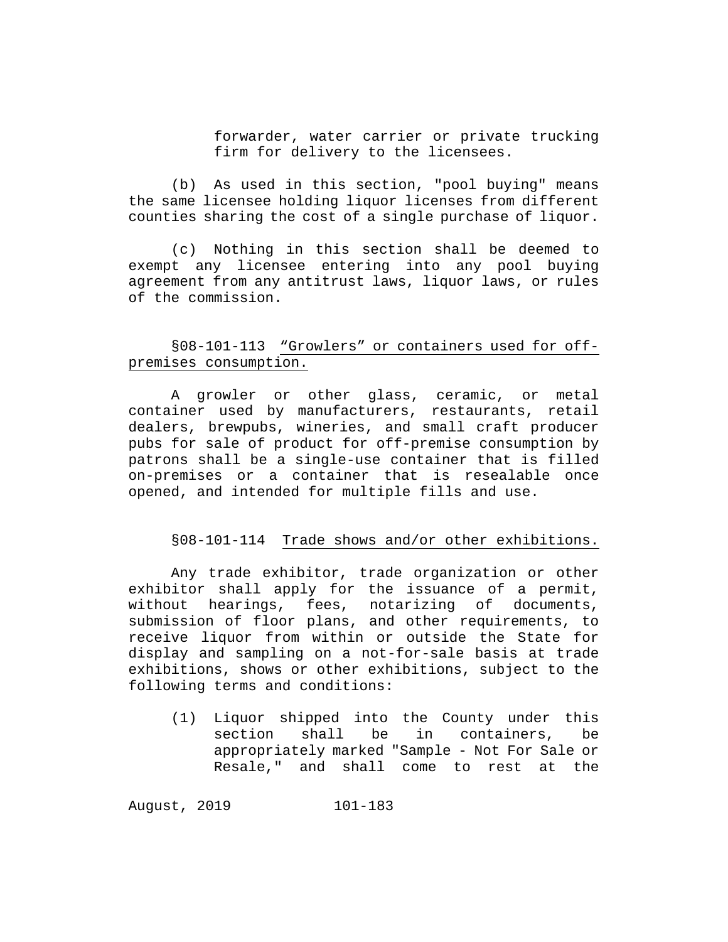forwarder, water carrier or private trucking firm for delivery to the licensees.

(b) As used in this section, "pool buying" means the same licensee holding liquor licenses from different counties sharing the cost of a single purchase of liquor.

(c) Nothing in this section shall be deemed to exempt any licensee entering into any pool buying agreement from any antitrust laws, liquor laws, or rules of the commission.

# §08-101-113 "Growlers" or containers used for offpremises consumption.

A growler or other glass, ceramic, or metal container used by manufacturers, restaurants, retail dealers, brewpubs, wineries, and small craft producer pubs for sale of product for off-premise consumption by patrons shall be a single-use container that is filled on-premises or a container that is resealable once opened, and intended for multiple fills and use.

## §08-101-114 Trade shows and/or other exhibitions.

Any trade exhibitor, trade organization or other exhibitor shall apply for the issuance of a permit, without hearings, fees, notarizing of documents, submission of floor plans, and other requirements, to receive liquor from within or outside the State for display and sampling on a not-for-sale basis at trade exhibitions, shows or other exhibitions, subject to the following terms and conditions:

(1) Liquor shipped into the County under this in containers, appropriately marked "Sample - Not For Sale or Resale," and shall come to rest at the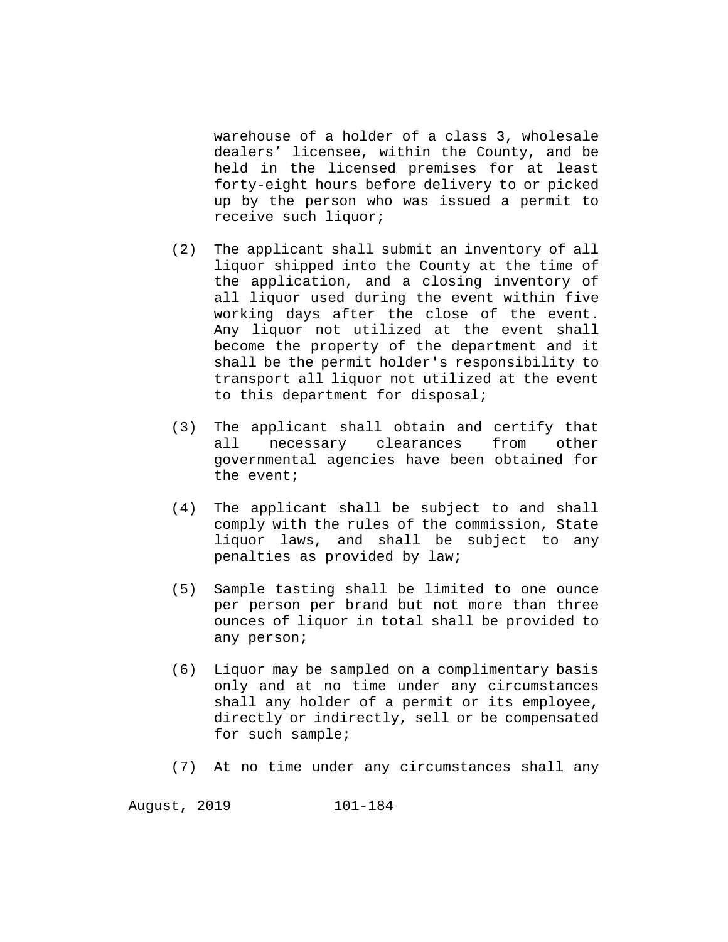warehouse of a holder of a class 3, wholesale dealers' licensee, within the County, and be held in the licensed premises for at least forty-eight hours before delivery to or picked up by the person who was issued a permit to receive such liquor;

- (2) The applicant shall submit an inventory of all liquor shipped into the County at the time of the application, and a closing inventory of all liquor used during the event within five working days after the close of the event. Any liquor not utilized at the event shall become the property of the department and it shall be the permit holder's responsibility to transport all liquor not utilized at the event to this department for disposal;
- (3) The applicant shall obtain and certify that<br>all necessary clearances from other necessary clearances governmental agencies have been obtained for the event;
- (4) The applicant shall be subject to and shall comply with the rules of the commission, State liquor laws, and shall be subject to any penalties as provided by law;
- (5) Sample tasting shall be limited to one ounce per person per brand but not more than three ounces of liquor in total shall be provided to any person;
- (6) Liquor may be sampled on a complimentary basis only and at no time under any circumstances shall any holder of a permit or its employee, directly or indirectly, sell or be compensated for such sample;
- (7) At no time under any circumstances shall any